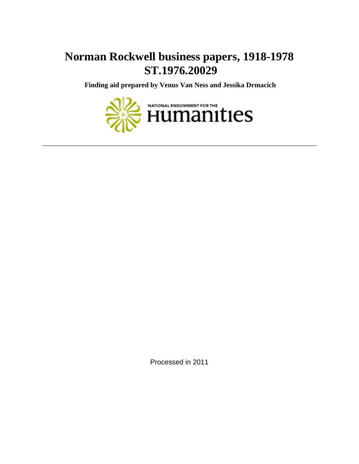# **Norman Rockwell business papers, 1918-1978 ST.1976.20029**

 **Finding aid prepared by Venus Van Ness and Jessika Drmacich**



Processed in 2011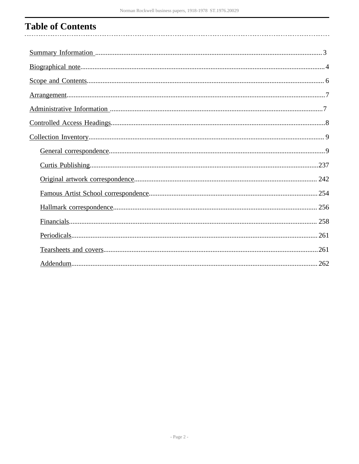#### **Table of Contents**  $\ddotsc$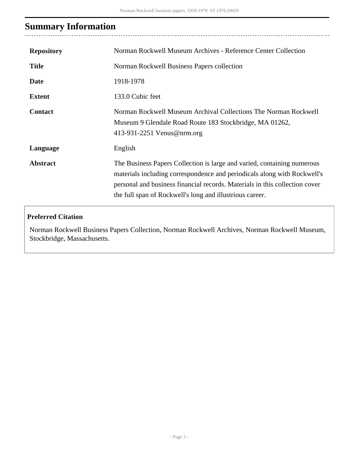# <span id="page-2-0"></span>**Summary Information**

. . . . .

| <b>Repository</b> | Norman Rockwell Museum Archives - Reference Center Collection                                                                                                                                                                                                                                  |
|-------------------|------------------------------------------------------------------------------------------------------------------------------------------------------------------------------------------------------------------------------------------------------------------------------------------------|
| <b>Title</b>      | Norman Rockwell Business Papers collection                                                                                                                                                                                                                                                     |
| <b>Date</b>       | 1918-1978                                                                                                                                                                                                                                                                                      |
| <b>Extent</b>     | 133.0 Cubic feet                                                                                                                                                                                                                                                                               |
| <b>Contact</b>    | Norman Rockwell Museum Archival Collections The Norman Rockwell<br>Museum 9 Glendale Road Route 183 Stockbridge, MA 01262,<br>413-931-2251 Venus@nrm.org                                                                                                                                       |
| Language          | English                                                                                                                                                                                                                                                                                        |
| <b>Abstract</b>   | The Business Papers Collection is large and varied, containing numerous<br>materials including correspondence and periodicals along with Rockwell's<br>personal and business financial records. Materials in this collection cover<br>the full span of Rockwell's long and illustrious career. |

### **Preferred Citation**

Norman Rockwell Business Papers Collection, Norman Rockwell Archives, Norman Rockwell Museum, Stockbridge, Massachusetts.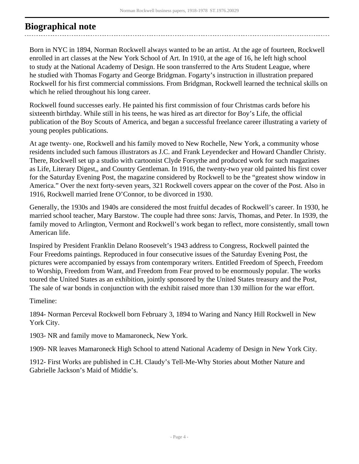### <span id="page-3-0"></span>**Biographical note**

Born in NYC in 1894, Norman Rockwell always wanted to be an artist. At the age of fourteen, Rockwell enrolled in art classes at the New York School of Art. In 1910, at the age of 16, he left high school to study at the National Academy of Design. He soon transferred to the Arts Student League, where he studied with Thomas Fogarty and George Bridgman. Fogarty's instruction in illustration prepared Rockwell for his first commercial commissions. From Bridgman, Rockwell learned the technical skills on which he relied throughout his long career.

Rockwell found successes early. He painted his first commission of four Christmas cards before his sixteenth birthday. While still in his teens, he was hired as art director for Boy's Life, the official publication of the Boy Scouts of America, and began a successful freelance career illustrating a variety of young peoples publications.

At age twenty- one, Rockwell and his family moved to New Rochelle, New York, a community whose residents included such famous illustrators as J.C. and Frank Leyendecker and Howard Chandler Christy. There, Rockwell set up a studio with cartoonist Clyde Forsythe and produced work for such magazines as Life, Literary Digest,, and Country Gentleman. In 1916, the twenty-two year old painted his first cover for the Saturday Evening Post, the magazine considered by Rockwell to be the "greatest show window in America." Over the next forty-seven years, 321 Rockwell covers appear on the cover of the Post. Also in 1916, Rockwell married Irene O'Connor, to be divorced in 1930.

Generally, the 1930s and 1940s are considered the most fruitful decades of Rockwell's career. In 1930, he married school teacher, Mary Barstow. The couple had three sons: Jarvis, Thomas, and Peter. In 1939, the family moved to Arlington, Vermont and Rockwell's work began to reflect, more consistently, small town American life.

Inspired by President Franklin Delano Roosevelt's 1943 address to Congress, Rockwell painted the Four Freedoms paintings. Reproduced in four consecutive issues of the Saturday Evening Post, the pictures were accompanied by essays from contemporary writers. Entitled Freedom of Speech, Freedom to Worship, Freedom from Want, and Freedom from Fear proved to be enormously popular. The works toured the United States as an exhibition, jointly sponsored by the United States treasury and the Post, The sale of war bonds in conjunction with the exhibit raised more than 130 million for the war effort.

Timeline:

1894- Norman Perceval Rockwell born February 3, 1894 to Waring and Nancy Hill Rockwell in New York City.

1903- NR and family move to Mamaroneck, New York.

1909- NR leaves Mamaroneck High School to attend National Academy of Design in New York City.

1912- First Works are published in C.H. Claudy's Tell-Me-Why Stories about Mother Nature and Gabrielle Jackson's Maid of Middie's.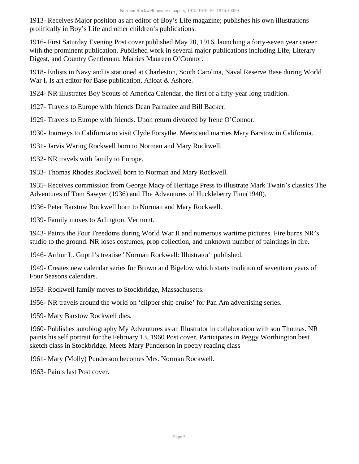1913- Receives Major position as art editor of Boy's Life magazine; publishes his own illustrations prolifically in Boy's Life and other children's publications.

1916- First Saturday Evening Post cover published May 20, 1916, launching a forty-seven year career with the prominent publication. Published work in several major publications including Life, Literary Digest, and Country Gentleman. Marries Maureen O'Connor.

1918- Enlists in Navy and is stationed at Charleston, South Carolina, Naval Reserve Base during World War I. Is art editor for Base publication, Afloat & Ashore.

1924- NR illustrates Boy Scouts of America Calendar, the first of a fifty-year long tradition.

1927- Travels to Europe with friends Dean Parmalee and Bill Backer.

1929- Travels to Europe with friends. Upon return divorced by Irene O'Connor.

1930- Journeys to California to visit Clyde Forsythe. Meets and marries Mary Barstow in California.

1931- Jarvis Waring Rockwell born to Norman and Mary Rockwell.

1932- NR travels with family to Europe.

1933- Thomas Rhodes Rockwell born to Norman and Mary Rockwell.

1935- Receives commission from George Macy of Heritage Press to illustrate Mark Twain's classics The Adventures of Tom Sawyer (1936) and The Adventures of Huckleberry Finn(1940).

1936- Peter Barstow Rockwell born to Norman and Mary Rockwell.

1939- Family moves to Arlington, Vermont.

1943- Paints the Four Freedoms during World War II and numerous wartime pictures. Fire burns NR's studio to the ground. NR loses costumes, prop collection, and unknown number of paintings in fire.

1946- Arthur L. Guptil's treatise "Norman Rockwell: Illustrator" published.

1949- Creates new calendar series for Brown and Bigelow which starts tradition of seventeen years of Four Seasons calendars.

1953- Rockwell family moves to Stockbridge, Massachusetts.

1956- NR travels around the world on 'clipper ship cruise' for Pan Am advertising series.

1959- Mary Barstow Rockwell dies.

1960- Publishes autobiography My Adventures as an Illustrator in collaboration with son Thomas. NR paints his self portrait for the February 13, 1960 Post cover. Participates in Peggy Worthington best sketch class in Stockbridge. Meets Mary Punderson in poetry reading class

1961- Mary (Molly) Punderson becomes Mrs. Norman Rockwell.

1963- Paints last Post cover.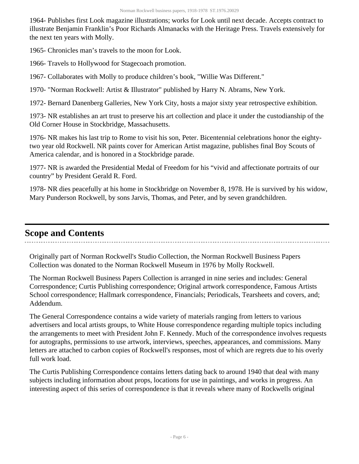1964- Publishes first Look magazine illustrations; works for Look until next decade. Accepts contract to illustrate Benjamin Franklin's Poor Richards Almanacks with the Heritage Press. Travels extensively for the next ten years with Molly.

1965- Chronicles man's travels to the moon for Look.

1966- Travels to Hollywood for Stagecoach promotion.

1967- Collaborates with Molly to produce children's book, "Willie Was Different."

1970- "Norman Rockwell: Artist & Illustrator" published by Harry N. Abrams, New York.

1972- Bernard Danenberg Galleries, New York City, hosts a major sixty year retrospective exhibition.

1973- NR establishes an art trust to preserve his art collection and place it under the custodianship of the Old Corner House in Stockbridge, Massachusetts.

1976- NR makes his last trip to Rome to visit his son, Peter. Bicentennial celebrations honor the eightytwo year old Rockwell. NR paints cover for American Artist magazine, publishes final Boy Scouts of America calendar, and is honored in a Stockbridge parade.

1977- NR is awarded the Presidential Medal of Freedom for his "vivid and affectionate portraits of our country" by President Gerald R. Ford.

1978- NR dies peacefully at his home in Stockbridge on November 8, 1978. He is survived by his widow, Mary Punderson Rockwell, by sons Jarvis, Thomas, and Peter, and by seven grandchildren.

### <span id="page-5-0"></span>**Scope and Contents**

Originally part of Norman Rockwell's Studio Collection, the Norman Rockwell Business Papers Collection was donated to the Norman Rockwell Museum in 1976 by Molly Rockwell.

The Norman Rockwell Business Papers Collection is arranged in nine series and includes: General Correspondence; Curtis Publishing correspondence; Original artwork correspondence, Famous Artists School correspondence; Hallmark correspondence, Financials; Periodicals, Tearsheets and covers, and; Addendum.

The General Correspondence contains a wide variety of materials ranging from letters to various advertisers and local artists groups, to White House correspondence regarding multiple topics including the arrangements to meet with President John F. Kennedy. Much of the correspondence involves requests for autographs, permissions to use artwork, interviews, speeches, appearances, and commissions. Many letters are attached to carbon copies of Rockwell's responses, most of which are regrets due to his overly full work load.

The Curtis Publishing Correspondence contains letters dating back to around 1940 that deal with many subjects including information about props, locations for use in paintings, and works in progress. An interesting aspect of this series of correspondence is that it reveals where many of Rockwells original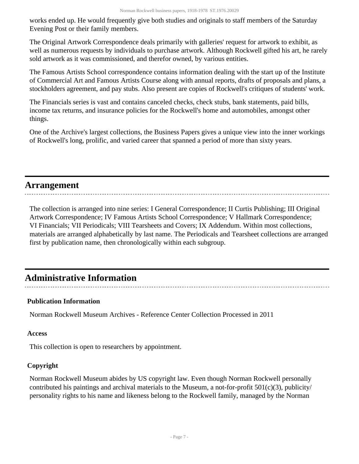works ended up. He would frequently give both studies and originals to staff members of the Saturday Evening Post or their family members.

The Original Artwork Correspondence deals primarily with galleries' request for artwork to exhibit, as well as numerous requests by individuals to purchase artwork. Although Rockwell gifted his art, he rarely sold artwork as it was commissioned, and therefor owned, by various entities.

The Famous Artists School correspondence contains information dealing with the start up of the Institute of Commercial Art and Famous Artists Course along with annual reports, drafts of proposals and plans, a stockholders agreement, and pay stubs. Also present are copies of Rockwell's critiques of students' work.

The Financials series is vast and contains canceled checks, check stubs, bank statements, paid bills, income tax returns, and insurance policies for the Rockwell's home and automobiles, amongst other things.

One of the Archive's largest collections, the Business Papers gives a unique view into the inner workings of Rockwell's long, prolific, and varied career that spanned a period of more than sixty years.

### <span id="page-6-0"></span>**Arrangement**

The collection is arranged into nine series: I General Correspondence; II Curtis Publishing; III Original Artwork Correspondence; IV Famous Artists School Correspondence; V Hallmark Correspondence; VI Financials; VII Periodicals; VIII Tearsheets and Covers; IX Addendum. Within most collections, materials are arranged alphabetically by last name. The Periodicals and Tearsheet collections are arranged first by publication name, then chronologically within each subgroup.

## <span id="page-6-1"></span>**Administrative Information**

### **Publication Information**

Norman Rockwell Museum Archives - Reference Center Collection Processed in 2011

#### **Access**

This collection is open to researchers by appointment.

#### **Copyright**

Norman Rockwell Museum abides by US copyright law. Even though Norman Rockwell personally contributed his paintings and archival materials to the Museum, a not-for-profit  $501(c)(3)$ , publicity/ personality rights to his name and likeness belong to the Rockwell family, managed by the Norman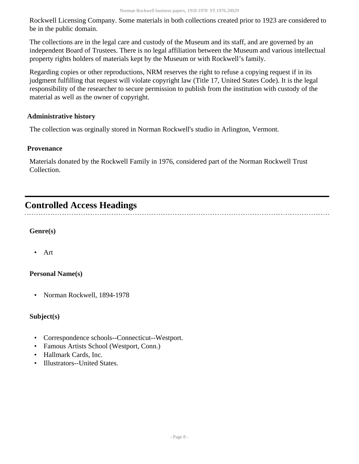Rockwell Licensing Company. Some materials in both collections created prior to 1923 are considered to be in the public domain.

The collections are in the legal care and custody of the Museum and its staff, and are governed by an independent Board of Trustees. There is no legal affiliation between the Museum and various intellectual property rights holders of materials kept by the Museum or with Rockwell's family.

Regarding copies or other reproductions, NRM reserves the right to refuse a copying request if in its judgment fulfilling that request will violate copyright law (Title 17, United States Code). It is the legal responsibility of the researcher to secure permission to publish from the institution with custody of the material as well as the owner of copyright.

#### **Administrative history**

The collection was orginally stored in Norman Rockwell's studio in Arlington, Vermont.

#### **Provenance**

Materials donated by the Rockwell Family in 1976, considered part of the Norman Rockwell Trust Collection.

## <span id="page-7-0"></span>**Controlled Access Headings**

#### **Genre(s)**

• Art

#### **Personal Name(s)**

• Norman Rockwell, 1894-1978

### **Subject(s)**

- Correspondence schools--Connecticut--Westport.
- Famous Artists School (Westport, Conn.)
- Hallmark Cards, Inc.
- Illustrators--United States.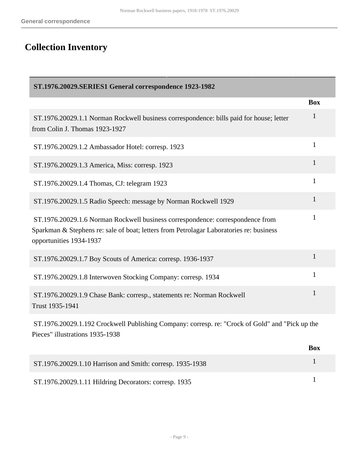# <span id="page-8-0"></span>**Collection Inventory**

<span id="page-8-1"></span>

| ST.1976.20029.SERIES1 General correspondence 1923-1982                                                                                                                                               |              |
|------------------------------------------------------------------------------------------------------------------------------------------------------------------------------------------------------|--------------|
|                                                                                                                                                                                                      | <b>Box</b>   |
| ST.1976.20029.1.1 Norman Rockwell business correspondence: bills paid for house; letter<br>from Colin J. Thomas 1923-1927                                                                            | $\mathbf 1$  |
| ST.1976.20029.1.2 Ambassador Hotel: corresp. 1923                                                                                                                                                    | 1            |
| ST.1976.20029.1.3 America, Miss: corresp. 1923                                                                                                                                                       | 1            |
| ST.1976.20029.1.4 Thomas, CJ: telegram 1923                                                                                                                                                          | 1            |
| ST.1976.20029.1.5 Radio Speech: message by Norman Rockwell 1929                                                                                                                                      | $\mathbf{1}$ |
| ST.1976.20029.1.6 Norman Rockwell business correspondence: correspondence from<br>Sparkman & Stephens re: sale of boat; letters from Petrolagar Laboratories re: business<br>opportunities 1934-1937 | 1            |
| ST.1976.20029.1.7 Boy Scouts of America: corresp. 1936-1937                                                                                                                                          | 1            |
| ST.1976.20029.1.8 Interwoven Stocking Company: corresp. 1934                                                                                                                                         | 1            |
| ST.1976.20029.1.9 Chase Bank: corresp., statements re: Norman Rockwell<br>Trust 1935-1941                                                                                                            | 1            |
| ST.1976.20029.1.192 Crockwell Publishing Company: corresp. re: "Crock of Gold" and "Pick up the<br>Pieces" illustrations 1935-1938                                                                   |              |
|                                                                                                                                                                                                      | <b>Box</b>   |
| ST.1976.20029.1.10 Harrison and Smith: corresp. 1935-1938                                                                                                                                            | 1            |
| ST.1976.20029.1.11 Hildring Decorators: corresp. 1935                                                                                                                                                | $\mathbf{1}$ |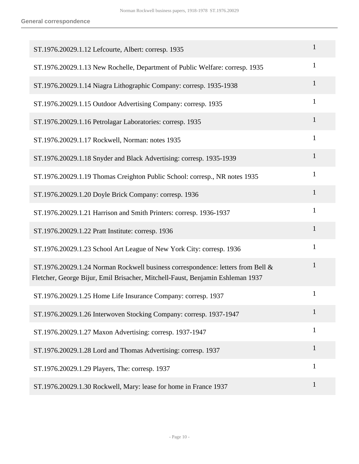| ST.1976.20029.1.12 Lefcourte, Albert: corresp. 1935                                                                                                               | 1            |
|-------------------------------------------------------------------------------------------------------------------------------------------------------------------|--------------|
| ST.1976.20029.1.13 New Rochelle, Department of Public Welfare: corresp. 1935                                                                                      | $\mathbf{1}$ |
| ST.1976.20029.1.14 Niagra Lithographic Company: corresp. 1935-1938                                                                                                | $\mathbf{1}$ |
| ST.1976.20029.1.15 Outdoor Advertising Company: corresp. 1935                                                                                                     | 1            |
| ST.1976.20029.1.16 Petrolagar Laboratories: corresp. 1935                                                                                                         | $\mathbf{1}$ |
| ST.1976.20029.1.17 Rockwell, Norman: notes 1935                                                                                                                   | $\mathbf{1}$ |
| ST.1976.20029.1.18 Snyder and Black Advertising: corresp. 1935-1939                                                                                               | $\mathbf{1}$ |
| ST.1976.20029.1.19 Thomas Creighton Public School: corresp., NR notes 1935                                                                                        | $\mathbf{1}$ |
| ST.1976.20029.1.20 Doyle Brick Company: corresp. 1936                                                                                                             | $\mathbf{1}$ |
| ST.1976.20029.1.21 Harrison and Smith Printers: corresp. 1936-1937                                                                                                | $\mathbf{1}$ |
| ST.1976.20029.1.22 Pratt Institute: corresp. 1936                                                                                                                 | 1            |
| ST.1976.20029.1.23 School Art League of New York City: corresp. 1936                                                                                              | $\mathbf{1}$ |
| ST.1976.20029.1.24 Norman Rockwell business correspondence: letters from Bell &<br>Fletcher, George Bijur, Emil Brisacher, Mitchell-Faust, Benjamin Eshleman 1937 | $\mathbf{1}$ |
| ST.1976.20029.1.25 Home Life Insurance Company: corresp. 1937                                                                                                     | $\mathbf{1}$ |
| ST.1976.20029.1.26 Interwoven Stocking Company: corresp. 1937-1947                                                                                                | 1            |
| ST.1976.20029.1.27 Maxon Advertising: corresp. 1937-1947                                                                                                          | 1            |
| ST.1976.20029.1.28 Lord and Thomas Advertising: corresp. 1937                                                                                                     | $\mathbf{1}$ |
| ST.1976.20029.1.29 Players, The: corresp. 1937                                                                                                                    | 1            |
| ST.1976.20029.1.30 Rockwell, Mary: lease for home in France 1937                                                                                                  | $\mathbf{1}$ |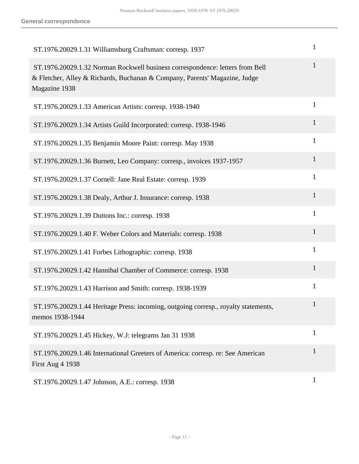| ST.1976.20029.1.31 Williamsburg Craftsman: corresp. 1937                                                                                                                     | 1            |
|------------------------------------------------------------------------------------------------------------------------------------------------------------------------------|--------------|
| ST.1976.20029.1.32 Norman Rockwell business correspondence: letters from Bell<br>& Fletcher, Alley & Richards, Buchanan & Company, Parents' Magazine, Judge<br>Magazine 1938 | 1            |
| ST.1976.20029.1.33 American Artists: corresp. 1938-1940                                                                                                                      | 1            |
| ST.1976.20029.1.34 Artists Guild Incorporated: corresp. 1938-1946                                                                                                            | 1            |
| ST.1976.20029.1.35 Benjamin Moore Paint: corresp. May 1938                                                                                                                   | $\mathbf{1}$ |
| ST.1976.20029.1.36 Burnett, Leo Company: corresp., invoices 1937-1957                                                                                                        | 1            |
| ST.1976.20029.1.37 Cornell: Jane Real Estate: corresp. 1939                                                                                                                  | $\mathbf{1}$ |
| ST.1976.20029.1.38 Dealy, Arthur J. Insurance: corresp. 1938                                                                                                                 | 1            |
| ST.1976.20029.1.39 Duttons Inc.: corresp. 1938                                                                                                                               | 1            |
| ST.1976.20029.1.40 F. Weber Colors and Materials: corresp. 1938                                                                                                              | $\mathbf{1}$ |
| ST.1976.20029.1.41 Forbes Lithographic: corresp. 1938                                                                                                                        | 1            |
| ST.1976.20029.1.42 Hannibal Chamber of Commerce: corresp. 1938                                                                                                               | $\mathbf{1}$ |
| ST.1976.20029.1.43 Harrison and Smith: corresp. 1938-1939                                                                                                                    | $\mathbf{1}$ |
| ST.1976.20029.1.44 Heritage Press: incoming, outgoing corresp., royalty statements,<br>memos 1938-1944                                                                       |              |
| ST.1976.20029.1.45 Hickey, W.J: telegrams Jan 31 1938                                                                                                                        | $\mathbf{1}$ |
| ST.1976.20029.1.46 International Greeters of America: corresp. re: See American<br>First Aug 4 1938                                                                          | $\mathbf{1}$ |
| ST.1976.20029.1.47 Johnson, A.E.: corresp. 1938                                                                                                                              | $\mathbf{1}$ |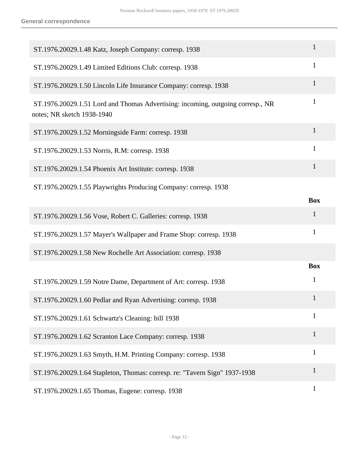| ST.1976.20029.1.48 Katz, Joseph Company: corresp. 1938                                                        | $\mathbf{1}$               |
|---------------------------------------------------------------------------------------------------------------|----------------------------|
| ST.1976.20029.1.49 Limited Editions Club: corresp. 1938                                                       | $\mathbf{1}$               |
| ST.1976.20029.1.50 Lincoln Life Insurance Company: corresp. 1938                                              | $\mathbf{1}$               |
| ST.1976.20029.1.51 Lord and Thomas Advertising: incoming, outgoing corresp., NR<br>notes; NR sketch 1938-1940 | 1                          |
| ST.1976.20029.1.52 Morningside Farm: corresp. 1938                                                            | $\mathbf{1}$               |
| ST.1976.20029.1.53 Norris, R.M: corresp. 1938                                                                 | $\mathbf{1}$               |
| ST.1976.20029.1.54 Phoenix Art Institute: corresp. 1938                                                       | $\mathbf{1}$               |
| ST.1976.20029.1.55 Playwrights Producing Company: corresp. 1938                                               | <b>Box</b>                 |
| ST.1976.20029.1.56 Vose, Robert C. Galleries: corresp. 1938                                                   | $\mathbf{1}$               |
| ST.1976.20029.1.57 Mayer's Wallpaper and Frame Shop: corresp. 1938                                            | $\mathbf{1}$               |
| ST.1976.20029.1.58 New Rochelle Art Association: corresp. 1938                                                |                            |
| ST.1976.20029.1.59 Notre Dame, Department of Art: corresp. 1938                                               | <b>Box</b><br>$\mathbf{1}$ |
| ST.1976.20029.1.60 Pedlar and Ryan Advertising: corresp. 1938                                                 | $\mathbf 1$                |
| ST.1976.20029.1.61 Schwartz's Cleaning: bill 1938                                                             | 1                          |
| ST.1976.20029.1.62 Scranton Lace Company: corresp. 1938                                                       | $\mathbf{1}$               |
| ST.1976.20029.1.63 Smyth, H.M. Printing Company: corresp. 1938                                                | $\mathbf{1}$               |
| ST.1976.20029.1.64 Stapleton, Thomas: corresp. re: "Tavern Sign" 1937-1938                                    | $\mathbf{1}$               |
| ST.1976.20029.1.65 Thomas, Eugene: corresp. 1938                                                              | $\mathbf{1}$               |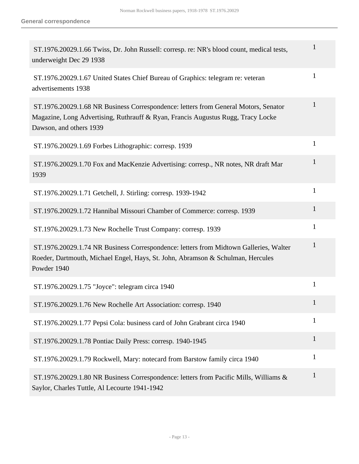| ST.1976.20029.1.66 Twiss, Dr. John Russell: corresp. re: NR's blood count, medical tests,<br>underweight Dec 29 1938                                                                               | $\mathbf{1}$ |
|----------------------------------------------------------------------------------------------------------------------------------------------------------------------------------------------------|--------------|
| ST.1976.20029.1.67 United States Chief Bureau of Graphics: telegram re: veteran<br>advertisements 1938                                                                                             | $\mathbf{1}$ |
| ST.1976.20029.1.68 NR Business Correspondence: letters from General Motors, Senator<br>Magazine, Long Advertising, Ruthrauff & Ryan, Francis Augustus Rugg, Tracy Locke<br>Dawson, and others 1939 | $\mathbf{1}$ |
| ST.1976.20029.1.69 Forbes Lithographic: corresp. 1939                                                                                                                                              | $\mathbf{1}$ |
| ST.1976.20029.1.70 Fox and MacKenzie Advertising: corresp., NR notes, NR draft Mar<br>1939                                                                                                         | $\mathbf{1}$ |
| ST.1976.20029.1.71 Getchell, J. Stirling: corresp. 1939-1942                                                                                                                                       | $\mathbf{1}$ |
| ST.1976.20029.1.72 Hannibal Missouri Chamber of Commerce: corresp. 1939                                                                                                                            | $\mathbf{1}$ |
| ST.1976.20029.1.73 New Rochelle Trust Company: corresp. 1939                                                                                                                                       | $\mathbf{1}$ |
| ST.1976.20029.1.74 NR Business Correspondence: letters from Midtown Galleries, Walter<br>Roeder, Dartmouth, Michael Engel, Hays, St. John, Abramson & Schulman, Hercules<br>Powder 1940            | $\mathbf{1}$ |
| ST.1976.20029.1.75 "Joyce": telegram circa 1940                                                                                                                                                    | $\mathbf{1}$ |
| ST.1976.20029.1.76 New Rochelle Art Association: corresp. 1940                                                                                                                                     | -1           |
| ST.1976.20029.1.77 Pepsi Cola: business card of John Grabrant circa 1940                                                                                                                           | $\mathbf{1}$ |
| ST.1976.20029.1.78 Pontiac Daily Press: corresp. 1940-1945                                                                                                                                         | $\mathbf{1}$ |
| ST.1976.20029.1.79 Rockwell, Mary: notecard from Barstow family circa 1940                                                                                                                         | $\mathbf{1}$ |
| ST.1976.20029.1.80 NR Business Correspondence: letters from Pacific Mills, Williams &<br>Saylor, Charles Tuttle, Al Lecourte 1941-1942                                                             | $\mathbf{1}$ |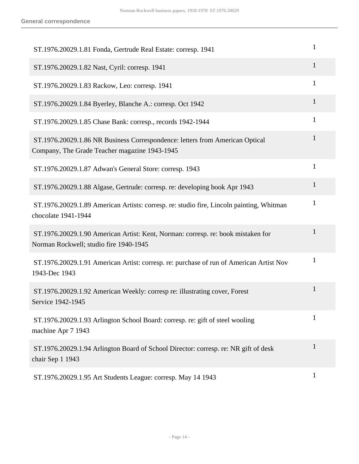| ST.1976.20029.1.81 Fonda, Gertrude Real Estate: corresp. 1941                                                                 | 1            |
|-------------------------------------------------------------------------------------------------------------------------------|--------------|
| ST.1976.20029.1.82 Nast, Cyril: corresp. 1941                                                                                 | $\mathbf{1}$ |
| ST.1976.20029.1.83 Rackow, Leo: corresp. 1941                                                                                 | 1            |
| ST.1976.20029.1.84 Byerley, Blanche A.: corresp. Oct 1942                                                                     | $\mathbf{1}$ |
| ST.1976.20029.1.85 Chase Bank: corresp., records 1942-1944                                                                    | $\mathbf{1}$ |
| ST.1976.20029.1.86 NR Business Correspondence: letters from American Optical<br>Company, The Grade Teacher magazine 1943-1945 | 1            |
| ST.1976.20029.1.87 Adwan's General Store: corresp. 1943                                                                       | $\mathbf{1}$ |
| ST.1976.20029.1.88 Algase, Gertrude: corresp. re: developing book Apr 1943                                                    | $\mathbf{1}$ |
| ST.1976.20029.1.89 American Artists: corresp. re: studio fire, Lincoln painting, Whitman<br>chocolate 1941-1944               | $\mathbf{1}$ |
| ST.1976.20029.1.90 American Artist: Kent, Norman: corresp. re: book mistaken for<br>Norman Rockwell; studio fire 1940-1945    | $\mathbf{1}$ |
| ST.1976.20029.1.91 American Artist: corresp. re: purchase of run of American Artist Nov<br>1943-Dec 1943                      | $\mathbf{1}$ |
| ST.1976.20029.1.92 American Weekly: corresp re: illustrating cover, Forest<br>Service 1942-1945                               | $\mathbf{1}$ |
| ST.1976.20029.1.93 Arlington School Board: corresp. re: gift of steel wooling<br>machine Apr 7 1943                           | $\mathbf{1}$ |
| ST.1976.20029.1.94 Arlington Board of School Director: corresp. re: NR gift of desk<br>chair Sep 1 1943                       | $\mathbf{1}$ |
| ST.1976.20029.1.95 Art Students League: corresp. May 14 1943                                                                  | $\mathbf{1}$ |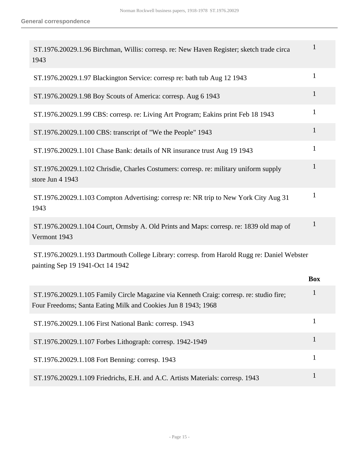| ST.1976.20029.1.96 Birchman, Willis: corresp. re: New Haven Register; sketch trade circa<br>1943                                                         | $\mathbf{1}$ |
|----------------------------------------------------------------------------------------------------------------------------------------------------------|--------------|
| ST.1976.20029.1.97 Blackington Service: corresp re: bath tub Aug 12 1943                                                                                 | $\mathbf{1}$ |
| ST.1976.20029.1.98 Boy Scouts of America: corresp. Aug 6 1943                                                                                            | 1            |
| ST.1976.20029.1.99 CBS: corresp. re: Living Art Program; Eakins print Feb 18 1943                                                                        | $\mathbf{1}$ |
| ST.1976.20029.1.100 CBS: transcript of "We the People" 1943                                                                                              | $\mathbf{1}$ |
| ST.1976.20029.1.101 Chase Bank: details of NR insurance trust Aug 19 1943                                                                                | $\mathbf{1}$ |
| ST.1976.20029.1.102 Chrisdie, Charles Costumers: corresp. re: military uniform supply<br>store Jun 4 1943                                                | $\mathbf{1}$ |
| ST.1976.20029.1.103 Compton Advertising: corresp re: NR trip to New York City Aug 31<br>1943                                                             | $\mathbf{1}$ |
| ST.1976.20029.1.104 Court, Ormsby A. Old Prints and Maps: corresp. re: 1839 old map of<br>Vermont 1943                                                   | 1            |
| ST.1976.20029.1.193 Dartmouth College Library: corresp. from Harold Rugg re: Daniel Webster<br>painting Sep 19 1941-Oct 14 1942                          |              |
|                                                                                                                                                          | <b>Box</b>   |
| ST.1976.20029.1.105 Family Circle Magazine via Kenneth Craig: corresp. re: studio fire;<br>Four Freedoms; Santa Eating Milk and Cookies Jun 8 1943; 1968 | $\mathbf{1}$ |
| ST.1976.20029.1.106 First National Bank: corresp. 1943                                                                                                   | $\mathbf{1}$ |
| ST.1976.20029.1.107 Forbes Lithograph: corresp. 1942-1949                                                                                                | $\mathbf{1}$ |
| ST.1976.20029.1.108 Fort Benning: corresp. 1943                                                                                                          | 1            |
| ST.1976.20029.1.109 Friedrichs, E.H. and A.C. Artists Materials: corresp. 1943                                                                           | $\mathbf{1}$ |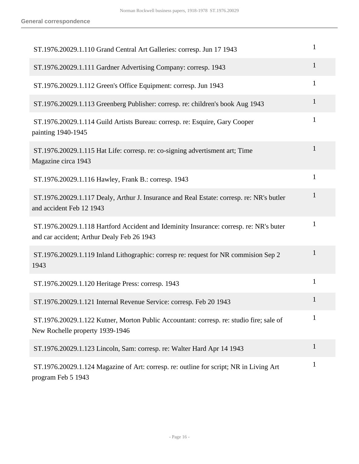| ST.1976.20029.1.110 Grand Central Art Galleries: corresp. Jun 17 1943                                                                | $\mathbf{1}$ |
|--------------------------------------------------------------------------------------------------------------------------------------|--------------|
| ST.1976.20029.1.111 Gardner Advertising Company: corresp. 1943                                                                       | $\mathbf{1}$ |
| ST.1976.20029.1.112 Green's Office Equipment: corresp. Jun 1943                                                                      | $\mathbf{1}$ |
| ST.1976.20029.1.113 Greenberg Publisher: corresp. re: children's book Aug 1943                                                       | 1            |
| ST.1976.20029.1.114 Guild Artists Bureau: corresp. re: Esquire, Gary Cooper<br>painting 1940-1945                                    | $\mathbf{1}$ |
| ST.1976.20029.1.115 Hat Life: corresp. re: co-signing advertisment art; Time<br>Magazine circa 1943                                  | $\mathbf{1}$ |
| ST.1976.20029.1.116 Hawley, Frank B.: corresp. 1943                                                                                  | $\mathbf{1}$ |
| ST.1976.20029.1.117 Dealy, Arthur J. Insurance and Real Estate: corresp. re: NR's butler<br>and accident Feb 12 1943                 | $\mathbf{1}$ |
| ST.1976.20029.1.118 Hartford Accident and Ideminity Insurance: corresp. re: NR's buter<br>and car accident; Arthur Dealy Feb 26 1943 | $\mathbf{1}$ |
| ST.1976.20029.1.119 Inland Lithographic: corresp re: request for NR commission Sep 2<br>1943                                         | $\mathbf{1}$ |
| ST.1976.20029.1.120 Heritage Press: corresp. 1943                                                                                    | $\mathbf{1}$ |
| ST.1976.20029.1.121 Internal Revenue Service: corresp. Feb 20 1943                                                                   | $\mathbf 1$  |
| ST.1976.20029.1.122 Kutner, Morton Public Accountant: corresp. re: studio fire; sale of<br>New Rochelle property 1939-1946           | $\mathbf{1}$ |
| ST.1976.20029.1.123 Lincoln, Sam: corresp. re: Walter Hard Apr 14 1943                                                               | $\mathbf{1}$ |
| ST.1976.20029.1.124 Magazine of Art: corresp. re: outline for script; NR in Living Art<br>program Feb 5 1943                         | $\mathbf{1}$ |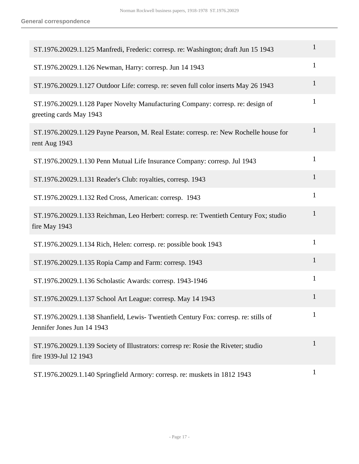| ST.1976.20029.1.125 Manfredi, Frederic: corresp. re: Washington; draft Jun 15 1943                               | 1            |
|------------------------------------------------------------------------------------------------------------------|--------------|
| ST.1976.20029.1.126 Newman, Harry: corresp. Jun 14 1943                                                          | $\mathbf{1}$ |
| ST.1976.20029.1.127 Outdoor Life: corresp. re: seven full color inserts May 26 1943                              | 1            |
| ST.1976.20029.1.128 Paper Novelty Manufacturing Company: corresp. re: design of<br>greeting cards May 1943       | $\mathbf{1}$ |
| ST.1976.20029.1.129 Payne Pearson, M. Real Estate: corresp. re: New Rochelle house for<br>rent Aug 1943          | $\mathbf{1}$ |
| ST.1976.20029.1.130 Penn Mutual Life Insurance Company: corresp. Jul 1943                                        | 1            |
| ST.1976.20029.1.131 Reader's Club: royalties, corresp. 1943                                                      | 1            |
| ST.1976.20029.1.132 Red Cross, American: corresp. 1943                                                           | $\mathbf{1}$ |
| ST.1976.20029.1.133 Reichman, Leo Herbert: corresp. re: Twentieth Century Fox; studio<br>fire May 1943           | 1            |
| ST.1976.20029.1.134 Rich, Helen: corresp. re: possible book 1943                                                 | 1            |
| ST.1976.20029.1.135 Ropia Camp and Farm: corresp. 1943                                                           | $\mathbf{1}$ |
| ST.1976.20029.1.136 Scholastic Awards: corresp. 1943-1946                                                        | 1            |
| ST.1976.20029.1.137 School Art League: corresp. May 14 1943                                                      |              |
| ST.1976.20029.1.138 Shanfield, Lewis-Twentieth Century Fox: corresp. re: stills of<br>Jennifer Jones Jun 14 1943 | 1            |
| ST.1976.20029.1.139 Society of Illustrators: corresp re: Rosie the Riveter; studio<br>fire 1939-Jul 12 1943      | 1            |
| ST.1976.20029.1.140 Springfield Armory: corresp. re: muskets in 1812 1943                                        | 1            |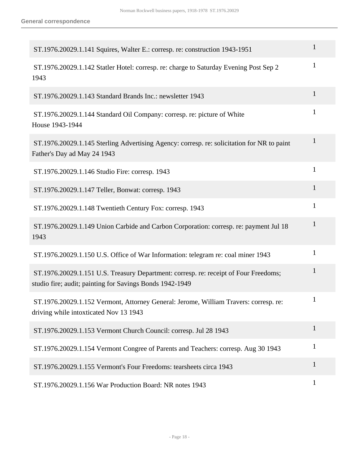| ST.1976.20029.1.141 Squires, Walter E.: corresp. re: construction 1943-1951                                                                      | 1            |
|--------------------------------------------------------------------------------------------------------------------------------------------------|--------------|
| ST.1976.20029.1.142 Statler Hotel: corresp. re: charge to Saturday Evening Post Sep 2<br>1943                                                    | $\mathbf{1}$ |
| ST.1976.20029.1.143 Standard Brands Inc.: newsletter 1943                                                                                        | 1            |
| ST.1976.20029.1.144 Standard Oil Company: corresp. re: picture of White<br>House 1943-1944                                                       | $\mathbf{1}$ |
| ST.1976.20029.1.145 Sterling Advertising Agency: corresp. re: solicitation for NR to paint<br>Father's Day ad May 24 1943                        | $\mathbf{1}$ |
| ST.1976.20029.1.146 Studio Fire: corresp. 1943                                                                                                   | $\mathbf{1}$ |
| ST.1976.20029.1.147 Teller, Bonwat: corresp. 1943                                                                                                | $\mathbf{1}$ |
| ST.1976.20029.1.148 Twentieth Century Fox: corresp. 1943                                                                                         | $\mathbf{1}$ |
| ST.1976.20029.1.149 Union Carbide and Carbon Corporation: corresp. re: payment Jul 18<br>1943                                                    | 1            |
| ST.1976.20029.1.150 U.S. Office of War Information: telegram re: coal miner 1943                                                                 | 1            |
| ST.1976.20029.1.151 U.S. Treasury Department: corresp. re: receipt of Four Freedoms;<br>studio fire; audit; painting for Savings Bonds 1942-1949 | $\mathbf{1}$ |
| ST.1976.20029.1.152 Vermont, Attorney General: Jerome, William Travers: corresp. re:<br>driving while intoxticated Nov 13 1943                   |              |
| ST.1976.20029.1.153 Vermont Church Council: corresp. Jul 28 1943                                                                                 | $\mathbf{1}$ |
| ST.1976.20029.1.154 Vermont Congree of Parents and Teachers: corresp. Aug 30 1943                                                                | $\mathbf{1}$ |
| ST.1976.20029.1.155 Vermont's Four Freedoms: tearsheets circa 1943                                                                               | 1            |
| ST.1976.20029.1.156 War Production Board: NR notes 1943                                                                                          | $\mathbf{1}$ |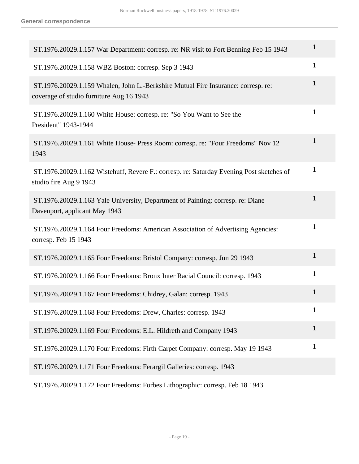| ST.1976.20029.1.157 War Department: corresp. re: NR visit to Fort Benning Feb 15 1943                                         | 1            |
|-------------------------------------------------------------------------------------------------------------------------------|--------------|
| ST.1976.20029.1.158 WBZ Boston: corresp. Sep 3 1943                                                                           | $\mathbf{1}$ |
| ST.1976.20029.1.159 Whalen, John L.-Berkshire Mutual Fire Insurance: corresp. re:<br>coverage of studio furniture Aug 16 1943 | 1            |
| ST.1976.20029.1.160 White House: corresp. re: "So You Want to See the<br>President" 1943-1944                                 | $\mathbf{1}$ |
| ST.1976.20029.1.161 White House- Press Room: corresp. re: "Four Freedoms" Nov 12<br>1943                                      | $\mathbf{1}$ |
| ST.1976.20029.1.162 Wistehuff, Revere F.: corresp. re: Saturday Evening Post sketches of<br>studio fire Aug 9 1943            | $\mathbf{1}$ |
| ST.1976.20029.1.163 Yale University, Department of Painting: corresp. re: Diane<br>Davenport, applicant May 1943              | 1            |
| ST.1976.20029.1.164 Four Freedoms: American Association of Advertising Agencies:<br>corresp. Feb 15 1943                      | $\mathbf{1}$ |
| ST.1976.20029.1.165 Four Freedoms: Bristol Company: corresp. Jun 29 1943                                                      | 1            |
| ST.1976.20029.1.166 Four Freedoms: Bronx Inter Racial Council: corresp. 1943                                                  | $\mathbf{1}$ |
| ST.1976.20029.1.167 Four Freedoms: Chidrey, Galan: corresp. 1943                                                              | $\mathbf{1}$ |
| ST.1976.20029.1.168 Four Freedoms: Drew, Charles: corresp. 1943                                                               | $\mathbf{1}$ |
| ST.1976.20029.1.169 Four Freedoms: E.L. Hildreth and Company 1943                                                             | $\mathbf{1}$ |
| ST.1976.20029.1.170 Four Freedoms: Firth Carpet Company: corresp. May 19 1943                                                 | $\mathbf{1}$ |
| ST.1976.20029.1.171 Four Freedoms: Ferargil Galleries: corresp. 1943                                                          |              |

ST.1976.20029.1.172 Four Freedoms: Forbes Lithographic: corresp. Feb 18 1943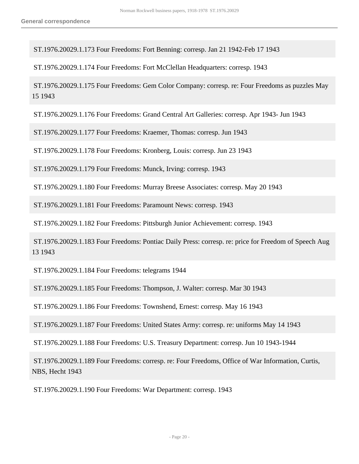ST.1976.20029.1.173 Four Freedoms: Fort Benning: corresp. Jan 21 1942-Feb 17 1943

ST.1976.20029.1.174 Four Freedoms: Fort McClellan Headquarters: corresp. 1943

 ST.1976.20029.1.175 Four Freedoms: Gem Color Company: corresp. re: Four Freedoms as puzzles May 15 1943

ST.1976.20029.1.176 Four Freedoms: Grand Central Art Galleries: corresp. Apr 1943- Jun 1943

ST.1976.20029.1.177 Four Freedoms: Kraemer, Thomas: corresp. Jun 1943

ST.1976.20029.1.178 Four Freedoms: Kronberg, Louis: corresp. Jun 23 1943

ST.1976.20029.1.179 Four Freedoms: Munck, Irving: corresp. 1943

ST.1976.20029.1.180 Four Freedoms: Murray Breese Associates: corresp. May 20 1943

ST.1976.20029.1.181 Four Freedoms: Paramount News: corresp. 1943

ST.1976.20029.1.182 Four Freedoms: Pittsburgh Junior Achievement: corresp. 1943

 ST.1976.20029.1.183 Four Freedoms: Pontiac Daily Press: corresp. re: price for Freedom of Speech Aug 13 1943

ST.1976.20029.1.184 Four Freedoms: telegrams 1944

ST.1976.20029.1.185 Four Freedoms: Thompson, J. Walter: corresp. Mar 30 1943

ST.1976.20029.1.186 Four Freedoms: Townshend, Ernest: corresp. May 16 1943

ST.1976.20029.1.187 Four Freedoms: United States Army: corresp. re: uniforms May 14 1943

ST.1976.20029.1.188 Four Freedoms: U.S. Treasury Department: corresp. Jun 10 1943-1944

 ST.1976.20029.1.189 Four Freedoms: corresp. re: Four Freedoms, Office of War Information, Curtis, NBS, Hecht 1943

ST.1976.20029.1.190 Four Freedoms: War Department: corresp. 1943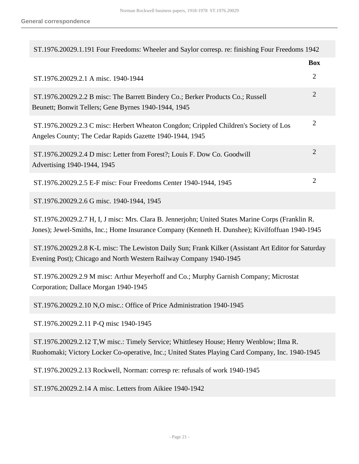| ST.1976.20029.1.191 Four Freedoms: Wheeler and Saylor corresp. re: finishing Four Freedoms 1942                                                                                                      |                |  |
|------------------------------------------------------------------------------------------------------------------------------------------------------------------------------------------------------|----------------|--|
|                                                                                                                                                                                                      | <b>Box</b>     |  |
| ST.1976.20029.2.1 A misc. 1940-1944                                                                                                                                                                  | $\overline{2}$ |  |
| ST.1976.20029.2.2 B misc: The Barrett Bindery Co.; Berker Products Co.; Russell<br>Beunett; Bonwit Tellers; Gene Byrnes 1940-1944, 1945                                                              | $\overline{2}$ |  |
| ST.1976.20029.2.3 C misc: Herbert Wheaton Congdon; Crippled Children's Society of Los<br>Angeles County; The Cedar Rapids Gazette 1940-1944, 1945                                                    | $\overline{2}$ |  |
| ST.1976.20029.2.4 D misc: Letter from Forest?; Louis F. Dow Co. Goodwill<br>Advertising 1940-1944, 1945                                                                                              | $\overline{2}$ |  |
| ST.1976.20029.2.5 E-F misc: Four Freedoms Center 1940-1944, 1945                                                                                                                                     | $\overline{2}$ |  |
| ST.1976.20029.2.6 G misc. 1940-1944, 1945                                                                                                                                                            |                |  |
| ST.1976.20029.2.7 H, I, J misc: Mrs. Clara B. Jennerjohn; United States Marine Corps (Franklin R.<br>Jones); Jewel-Smiths, Inc.; Home Insurance Company (Kenneth H. Dunshee); Kivilfoffuan 1940-1945 |                |  |
| ST.1976.20029.2.8 K-L misc: The Lewiston Daily Sun; Frank Kilker (Assistant Art Editor for Saturday<br>Evening Post); Chicago and North Western Railway Company 1940-1945                            |                |  |
| ST.1976.20029.2.9 M misc: Arthur Meyerhoff and Co.; Murphy Garnish Company; Microstat<br>Corporation; Dallace Morgan 1940-1945                                                                       |                |  |
| ST.1976.20029.2.10 N,O misc.: Office of Price Administration 1940-1945                                                                                                                               |                |  |
| ST.1976.20029.2.11 P-Q misc 1940-1945                                                                                                                                                                |                |  |
| ST.1976.20029.2.12 T, W misc.: Timely Service; Whittlesey House; Henry Wenblow; Ilma R.<br>Ruohomaki; Victory Locker Co-operative, Inc.; United States Playing Card Company, Inc. 1940-1945          |                |  |
| ST.1976.20029.2.13 Rockwell, Norman: corresp re: refusals of work 1940-1945                                                                                                                          |                |  |
|                                                                                                                                                                                                      |                |  |

ST.1976.20029.2.14 A misc. Letters from Aikiee 1940-1942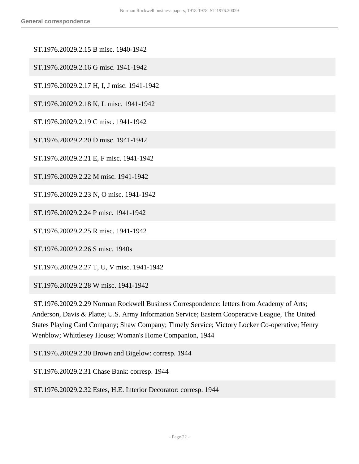- ST.1976.20029.2.15 B misc. 1940-1942
- ST.1976.20029.2.16 G misc. 1941-1942
- ST.1976.20029.2.17 H, I, J misc. 1941-1942
- ST.1976.20029.2.18 K, L misc. 1941-1942
- ST.1976.20029.2.19 C misc. 1941-1942
- ST.1976.20029.2.20 D misc. 1941-1942
- ST.1976.20029.2.21 E, F misc. 1941-1942
- ST.1976.20029.2.22 M misc. 1941-1942
- ST.1976.20029.2.23 N, O misc. 1941-1942
- ST.1976.20029.2.24 P misc. 1941-1942
- ST.1976.20029.2.25 R misc. 1941-1942
- ST.1976.20029.2.26 S misc. 1940s
- ST.1976.20029.2.27 T, U, V misc. 1941-1942
- ST.1976.20029.2.28 W misc. 1941-1942
- ST.1976.20029.2.29 Norman Rockwell Business Correspondence: letters from Academy of Arts; Anderson, Davis & Platte; U.S. Army Information Service; Eastern Cooperative League, The United States Playing Card Company; Shaw Company; Timely Service; Victory Locker Co-operative; Henry Wenblow; Whittlesey House; Woman's Home Companion, 1944
- ST.1976.20029.2.30 Brown and Bigelow: corresp. 1944
- ST.1976.20029.2.31 Chase Bank: corresp. 1944
- ST.1976.20029.2.32 Estes, H.E. Interior Decorator: corresp. 1944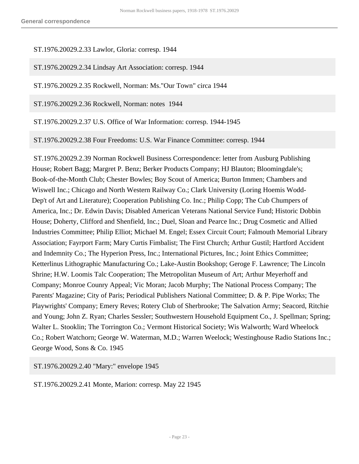#### ST.1976.20029.2.33 Lawlor, Gloria: corresp. 1944

ST.1976.20029.2.34 Lindsay Art Association: corresp. 1944

ST.1976.20029.2.35 Rockwell, Norman: Ms."Our Town" circa 1944

ST.1976.20029.2.36 Rockwell, Norman: notes 1944

ST.1976.20029.2.37 U.S. Office of War Information: corresp. 1944-1945

ST.1976.20029.2.38 Four Freedoms: U.S. War Finance Committee: corresp. 1944

 ST.1976.20029.2.39 Norman Rockwell Business Correspondence: letter from Ausburg Publishing House; Robert Bagg; Margret P. Benz; Berker Products Company; HJ Blauton; Bloomingdale's; Book-of-the-Month Club; Chester Bowles; Boy Scout of America; Burton Immen; Chambers and Wiswell Inc.; Chicago and North Western Railway Co.; Clark University (Loring Hoemis Wodd-Dep't of Art and Literature); Cooperation Publishing Co. Inc.; Philip Copp; The Cub Chumpers of America, Inc.; Dr. Edwin Davis; Disabled American Veterans National Service Fund; Historic Dobbin House; Doherty, Clifford and Shenfield, Inc.; Duel, Sloan and Pearce Inc.; Drug Cosmetic and Allied Industries Committee; Philip Elliot; Michael M. Engel; Essex Circuit Court; Falmouth Memorial Library Association; Fayrport Farm; Mary Curtis Fimbalist; The First Church; Arthur Gustil; Hartford Accident and Indemnity Co.; The Hyperion Press, Inc.; International Pictures, Inc.; Joint Ethics Committee; Ketterlinus Lithographic Manufacturing Co.; Lake-Austin Bookshop; Geroge F. Lawrence; The Lincoln Shrine; H.W. Loomis Talc Cooperation; The Metropolitan Museum of Art; Arthur Meyerhoff and Company; Monroe Counry Appeal; Vic Moran; Jacob Murphy; The National Process Company; The Parents' Magazine; City of Paris; Periodical Publishers National Committee; D. & P. Pipe Works; The Playwrights' Company; Emery Reves; Rotery Club of Sherbrooke; The Salvation Army; Seacord, Ritchie and Young; John Z. Ryan; Charles Sessler; Southwestern Household Equipment Co., J. Spellman; Spring; Walter L. Stooklin; The Torrington Co.; Vermont Historical Society; Wis Walworth; Ward Wheelock Co.; Robert Watchorn; George W. Waterman, M.D.; Warren Weelock; Westinghouse Radio Stations Inc.; George Wood, Sons & Co. 1945

ST.1976.20029.2.40 "Mary:" envelope 1945

ST.1976.20029.2.41 Monte, Marion: corresp. May 22 1945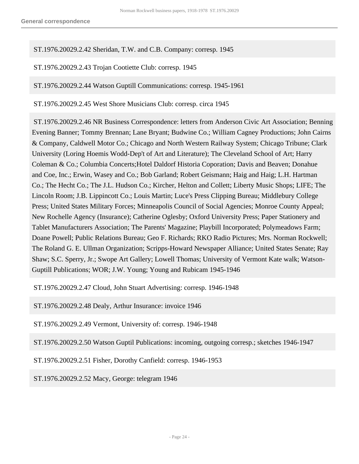ST.1976.20029.2.42 Sheridan, T.W. and C.B. Company: corresp. 1945

ST.1976.20029.2.43 Trojan Cootiette Club: corresp. 1945

ST.1976.20029.2.44 Watson Guptill Communications: corresp. 1945-1961

ST.1976.20029.2.45 West Shore Musicians Club: corresp. circa 1945

 ST.1976.20029.2.46 NR Business Correspondence: letters from Anderson Civic Art Association; Benning Evening Banner; Tommy Brennan; Lane Bryant; Budwine Co.; William Cagney Productions; John Cairns & Company, Caldwell Motor Co.; Chicago and North Western Railway System; Chicago Tribune; Clark University (Loring Hoemis Wodd-Dep't of Art and Literature); The Cleveland School of Art; Harry Coleman & Co.; Columbia Concerts;Hotel Daldorf Historia Coporation; Davis and Beaven; Donahue and Coe, Inc.; Erwin, Wasey and Co.; Bob Garland; Robert Geismann; Haig and Haig; L.H. Hartman Co.; The Hecht Co.; The J.L. Hudson Co.; Kircher, Helton and Collett; Liberty Music Shops; LIFE; The Lincoln Room; J.B. Lippincott Co.; Louis Martin; Luce's Press Clipping Bureau; Middlebury College Press; United States Military Forces; Minneapolis Council of Social Agencies; Monroe County Appeal; New Rochelle Agency (Insurance); Catherine Oglesby; Oxford University Press; Paper Stationery and Tablet Manufacturers Association; The Parents' Magazine; Playbill Incorporated; Polymeadows Farm; Doane Powell; Public Relations Bureau; Geo F. Richards; RKO Radio Pictures; Mrs. Norman Rockwell; The Roland G. E. Ullman Organization; Scripps-Howard Newspaper Alliance; United States Senate; Ray Shaw; S.C. Sperry, Jr.; Swope Art Gallery; Lowell Thomas; University of Vermont Kate walk; Watson-Guptill Publications; WOR; J.W. Young; Young and Rubicam 1945-1946

ST.1976.20029.2.47 Cloud, John Stuart Advertising: corresp. 1946-1948

ST.1976.20029.2.48 Dealy, Arthur Insurance: invoice 1946

ST.1976.20029.2.49 Vermont, University of: corresp. 1946-1948

ST.1976.20029.2.50 Watson Guptil Publications: incoming, outgoing corresp.; sketches 1946-1947

ST.1976.20029.2.51 Fisher, Dorothy Canfield: corresp. 1946-1953

ST.1976.20029.2.52 Macy, George: telegram 1946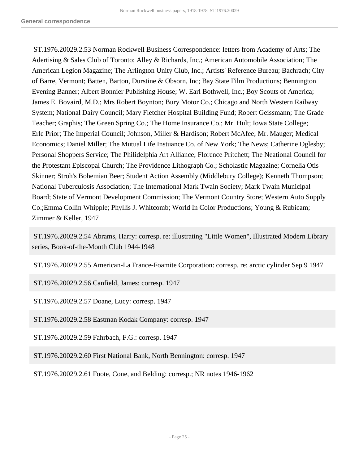ST.1976.20029.2.53 Norman Rockwell Business Correspondence: letters from Academy of Arts; The Adertising & Sales Club of Toronto; Alley & Richards, Inc.; American Automobile Association; The American Legion Magazine; The Arlington Unity Club, Inc.; Artists' Reference Bureau; Bachrach; City of Barre, Vermont; Batten, Barton, Durstine & Obsorn, Inc; Bay State Film Productions; Bennington Evening Banner; Albert Bonnier Publishing House; W. Earl Bothwell, Inc.; Boy Scouts of America; James E. Bovaird, M.D.; Mrs Robert Boynton; Bury Motor Co.; Chicago and North Western Railway System; National Dairy Council; Mary Fletcher Hospital Building Fund; Robert Geissmann; The Grade Teacher; Graphis; The Green Spring Co.; The Home Insurance Co.; Mr. Hult; Iowa State College; Erle Prior; The Imperial Council; Johnson, Miller & Hardison; Robert McAfee; Mr. Mauger; Medical Economics; Daniel Miller; The Mutual Life Instuance Co. of New York; The News; Catherine Oglesby; Personal Shoppers Service; The Philidelphia Art Alliance; Florence Pritchett; The Neational Council for the Protestant Episcopal Church; The Providence Lithograph Co.; Scholastic Magazine; Cornelia Otis Skinner; Stroh's Bohemian Beer; Student Action Assembly (Middlebury College); Kenneth Thompson; National Tuberculosis Association; The International Mark Twain Society; Mark Twain Municipal Board; State of Vermont Development Commission; The Vermont Country Store; Western Auto Supply Co.;Emma Collin Whipple; Phyllis J. Whitcomb; World In Color Productions; Young & Rubicam; Zimmer & Keller, 1947

 ST.1976.20029.2.54 Abrams, Harry: corresp. re: illustrating "Little Women", Illustrated Modern Library series, Book-of-the-Month Club 1944-1948

ST.1976.20029.2.55 American-La France-Foamite Corporation: corresp. re: arctic cylinder Sep 9 1947

ST.1976.20029.2.56 Canfield, James: corresp. 1947

ST.1976.20029.2.57 Doane, Lucy: corresp. 1947

ST.1976.20029.2.58 Eastman Kodak Company: corresp. 1947

ST.1976.20029.2.59 Fahrbach, F.G.: corresp. 1947

ST.1976.20029.2.60 First National Bank, North Bennington: corresp. 1947

ST.1976.20029.2.61 Foote, Cone, and Belding: corresp.; NR notes 1946-1962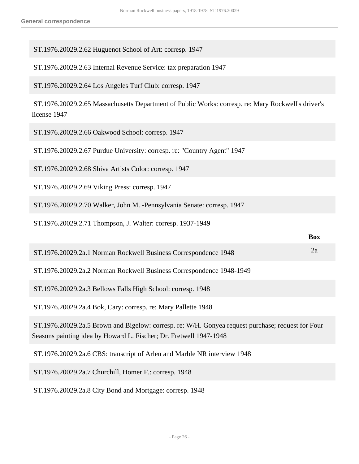| ST.1976.20029.2.62 Huguenot School of Art: corresp. 1947                                                                                                                |  |  |
|-------------------------------------------------------------------------------------------------------------------------------------------------------------------------|--|--|
| ST.1976.20029.2.63 Internal Revenue Service: tax preparation 1947                                                                                                       |  |  |
| ST.1976.20029.2.64 Los Angeles Turf Club: corresp. 1947                                                                                                                 |  |  |
| ST.1976.20029.2.65 Massachusetts Department of Public Works: corresp. re: Mary Rockwell's driver's<br>license 1947                                                      |  |  |
| ST.1976.20029.2.66 Oakwood School: corresp. 1947                                                                                                                        |  |  |
| ST.1976.20029.2.67 Purdue University: corresp. re: "Country Agent" 1947                                                                                                 |  |  |
| ST.1976.20029.2.68 Shiva Artists Color: corresp. 1947                                                                                                                   |  |  |
| ST.1976.20029.2.69 Viking Press: corresp. 1947                                                                                                                          |  |  |
| ST.1976.20029.2.70 Walker, John M. -Pennsylvania Senate: corresp. 1947                                                                                                  |  |  |
| ST.1976.20029.2.71 Thompson, J. Walter: corresp. 1937-1949                                                                                                              |  |  |
| <b>Box</b>                                                                                                                                                              |  |  |
| 2a<br>ST.1976.20029.2a.1 Norman Rockwell Business Correspondence 1948                                                                                                   |  |  |
| ST.1976.20029.2a.2 Norman Rockwell Business Correspondence 1948-1949                                                                                                    |  |  |
| ST.1976.20029.2a.3 Bellows Falls High School: corresp. 1948                                                                                                             |  |  |
| ST.1976.20029.2a.4 Bok, Cary: corresp. re: Mary Pallette 1948                                                                                                           |  |  |
| ST.1976.20029.2a.5 Brown and Bigelow: corresp. re: W/H. Gonyea request purchase; request for Four<br>Seasons painting idea by Howard L. Fischer; Dr. Fretwell 1947-1948 |  |  |
| ST.1976.20029.2a.6 CBS: transcript of Arlen and Marble NR interview 1948                                                                                                |  |  |
|                                                                                                                                                                         |  |  |

ST.1976.20029.2a.8 City Bond and Mortgage: corresp. 1948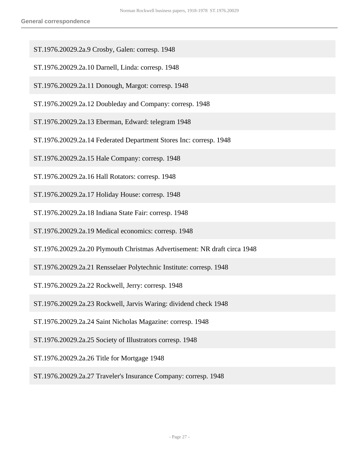- ST.1976.20029.2a.9 Crosby, Galen: corresp. 1948
- ST.1976.20029.2a.10 Darnell, Linda: corresp. 1948
- ST.1976.20029.2a.11 Donough, Margot: corresp. 1948
- ST.1976.20029.2a.12 Doubleday and Company: corresp. 1948
- ST.1976.20029.2a.13 Eberman, Edward: telegram 1948
- ST.1976.20029.2a.14 Federated Department Stores Inc: corresp. 1948
- ST.1976.20029.2a.15 Hale Company: corresp. 1948
- ST.1976.20029.2a.16 Hall Rotators: corresp. 1948
- ST.1976.20029.2a.17 Holiday House: corresp. 1948
- ST.1976.20029.2a.18 Indiana State Fair: corresp. 1948
- ST.1976.20029.2a.19 Medical economics: corresp. 1948
- ST.1976.20029.2a.20 Plymouth Christmas Advertisement: NR draft circa 1948
- ST.1976.20029.2a.21 Rensselaer Polytechnic Institute: corresp. 1948
- ST.1976.20029.2a.22 Rockwell, Jerry: corresp. 1948
- ST.1976.20029.2a.23 Rockwell, Jarvis Waring: dividend check 1948
- ST.1976.20029.2a.24 Saint Nicholas Magazine: corresp. 1948
- ST.1976.20029.2a.25 Society of Illustrators corresp. 1948
- ST.1976.20029.2a.26 Title for Mortgage 1948
- ST.1976.20029.2a.27 Traveler's Insurance Company: corresp. 1948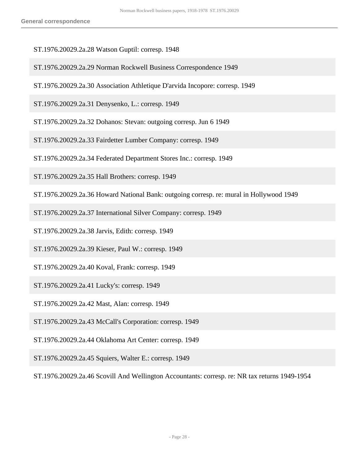- ST.1976.20029.2a.28 Watson Guptil: corresp. 1948
- ST.1976.20029.2a.29 Norman Rockwell Business Correspondence 1949
- ST.1976.20029.2a.30 Association Athletique D'arvida Incopore: corresp. 1949

ST.1976.20029.2a.31 Denysenko, L.: corresp. 1949

- ST.1976.20029.2a.32 Dohanos: Stevan: outgoing corresp. Jun 6 1949
- ST.1976.20029.2a.33 Fairdetter Lumber Company: corresp. 1949
- ST.1976.20029.2a.34 Federated Department Stores Inc.: corresp. 1949
- ST.1976.20029.2a.35 Hall Brothers: corresp. 1949
- ST.1976.20029.2a.36 Howard National Bank: outgoing corresp. re: mural in Hollywood 1949
- ST.1976.20029.2a.37 International Silver Company: corresp. 1949
- ST.1976.20029.2a.38 Jarvis, Edith: corresp. 1949
- ST.1976.20029.2a.39 Kieser, Paul W.: corresp. 1949
- ST.1976.20029.2a.40 Koval, Frank: corresp. 1949
- ST.1976.20029.2a.41 Lucky's: corresp. 1949
- ST.1976.20029.2a.42 Mast, Alan: corresp. 1949
- ST.1976.20029.2a.43 McCall's Corporation: corresp. 1949
- ST.1976.20029.2a.44 Oklahoma Art Center: corresp. 1949
- ST.1976.20029.2a.45 Squiers, Walter E.: corresp. 1949

ST.1976.20029.2a.46 Scovill And Wellington Accountants: corresp. re: NR tax returns 1949-1954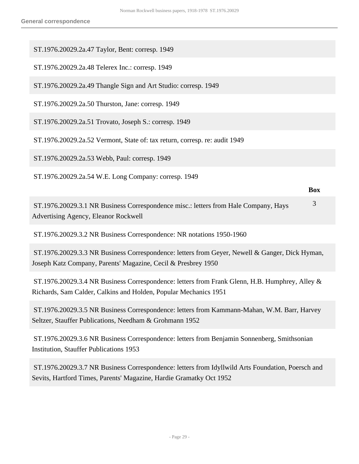ST.1976.20029.2a.47 Taylor, Bent: corresp. 1949

ST.1976.20029.2a.48 Telerex Inc.: corresp. 1949

ST.1976.20029.2a.49 Thangle Sign and Art Studio: corresp. 1949

ST.1976.20029.2a.50 Thurston, Jane: corresp. 1949

ST.1976.20029.2a.51 Trovato, Joseph S.: corresp. 1949

ST.1976.20029.2a.52 Vermont, State of: tax return, corresp. re: audit 1949

ST.1976.20029.2a.53 Webb, Paul: corresp. 1949

ST.1976.20029.2a.54 W.E. Long Company: corresp. 1949

 ST.1976.20029.3.1 NR Business Correspondence misc.: letters from Hale Company, Hays Advertising Agency, Eleanor Rockwell 3

**Box**

ST.1976.20029.3.2 NR Business Correspondence: NR notations 1950-1960

 ST.1976.20029.3.3 NR Business Correspondence: letters from Geyer, Newell & Ganger, Dick Hyman, Joseph Katz Company, Parents' Magazine, Cecil & Presbrey 1950

 ST.1976.20029.3.4 NR Business Correspondence: letters from Frank Glenn, H.B. Humphrey, Alley & Richards, Sam Calder, Calkins and Holden, Popular Mechanics 1951

 ST.1976.20029.3.5 NR Business Correspondence: letters from Kammann-Mahan, W.M. Barr, Harvey Seltzer, Stauffer Publications, Needham & Grohmann 1952

 ST.1976.20029.3.6 NR Business Correspondence: letters from Benjamin Sonnenberg, Smithsonian Institution, Stauffer Publications 1953

 ST.1976.20029.3.7 NR Business Correspondence: letters from Idyllwild Arts Foundation, Poersch and Sevits, Hartford Times, Parents' Magazine, Hardie Gramatky Oct 1952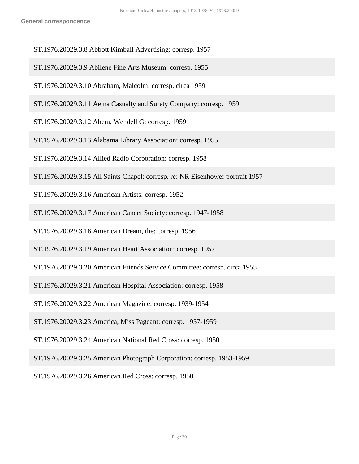- ST.1976.20029.3.8 Abbott Kimball Advertising: corresp. 1957
- ST.1976.20029.3.9 Abilene Fine Arts Museum: corresp. 1955
- ST.1976.20029.3.10 Abraham, Malcolm: corresp. circa 1959
- ST.1976.20029.3.11 Aetna Casualty and Surety Company: corresp. 1959
- ST.1976.20029.3.12 Ahem, Wendell G: corresp. 1959
- ST.1976.20029.3.13 Alabama Library Association: corresp. 1955
- ST.1976.20029.3.14 Allied Radio Corporation: corresp. 1958
- ST.1976.20029.3.15 All Saints Chapel: corresp. re: NR Eisenhower portrait 1957
- ST.1976.20029.3.16 American Artists: corresp. 1952
- ST.1976.20029.3.17 American Cancer Society: corresp. 1947-1958
- ST.1976.20029.3.18 American Dream, the: corresp. 1956
- ST.1976.20029.3.19 American Heart Association: corresp. 1957
- ST.1976.20029.3.20 American Friends Service Committee: corresp. circa 1955
- ST.1976.20029.3.21 American Hospital Association: corresp. 1958
- ST.1976.20029.3.22 American Magazine: corresp. 1939-1954
- ST.1976.20029.3.23 America, Miss Pageant: corresp. 1957-1959
- ST.1976.20029.3.24 American National Red Cross: corresp. 1950
- ST.1976.20029.3.25 American Photograph Corporation: corresp. 1953-1959
- ST.1976.20029.3.26 American Red Cross: corresp. 1950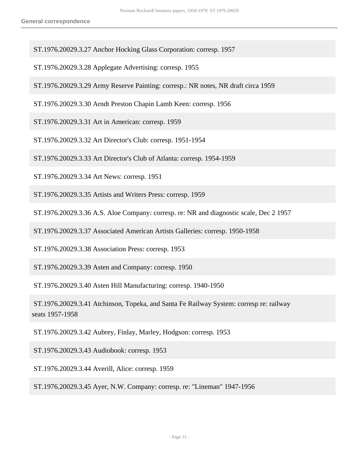- ST.1976.20029.3.27 Anchor Hocking Glass Corporation: corresp. 1957
- ST.1976.20029.3.28 Applegate Advertising: corresp. 1955
- ST.1976.20029.3.29 Army Reserve Painting: corresp.: NR notes, NR draft circa 1959
- ST.1976.20029.3.30 Arndt Preston Chapin Lamb Keen: corresp. 1956
- ST.1976.20029.3.31 Art in American: corresp. 1959
- ST.1976.20029.3.32 Art Director's Club: corresp. 1951-1954
- ST.1976.20029.3.33 Art Director's Club of Atlanta: corresp. 1954-1959
- ST.1976.20029.3.34 Art News: corresp. 1951
- ST.1976.20029.3.35 Artists and Writers Press: corresp. 1959
- ST.1976.20029.3.36 A.S. Aloe Company: corresp. re: NR and diagnostic scale, Dec 2 1957
- ST.1976.20029.3.37 Associated American Artists Galleries: corresp. 1950-1958
- ST.1976.20029.3.38 Association Press: corresp. 1953
- ST.1976.20029.3.39 Asten and Company: corresp. 1950
- ST.1976.20029.3.40 Asten Hill Manufacturing: corresp. 1940-1950
- ST.1976.20029.3.41 Atchinson, Topeka, and Santa Fe Railway System: corresp re: railway seats 1957-1958
- ST.1976.20029.3.42 Aubrey, Finlay, Marley, Hodgson: corresp. 1953
- ST.1976.20029.3.43 Audiobook: corresp. 1953
- ST.1976.20029.3.44 Averill, Alice: corresp. 1959
- ST.1976.20029.3.45 Ayer, N.W. Company: corresp. re: "Lineman" 1947-1956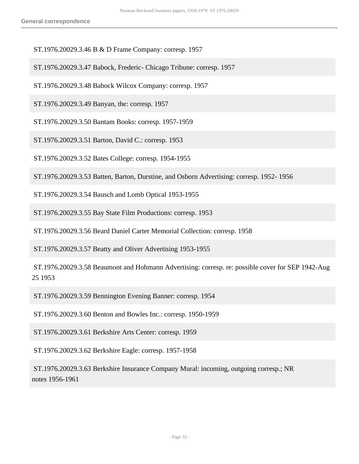ST.1976.20029.3.46 B & D Frame Company: corresp. 1957

- ST.1976.20029.3.47 Babock, Frederic- Chicago Tribune: corresp. 1957
- ST.1976.20029.3.48 Babock Wilcox Company: corresp. 1957
- ST.1976.20029.3.49 Banyan, the: corresp. 1957
- ST.1976.20029.3.50 Bantam Books: corresp. 1957-1959
- ST.1976.20029.3.51 Barton, David C.: corresp. 1953
- ST.1976.20029.3.52 Bates College: corresp. 1954-1955
- ST.1976.20029.3.53 Batten, Barton, Durstine, and Osborn Advertising: corresp. 1952- 1956
- ST.1976.20029.3.54 Bausch and Lomb Optical 1953-1955
- ST.1976.20029.3.55 Bay State Film Productions: corresp. 1953
- ST.1976.20029.3.56 Beard Daniel Carter Memorial Collection: corresp. 1958
- ST.1976.20029.3.57 Beatty and Oliver Advertising 1953-1955
- ST.1976.20029.3.58 Beaumont and Hohmann Advertising: corresp. re: possible cover for SEP 1942-Aug 25 1953
- ST.1976.20029.3.59 Bennington Evening Banner: corresp. 1954
- ST.1976.20029.3.60 Benton and Bowles Inc.: corresp. 1950-1959
- ST.1976.20029.3.61 Berkshire Arts Center: corresp. 1959
- ST.1976.20029.3.62 Berkshire Eagle: corresp. 1957-1958
- ST.1976.20029.3.63 Berkshire Insurance Company Mural: incoming, outgoing corresp.; NR notes 1956-1961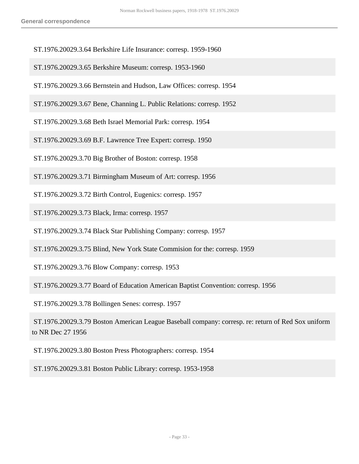- ST.1976.20029.3.64 Berkshire Life Insurance: corresp. 1959-1960
- ST.1976.20029.3.65 Berkshire Museum: corresp. 1953-1960
- ST.1976.20029.3.66 Bernstein and Hudson, Law Offices: corresp. 1954
- ST.1976.20029.3.67 Bene, Channing L. Public Relations: corresp. 1952
- ST.1976.20029.3.68 Beth Israel Memorial Park: corresp. 1954
- ST.1976.20029.3.69 B.F. Lawrence Tree Expert: corresp. 1950
- ST.1976.20029.3.70 Big Brother of Boston: corresp. 1958
- ST.1976.20029.3.71 Birmingham Museum of Art: corresp. 1956
- ST.1976.20029.3.72 Birth Control, Eugenics: corresp. 1957
- ST.1976.20029.3.73 Black, Irma: corresp. 1957
- ST.1976.20029.3.74 Black Star Publishing Company: corresp. 1957
- ST.1976.20029.3.75 Blind, New York State Commision for the: corresp. 1959
- ST.1976.20029.3.76 Blow Company: corresp. 1953
- ST.1976.20029.3.77 Board of Education American Baptist Convention: corresp. 1956
- ST.1976.20029.3.78 Bollingen Senes: corresp. 1957
- ST.1976.20029.3.79 Boston American League Baseball company: corresp. re: return of Red Sox uniform to NR Dec 27 1956
- ST.1976.20029.3.80 Boston Press Photographers: corresp. 1954
- ST.1976.20029.3.81 Boston Public Library: corresp. 1953-1958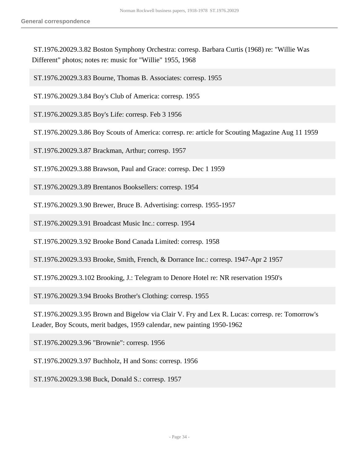ST.1976.20029.3.82 Boston Symphony Orchestra: corresp. Barbara Curtis (1968) re: "Willie Was Different" photos; notes re: music for "Willie" 1955, 1968

ST.1976.20029.3.83 Bourne, Thomas B. Associates: corresp. 1955

ST.1976.20029.3.84 Boy's Club of America: corresp. 1955

ST.1976.20029.3.85 Boy's Life: corresp. Feb 3 1956

ST.1976.20029.3.86 Boy Scouts of America: corresp. re: article for Scouting Magazine Aug 11 1959

ST.1976.20029.3.87 Brackman, Arthur; corresp. 1957

ST.1976.20029.3.88 Brawson, Paul and Grace: corresp. Dec 1 1959

ST.1976.20029.3.89 Brentanos Booksellers: corresp. 1954

ST.1976.20029.3.90 Brewer, Bruce B. Advertising: corresp. 1955-1957

ST.1976.20029.3.91 Broadcast Music Inc.: corresp. 1954

ST.1976.20029.3.92 Brooke Bond Canada Limited: corresp. 1958

ST.1976.20029.3.93 Brooke, Smith, French, & Dorrance Inc.: corresp. 1947-Apr 2 1957

ST.1976.20029.3.102 Brooking, J.: Telegram to Denore Hotel re: NR reservation 1950's

ST.1976.20029.3.94 Brooks Brother's Clothing: corresp. 1955

 ST.1976.20029.3.95 Brown and Bigelow via Clair V. Fry and Lex R. Lucas: corresp. re: Tomorrow's Leader, Boy Scouts, merit badges, 1959 calendar, new painting 1950-1962

ST.1976.20029.3.96 "Brownie": corresp. 1956

ST.1976.20029.3.97 Buchholz, H and Sons: corresp. 1956

ST.1976.20029.3.98 Buck, Donald S.: corresp. 1957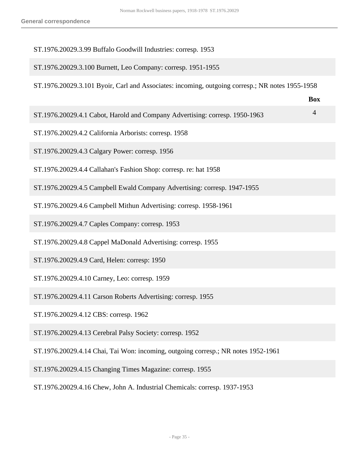#### ST.1976.20029.3.99 Buffalo Goodwill Industries: corresp. 1953

#### ST.1976.20029.3.100 Burnett, Leo Company: corresp. 1951-1955

ST.1976.20029.3.101 Byoir, Carl and Associates: incoming, outgoing corresp.; NR notes 1955-1958

| ST.1976.20029.4.1 Cabot, Harold and Company Advertising: corresp. 1950-1963 |  |
|-----------------------------------------------------------------------------|--|

**Box**

- ST.1976.20029.4.2 California Arborists: corresp. 1958
- ST.1976.20029.4.3 Calgary Power: corresp. 1956
- ST.1976.20029.4.4 Callahan's Fashion Shop: corresp. re: hat 1958
- ST.1976.20029.4.5 Campbell Ewald Company Advertising: corresp. 1947-1955
- ST.1976.20029.4.6 Campbell Mithun Advertising: corresp. 1958-1961
- ST.1976.20029.4.7 Caples Company: corresp. 1953
- ST.1976.20029.4.8 Cappel MaDonald Advertising: corresp. 1955
- ST.1976.20029.4.9 Card, Helen: corresp: 1950
- ST.1976.20029.4.10 Carney, Leo: corresp. 1959
- ST.1976.20029.4.11 Carson Roberts Advertising: corresp. 1955
- ST.1976.20029.4.12 CBS: corresp. 1962
- ST.1976.20029.4.13 Cerebral Palsy Society: corresp. 1952
- ST.1976.20029.4.14 Chai, Tai Won: incoming, outgoing corresp.; NR notes 1952-1961
- ST.1976.20029.4.15 Changing Times Magazine: corresp. 1955
- ST.1976.20029.4.16 Chew, John A. Industrial Chemicals: corresp. 1937-1953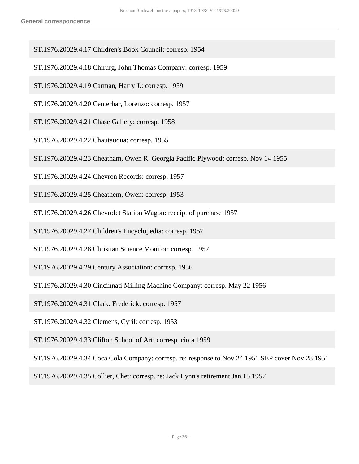- ST.1976.20029.4.17 Children's Book Council: corresp. 1954
- ST.1976.20029.4.18 Chirurg, John Thomas Company: corresp. 1959
- ST.1976.20029.4.19 Carman, Harry J.: corresp. 1959
- ST.1976.20029.4.20 Centerbar, Lorenzo: corresp. 1957
- ST.1976.20029.4.21 Chase Gallery: corresp. 1958
- ST.1976.20029.4.22 Chautauqua: corresp. 1955
- ST.1976.20029.4.23 Cheatham, Owen R. Georgia Pacific Plywood: corresp. Nov 14 1955
- ST.1976.20029.4.24 Chevron Records: corresp. 1957
- ST.1976.20029.4.25 Cheathem, Owen: corresp. 1953
- ST.1976.20029.4.26 Chevrolet Station Wagon: receipt of purchase 1957
- ST.1976.20029.4.27 Children's Encyclopedia: corresp. 1957
- ST.1976.20029.4.28 Christian Science Monitor: corresp. 1957
- ST.1976.20029.4.29 Century Association: corresp. 1956
- ST.1976.20029.4.30 Cincinnati Milling Machine Company: corresp. May 22 1956
- ST.1976.20029.4.31 Clark: Frederick: corresp. 1957
- ST.1976.20029.4.32 Clemens, Cyril: corresp. 1953
- ST.1976.20029.4.33 Clifton School of Art: corresp. circa 1959
- ST.1976.20029.4.34 Coca Cola Company: corresp. re: response to Nov 24 1951 SEP cover Nov 28 1951
- ST.1976.20029.4.35 Collier, Chet: corresp. re: Jack Lynn's retirement Jan 15 1957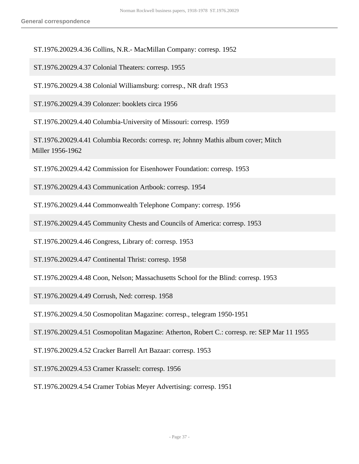ST.1976.20029.4.36 Collins, N.R.- MacMillan Company: corresp. 1952

ST.1976.20029.4.37 Colonial Theaters: corresp. 1955

ST.1976.20029.4.38 Colonial Williamsburg: corresp., NR draft 1953

ST.1976.20029.4.39 Colonzer: booklets circa 1956

ST.1976.20029.4.40 Columbia-University of Missouri: corresp. 1959

 ST.1976.20029.4.41 Columbia Records: corresp. re; Johnny Mathis album cover; Mitch Miller 1956-1962

ST.1976.20029.4.42 Commission for Eisenhower Foundation: corresp. 1953

ST.1976.20029.4.43 Communication Artbook: corresp. 1954

ST.1976.20029.4.44 Commonwealth Telephone Company: corresp. 1956

ST.1976.20029.4.45 Community Chests and Councils of America: corresp. 1953

ST.1976.20029.4.46 Congress, Library of: corresp. 1953

ST.1976.20029.4.47 Continental Thrist: corresp. 1958

ST.1976.20029.4.48 Coon, Nelson; Massachusetts School for the Blind: corresp. 1953

ST.1976.20029.4.49 Corrush, Ned: corresp. 1958

ST.1976.20029.4.50 Cosmopolitan Magazine: corresp., telegram 1950-1951

ST.1976.20029.4.51 Cosmopolitan Magazine: Atherton, Robert C.: corresp. re: SEP Mar 11 1955

ST.1976.20029.4.52 Cracker Barrell Art Bazaar: corresp. 1953

ST.1976.20029.4.53 Cramer Krasselt: corresp. 1956

ST.1976.20029.4.54 Cramer Tobias Meyer Advertising: corresp. 1951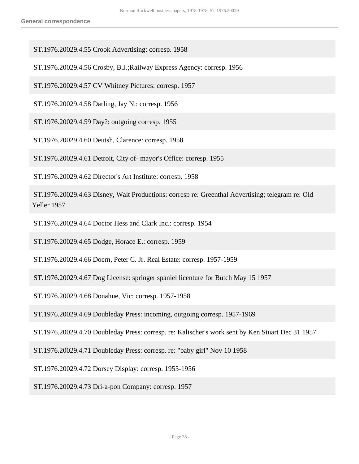ST.1976.20029.4.55 Crook Advertising: corresp. 1958

ST.1976.20029.4.56 Crosby, B.J.;Railway Express Agency: corresp. 1956

ST.1976.20029.4.57 CV Whitney Pictures: corresp. 1957

ST.1976.20029.4.58 Darling, Jay N.: corresp. 1956

ST.1976.20029.4.59 Day?: outgoing corresp. 1955

ST.1976.20029.4.60 Deutsh, Clarence: corresp. 1958

ST.1976.20029.4.61 Detroit, City of- mayor's Office: corresp. 1955

ST.1976.20029.4.62 Director's Art Institute: corresp. 1958

 ST.1976.20029.4.63 Disney, Walt Productions: corresp re: Greenthal Advertising; telegram re: Old Yeller 1957

ST.1976.20029.4.64 Doctor Hess and Clark Inc.: corresp. 1954

ST.1976.20029.4.65 Dodge, Horace E.: corresp. 1959

ST.1976.20029.4.66 Doern, Peter C. Jr. Real Estate: corresp. 1957-1959

ST.1976.20029.4.67 Dog License: springer spaniel licenture for Butch May 15 1957

ST.1976.20029.4.68 Donahue, Vic: corresp. 1957-1958

ST.1976.20029.4.69 Doubleday Press: incoming, outgoing corresp. 1957-1969

ST.1976.20029.4.70 Doubleday Press: corresp. re: Kalischer's work sent by Ken Stuart Dec 31 1957

ST.1976.20029.4.71 Doubleday Press: corresp. re: "baby girl" Nov 10 1958

ST.1976.20029.4.72 Dorsey Display: corresp. 1955-1956

ST.1976.20029.4.73 Dri-a-pon Company: corresp. 1957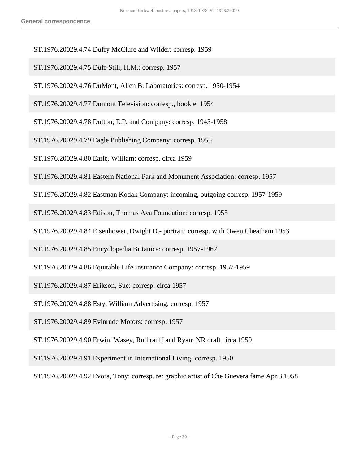- ST.1976.20029.4.74 Duffy McClure and Wilder: corresp. 1959
- ST.1976.20029.4.75 Duff-Still, H.M.: corresp. 1957
- ST.1976.20029.4.76 DuMont, Allen B. Laboratories: corresp. 1950-1954
- ST.1976.20029.4.77 Dumont Television: corresp., booklet 1954
- ST.1976.20029.4.78 Dutton, E.P. and Company: corresp. 1943-1958
- ST.1976.20029.4.79 Eagle Publishing Company: corresp. 1955
- ST.1976.20029.4.80 Earle, William: corresp. circa 1959
- ST.1976.20029.4.81 Eastern National Park and Monument Association: corresp. 1957
- ST.1976.20029.4.82 Eastman Kodak Company: incoming, outgoing corresp. 1957-1959
- ST.1976.20029.4.83 Edison, Thomas Ava Foundation: corresp. 1955
- ST.1976.20029.4.84 Eisenhower, Dwight D.- portrait: corresp. with Owen Cheatham 1953
- ST.1976.20029.4.85 Encyclopedia Britanica: corresp. 1957-1962
- ST.1976.20029.4.86 Equitable Life Insurance Company: corresp. 1957-1959
- ST.1976.20029.4.87 Erikson, Sue: corresp. circa 1957
- ST.1976.20029.4.88 Esty, William Advertising: corresp. 1957
- ST.1976.20029.4.89 Evinrude Motors: corresp. 1957
- ST.1976.20029.4.90 Erwin, Wasey, Ruthrauff and Ryan: NR draft circa 1959
- ST.1976.20029.4.91 Experiment in International Living: corresp. 1950
- ST.1976.20029.4.92 Evora, Tony: corresp. re: graphic artist of Che Guevera fame Apr 3 1958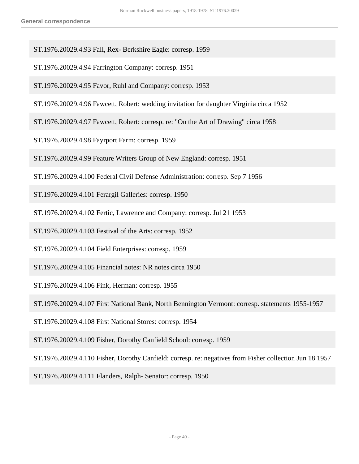- ST.1976.20029.4.93 Fall, Rex- Berkshire Eagle: corresp. 1959
- ST.1976.20029.4.94 Farrington Company: corresp. 1951
- ST.1976.20029.4.95 Favor, Ruhl and Company: corresp. 1953
- ST.1976.20029.4.96 Fawcett, Robert: wedding invitation for daughter Virginia circa 1952
- ST.1976.20029.4.97 Fawcett, Robert: corresp. re: "On the Art of Drawing" circa 1958
- ST.1976.20029.4.98 Fayrport Farm: corresp. 1959
- ST.1976.20029.4.99 Feature Writers Group of New England: corresp. 1951
- ST.1976.20029.4.100 Federal Civil Defense Administration: corresp. Sep 7 1956
- ST.1976.20029.4.101 Ferargil Galleries: corresp. 1950
- ST.1976.20029.4.102 Fertic, Lawrence and Company: corresp. Jul 21 1953
- ST.1976.20029.4.103 Festival of the Arts: corresp. 1952
- ST.1976.20029.4.104 Field Enterprises: corresp. 1959
- ST.1976.20029.4.105 Financial notes: NR notes circa 1950
- ST.1976.20029.4.106 Fink, Herman: corresp. 1955
- ST.1976.20029.4.107 First National Bank, North Bennington Vermont: corresp. statements 1955-1957
- ST.1976.20029.4.108 First National Stores: corresp. 1954
- ST.1976.20029.4.109 Fisher, Dorothy Canfield School: corresp. 1959
- ST.1976.20029.4.110 Fisher, Dorothy Canfield: corresp. re: negatives from Fisher collection Jun 18 1957
- ST.1976.20029.4.111 Flanders, Ralph- Senator: corresp. 1950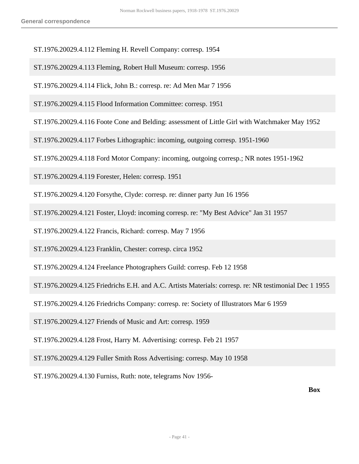- ST.1976.20029.4.112 Fleming H. Revell Company: corresp. 1954
- ST.1976.20029.4.113 Fleming, Robert Hull Museum: corresp. 1956
- ST.1976.20029.4.114 Flick, John B.: corresp. re: Ad Men Mar 7 1956
- ST.1976.20029.4.115 Flood Information Committee: corresp. 1951
- ST.1976.20029.4.116 Foote Cone and Belding: assessment of Little Girl with Watchmaker May 1952
- ST.1976.20029.4.117 Forbes Lithographic: incoming, outgoing corresp. 1951-1960
- ST.1976.20029.4.118 Ford Motor Company: incoming, outgoing corresp.; NR notes 1951-1962
- ST.1976.20029.4.119 Forester, Helen: corresp. 1951
- ST.1976.20029.4.120 Forsythe, Clyde: corresp. re: dinner party Jun 16 1956
- ST.1976.20029.4.121 Foster, Lloyd: incoming corresp. re: "My Best Advice" Jan 31 1957
- ST.1976.20029.4.122 Francis, Richard: corresp. May 7 1956
- ST.1976.20029.4.123 Franklin, Chester: corresp. circa 1952
- ST.1976.20029.4.124 Freelance Photographers Guild: corresp. Feb 12 1958
- ST.1976.20029.4.125 Friedrichs E.H. and A.C. Artists Materials: corresp. re: NR testimonial Dec 1 1955
- ST.1976.20029.4.126 Friedrichs Company: corresp. re: Society of Illustrators Mar 6 1959
- ST.1976.20029.4.127 Friends of Music and Art: corresp. 1959
- ST.1976.20029.4.128 Frost, Harry M. Advertising: corresp. Feb 21 1957
- ST.1976.20029.4.129 Fuller Smith Ross Advertising: corresp. May 10 1958
- ST.1976.20029.4.130 Furniss, Ruth: note, telegrams Nov 1956-

**Box**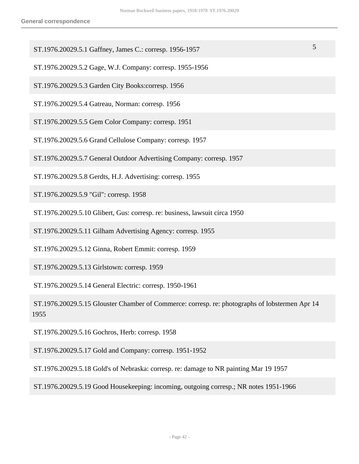- ST.1976.20029.5.1 Gaffney, James C.: corresp. 1956-1957 5
- ST.1976.20029.5.2 Gage, W.J. Company: corresp. 1955-1956
- ST.1976.20029.5.3 Garden City Books:corresp. 1956
- ST.1976.20029.5.4 Gatreau, Norman: corresp. 1956
- ST.1976.20029.5.5 Gem Color Company: corresp. 1951
- ST.1976.20029.5.6 Grand Cellulose Company: corresp. 1957
- ST.1976.20029.5.7 General Outdoor Advertising Company: corresp. 1957
- ST.1976.20029.5.8 Gerdts, H.J. Advertising: corresp. 1955
- ST.1976.20029.5.9 "Gil": corresp. 1958
- ST.1976.20029.5.10 Glibert, Gus: corresp. re: business, lawsuit circa 1950
- ST.1976.20029.5.11 Gilham Advertising Agency: corresp. 1955
- ST.1976.20029.5.12 Ginna, Robert Emmit: corresp. 1959
- ST.1976.20029.5.13 Girlstown: corresp. 1959
- ST.1976.20029.5.14 General Electric: corresp. 1950-1961
- ST.1976.20029.5.15 Glouster Chamber of Commerce: corresp. re: photographs of lobstermen Apr 14 1955
- ST.1976.20029.5.16 Gochros, Herb: corresp. 1958
- ST.1976.20029.5.17 Gold and Company: corresp. 1951-1952
- ST.1976.20029.5.18 Gold's of Nebraska: corresp. re: damage to NR painting Mar 19 1957
- ST.1976.20029.5.19 Good Housekeeping: incoming, outgoing corresp.; NR notes 1951-1966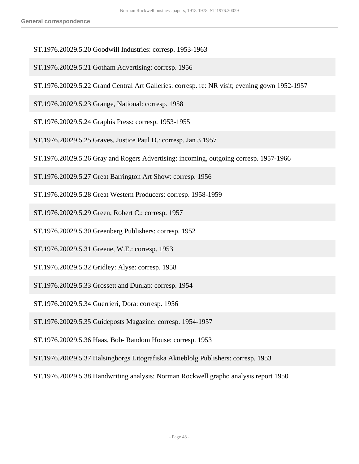- ST.1976.20029.5.20 Goodwill Industries: corresp. 1953-1963
- ST.1976.20029.5.21 Gotham Advertising: corresp. 1956
- ST.1976.20029.5.22 Grand Central Art Galleries: corresp. re: NR visit; evening gown 1952-1957
- ST.1976.20029.5.23 Grange, National: corresp. 1958
- ST.1976.20029.5.24 Graphis Press: corresp. 1953-1955
- ST.1976.20029.5.25 Graves, Justice Paul D.: corresp. Jan 3 1957
- ST.1976.20029.5.26 Gray and Rogers Advertising: incoming, outgoing corresp. 1957-1966
- ST.1976.20029.5.27 Great Barrington Art Show: corresp. 1956
- ST.1976.20029.5.28 Great Western Producers: corresp. 1958-1959
- ST.1976.20029.5.29 Green, Robert C.: corresp. 1957
- ST.1976.20029.5.30 Greenberg Publishers: corresp. 1952
- ST.1976.20029.5.31 Greene, W.E.: corresp. 1953
- ST.1976.20029.5.32 Gridley: Alyse: corresp. 1958
- ST.1976.20029.5.33 Grossett and Dunlap: corresp. 1954
- ST.1976.20029.5.34 Guerrieri, Dora: corresp. 1956
- ST.1976.20029.5.35 Guideposts Magazine: corresp. 1954-1957
- ST.1976.20029.5.36 Haas, Bob- Random House: corresp. 1953
- ST.1976.20029.5.37 Halsingborgs Litografiska Aktieblolg Publishers: corresp. 1953
- ST.1976.20029.5.38 Handwriting analysis: Norman Rockwell grapho analysis report 1950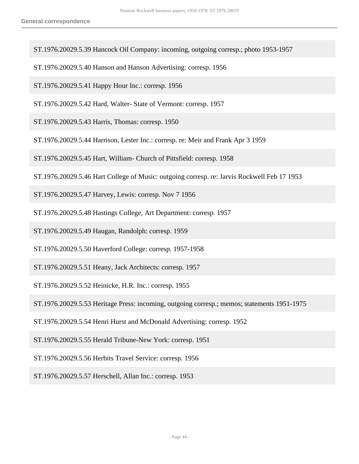- ST.1976.20029.5.39 Hancock Oil Company: incoming, outgoing corresp.; photo 1953-1957
- ST.1976.20029.5.40 Hanson and Hanson Advertising: corresp. 1956
- ST.1976.20029.5.41 Happy Hour Inc.: corresp. 1956
- ST.1976.20029.5.42 Hard, Walter- State of Vermont: corresp. 1957
- ST.1976.20029.5.43 Harris, Thomas: corresp. 1950
- ST.1976.20029.5.44 Harrison, Lester Inc.: corresp. re: Meir and Frank Apr 3 1959
- ST.1976.20029.5.45 Hart, William- Church of Pittsfield: corresp. 1958
- ST.1976.20029.5.46 Hart College of Music: outgoing corresp. re: Jarvis Rockwell Feb 17 1953
- ST.1976.20029.5.47 Harvey, Lewis: corresp. Nov 7 1956
- ST.1976.20029.5.48 Hastings College, Art Department: corresp. 1957
- ST.1976.20029.5.49 Haugan, Randolph: corresp. 1959
- ST.1976.20029.5.50 Haverford College: corresp. 1957-1958
- ST.1976.20029.5.51 Heany, Jack Architects: corresp. 1957
- ST.1976.20029.5.52 Heinicke, H.R. Inc.: corresp. 1955
- ST.1976.20029.5.53 Heritage Press: incoming, outgoing corresp.; memos; statements 1951-1975
- ST.1976.20029.5.54 Henri Hurst and McDonald Advertising: corresp. 1952
- ST.1976.20029.5.55 Herald Tribune-New York: corresp. 1951
- ST.1976.20029.5.56 Herbits Travel Service: corresp. 1956
- ST.1976.20029.5.57 Herschell, Allan Inc.: corresp. 1953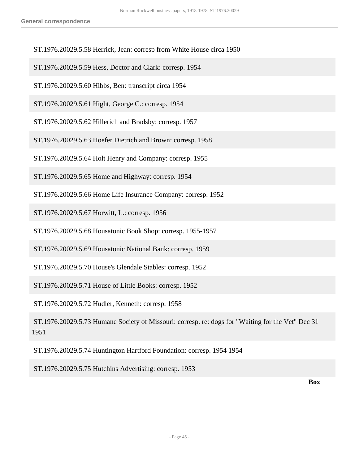- ST.1976.20029.5.58 Herrick, Jean: corresp from White House circa 1950
- ST.1976.20029.5.59 Hess, Doctor and Clark: corresp. 1954
- ST.1976.20029.5.60 Hibbs, Ben: transcript circa 1954
- ST.1976.20029.5.61 Hight, George C.: corresp. 1954
- ST.1976.20029.5.62 Hillerich and Bradsby: corresp. 1957
- ST.1976.20029.5.63 Hoefer Dietrich and Brown: corresp. 1958
- ST.1976.20029.5.64 Holt Henry and Company: corresp. 1955
- ST.1976.20029.5.65 Home and Highway: corresp. 1954
- ST.1976.20029.5.66 Home Life Insurance Company: corresp. 1952

ST.1976.20029.5.67 Horwitt, L.: corresp. 1956

- ST.1976.20029.5.68 Housatonic Book Shop: corresp. 1955-1957
- ST.1976.20029.5.69 Housatonic National Bank: corresp. 1959
- ST.1976.20029.5.70 House's Glendale Stables: corresp. 1952
- ST.1976.20029.5.71 House of Little Books: corresp. 1952
- ST.1976.20029.5.72 Hudler, Kenneth: corresp. 1958
- ST.1976.20029.5.73 Humane Society of Missouri: corresp. re: dogs for "Waiting for the Vet" Dec 31 1951
- ST.1976.20029.5.74 Huntington Hartford Foundation: corresp. 1954 1954
- ST.1976.20029.5.75 Hutchins Advertising: corresp. 1953

**Box**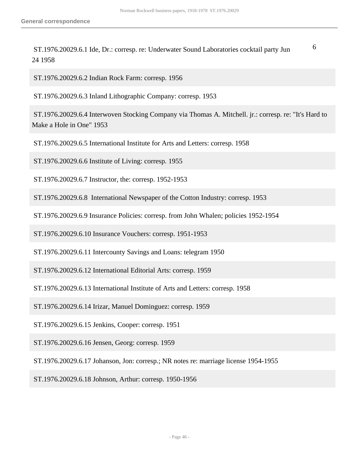ST.1976.20029.6.1 Ide, Dr.: corresp. re: Underwater Sound Laboratories cocktail party Jun 24 1958 6

ST.1976.20029.6.2 Indian Rock Farm: corresp. 1956

ST.1976.20029.6.3 Inland Lithographic Company: corresp. 1953

 ST.1976.20029.6.4 Interwoven Stocking Company via Thomas A. Mitchell. jr.: corresp. re: "It's Hard to Make a Hole in One" 1953

ST.1976.20029.6.5 International Institute for Arts and Letters: corresp. 1958

ST.1976.20029.6.6 Institute of Living: corresp. 1955

ST.1976.20029.6.7 Instructor, the: corresp. 1952-1953

ST.1976.20029.6.8 International Newspaper of the Cotton Industry: corresp. 1953

ST.1976.20029.6.9 Insurance Policies: corresp. from John Whalen; policies 1952-1954

ST.1976.20029.6.10 Insurance Vouchers: corresp. 1951-1953

ST.1976.20029.6.11 Intercounty Savings and Loans: telegram 1950

ST.1976.20029.6.12 International Editorial Arts: corresp. 1959

ST.1976.20029.6.13 International Institute of Arts and Letters: corresp. 1958

ST.1976.20029.6.14 Irizar, Manuel Dominguez: corresp. 1959

ST.1976.20029.6.15 Jenkins, Cooper: corresp. 1951

ST.1976.20029.6.16 Jensen, Georg: corresp. 1959

ST.1976.20029.6.17 Johanson, Jon: corresp.; NR notes re: marriage license 1954-1955

ST.1976.20029.6.18 Johnson, Arthur: corresp. 1950-1956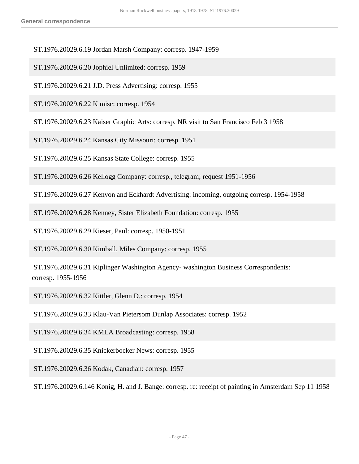ST.1976.20029.6.19 Jordan Marsh Company: corresp. 1947-1959

ST.1976.20029.6.20 Jophiel Unlimited: corresp. 1959

ST.1976.20029.6.21 J.D. Press Advertising: corresp. 1955

ST.1976.20029.6.22 K misc: corresp. 1954

ST.1976.20029.6.23 Kaiser Graphic Arts: corresp. NR visit to San Francisco Feb 3 1958

ST.1976.20029.6.24 Kansas City Missouri: corresp. 1951

ST.1976.20029.6.25 Kansas State College: corresp. 1955

ST.1976.20029.6.26 Kellogg Company: corresp., telegram; request 1951-1956

ST.1976.20029.6.27 Kenyon and Eckhardt Advertising: incoming, outgoing corresp. 1954-1958

ST.1976.20029.6.28 Kenney, Sister Elizabeth Foundation: corresp. 1955

ST.1976.20029.6.29 Kieser, Paul: corresp. 1950-1951

ST.1976.20029.6.30 Kimball, Miles Company: corresp. 1955

 ST.1976.20029.6.31 Kiplinger Washington Agency- washington Business Correspondents: corresp. 1955-1956

ST.1976.20029.6.32 Kittler, Glenn D.: corresp. 1954

ST.1976.20029.6.33 Klau-Van Pietersom Dunlap Associates: corresp. 1952

ST.1976.20029.6.34 KMLA Broadcasting: corresp. 1958

ST.1976.20029.6.35 Knickerbocker News: corresp. 1955

ST.1976.20029.6.36 Kodak, Canadian: corresp. 1957

ST.1976.20029.6.146 Konig, H. and J. Bange: corresp. re: receipt of painting in Amsterdam Sep 11 1958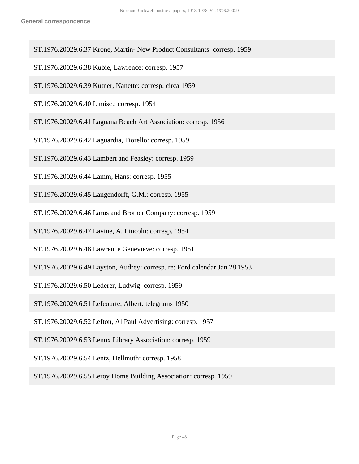- ST.1976.20029.6.37 Krone, Martin- New Product Consultants: corresp. 1959
- ST.1976.20029.6.38 Kubie, Lawrence: corresp. 1957
- ST.1976.20029.6.39 Kutner, Nanette: corresp. circa 1959
- ST.1976.20029.6.40 L misc.: corresp. 1954
- ST.1976.20029.6.41 Laguana Beach Art Association: corresp. 1956
- ST.1976.20029.6.42 Laguardia, Fiorello: corresp. 1959
- ST.1976.20029.6.43 Lambert and Feasley: corresp. 1959
- ST.1976.20029.6.44 Lamm, Hans: corresp. 1955
- ST.1976.20029.6.45 Langendorff, G.M.: corresp. 1955
- ST.1976.20029.6.46 Larus and Brother Company: corresp. 1959
- ST.1976.20029.6.47 Lavine, A. Lincoln: corresp. 1954
- ST.1976.20029.6.48 Lawrence Genevieve: corresp. 1951
- ST.1976.20029.6.49 Layston, Audrey: corresp. re: Ford calendar Jan 28 1953
- ST.1976.20029.6.50 Lederer, Ludwig: corresp. 1959
- ST.1976.20029.6.51 Lefcourte, Albert: telegrams 1950
- ST.1976.20029.6.52 Lefton, Al Paul Advertising: corresp. 1957
- ST.1976.20029.6.53 Lenox Library Association: corresp. 1959
- ST.1976.20029.6.54 Lentz, Hellmuth: corresp. 1958
- ST.1976.20029.6.55 Leroy Home Building Association: corresp. 1959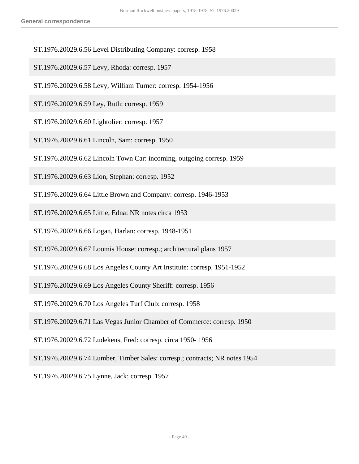- ST.1976.20029.6.56 Level Distributing Company: corresp. 1958
- ST.1976.20029.6.57 Levy, Rhoda: corresp. 1957
- ST.1976.20029.6.58 Levy, William Turner: corresp. 1954-1956
- ST.1976.20029.6.59 Ley, Ruth: corresp. 1959
- ST.1976.20029.6.60 Lightolier: corresp. 1957
- ST.1976.20029.6.61 Lincoln, Sam: corresp. 1950
- ST.1976.20029.6.62 Lincoln Town Car: incoming, outgoing corresp. 1959
- ST.1976.20029.6.63 Lion, Stephan: corresp. 1952
- ST.1976.20029.6.64 Little Brown and Company: corresp. 1946-1953
- ST.1976.20029.6.65 Little, Edna: NR notes circa 1953
- ST.1976.20029.6.66 Logan, Harlan: corresp. 1948-1951
- ST.1976.20029.6.67 Loomis House: corresp.; architectural plans 1957
- ST.1976.20029.6.68 Los Angeles County Art Institute: corresp. 1951-1952
- ST.1976.20029.6.69 Los Angeles County Sheriff: corresp. 1956
- ST.1976.20029.6.70 Los Angeles Turf Club: corresp. 1958
- ST.1976.20029.6.71 Las Vegas Junior Chamber of Commerce: corresp. 1950
- ST.1976.20029.6.72 Ludekens, Fred: corresp. circa 1950- 1956
- ST.1976.20029.6.74 Lumber, Timber Sales: corresp.; contracts; NR notes 1954
- ST.1976.20029.6.75 Lynne, Jack: corresp. 1957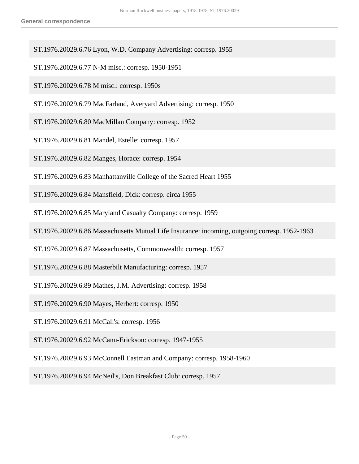ST.1976.20029.6.76 Lyon, W.D. Company Advertising: corresp. 1955

ST.1976.20029.6.77 N-M misc.: corresp. 1950-1951

ST.1976.20029.6.78 M misc.: corresp. 1950s

ST.1976.20029.6.79 MacFarland, Averyard Advertising: corresp. 1950

ST.1976.20029.6.80 MacMillan Company: corresp. 1952

ST.1976.20029.6.81 Mandel, Estelle: corresp. 1957

ST.1976.20029.6.82 Manges, Horace: corresp. 1954

ST.1976.20029.6.83 Manhattanville College of the Sacred Heart 1955

ST.1976.20029.6.84 Mansfield, Dick: corresp. circa 1955

ST.1976.20029.6.85 Maryland Casualty Company: corresp. 1959

ST.1976.20029.6.86 Massachusetts Mutual Life Insurance: incoming, outgoing corresp. 1952-1963

ST.1976.20029.6.87 Massachusetts, Commonwealth: corresp. 1957

ST.1976.20029.6.88 Masterbilt Manufacturing: corresp. 1957

ST.1976.20029.6.89 Mathes, J.M. Advertising: corresp. 1958

ST.1976.20029.6.90 Mayes, Herbert: corresp. 1950

ST.1976.20029.6.91 McCall's: corresp. 1956

ST.1976.20029.6.92 McCann-Erickson: corresp. 1947-1955

ST.1976.20029.6.93 McConnell Eastman and Company: corresp. 1958-1960

ST.1976.20029.6.94 McNeil's, Don Breakfast Club: corresp. 1957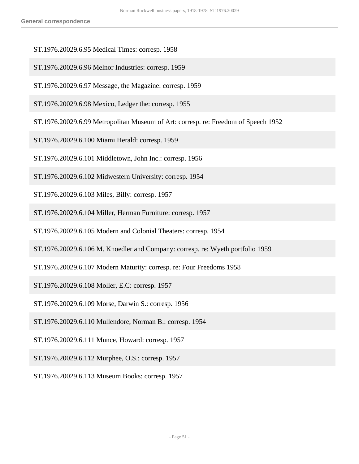- ST.1976.20029.6.95 Medical Times: corresp. 1958
- ST.1976.20029.6.96 Melnor Industries: corresp. 1959
- ST.1976.20029.6.97 Message, the Magazine: corresp. 1959
- ST.1976.20029.6.98 Mexico, Ledger the: corresp. 1955
- ST.1976.20029.6.99 Metropolitan Museum of Art: corresp. re: Freedom of Speech 1952
- ST.1976.20029.6.100 Miami Herald: corresp. 1959
- ST.1976.20029.6.101 Middletown, John Inc.: corresp. 1956
- ST.1976.20029.6.102 Midwestern University: corresp. 1954
- ST.1976.20029.6.103 Miles, Billy: corresp. 1957
- ST.1976.20029.6.104 Miller, Herman Furniture: corresp. 1957
- ST.1976.20029.6.105 Modern and Colonial Theaters: corresp. 1954
- ST.1976.20029.6.106 M. Knoedler and Company: corresp. re: Wyeth portfolio 1959
- ST.1976.20029.6.107 Modern Maturity: corresp. re: Four Freedoms 1958
- ST.1976.20029.6.108 Moller, E.C: corresp. 1957
- ST.1976.20029.6.109 Morse, Darwin S.: corresp. 1956
- ST.1976.20029.6.110 Mullendore, Norman B.: corresp. 1954
- ST.1976.20029.6.111 Munce, Howard: corresp. 1957
- ST.1976.20029.6.112 Murphee, O.S.: corresp. 1957
- ST.1976.20029.6.113 Museum Books: corresp. 1957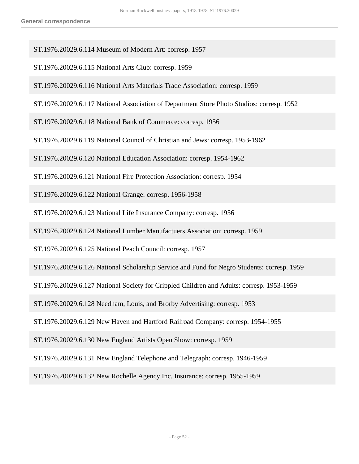- ST.1976.20029.6.114 Museum of Modern Art: corresp. 1957
- ST.1976.20029.6.115 National Arts Club: corresp. 1959
- ST.1976.20029.6.116 National Arts Materials Trade Association: corresp. 1959
- ST.1976.20029.6.117 National Association of Department Store Photo Studios: corresp. 1952
- ST.1976.20029.6.118 National Bank of Commerce: corresp. 1956
- ST.1976.20029.6.119 National Council of Christian and Jews: corresp. 1953-1962
- ST.1976.20029.6.120 National Education Association: corresp. 1954-1962
- ST.1976.20029.6.121 National Fire Protection Association: corresp. 1954
- ST.1976.20029.6.122 National Grange: corresp. 1956-1958
- ST.1976.20029.6.123 National Life Insurance Company: corresp. 1956
- ST.1976.20029.6.124 National Lumber Manufactuers Association: corresp. 1959
- ST.1976.20029.6.125 National Peach Council: corresp. 1957
- ST.1976.20029.6.126 National Scholarship Service and Fund for Negro Students: corresp. 1959
- ST.1976.20029.6.127 National Society for Crippled Children and Adults: corresp. 1953-1959
- ST.1976.20029.6.128 Needham, Louis, and Brorby Advertising: corresp. 1953
- ST.1976.20029.6.129 New Haven and Hartford Railroad Company: corresp. 1954-1955
- ST.1976.20029.6.130 New England Artists Open Show: corresp. 1959
- ST.1976.20029.6.131 New England Telephone and Telegraph: corresp. 1946-1959
- ST.1976.20029.6.132 New Rochelle Agency Inc. Insurance: corresp. 1955-1959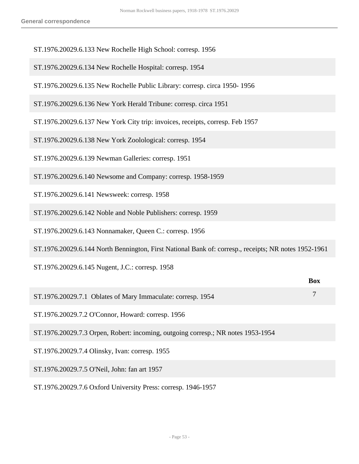- ST.1976.20029.6.133 New Rochelle High School: corresp. 1956
- ST.1976.20029.6.134 New Rochelle Hospital: corresp. 1954
- ST.1976.20029.6.135 New Rochelle Public Library: corresp. circa 1950- 1956
- ST.1976.20029.6.136 New York Herald Tribune: corresp. circa 1951
- ST.1976.20029.6.137 New York City trip: invoices, receipts, corresp. Feb 1957
- ST.1976.20029.6.138 New York Zoolological: corresp. 1954
- ST.1976.20029.6.139 Newman Galleries: corresp. 1951
- ST.1976.20029.6.140 Newsome and Company: corresp. 1958-1959
- ST.1976.20029.6.141 Newsweek: corresp. 1958
- ST.1976.20029.6.142 Noble and Noble Publishers: corresp. 1959
- ST.1976.20029.6.143 Nonnamaker, Queen C.: corresp. 1956
- ST.1976.20029.6.144 North Bennington, First National Bank of: corresp., receipts; NR notes 1952-1961

ST.1976.20029.6.145 Nugent, J.C.: corresp. 1958

|                                                                                  | <b>Box</b> |
|----------------------------------------------------------------------------------|------------|
| ST.1976.20029.7.1 Oblates of Mary Immaculate: corresp. 1954                      |            |
| ST.1976.20029.7.2 O'Connor, Howard: corresp. 1956                                |            |
| ST.1976.20029.7.3 Orpen, Robert: incoming, outgoing corresp.; NR notes 1953-1954 |            |
| ST.1976.20029.7.4 Olinsky, Ivan: corresp. 1955                                   |            |
| ST.1976.20029.7.5 O'Neil, John: fan art 1957                                     |            |
|                                                                                  |            |

ST.1976.20029.7.6 Oxford University Press: corresp. 1946-1957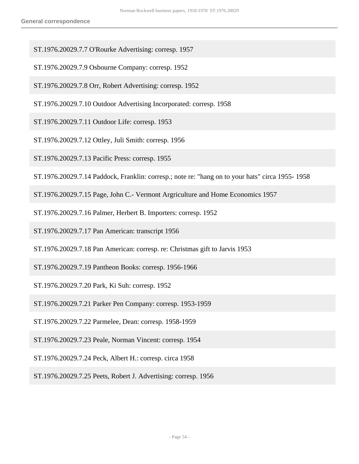- ST.1976.20029.7.7 O'Rourke Advertising: corresp. 1957
- ST.1976.20029.7.9 Osbourne Company: corresp. 1952
- ST.1976.20029.7.8 Orr, Robert Advertising: corresp. 1952
- ST.1976.20029.7.10 Outdoor Advertising Incorporated: corresp. 1958
- ST.1976.20029.7.11 Outdoor Life: corresp. 1953
- ST.1976.20029.7.12 Ottley, Juli Smith: corresp. 1956
- ST.1976.20029.7.13 Pacific Press: corresp. 1955
- ST.1976.20029.7.14 Paddock, Franklin: corresp.; note re: "hang on to your hats" circa 1955- 1958
- ST.1976.20029.7.15 Page, John C.- Vermont Argriculture and Home Economics 1957
- ST.1976.20029.7.16 Palmer, Herbert B. Importers: corresp. 1952
- ST.1976.20029.7.17 Pan American: transcript 1956
- ST.1976.20029.7.18 Pan American: corresp. re: Christmas gift to Jarvis 1953
- ST.1976.20029.7.19 Pantheon Books: corresp. 1956-1966
- ST.1976.20029.7.20 Park, Ki Suh: corresp. 1952
- ST.1976.20029.7.21 Parker Pen Company: corresp. 1953-1959
- ST.1976.20029.7.22 Parmelee, Dean: corresp. 1958-1959
- ST.1976.20029.7.23 Peale, Norman Vincent: corresp. 1954
- ST.1976.20029.7.24 Peck, Albert H.: corresp. circa 1958
- ST.1976.20029.7.25 Peets, Robert J. Advertising: corresp. 1956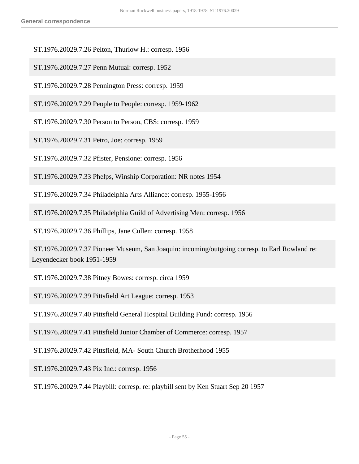- ST.1976.20029.7.26 Pelton, Thurlow H.: corresp. 1956
- ST.1976.20029.7.27 Penn Mutual: corresp. 1952
- ST.1976.20029.7.28 Pennington Press: corresp. 1959
- ST.1976.20029.7.29 People to People: corresp. 1959-1962
- ST.1976.20029.7.30 Person to Person, CBS: corresp. 1959
- ST.1976.20029.7.31 Petro, Joe: corresp. 1959
- ST.1976.20029.7.32 Pfister, Pensione: corresp. 1956
- ST.1976.20029.7.33 Phelps, Winship Corporation: NR notes 1954
- ST.1976.20029.7.34 Philadelphia Arts Alliance: corresp. 1955-1956
- ST.1976.20029.7.35 Philadelphia Guild of Advertising Men: corresp. 1956
- ST.1976.20029.7.36 Phillips, Jane Cullen: corresp. 1958
- ST.1976.20029.7.37 Pioneer Museum, San Joaquin: incoming/outgoing corresp. to Earl Rowland re: Leyendecker book 1951-1959
- ST.1976.20029.7.38 Pitney Bowes: corresp. circa 1959
- ST.1976.20029.7.39 Pittsfield Art League: corresp. 1953
- ST.1976.20029.7.40 Pittsfield General Hospital Building Fund: corresp. 1956
- ST.1976.20029.7.41 Pittsfield Junior Chamber of Commerce: corresp. 1957
- ST.1976.20029.7.42 Pittsfield, MA- South Church Brotherhood 1955
- ST.1976.20029.7.43 Pix Inc.: corresp. 1956
- ST.1976.20029.7.44 Playbill: corresp. re: playbill sent by Ken Stuart Sep 20 1957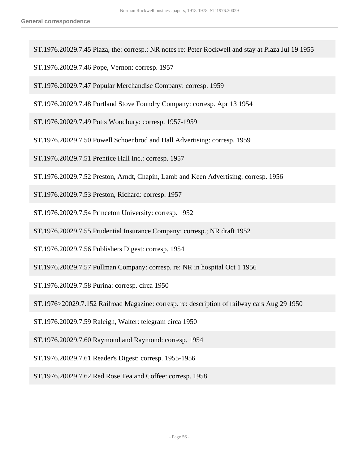- ST.1976.20029.7.45 Plaza, the: corresp.; NR notes re: Peter Rockwell and stay at Plaza Jul 19 1955
- ST.1976.20029.7.46 Pope, Vernon: corresp. 1957
- ST.1976.20029.7.47 Popular Merchandise Company: corresp. 1959
- ST.1976.20029.7.48 Portland Stove Foundry Company: corresp. Apr 13 1954
- ST.1976.20029.7.49 Potts Woodbury: corresp. 1957-1959
- ST.1976.20029.7.50 Powell Schoenbrod and Hall Advertising: corresp. 1959
- ST.1976.20029.7.51 Prentice Hall Inc.: corresp. 1957
- ST.1976.20029.7.52 Preston, Arndt, Chapin, Lamb and Keen Advertising: corresp. 1956
- ST.1976.20029.7.53 Preston, Richard: corresp. 1957
- ST.1976.20029.7.54 Princeton University: corresp. 1952
- ST.1976.20029.7.55 Prudential Insurance Company: corresp.; NR draft 1952
- ST.1976.20029.7.56 Publishers Digest: corresp. 1954
- ST.1976.20029.7.57 Pullman Company: corresp. re: NR in hospital Oct 1 1956
- ST.1976.20029.7.58 Purina: corresp. circa 1950
- ST.1976>20029.7.152 Railroad Magazine: corresp. re: description of railway cars Aug 29 1950
- ST.1976.20029.7.59 Raleigh, Walter: telegram circa 1950
- ST.1976.20029.7.60 Raymond and Raymond: corresp. 1954
- ST.1976.20029.7.61 Reader's Digest: corresp. 1955-1956
- ST.1976.20029.7.62 Red Rose Tea and Coffee: corresp. 1958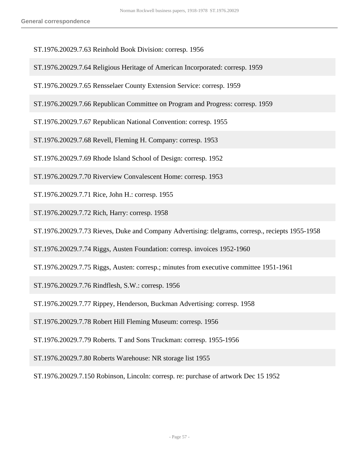- ST.1976.20029.7.63 Reinhold Book Division: corresp. 1956
- ST.1976.20029.7.64 Religious Heritage of American Incorporated: corresp. 1959
- ST.1976.20029.7.65 Rensselaer County Extension Service: corresp. 1959
- ST.1976.20029.7.66 Republican Committee on Program and Progress: corresp. 1959
- ST.1976.20029.7.67 Republican National Convention: corresp. 1955
- ST.1976.20029.7.68 Revell, Fleming H. Company: corresp. 1953
- ST.1976.20029.7.69 Rhode Island School of Design: corresp. 1952
- ST.1976.20029.7.70 Riverview Convalescent Home: corresp. 1953
- ST.1976.20029.7.71 Rice, John H.: corresp. 1955
- ST.1976.20029.7.72 Rich, Harry: corresp. 1958
- ST.1976.20029.7.73 Rieves, Duke and Company Advertising: tlelgrams, corresp., reciepts 1955-1958
- ST.1976.20029.7.74 Riggs, Austen Foundation: corresp. invoices 1952-1960
- ST.1976.20029.7.75 Riggs, Austen: corresp.; minutes from executive committee 1951-1961
- ST.1976.20029.7.76 Rindflesh, S.W.: corresp. 1956
- ST.1976.20029.7.77 Rippey, Henderson, Buckman Advertising: corresp. 1958
- ST.1976.20029.7.78 Robert Hill Fleming Museum: corresp. 1956
- ST.1976.20029.7.79 Roberts. T and Sons Truckman: corresp. 1955-1956
- ST.1976.20029.7.80 Roberts Warehouse: NR storage list 1955
- ST.1976.20029.7.150 Robinson, Lincoln: corresp. re: purchase of artwork Dec 15 1952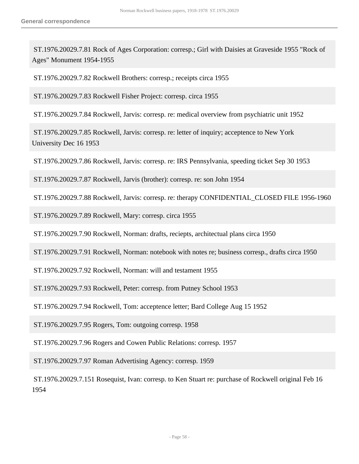ST.1976.20029.7.81 Rock of Ages Corporation: corresp.; Girl with Daisies at Graveside 1955 "Rock of Ages" Monument 1954-1955

ST.1976.20029.7.82 Rockwell Brothers: corresp.; receipts circa 1955

ST.1976.20029.7.83 Rockwell Fisher Project: corresp. circa 1955

ST.1976.20029.7.84 Rockwell, Jarvis: corresp. re: medical overview from psychiatric unit 1952

 ST.1976.20029.7.85 Rockwell, Jarvis: corresp. re: letter of inquiry; acceptence to New York University Dec 16 1953

ST.1976.20029.7.86 Rockwell, Jarvis: corresp. re: IRS Pennsylvania, speeding ticket Sep 30 1953

ST.1976.20029.7.87 Rockwell, Jarvis (brother): corresp. re: son John 1954

ST.1976.20029.7.88 Rockwell, Jarvis: corresp. re: therapy CONFIDENTIAL\_CLOSED FILE 1956-1960

ST.1976.20029.7.89 Rockwell, Mary: corresp. circa 1955

ST.1976.20029.7.90 Rockwell, Norman: drafts, reciepts, architectual plans circa 1950

ST.1976.20029.7.91 Rockwell, Norman: notebook with notes re; business corresp., drafts circa 1950

ST.1976.20029.7.92 Rockwell, Norman: will and testament 1955

ST.1976.20029.7.93 Rockwell, Peter: corresp. from Putney School 1953

ST.1976.20029.7.94 Rockwell, Tom: acceptence letter; Bard College Aug 15 1952

ST.1976.20029.7.95 Rogers, Tom: outgoing corresp. 1958

ST.1976.20029.7.96 Rogers and Cowen Public Relations: corresp. 1957

ST.1976.20029.7.97 Roman Advertising Agency: corresp. 1959

 ST.1976.20029.7.151 Rosequist, Ivan: corresp. to Ken Stuart re: purchase of Rockwell original Feb 16 1954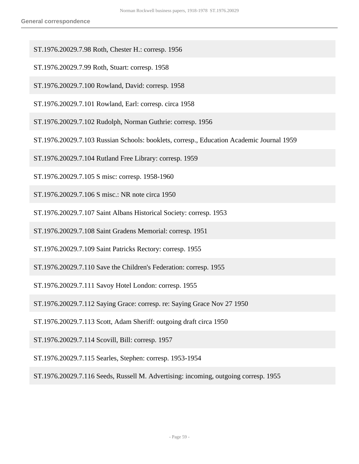- ST.1976.20029.7.98 Roth, Chester H.: corresp. 1956
- ST.1976.20029.7.99 Roth, Stuart: corresp. 1958
- ST.1976.20029.7.100 Rowland, David: corresp. 1958
- ST.1976.20029.7.101 Rowland, Earl: corresp. circa 1958
- ST.1976.20029.7.102 Rudolph, Norman Guthrie: corresp. 1956
- ST.1976.20029.7.103 Russian Schools: booklets, corresp., Education Academic Journal 1959
- ST.1976.20029.7.104 Rutland Free Library: corresp. 1959
- ST.1976.20029.7.105 S misc: corresp. 1958-1960
- ST.1976.20029.7.106 S misc.: NR note circa 1950
- ST.1976.20029.7.107 Saint Albans Historical Society: corresp. 1953
- ST.1976.20029.7.108 Saint Gradens Memorial: corresp. 1951
- ST.1976.20029.7.109 Saint Patricks Rectory: corresp. 1955
- ST.1976.20029.7.110 Save the Children's Federation: corresp. 1955
- ST.1976.20029.7.111 Savoy Hotel London: corresp. 1955
- ST.1976.20029.7.112 Saying Grace: corresp. re: Saying Grace Nov 27 1950
- ST.1976.20029.7.113 Scott, Adam Sheriff: outgoing draft circa 1950
- ST.1976.20029.7.114 Scovill, Bill: corresp. 1957
- ST.1976.20029.7.115 Searles, Stephen: corresp. 1953-1954
- ST.1976.20029.7.116 Seeds, Russell M. Advertising: incoming, outgoing corresp. 1955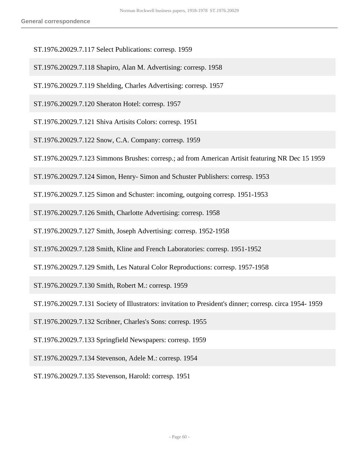- ST.1976.20029.7.117 Select Publications: corresp. 1959
- ST.1976.20029.7.118 Shapiro, Alan M. Advertising: corresp. 1958
- ST.1976.20029.7.119 Shelding, Charles Advertising: corresp. 1957
- ST.1976.20029.7.120 Sheraton Hotel: corresp. 1957
- ST.1976.20029.7.121 Shiva Artisits Colors: corresp. 1951
- ST.1976.20029.7.122 Snow, C.A. Company: corresp. 1959
- ST.1976.20029.7.123 Simmons Brushes: corresp.; ad from American Artisit featuring NR Dec 15 1959
- ST.1976.20029.7.124 Simon, Henry- Simon and Schuster Publishers: corresp. 1953
- ST.1976.20029.7.125 Simon and Schuster: incoming, outgoing corresp. 1951-1953
- ST.1976.20029.7.126 Smith, Charlotte Advertising: corresp. 1958
- ST.1976.20029.7.127 Smith, Joseph Advertising: corresp. 1952-1958
- ST.1976.20029.7.128 Smith, Kline and French Laboratories: corresp. 1951-1952
- ST.1976.20029.7.129 Smith, Les Natural Color Reproductions: corresp. 1957-1958
- ST.1976.20029.7.130 Smith, Robert M.: corresp. 1959
- ST.1976.20029.7.131 Society of Illustrators: invitation to President's dinner; corresp. circa 1954- 1959
- ST.1976.20029.7.132 Scribner, Charles's Sons: corresp. 1955
- ST.1976.20029.7.133 Springfield Newspapers: corresp. 1959
- ST.1976.20029.7.134 Stevenson, Adele M.: corresp. 1954
- ST.1976.20029.7.135 Stevenson, Harold: corresp. 1951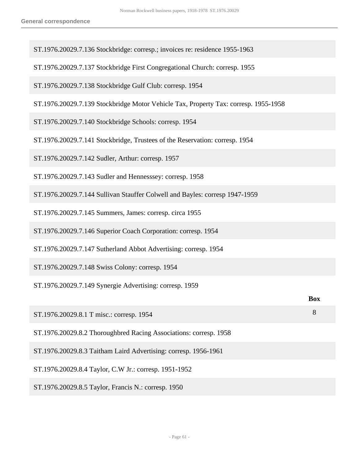| ST.1976.20029.7.136 Stockbridge: corresp.; invoices re: residence 1955-1963         |            |
|-------------------------------------------------------------------------------------|------------|
| ST.1976.20029.7.137 Stockbridge First Congregational Church: corresp. 1955          |            |
| ST.1976.20029.7.138 Stockbridge Gulf Club: corresp. 1954                            |            |
| ST.1976.20029.7.139 Stockbridge Motor Vehicle Tax, Property Tax: corresp. 1955-1958 |            |
| ST.1976.20029.7.140 Stockbridge Schools: corresp. 1954                              |            |
| ST.1976.20029.7.141 Stockbridge, Trustees of the Reservation: corresp. 1954         |            |
| ST.1976.20029.7.142 Sudler, Arthur: corresp. 1957                                   |            |
| ST.1976.20029.7.143 Sudler and Hennesssey: corresp. 1958                            |            |
| ST.1976.20029.7.144 Sullivan Stauffer Colwell and Bayles: corresp 1947-1959         |            |
| ST.1976.20029.7.145 Summers, James: corresp. circa 1955                             |            |
| ST.1976.20029.7.146 Superior Coach Corporation: corresp. 1954                       |            |
| ST.1976.20029.7.147 Sutherland Abbot Advertising: corresp. 1954                     |            |
| ST.1976.20029.7.148 Swiss Colony: corresp. 1954                                     |            |
| ST.1976.20029.7.149 Synergie Advertising: corresp. 1959                             |            |
|                                                                                     | <b>Box</b> |
| ST.1976.20029.8.1 T misc.: corresp. 1954                                            | 8          |
| ST.1976.20029.8.2 Thoroughbred Racing Associations: corresp. 1958                   |            |
| ST.1976.20029.8.3 Taitham Laird Advertising: corresp. 1956-1961                     |            |
| ST.1976.20029.8.4 Taylor, C.W Jr.: corresp. 1951-1952                               |            |
| ST.1976.20029.8.5 Taylor, Francis N.: corresp. 1950                                 |            |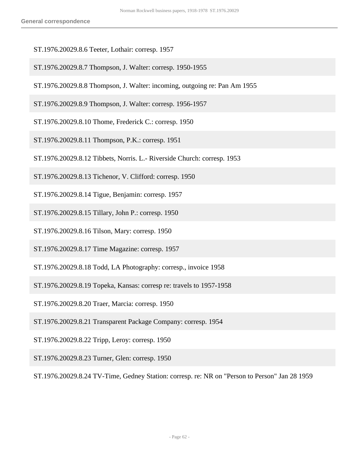- ST.1976.20029.8.6 Teeter, Lothair: corresp. 1957
- ST.1976.20029.8.7 Thompson, J. Walter: corresp. 1950-1955
- ST.1976.20029.8.8 Thompson, J. Walter: incoming, outgoing re: Pan Am 1955
- ST.1976.20029.8.9 Thompson, J. Walter: corresp. 1956-1957
- ST.1976.20029.8.10 Thome, Frederick C.: corresp. 1950
- ST.1976.20029.8.11 Thompson, P.K.: corresp. 1951
- ST.1976.20029.8.12 Tibbets, Norris. L.- Riverside Church: corresp. 1953
- ST.1976.20029.8.13 Tichenor, V. Clifford: corresp. 1950
- ST.1976.20029.8.14 Tigue, Benjamin: corresp. 1957
- ST.1976.20029.8.15 Tillary, John P.: corresp. 1950
- ST.1976.20029.8.16 Tilson, Mary: corresp. 1950
- ST.1976.20029.8.17 Time Magazine: corresp. 1957
- ST.1976.20029.8.18 Todd, LA Photography: corresp., invoice 1958
- ST.1976.20029.8.19 Topeka, Kansas: corresp re: travels to 1957-1958
- ST.1976.20029.8.20 Traer, Marcia: corresp. 1950
- ST.1976.20029.8.21 Transparent Package Company: corresp. 1954
- ST.1976.20029.8.22 Tripp, Leroy: corresp. 1950
- ST.1976.20029.8.23 Turner, Glen: corresp. 1950

ST.1976.20029.8.24 TV-Time, Gedney Station: corresp. re: NR on "Person to Person" Jan 28 1959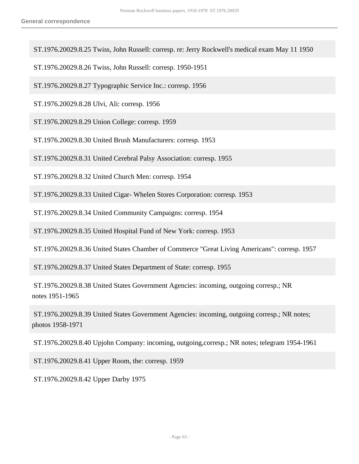ST.1976.20029.8.25 Twiss, John Russell: corresp. re: Jerry Rockwell's medical exam May 11 1950

ST.1976.20029.8.26 Twiss, John Russell: corresp. 1950-1951

ST.1976.20029.8.27 Typographic Service Inc.: corresp. 1956

ST.1976.20029.8.28 Ulvi, Ali: corresp. 1956

ST.1976.20029.8.29 Union College: corresp. 1959

ST.1976.20029.8.30 United Brush Manufacturers: corresp. 1953

ST.1976.20029.8.31 United Cerebral Palsy Association: corresp. 1955

ST.1976.20029.8.32 United Church Men: corresp. 1954

ST.1976.20029.8.33 United Cigar- Whelen Stores Corporation: corresp. 1953

ST.1976.20029.8.34 United Community Campaigns: corresp. 1954

ST.1976.20029.8.35 United Hospital Fund of New York: corresp. 1953

ST.1976.20029.8.36 United States Chamber of Commerce "Great Living Americans": corresp. 1957

ST.1976.20029.8.37 United States Department of State: corresp. 1955

 ST.1976.20029.8.38 United States Government Agencies: incoming, outgoing corresp.; NR notes 1951-1965

 ST.1976.20029.8.39 United States Government Agencies: incoming, outgoing corresp.; NR notes; photos 1958-1971

ST.1976.20029.8.40 Upjohn Company: incoming, outgoing,corresp.; NR notes; telegram 1954-1961

ST.1976.20029.8.41 Upper Room, the: corresp. 1959

ST.1976.20029.8.42 Upper Darby 1975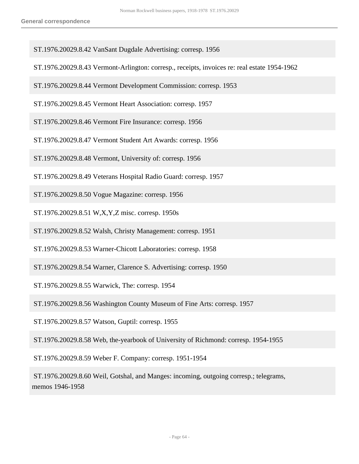- ST.1976.20029.8.42 VanSant Dugdale Advertising: corresp. 1956
- ST.1976.20029.8.43 Vermont-Arlington: corresp., receipts, invoices re: real estate 1954-1962
- ST.1976.20029.8.44 Vermont Development Commission: corresp. 1953
- ST.1976.20029.8.45 Vermont Heart Association: corresp. 1957
- ST.1976.20029.8.46 Vermont Fire Insurance: corresp. 1956
- ST.1976.20029.8.47 Vermont Student Art Awards: corresp. 1956
- ST.1976.20029.8.48 Vermont, University of: corresp. 1956
- ST.1976.20029.8.49 Veterans Hospital Radio Guard: corresp. 1957
- ST.1976.20029.8.50 Vogue Magazine: corresp. 1956
- ST.1976.20029.8.51 W,X,Y,Z misc. corresp. 1950s
- ST.1976.20029.8.52 Walsh, Christy Management: corresp. 1951
- ST.1976.20029.8.53 Warner-Chicott Laboratories: corresp. 1958
- ST.1976.20029.8.54 Warner, Clarence S. Advertising: corresp. 1950
- ST.1976.20029.8.55 Warwick, The: corresp. 1954
- ST.1976.20029.8.56 Washington County Museum of Fine Arts: corresp. 1957
- ST.1976.20029.8.57 Watson, Guptil: corresp. 1955
- ST.1976.20029.8.58 Web, the-yearbook of University of Richmond: corresp. 1954-1955
- ST.1976.20029.8.59 Weber F. Company: corresp. 1951-1954
- ST.1976.20029.8.60 Weil, Gotshal, and Manges: incoming, outgoing corresp.; telegrams, memos 1946-1958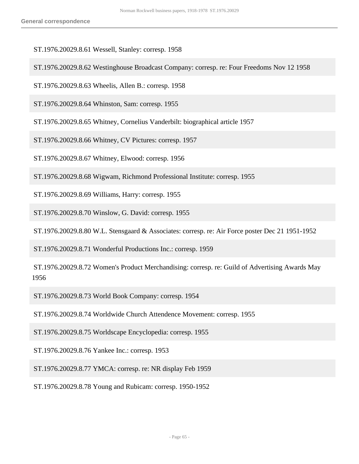ST.1976.20029.8.61 Wessell, Stanley: corresp. 1958

ST.1976.20029.8.62 Westinghouse Broadcast Company: corresp. re: Four Freedoms Nov 12 1958

ST.1976.20029.8.63 Wheelis, Allen B.: corresp. 1958

ST.1976.20029.8.64 Whinston, Sam: corresp. 1955

ST.1976.20029.8.65 Whitney, Cornelius Vanderbilt: biographical article 1957

ST.1976.20029.8.66 Whitney, CV Pictures: corresp. 1957

ST.1976.20029.8.67 Whitney, Elwood: corresp. 1956

ST.1976.20029.8.68 Wigwam, Richmond Professional Institute: corresp. 1955

ST.1976.20029.8.69 Williams, Harry: corresp. 1955

ST.1976.20029.8.70 Winslow, G. David: corresp. 1955

ST.1976.20029.8.80 W.L. Stensgaard & Associates: corresp. re: Air Force poster Dec 21 1951-1952

ST.1976.20029.8.71 Wonderful Productions Inc.: corresp. 1959

 ST.1976.20029.8.72 Women's Product Merchandising: corresp. re: Guild of Advertising Awards May 1956

ST.1976.20029.8.73 World Book Company: corresp. 1954

ST.1976.20029.8.74 Worldwide Church Attendence Movement: corresp. 1955

ST.1976.20029.8.75 Worldscape Encyclopedia: corresp. 1955

ST.1976.20029.8.76 Yankee Inc.: corresp. 1953

ST.1976.20029.8.77 YMCA: corresp. re: NR display Feb 1959

ST.1976.20029.8.78 Young and Rubicam: corresp. 1950-1952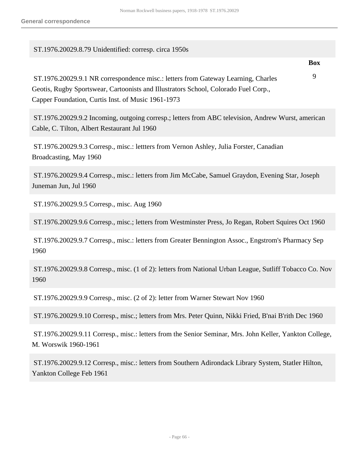## ST.1976.20029.8.79 Unidentified: corresp. circa 1950s

**Box**

 ST.1976.20029.9.1 NR correspondence misc.: letters from Gateway Learning, Charles Geotis, Rugby Sportswear, Cartoonists and Illustrators School, Colorado Fuel Corp., Capper Foundation, Curtis Inst. of Music 1961-1973 9

 ST.1976.20029.9.2 Incoming, outgoing corresp.; letters from ABC television, Andrew Wurst, american Cable, C. Tilton, Albert Restaurant Jul 1960

 ST.1976.20029.9.3 Corresp., misc.: lettters from Vernon Ashley, Julia Forster, Canadian Broadcasting, May 1960

 ST.1976.20029.9.4 Corresp., misc.: letters from Jim McCabe, Samuel Graydon, Evening Star, Joseph Juneman Jun, Jul 1960

ST.1976.20029.9.5 Corresp., misc. Aug 1960

ST.1976.20029.9.6 Corresp., misc.; letters from Westminster Press, Jo Regan, Robert Squires Oct 1960

 ST.1976.20029.9.7 Corresp., misc.: letters from Greater Bennington Assoc., Engstrom's Pharmacy Sep 1960

 ST.1976.20029.9.8 Corresp., misc. (1 of 2): letters from National Urban League, Sutliff Tobacco Co. Nov 1960

ST.1976.20029.9.9 Corresp., misc. (2 of 2): letter from Warner Stewart Nov 1960

ST.1976.20029.9.10 Corresp., misc.; letters from Mrs. Peter Quinn, Nikki Fried, B'nai B'rith Dec 1960

 ST.1976.20029.9.11 Corresp., misc.: letters from the Senior Seminar, Mrs. John Keller, Yankton College, M. Worswik 1960-1961

 ST.1976.20029.9.12 Corresp., misc.: letters from Southern Adirondack Library System, Statler Hilton, Yankton College Feb 1961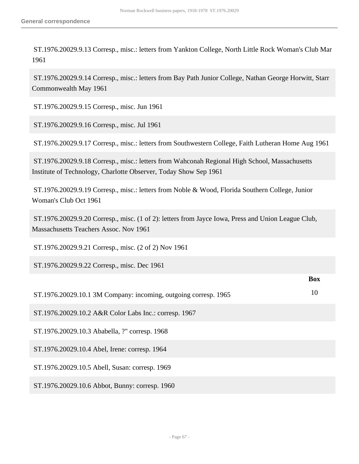ST.1976.20029.9.13 Corresp., misc.: letters from Yankton College, North Little Rock Woman's Club Mar 1961

 ST.1976.20029.9.14 Corresp., misc.: letters from Bay Path Junior College, Nathan George Horwitt, Starr Commonwealth May 1961

ST.1976.20029.9.15 Corresp., misc. Jun 1961

ST.1976.20029.9.16 Corresp., misc. Jul 1961

ST.1976.20029.9.17 Corresp., misc.: letters from Southwestern College, Faith Lutheran Home Aug 1961

 ST.1976.20029.9.18 Corresp., misc.: letters from Wahconah Regional High School, Massachusetts Institute of Technology, Charlotte Observer, Today Show Sep 1961

 ST.1976.20029.9.19 Corresp., misc.: letters from Noble & Wood, Florida Southern College, Junior Woman's Club Oct 1961

 ST.1976.20029.9.20 Corresp., misc. (1 of 2): letters from Jayce Iowa, Press and Union League Club, Massachusetts Teachers Assoc. Nov 1961

ST.1976.20029.9.21 Corresp., misc. (2 of 2) Nov 1961

ST.1976.20029.9.22 Corresp., misc. Dec 1961

|                                                                 | <b>Box</b> |
|-----------------------------------------------------------------|------------|
| ST.1976.20029.10.1 3M Company: incoming, outgoing corresp. 1965 | 10         |
| ST.1976.20029.10.2 A&R Color Labs Inc.: corresp. 1967           |            |
| ST.1976.20029.10.3 Ababella, ?" corresp. 1968                   |            |
| ST.1976.20029.10.4 Abel, Irene: corresp. 1964                   |            |
| ST.1976.20029.10.5 Abell, Susan: corresp. 1969                  |            |
| ST.1976.20029.10.6 Abbot, Bunny: corresp. 1960                  |            |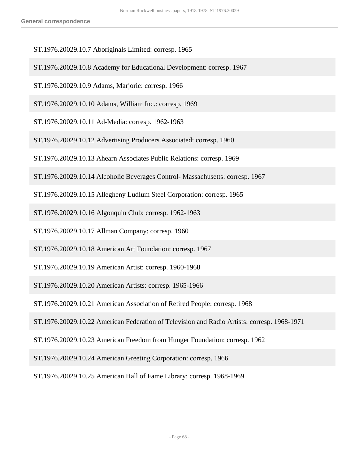- ST.1976.20029.10.7 Aboriginals Limited: corresp. 1965
- ST.1976.20029.10.8 Academy for Educational Development: corresp. 1967
- ST.1976.20029.10.9 Adams, Marjorie: corresp. 1966
- ST.1976.20029.10.10 Adams, William Inc.: corresp. 1969
- ST.1976.20029.10.11 Ad-Media: corresp. 1962-1963
- ST.1976.20029.10.12 Advertising Producers Associated: corresp. 1960
- ST.1976.20029.10.13 Ahearn Associates Public Relations: corresp. 1969
- ST.1976.20029.10.14 Alcoholic Beverages Control- Massachusetts: corresp. 1967
- ST.1976.20029.10.15 Allegheny Ludlum Steel Corporation: corresp. 1965
- ST.1976.20029.10.16 Algonquin Club: corresp. 1962-1963
- ST.1976.20029.10.17 Allman Company: corresp. 1960
- ST.1976.20029.10.18 American Art Foundation: corresp. 1967
- ST.1976.20029.10.19 American Artist: corresp. 1960-1968
- ST.1976.20029.10.20 American Artists: corresp. 1965-1966
- ST.1976.20029.10.21 American Association of Retired People: corresp. 1968
- ST.1976.20029.10.22 American Federation of Television and Radio Artists: corresp. 1968-1971
- ST.1976.20029.10.23 American Freedom from Hunger Foundation: corresp. 1962
- ST.1976.20029.10.24 American Greeting Corporation: corresp. 1966
- ST.1976.20029.10.25 American Hall of Fame Library: corresp. 1968-1969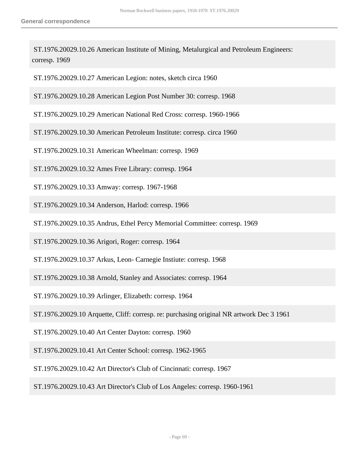ST.1976.20029.10.26 American Institute of Mining, Metalurgical and Petroleum Engineers: corresp. 1969

ST.1976.20029.10.27 American Legion: notes, sketch circa 1960

ST.1976.20029.10.28 American Legion Post Number 30: corresp. 1968

- ST.1976.20029.10.29 American National Red Cross: corresp. 1960-1966
- ST.1976.20029.10.30 American Petroleum Institute: corresp. circa 1960
- ST.1976.20029.10.31 American Wheelman: corresp. 1969
- ST.1976.20029.10.32 Ames Free Library: corresp. 1964
- ST.1976.20029.10.33 Amway: corresp. 1967-1968
- ST.1976.20029.10.34 Anderson, Harlod: corresp. 1966
- ST.1976.20029.10.35 Andrus, Ethel Percy Memorial Committee: corresp. 1969
- ST.1976.20029.10.36 Arigori, Roger: corresp. 1964
- ST.1976.20029.10.37 Arkus, Leon- Carnegie Instiute: corresp. 1968
- ST.1976.20029.10.38 Arnold, Stanley and Associates: corresp. 1964
- ST.1976.20029.10.39 Arlinger, Elizabeth: corresp. 1964
- ST.1976.20029.10 Arquette, Cliff: corresp. re: purchasing original NR artwork Dec 3 1961
- ST.1976.20029.10.40 Art Center Dayton: corresp. 1960
- ST.1976.20029.10.41 Art Center School: corresp. 1962-1965
- ST.1976.20029.10.42 Art Director's Club of Cincinnati: corresp. 1967
- ST.1976.20029.10.43 Art Director's Club of Los Angeles: corresp. 1960-1961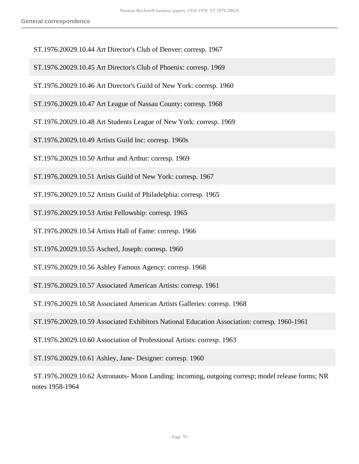- ST.1976.20029.10.44 Art Director's Club of Denver: corresp. 1967
- ST.1976.20029.10.45 Art Director's Club of Phoenix: corresp. 1969
- ST.1976.20029.10.46 Art Director's Guild of New York: corresp. 1960
- ST.1976.20029.10.47 Art League of Nassau County: corresp. 1968
- ST.1976.20029.10.48 Art Students League of New York: corresp. 1969
- ST.1976.20029.10.49 Artists Guild Inc: corresp. 1960s
- ST.1976.20029.10.50 Arthur and Arthur: corresp. 1969
- ST.1976.20029.10.51 Artists Guild of New York: corresp. 1967
- ST.1976.20029.10.52 Artists Guild of Philadelphia: corresp. 1965
- ST.1976.20029.10.53 Artist Fellowship: corresp. 1965
- ST.1976.20029.10.54 Artists Hall of Fame: corresp. 1966
- ST.1976.20029.10.55 Ascherl, Joseph: corresp. 1960
- ST.1976.20029.10.56 Ashley Famous Agency: corresp. 1968
- ST.1976.20029.10.57 Associated American Artists: corresp. 1961
- ST.1976.20029.10.58 Associated American Artists Galleries: corresp. 1968
- ST.1976.20029.10.59 Associated Exhibitors National Education Association: corresp. 1960-1961
- ST.1976.20029.10.60 Association of Professional Artists: corresp. 1963
- ST.1976.20029.10.61 Ashley, Jane- Designer: corresp. 1960
- ST.1976.20029.10.62 Astronauts- Moon Landing: incoming, outgoing corresp; model release forms; NR notes 1958-1964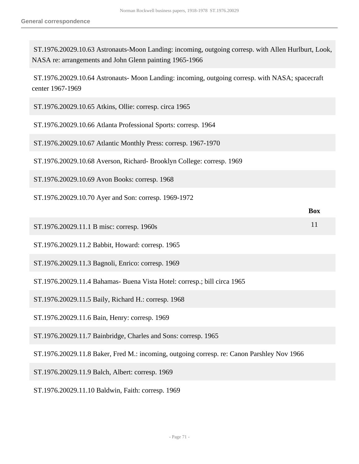ST.1976.20029.10.63 Astronauts-Moon Landing: incoming, outgoing corresp. with Allen Hurlburt, Look, NASA re: arrangements and John Glenn painting 1965-1966

 ST.1976.20029.10.64 Astronauts- Moon Landing: incoming, outgoing corresp. with NASA; spacecraft center 1967-1969

| ST.1976.20029.10.65 Atkins, Ollie: corresp. circa 1965                                     |            |
|--------------------------------------------------------------------------------------------|------------|
| ST.1976.20029.10.66 Atlanta Professional Sports: corresp. 1964                             |            |
| ST.1976.20029.10.67 Atlantic Monthly Press: corresp. 1967-1970                             |            |
| ST.1976.20029.10.68 Averson, Richard- Brooklyn College: corresp. 1969                      |            |
| ST.1976.20029.10.69 Avon Books: corresp. 1968                                              |            |
| ST.1976.20029.10.70 Ayer and Son: corresp. 1969-1972                                       |            |
|                                                                                            | <b>Box</b> |
| ST.1976.20029.11.1 B misc: corresp. 1960s                                                  | 11         |
| ST.1976.20029.11.2 Babbit, Howard: corresp. 1965                                           |            |
| ST.1976.20029.11.3 Bagnoli, Enrico: corresp. 1969                                          |            |
| ST.1976.20029.11.4 Bahamas- Buena Vista Hotel: corresp.; bill circa 1965                   |            |
| ST.1976.20029.11.5 Baily, Richard H.: corresp. 1968                                        |            |
| ST.1976.20029.11.6 Bain, Henry: corresp. 1969                                              |            |
| ST.1976.20029.11.7 Bainbridge, Charles and Sons: corresp. 1965                             |            |
| ST.1976.20029.11.8 Baker, Fred M.: incoming, outgoing corresp. re: Canon Parshley Nov 1966 |            |
| ST.1976.20029.11.9 Balch, Albert: corresp. 1969                                            |            |

ST.1976.20029.11.10 Baldwin, Faith: corresp. 1969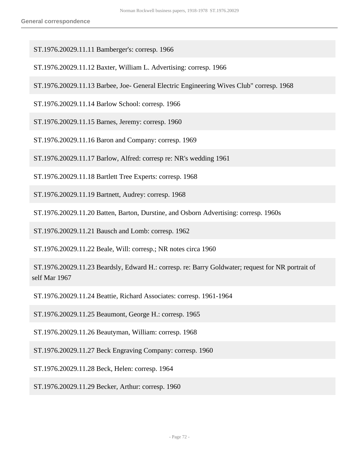- ST.1976.20029.11.11 Bamberger's: corresp. 1966
- ST.1976.20029.11.12 Baxter, William L. Advertising: corresp. 1966
- ST.1976.20029.11.13 Barbee, Joe- General Electric Engineering Wives Club" corresp. 1968
- ST.1976.20029.11.14 Barlow School: corresp. 1966
- ST.1976.20029.11.15 Barnes, Jeremy: corresp. 1960
- ST.1976.20029.11.16 Baron and Company: corresp. 1969
- ST.1976.20029.11.17 Barlow, Alfred: corresp re: NR's wedding 1961
- ST.1976.20029.11.18 Bartlett Tree Experts: corresp. 1968
- ST.1976.20029.11.19 Bartnett, Audrey: corresp. 1968
- ST.1976.20029.11.20 Batten, Barton, Durstine, and Osborn Advertising: corresp. 1960s
- ST.1976.20029.11.21 Bausch and Lomb: corresp. 1962

ST.1976.20029.11.22 Beale, Will: corresp.; NR notes circa 1960

 ST.1976.20029.11.23 Beardsly, Edward H.: corresp. re: Barry Goldwater; request for NR portrait of self Mar 1967

ST.1976.20029.11.24 Beattie, Richard Associates: corresp. 1961-1964

ST.1976.20029.11.25 Beaumont, George H.: corresp. 1965

ST.1976.20029.11.26 Beautyman, William: corresp. 1968

ST.1976.20029.11.27 Beck Engraving Company: corresp. 1960

ST.1976.20029.11.28 Beck, Helen: corresp. 1964

ST.1976.20029.11.29 Becker, Arthur: corresp. 1960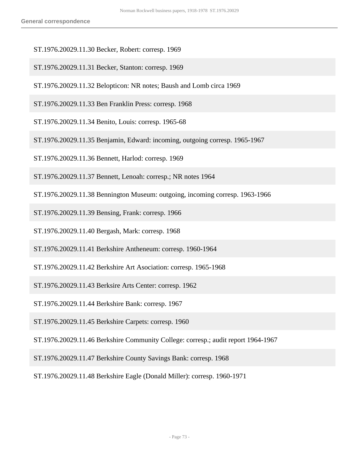- ST.1976.20029.11.30 Becker, Robert: corresp. 1969
- ST.1976.20029.11.31 Becker, Stanton: corresp. 1969
- ST.1976.20029.11.32 Belopticon: NR notes; Baush and Lomb circa 1969
- ST.1976.20029.11.33 Ben Franklin Press: corresp. 1968
- ST.1976.20029.11.34 Benito, Louis: corresp. 1965-68
- ST.1976.20029.11.35 Benjamin, Edward: incoming, outgoing corresp. 1965-1967
- ST.1976.20029.11.36 Bennett, Harlod: corresp. 1969
- ST.1976.20029.11.37 Bennett, Lenoah: corresp.; NR notes 1964
- ST.1976.20029.11.38 Bennington Museum: outgoing, incoming corresp. 1963-1966
- ST.1976.20029.11.39 Bensing, Frank: corresp. 1966
- ST.1976.20029.11.40 Bergash, Mark: corresp. 1968
- ST.1976.20029.11.41 Berkshire Antheneum: corresp. 1960-1964
- ST.1976.20029.11.42 Berkshire Art Asociation: corresp. 1965-1968
- ST.1976.20029.11.43 Berksire Arts Center: corresp. 1962
- ST.1976.20029.11.44 Berkshire Bank: corresp. 1967
- ST.1976.20029.11.45 Berkshire Carpets: corresp. 1960
- ST.1976.20029.11.46 Berkshire Community College: corresp.; audit report 1964-1967
- ST.1976.20029.11.47 Berkshire County Savings Bank: corresp. 1968
- ST.1976.20029.11.48 Berkshire Eagle (Donald Miller): corresp. 1960-1971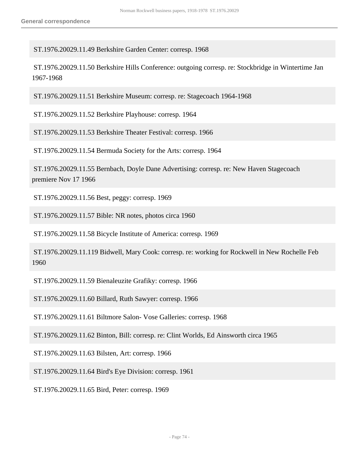ST.1976.20029.11.49 Berkshire Garden Center: corresp. 1968

 ST.1976.20029.11.50 Berkshire Hills Conference: outgoing corresp. re: Stockbridge in Wintertime Jan 1967-1968

ST.1976.20029.11.51 Berkshire Museum: corresp. re: Stagecoach 1964-1968

ST.1976.20029.11.52 Berkshire Playhouse: corresp. 1964

ST.1976.20029.11.53 Berkshire Theater Festival: corresp. 1966

ST.1976.20029.11.54 Bermuda Society for the Arts: corresp. 1964

 ST.1976.20029.11.55 Bernbach, Doyle Dane Advertising: corresp. re: New Haven Stagecoach premiere Nov 17 1966

ST.1976.20029.11.56 Best, peggy: corresp. 1969

ST.1976.20029.11.57 Bible: NR notes, photos circa 1960

ST.1976.20029.11.58 Bicycle Institute of America: corresp. 1969

 ST.1976.20029.11.119 Bidwell, Mary Cook: corresp. re: working for Rockwell in New Rochelle Feb 1960

ST.1976.20029.11.59 Bienaleuzite Grafiky: corresp. 1966

ST.1976.20029.11.60 Billard, Ruth Sawyer: corresp. 1966

ST.1976.20029.11.61 Biltmore Salon- Vose Galleries: corresp. 1968

ST.1976.20029.11.62 Binton, Bill: corresp. re: Clint Worlds, Ed Ainsworth circa 1965

ST.1976.20029.11.63 Bilsten, Art: corresp. 1966

ST.1976.20029.11.64 Bird's Eye Division: corresp. 1961

ST.1976.20029.11.65 Bird, Peter: corresp. 1969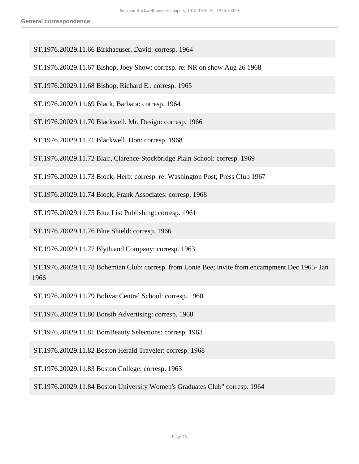- ST.1976.20029.11.66 Birkhaeuser, David: corresp. 1964
- ST.1976.20029.11.67 Bishop, Joey Show: corresp. re: NR on show Aug 26 1968
- ST.1976.20029.11.68 Bishop, Richard E.: corresp. 1965
- ST.1976.20029.11.69 Black, Barbara: corresp. 1964
- ST.1976.20029.11.70 Blackwell, Mr. Design: corresp. 1966
- ST.1976.20029.11.71 Blackwell, Don: corresp. 1968
- ST.1976.20029.11.72 Blair, Clarence-Stockbridge Plain School: corresp. 1969
- ST.1976.20029.11.73 Block, Herb: corresp. re: Washington Post; Press Club 1967
- ST.1976.20029.11.74 Block, Frank Associates: corresp. 1968
- ST.1976.20029.11.75 Blue List Publishing: corresp. 1961
- ST.1976.20029.11.76 Blue Shield: corresp. 1966
- ST.1976.20029.11.77 Blyth and Company: corresp. 1963
- ST.1976.20029.11.78 Bohemian Club: corresp. from Lonie Bee; invite from encampment Dec 1965- Jan 1966
- ST.1976.20029.11.79 Bolivar Central School: corresp. 1960
- ST.1976.20029.11.80 Bonsib Advertising: corresp. 1968
- ST.1976.20029.11.81 BomBeauty Selections: corresp. 1963
- ST.1976.20029.11.82 Boston Herald Traveler: corresp. 1968
- ST.1976.20029.11.83 Boston College: corresp. 1963
- ST.1976.20029.11.84 Boston University Women's Graduates Club" corresp. 1964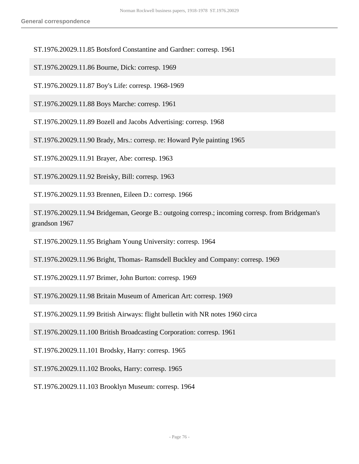## ST.1976.20029.11.85 Botsford Constantine and Gardner: corresp. 1961

ST.1976.20029.11.86 Bourne, Dick: corresp. 1969

ST.1976.20029.11.87 Boy's Life: corresp. 1968-1969

ST.1976.20029.11.88 Boys Marche: corresp. 1961

ST.1976.20029.11.89 Bozell and Jacobs Advertising: corresp. 1968

ST.1976.20029.11.90 Brady, Mrs.: corresp. re: Howard Pyle painting 1965

ST.1976.20029.11.91 Brayer, Abe: corresp. 1963

ST.1976.20029.11.92 Breisky, Bill: corresp. 1963

ST.1976.20029.11.93 Brennen, Eileen D.: corresp. 1966

 ST.1976.20029.11.94 Bridgeman, George B.: outgoing corresp.; incoming corresp. from Bridgeman's grandson 1967

ST.1976.20029.11.95 Brigham Young University: corresp. 1964

ST.1976.20029.11.96 Bright, Thomas- Ramsdell Buckley and Company: corresp. 1969

ST.1976.20029.11.97 Brimer, John Burton: corresp. 1969

ST.1976.20029.11.98 Britain Museum of American Art: corresp. 1969

ST.1976.20029.11.99 British Airways: flight bulletin with NR notes 1960 circa

ST.1976.20029.11.100 British Broadcasting Corporation: corresp. 1961

ST.1976.20029.11.101 Brodsky, Harry: corresp. 1965

ST.1976.20029.11.102 Brooks, Harry: corresp. 1965

ST.1976.20029.11.103 Brooklyn Museum: corresp. 1964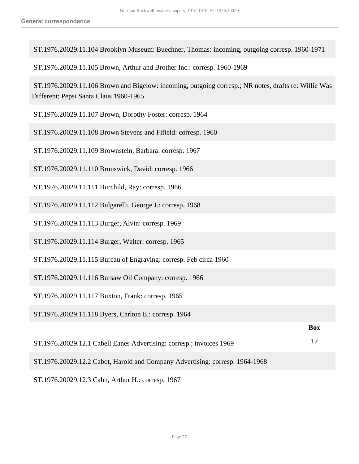ST.1976.20029.11.104 Brooklyn Museum: Buechner, Thomas: incoming, outgoing corresp. 1960-1971

ST.1976.20029.11.105 Brown, Arthur and Brother Inc.: corresp. 1960-1969

 ST.1976.20029.11.106 Brown and Bigelow: incoming, outgoing corresp.; NR notes, drafts re: Willie Was Different; Pepsi Santa Claus 1960-1965

- ST.1976.20029.11.107 Brown, Dorothy Foster: corresp. 1964
- ST.1976.20029.11.108 Brown Stevens and Fifield: corresp. 1960
- ST.1976.20029.11.109 Brownstein, Barbara: corresp. 1967
- ST.1976.20029.11.110 Brunswick, David: corresp. 1966
- ST.1976.20029.11.111 Burchild, Ray: corresp. 1966
- ST.1976.20029.11.112 Bulgarelli, George J.: corresp. 1968
- ST.1976.20029.11.113 Burger, Alvin: corresp. 1969
- ST.1976.20029.11.114 Burger, Walter: corresp. 1965
- ST.1976.20029.11.115 Bureau of Engraving: corresp. Feb circa 1960
- ST.1976.20029.11.116 Bursaw Oil Company: corresp. 1966
- ST.1976.20029.11.117 Buxton, Frank: corresp. 1965
- ST.1976.20029.11.118 Byers, Carlton E.: corresp. 1964

| ST.1976.20029.12.1 Cabell Eanes Advertising: corresp.; invoices 1969 |  |
|----------------------------------------------------------------------|--|

**Box**

- ST.1976.20029.12.2 Cabot, Harold and Company Advertising: corresp. 1964-1968
- ST.1976.20029.12.3 Cahn, Arthur H.: corresp. 1967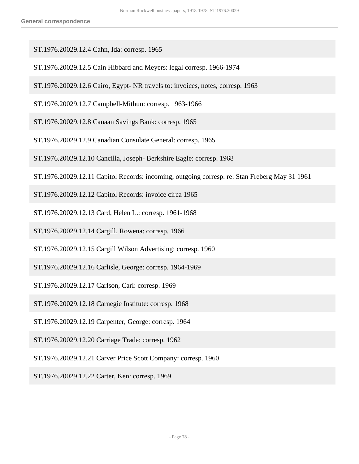ST.1976.20029.12.4 Cahn, Ida: corresp. 1965

- ST.1976.20029.12.5 Cain Hibbard and Meyers: legal corresp. 1966-1974
- ST.1976.20029.12.6 Cairo, Egypt- NR travels to: invoices, notes, corresp. 1963
- ST.1976.20029.12.7 Campbell-Mithun: corresp. 1963-1966
- ST.1976.20029.12.8 Canaan Savings Bank: corresp. 1965
- ST.1976.20029.12.9 Canadian Consulate General: corresp. 1965
- ST.1976.20029.12.10 Cancilla, Joseph- Berkshire Eagle: corresp. 1968
- ST.1976.20029.12.11 Capitol Records: incoming, outgoing corresp. re: Stan Freberg May 31 1961
- ST.1976.20029.12.12 Capitol Records: invoice circa 1965
- ST.1976.20029.12.13 Card, Helen L.: corresp. 1961-1968
- ST.1976.20029.12.14 Cargill, Rowena: corresp. 1966
- ST.1976.20029.12.15 Cargill Wilson Advertising: corresp. 1960
- ST.1976.20029.12.16 Carlisle, George: corresp. 1964-1969
- ST.1976.20029.12.17 Carlson, Carl: corresp. 1969
- ST.1976.20029.12.18 Carnegie Institute: corresp. 1968
- ST.1976.20029.12.19 Carpenter, George: corresp. 1964
- ST.1976.20029.12.20 Carriage Trade: corresp. 1962
- ST.1976.20029.12.21 Carver Price Scott Company: corresp. 1960
- ST.1976.20029.12.22 Carter, Ken: corresp. 1969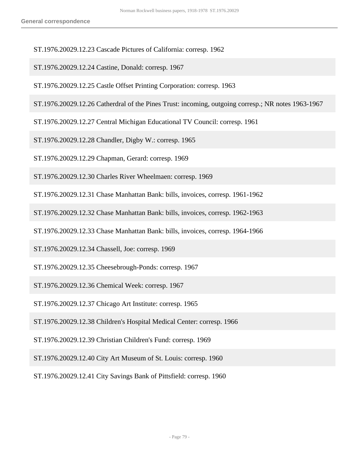- ST.1976.20029.12.23 Cascade Pictures of California: corresp. 1962
- ST.1976.20029.12.24 Castine, Donald: corresp. 1967
- ST.1976.20029.12.25 Castle Offset Printing Corporation: corresp. 1963
- ST.1976.20029.12.26 Catherdral of the Pines Trust: incoming, outgoing corresp.; NR notes 1963-1967
- ST.1976.20029.12.27 Central Michigan Educational TV Council: corresp. 1961
- ST.1976.20029.12.28 Chandler, Digby W.: corresp. 1965
- ST.1976.20029.12.29 Chapman, Gerard: corresp. 1969
- ST.1976.20029.12.30 Charles River Wheelmaen: corresp. 1969
- ST.1976.20029.12.31 Chase Manhattan Bank: bills, invoices, corresp. 1961-1962
- ST.1976.20029.12.32 Chase Manhattan Bank: bills, invoices, corresp. 1962-1963
- ST.1976.20029.12.33 Chase Manhattan Bank: bills, invoices, corresp. 1964-1966
- ST.1976.20029.12.34 Chassell, Joe: corresp. 1969
- ST.1976.20029.12.35 Cheesebrough-Ponds: corresp. 1967
- ST.1976.20029.12.36 Chemical Week: corresp. 1967
- ST.1976.20029.12.37 Chicago Art Institute: corresp. 1965
- ST.1976.20029.12.38 Children's Hospital Medical Center: corresp. 1966
- ST.1976.20029.12.39 Christian Children's Fund: corresp. 1969
- ST.1976.20029.12.40 City Art Museum of St. Louis: corresp. 1960
- ST.1976.20029.12.41 City Savings Bank of Pittsfield: corresp. 1960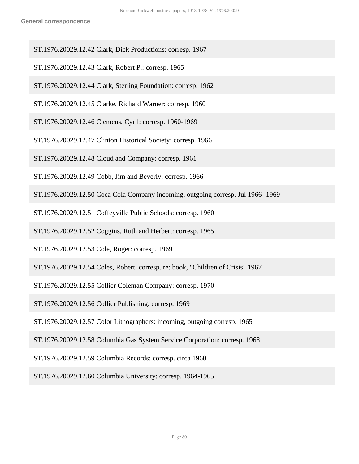- ST.1976.20029.12.42 Clark, Dick Productions: corresp. 1967
- ST.1976.20029.12.43 Clark, Robert P.: corresp. 1965
- ST.1976.20029.12.44 Clark, Sterling Foundation: corresp. 1962
- ST.1976.20029.12.45 Clarke, Richard Warner: corresp. 1960
- ST.1976.20029.12.46 Clemens, Cyril: corresp. 1960-1969
- ST.1976.20029.12.47 Clinton Historical Society: corresp. 1966
- ST.1976.20029.12.48 Cloud and Company: corresp. 1961
- ST.1976.20029.12.49 Cobb, Jim and Beverly: corresp. 1966
- ST.1976.20029.12.50 Coca Cola Company incoming, outgoing corresp. Jul 1966- 1969
- ST.1976.20029.12.51 Coffeyville Public Schools: corresp. 1960
- ST.1976.20029.12.52 Coggins, Ruth and Herbert: corresp. 1965
- ST.1976.20029.12.53 Cole, Roger: corresp. 1969
- ST.1976.20029.12.54 Coles, Robert: corresp. re: book, "Children of Crisis" 1967
- ST.1976.20029.12.55 Collier Coleman Company: corresp. 1970
- ST.1976.20029.12.56 Collier Publishing: corresp. 1969
- ST.1976.20029.12.57 Color Lithographers: incoming, outgoing corresp. 1965
- ST.1976.20029.12.58 Columbia Gas System Service Corporation: corresp. 1968
- ST.1976.20029.12.59 Columbia Records: corresp. circa 1960
- ST.1976.20029.12.60 Columbia University: corresp. 1964-1965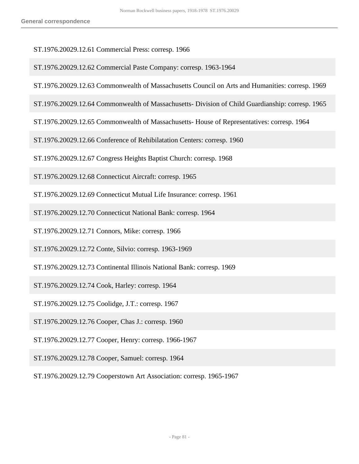- ST.1976.20029.12.61 Commercial Press: corresp. 1966
- ST.1976.20029.12.62 Commercial Paste Company: corresp. 1963-1964
- ST.1976.20029.12.63 Commonwealth of Massachusetts Council on Arts and Humanities: corresp. 1969
- ST.1976.20029.12.64 Commonwealth of Massachusetts- Division of Child Guardianship: corresp. 1965
- ST.1976.20029.12.65 Commonwealth of Massachusetts- House of Representatives: corresp. 1964
- ST.1976.20029.12.66 Conference of Rehibilatation Centers: corresp. 1960
- ST.1976.20029.12.67 Congress Heights Baptist Church: corresp. 1968
- ST.1976.20029.12.68 Connecticut Aircraft: corresp. 1965
- ST.1976.20029.12.69 Connecticut Mutual Life Insurance: corresp. 1961
- ST.1976.20029.12.70 Connecticut National Bank: corresp. 1964
- ST.1976.20029.12.71 Connors, Mike: corresp. 1966
- ST.1976.20029.12.72 Conte, Silvio: corresp. 1963-1969
- ST.1976.20029.12.73 Continental Illinois National Bank: corresp. 1969
- ST.1976.20029.12.74 Cook, Harley: corresp. 1964
- ST.1976.20029.12.75 Coolidge, J.T.: corresp. 1967
- ST.1976.20029.12.76 Cooper, Chas J.: corresp. 1960
- ST.1976.20029.12.77 Cooper, Henry: corresp. 1966-1967
- ST.1976.20029.12.78 Cooper, Samuel: corresp. 1964
- ST.1976.20029.12.79 Cooperstown Art Association: corresp. 1965-1967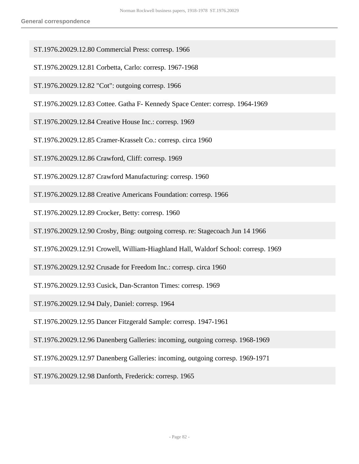- ST.1976.20029.12.80 Commercial Press: corresp. 1966
- ST.1976.20029.12.81 Corbetta, Carlo: corresp. 1967-1968
- ST.1976.20029.12.82 "Cot": outgoing corresp. 1966
- ST.1976.20029.12.83 Cottee. Gatha F- Kennedy Space Center: corresp. 1964-1969
- ST.1976.20029.12.84 Creative House Inc.: corresp. 1969
- ST.1976.20029.12.85 Cramer-Krasselt Co.: corresp. circa 1960
- ST.1976.20029.12.86 Crawford, Cliff: corresp. 1969
- ST.1976.20029.12.87 Crawford Manufacturing: corresp. 1960
- ST.1976.20029.12.88 Creative Americans Foundation: corresp. 1966
- ST.1976.20029.12.89 Crocker, Betty: corresp. 1960
- ST.1976.20029.12.90 Crosby, Bing: outgoing corresp. re: Stagecoach Jun 14 1966
- ST.1976.20029.12.91 Crowell, William-Hiaghland Hall, Waldorf School: corresp. 1969
- ST.1976.20029.12.92 Crusade for Freedom Inc.: corresp. circa 1960
- ST.1976.20029.12.93 Cusick, Dan-Scranton Times: corresp. 1969
- ST.1976.20029.12.94 Daly, Daniel: corresp. 1964
- ST.1976.20029.12.95 Dancer Fitzgerald Sample: corresp. 1947-1961
- ST.1976.20029.12.96 Danenberg Galleries: incoming, outgoing corresp. 1968-1969
- ST.1976.20029.12.97 Danenberg Galleries: incoming, outgoing corresp. 1969-1971
- ST.1976.20029.12.98 Danforth, Frederick: corresp. 1965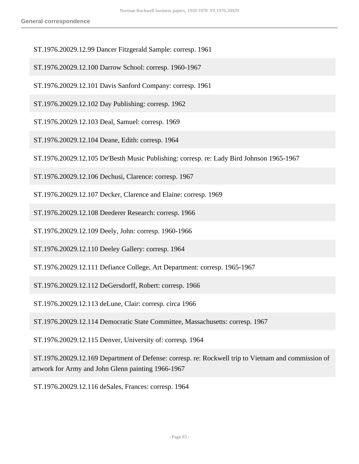- ST.1976.20029.12.99 Dancer Fitzgerald Sample: corresp. 1961
- ST.1976.20029.12.100 Darrow School: corresp. 1960-1967
- ST.1976.20029.12.101 Davis Sanford Company: corresp. 1961
- ST.1976.20029.12.102 Day Publishing: corresp. 1962
- ST.1976.20029.12.103 Deal, Samuel: corresp. 1969
- ST.1976.20029.12.104 Deane, Edith: corresp. 1964
- ST.1976.20029.12.105 De'Besth Music Publishing: corresp. re: Lady Bird Johnson 1965-1967
- ST.1976.20029.12.106 Dechusi, Clarence: corresp. 1967
- ST.1976.20029.12.107 Decker, Clarence and Elaine: corresp. 1969
- ST.1976.20029.12.108 Deederer Research: corresp. 1966
- ST.1976.20029.12.109 Deely, John: corresp. 1960-1966
- ST.1976.20029.12.110 Deeley Gallery: corresp. 1964
- ST.1976.20029.12.111 Defiance College, Art Department: corresp. 1965-1967

ST.1976.20029.12.112 DeGersdorff, Robert: corresp. 1966

ST.1976.20029.12.113 deLune, Clair: corresp. circa 1966

ST.1976.20029.12.114 Democratic State Committee, Massachusetts: corresp. 1967

ST.1976.20029.12.115 Denver, University of: corresp. 1964

 ST.1976.20029.12.169 Department of Defense: corresp. re: Rockwell trip to Vietnam and commission of artwork for Army and John Glenn painting 1966-1967

ST.1976.20029.12.116 deSales, Frances: corresp. 1964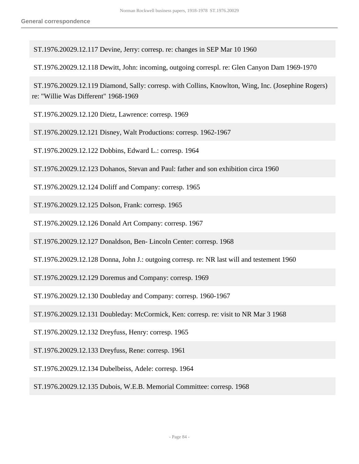ST.1976.20029.12.117 Devine, Jerry: corresp. re: changes in SEP Mar 10 1960

ST.1976.20029.12.118 Dewitt, John: incoming, outgoing correspl. re: Glen Canyon Dam 1969-1970

 ST.1976.20029.12.119 Diamond, Sally: corresp. with Collins, Knowlton, Wing, Inc. (Josephine Rogers) re: "Willie Was Different" 1968-1969

ST.1976.20029.12.120 Dietz, Lawrence: corresp. 1969

ST.1976.20029.12.121 Disney, Walt Productions: corresp. 1962-1967

ST.1976.20029.12.122 Dobbins, Edward L.: corresp. 1964

ST.1976.20029.12.123 Dohanos, Stevan and Paul: father and son exhibition circa 1960

ST.1976.20029.12.124 Doliff and Company: corresp. 1965

ST.1976.20029.12.125 Dolson, Frank: corresp. 1965

ST.1976.20029.12.126 Donald Art Company: corresp. 1967

ST.1976.20029.12.127 Donaldson, Ben- Lincoln Center: corresp. 1968

ST.1976.20029.12.128 Donna, John J.: outgoing corresp. re: NR last will and testement 1960

ST.1976.20029.12.129 Doremus and Company: corresp. 1969

ST.1976.20029.12.130 Doubleday and Company: corresp. 1960-1967

ST.1976.20029.12.131 Doubleday: McCormick, Ken: corresp. re: visit to NR Mar 3 1968

ST.1976.20029.12.132 Dreyfuss, Henry: corresp. 1965

ST.1976.20029.12.133 Dreyfuss, Rene: corresp. 1961

ST.1976.20029.12.134 Dubelbeiss, Adele: corresp. 1964

ST.1976.20029.12.135 Dubois, W.E.B. Memorial Committee: corresp. 1968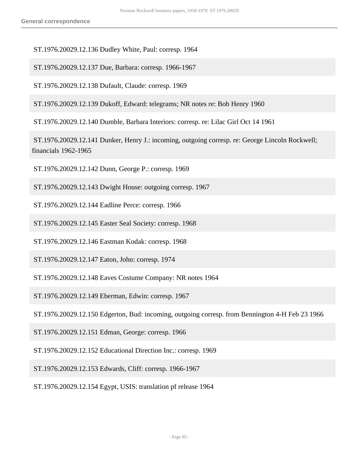ST.1976.20029.12.136 Dudley White, Paul: corresp. 1964

ST.1976.20029.12.137 Due, Barbara: corresp. 1966-1967

ST.1976.20029.12.138 Dufault, Claude: corresp. 1969

ST.1976.20029.12.139 Dukoff, Edward: telegrams; NR notes re: Bob Henry 1960

ST.1976.20029.12.140 Dumble, Barbara Interiors: corresp. re: Lilac Girl Oct 14 1961

 ST.1976.20029.12.141 Dunker, Henry J.: incoming, outgoing corresp. re: George Lincoln Rockwell; financials 1962-1965

ST.1976.20029.12.142 Dunn, George P.: corresp. 1969

ST.1976.20029.12.143 Dwight House: outgoing corresp. 1967

ST.1976.20029.12.144 Eadline Perce: corresp. 1966

ST.1976.20029.12.145 Easter Seal Society: corresp. 1968

ST.1976.20029.12.146 Eastman Kodak: corresp. 1968

ST.1976.20029.12.147 Eaton, John: corresp. 1974

ST.1976.20029.12.148 Eaves Costume Company: NR notes 1964

ST.1976.20029.12.149 Eberman, Edwin: corresp. 1967

ST.1976.20029.12.150 Edgerton, Bud: incoming, outgoing corresp. from Bennington 4-H Feb 23 1966

ST.1976.20029.12.151 Edman, George: corresp. 1966

ST.1976.20029.12.152 Educational Direction Inc.: corresp. 1969

ST.1976.20029.12.153 Edwards, Cliff: corresp. 1966-1967

ST.1976.20029.12.154 Egypt, USIS: translation pf release 1964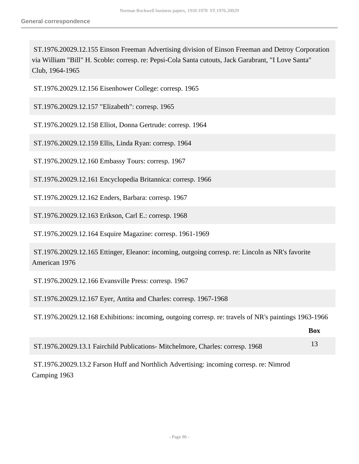ST.1976.20029.12.155 Einson Freeman Advertising division of Einson Freeman and Detroy Corporation via William "Bill" H. Scoble: corresp. re: Pepsi-Cola Santa cutouts, Jack Garabrant, "I Love Santa" Club, 1964-1965

ST.1976.20029.12.156 Eisenhower College: corresp. 1965

ST.1976.20029.12.157 "Elizabeth": corresp. 1965

ST.1976.20029.12.158 Elliot, Donna Gertrude: corresp. 1964

ST.1976.20029.12.159 Ellis, Linda Ryan: corresp. 1964

ST.1976.20029.12.160 Embassy Tours: corresp. 1967

ST.1976.20029.12.161 Encyclopedia Britannica: corresp. 1966

ST.1976.20029.12.162 Enders, Barbara: corresp. 1967

ST.1976.20029.12.163 Erikson, Carl E.: corresp. 1968

ST.1976.20029.12.164 Esquire Magazine: corresp. 1961-1969

 ST.1976.20029.12.165 Ettinger, Eleanor: incoming, outgoing corresp. re: Lincoln as NR's favorite American 1976

ST.1976.20029.12.166 Evansville Press: corresp. 1967

ST.1976.20029.12.167 Eyer, Antita and Charles: corresp. 1967-1968

ST.1976.20029.12.168 Exhibitions: incoming, outgoing corresp. re: travels of NR's paintings 1963-1966

|                                                                                | Box |
|--------------------------------------------------------------------------------|-----|
| ST.1976.20029.13.1 Fairchild Publications- Mitchelmore, Charles: corresp. 1968 |     |

 ST.1976.20029.13.2 Farson Huff and Northlich Advertising: incoming corresp. re: Nimrod Camping 1963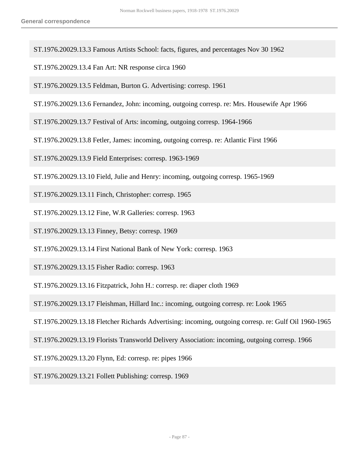ST.1976.20029.13.3 Famous Artists School: facts, figures, and percentages Nov 30 1962

ST.1976.20029.13.4 Fan Art: NR response circa 1960

ST.1976.20029.13.5 Feldman, Burton G. Advertising: corresp. 1961

ST.1976.20029.13.6 Fernandez, John: incoming, outgoing corresp. re: Mrs. Housewife Apr 1966

ST.1976.20029.13.7 Festival of Arts: incoming, outgoing corresp. 1964-1966

ST.1976.20029.13.8 Fetler, James: incoming, outgoing corresp. re: Atlantic First 1966

ST.1976.20029.13.9 Field Enterprises: corresp. 1963-1969

ST.1976.20029.13.10 Field, Julie and Henry: incoming, outgoing corresp. 1965-1969

ST.1976.20029.13.11 Finch, Christopher: corresp. 1965

ST.1976.20029.13.12 Fine, W.R Galleries: corresp. 1963

ST.1976.20029.13.13 Finney, Betsy: corresp. 1969

ST.1976.20029.13.14 First National Bank of New York: corresp. 1963

ST.1976.20029.13.15 Fisher Radio: corresp. 1963

ST.1976.20029.13.16 Fitzpatrick, John H.: corresp. re: diaper cloth 1969

ST.1976.20029.13.17 Fleishman, Hillard Inc.: incoming, outgoing corresp. re: Look 1965

ST.1976.20029.13.18 Fletcher Richards Advertising: incoming, outgoing corresp. re: Gulf Oil 1960-1965

ST.1976.20029.13.19 Florists Transworld Delivery Association: incoming, outgoing corresp. 1966

ST.1976.20029.13.20 Flynn, Ed: corresp. re: pipes 1966

ST.1976.20029.13.21 Follett Publishing: corresp. 1969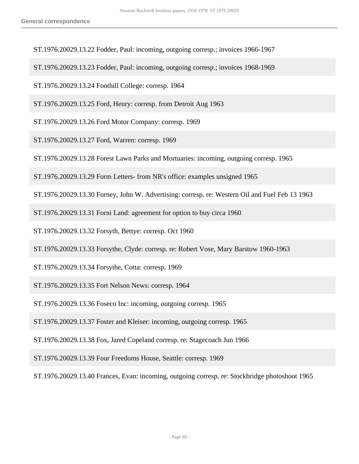- ST.1976.20029.13.22 Fodder, Paul: incoming, outgoing corresp.; invoices 1966-1967
- ST.1976.20029.13.23 Fodder, Paul: incoming, outgoing corresp.; invoices 1968-1969
- ST.1976.20029.13.24 Foothill College: corresp. 1964
- ST.1976.20029.13.25 Ford, Henry: corresp. from Detroit Aug 1963
- ST.1976.20029.13.26 Ford Motor Company: corresp. 1969
- ST.1976.20029.13.27 Ford, Warren: corresp. 1969
- ST.1976.20029.13.28 Forest Lawn Parks and Mortuaries: incoming, outgoing corresp. 1965
- ST.1976.20029.13.29 Form Letters- from NR's office: examples unsigned 1965
- ST.1976.20029.13.30 Forney, John W. Advertising: corresp. re: Western Oil and Fuel Feb 13 1963
- ST.1976.20029.13.31 Forni Land: agreement for option to buy circa 1960
- ST.1976.20029.13.32 Forsyth, Bettye: corresp. Oct 1960
- ST.1976.20029.13.33 Forsythe, Clyde: corresp. re: Robert Vose, Mary Barstow 1960-1963
- ST.1976.20029.13.34 Forsythe, Cotta: corresp. 1969
- ST.1976.20029.13.35 Fort Nelson News: corresp. 1964
- ST.1976.20029.13.36 Foseco Inc: incoming, outgoing corresp. 1965
- ST.1976.20029.13.37 Foster and Kleiser: incoming, outgoing corresp. 1965
- ST.1976.20029.13.38 Fox, Jared Copeland corresp. re: Stagecoach Jun 1966
- ST.1976.20029.13.39 Four Freedoms House, Seattle: corresp. 1969
- ST.1976.20029.13.40 Frances, Evan: incoming, outgoing corresp. re: Stockbridge photoshoot 1965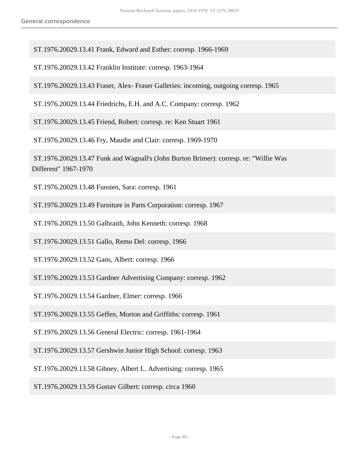ST.1976.20029.13.41 Frank, Edward and Esther: corresp. 1966-1969

ST.1976.20029.13.42 Franklin Institute: corresp. 1963-1964

ST.1976.20029.13.43 Fraser, Alex- Fraser Galleries: incoming, outgoing corresp. 1965

ST.1976.20029.13.44 Friedrichs, E.H. and A.C. Company: corresp. 1962

ST.1976.20029.13.45 Friend, Robert: corresp. re: Ken Stuart 1961

ST.1976.20029.13.46 Fry, Maudie and Clair: corresp. 1969-1970

 ST.1976.20029.13.47 Funk and Wagnall's (John Burton Brimer): corresp. re: "Willie Was Different" 1967-1970

ST.1976.20029.13.48 Funsten, Sara: corresp. 1961

ST.1976.20029.13.49 Furniture in Parts Corporation: corresp. 1967

ST.1976.20029.13.50 Galbraith, John Kenneth: corresp. 1968

ST.1976.20029.13.51 Gallo, Remo Del: corresp. 1966

ST.1976.20029.13.52 Gans, Albert: corresp. 1966

ST.1976.20029.13.53 Gardner Advertising Company: corresp. 1962

ST.1976.20029.13.54 Gardner, Elmer: corresp. 1966

ST.1976.20029.13.55 Geffen, Morton and Griffiths: corresp. 1961

ST.1976.20029.13.56 General Electric: corresp. 1961-1964

ST.1976.20029.13.57 Gershwin Junior High School: corresp. 1963

ST.1976.20029.13.58 Gibney, Albert L. Advertising: corresp. 1965

ST.1976.20029.13.59 Gustav Gilbert: corresp. circa 1960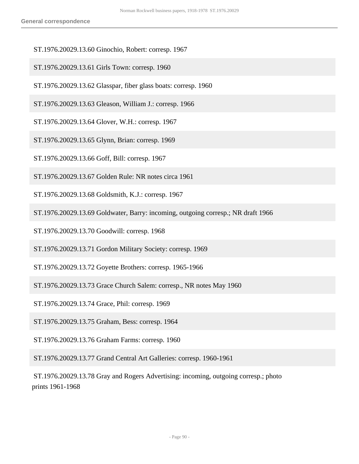- ST.1976.20029.13.60 Ginochio, Robert: corresp. 1967
- ST.1976.20029.13.61 Girls Town: corresp. 1960
- ST.1976.20029.13.62 Glasspar, fiber glass boats: corresp. 1960
- ST.1976.20029.13.63 Gleason, William J.: corresp. 1966
- ST.1976.20029.13.64 Glover, W.H.: corresp. 1967
- ST.1976.20029.13.65 Glynn, Brian: corresp. 1969
- ST.1976.20029.13.66 Goff, Bill: corresp. 1967
- ST.1976.20029.13.67 Golden Rule: NR notes circa 1961
- ST.1976.20029.13.68 Goldsmith, K.J.: corresp. 1967
- ST.1976.20029.13.69 Goldwater, Barry: incoming, outgoing corresp.; NR draft 1966
- ST.1976.20029.13.70 Goodwill: corresp. 1968
- ST.1976.20029.13.71 Gordon Military Society: corresp. 1969
- ST.1976.20029.13.72 Goyette Brothers: corresp. 1965-1966
- ST.1976.20029.13.73 Grace Church Salem: corresp., NR notes May 1960
- ST.1976.20029.13.74 Grace, Phil: corresp. 1969
- ST.1976.20029.13.75 Graham, Bess: corresp. 1964
- ST.1976.20029.13.76 Graham Farms: corresp. 1960
- ST.1976.20029.13.77 Grand Central Art Galleries: corresp. 1960-1961
- ST.1976.20029.13.78 Gray and Rogers Advertising: incoming, outgoing corresp.; photo prints 1961-1968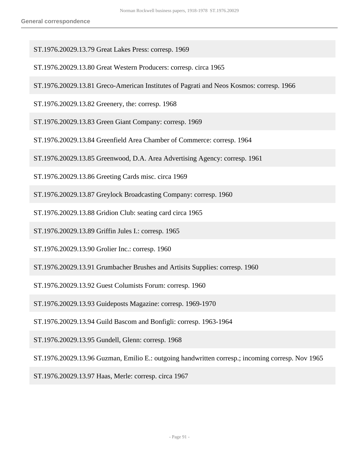- ST.1976.20029.13.79 Great Lakes Press: corresp. 1969
- ST.1976.20029.13.80 Great Western Producers: corresp. circa 1965
- ST.1976.20029.13.81 Greco-American Institutes of Pagrati and Neos Kosmos: corresp. 1966
- ST.1976.20029.13.82 Greenery, the: corresp. 1968
- ST.1976.20029.13.83 Green Giant Company: corresp. 1969
- ST.1976.20029.13.84 Greenfield Area Chamber of Commerce: corresp. 1964
- ST.1976.20029.13.85 Greenwood, D.A. Area Advertising Agency: corresp. 1961
- ST.1976.20029.13.86 Greeting Cards misc. circa 1969
- ST.1976.20029.13.87 Greylock Broadcasting Company: corresp. 1960
- ST.1976.20029.13.88 Gridion Club: seating card circa 1965
- ST.1976.20029.13.89 Griffin Jules I.: corresp. 1965
- ST.1976.20029.13.90 Grolier Inc.: corresp. 1960
- ST.1976.20029.13.91 Grumbacher Brushes and Artisits Supplies: corresp. 1960
- ST.1976.20029.13.92 Guest Columists Forum: corresp. 1960
- ST.1976.20029.13.93 Guideposts Magazine: corresp. 1969-1970
- ST.1976.20029.13.94 Guild Bascom and Bonfigli: corresp. 1963-1964
- ST.1976.20029.13.95 Gundell, Glenn: corresp. 1968
- ST.1976.20029.13.96 Guzman, Emilio E.: outgoing handwritten corresp.; incoming corresp. Nov 1965
- ST.1976.20029.13.97 Haas, Merle: corresp. circa 1967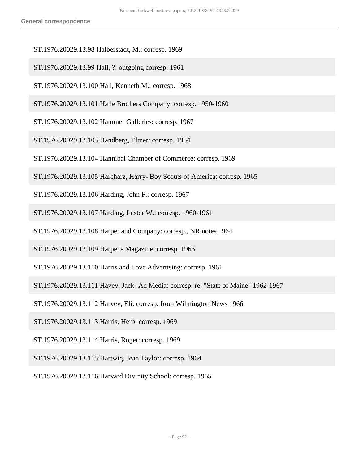- ST.1976.20029.13.98 Halberstadt, M.: corresp. 1969
- ST.1976.20029.13.99 Hall, ?: outgoing corresp. 1961
- ST.1976.20029.13.100 Hall, Kenneth M.: corresp. 1968
- ST.1976.20029.13.101 Halle Brothers Company: corresp. 1950-1960
- ST.1976.20029.13.102 Hammer Galleries: corresp. 1967
- ST.1976.20029.13.103 Handberg, Elmer: corresp. 1964
- ST.1976.20029.13.104 Hannibal Chamber of Commerce: corresp. 1969
- ST.1976.20029.13.105 Harcharz, Harry- Boy Scouts of America: corresp. 1965
- ST.1976.20029.13.106 Harding, John F.: corresp. 1967
- ST.1976.20029.13.107 Harding, Lester W.: corresp. 1960-1961
- ST.1976.20029.13.108 Harper and Company: corresp., NR notes 1964
- ST.1976.20029.13.109 Harper's Magazine: corresp. 1966
- ST.1976.20029.13.110 Harris and Love Advertising: corresp. 1961
- ST.1976.20029.13.111 Havey, Jack- Ad Media: corresp. re: "State of Maine" 1962-1967
- ST.1976.20029.13.112 Harvey, Eli: corresp. from Wilmington News 1966
- ST.1976.20029.13.113 Harris, Herb: corresp. 1969
- ST.1976.20029.13.114 Harris, Roger: corresp. 1969
- ST.1976.20029.13.115 Hartwig, Jean Taylor: corresp. 1964
- ST.1976.20029.13.116 Harvard Divinity School: corresp. 1965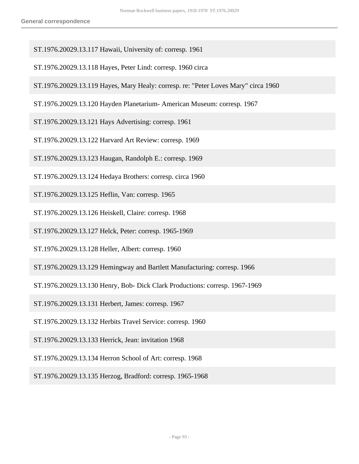- ST.1976.20029.13.117 Hawaii, University of: corresp. 1961
- ST.1976.20029.13.118 Hayes, Peter Lind: corresp. 1960 circa
- ST.1976.20029.13.119 Hayes, Mary Healy: corresp. re: "Peter Loves Mary" circa 1960
- ST.1976.20029.13.120 Hayden Planetarium- American Museum: corresp. 1967
- ST.1976.20029.13.121 Hays Advertising: corresp. 1961
- ST.1976.20029.13.122 Harvard Art Review: corresp. 1969
- ST.1976.20029.13.123 Haugan, Randolph E.: corresp. 1969
- ST.1976.20029.13.124 Hedaya Brothers: corresp. circa 1960
- ST.1976.20029.13.125 Heflin, Van: corresp. 1965
- ST.1976.20029.13.126 Heiskell, Claire: corresp. 1968
- ST.1976.20029.13.127 Helck, Peter: corresp. 1965-1969
- ST.1976.20029.13.128 Heller, Albert: corresp. 1960
- ST.1976.20029.13.129 Hemingway and Bartlett Manufacturing: corresp. 1966
- ST.1976.20029.13.130 Henry, Bob- Dick Clark Productions: corresp. 1967-1969
- ST.1976.20029.13.131 Herbert, James: corresp. 1967
- ST.1976.20029.13.132 Herbits Travel Service: corresp. 1960
- ST.1976.20029.13.133 Herrick, Jean: invitation 1968
- ST.1976.20029.13.134 Herron School of Art: corresp. 1968
- ST.1976.20029.13.135 Herzog, Bradford: corresp. 1965-1968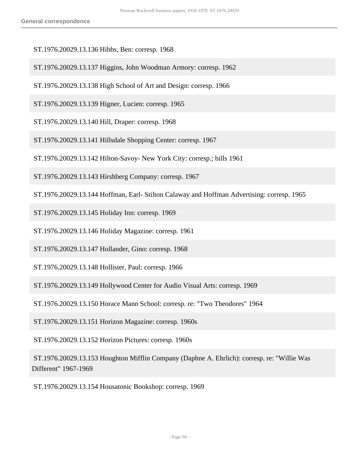- ST.1976.20029.13.136 Hibbs, Ben: corresp. 1968
- ST.1976.20029.13.137 Higgins, John Woodman Armory: corresp. 1962
- ST.1976.20029.13.138 High School of Art and Design: corresp. 1966
- ST.1976.20029.13.139 Higner, Lucien: corresp. 1965
- ST.1976.20029.13.140 Hill, Draper: corresp. 1968
- ST.1976.20029.13.141 Hillsdale Shopping Center: corresp. 1967
- ST.1976.20029.13.142 Hilton-Savoy- New York City: corresp.; bills 1961
- ST.1976.20029.13.143 Hirshberg Company: corresp. 1967
- ST.1976.20029.13.144 Hoffman, Earl- Stilton Calaway and Hoffman Advertising: corresp. 1965

ST.1976.20029.13.145 Holiday Inn: corresp. 1969

ST.1976.20029.13.146 Holiday Magazine: corresp. 1961

ST.1976.20029.13.147 Hollander, Gino: corresp. 1968

ST.1976.20029.13.148 Hollister, Paul: corresp. 1966

ST.1976.20029.13.149 Hollywood Center for Audio Visual Arts: corresp. 1969

ST.1976.20029.13.150 Horace Mann School: corresp. re: "Two Theodores" 1964

ST.1976.20029.13.151 Horizon Magazine: corresp. 1960s

ST.1976.20029.13.152 Horizon Pictures: corresp. 1960s

 ST.1976.20029.13.153 Houghton Mifflin Company (Daphne A. Ehrlich): corresp. re: "Willie Was Different" 1967-1969

ST.1976.20029.13.154 Housatonic Bookshop: corresp. 1969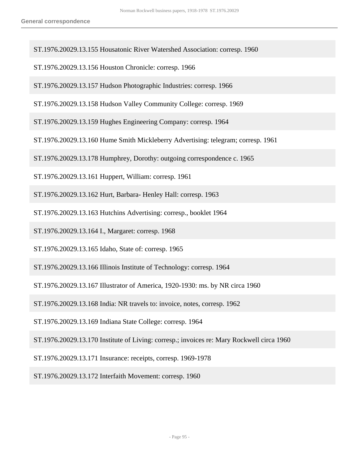- ST.1976.20029.13.155 Housatonic River Watershed Association: corresp. 1960
- ST.1976.20029.13.156 Houston Chronicle: corresp. 1966
- ST.1976.20029.13.157 Hudson Photographic Industries: corresp. 1966
- ST.1976.20029.13.158 Hudson Valley Community College: corresp. 1969
- ST.1976.20029.13.159 Hughes Engineering Company: corresp. 1964
- ST.1976.20029.13.160 Hume Smith Mickleberry Advertising: telegram; corresp. 1961
- ST.1976.20029.13.178 Humphrey, Dorothy: outgoing correspondence c. 1965
- ST.1976.20029.13.161 Huppert, William: corresp. 1961
- ST.1976.20029.13.162 Hurt, Barbara- Henley Hall: corresp. 1963
- ST.1976.20029.13.163 Hutchins Advertising: corresp., booklet 1964
- ST.1976.20029.13.164 I., Margaret: corresp. 1968
- ST.1976.20029.13.165 Idaho, State of: corresp. 1965
- ST.1976.20029.13.166 Illinois Institute of Technology: corresp. 1964
- ST.1976.20029.13.167 Illustrator of America, 1920-1930: ms. by NR circa 1960
- ST.1976.20029.13.168 India: NR travels to: invoice, notes, corresp. 1962
- ST.1976.20029.13.169 Indiana State College: corresp. 1964
- ST.1976.20029.13.170 Institute of Living: corresp.; invoices re: Mary Rockwell circa 1960
- ST.1976.20029.13.171 Insurance: receipts, corresp. 1969-1978
- ST.1976.20029.13.172 Interfaith Movement: corresp. 1960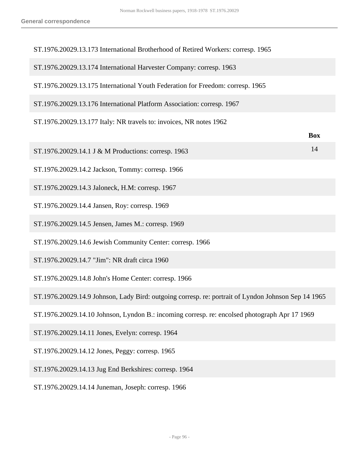| ST.1976.20029.13.173 International Brotherhood of Retired Workers: corresp. 1965                    |            |
|-----------------------------------------------------------------------------------------------------|------------|
| ST.1976.20029.13.174 International Harvester Company: corresp. 1963                                 |            |
| ST.1976.20029.13.175 International Youth Federation for Freedom: corresp. 1965                      |            |
| ST.1976.20029.13.176 International Platform Association: corresp. 1967                              |            |
| ST.1976.20029.13.177 Italy: NR travels to: invoices, NR notes 1962                                  |            |
|                                                                                                     | <b>Box</b> |
| ST.1976.20029.14.1 J & M Productions: corresp. 1963                                                 | 14         |
| ST.1976.20029.14.2 Jackson, Tommy: corresp. 1966                                                    |            |
| ST.1976.20029.14.3 Jaloneck, H.M: corresp. 1967                                                     |            |
| ST.1976.20029.14.4 Jansen, Roy: corresp. 1969                                                       |            |
| ST.1976.20029.14.5 Jensen, James M.: corresp. 1969                                                  |            |
| ST.1976.20029.14.6 Jewish Community Center: corresp. 1966                                           |            |
| ST.1976.20029.14.7 "Jim": NR draft circa 1960                                                       |            |
| ST.1976.20029.14.8 John's Home Center: corresp. 1966                                                |            |
| ST.1976.20029.14.9 Johnson, Lady Bird: outgoing corresp. re: portrait of Lyndon Johnson Sep 14 1965 |            |
| ST.1976.20029.14.10 Johnson, Lyndon B.: incoming corresp. re: encolsed photograph Apr 17 1969       |            |
| ST.1976.20029.14.11 Jones, Evelyn: corresp. 1964                                                    |            |
| ST.1976.20029.14.12 Jones, Peggy: corresp. 1965                                                     |            |
| ST.1976.20029.14.13 Jug End Berkshires: corresp. 1964                                               |            |
| ST.1976.20029.14.14 Juneman, Joseph: corresp. 1966                                                  |            |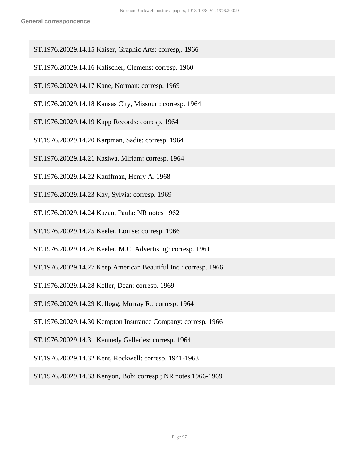- ST.1976.20029.14.15 Kaiser, Graphic Arts: corresp,. 1966
- ST.1976.20029.14.16 Kalischer, Clemens: corresp. 1960
- ST.1976.20029.14.17 Kane, Norman: corresp. 1969
- ST.1976.20029.14.18 Kansas City, Missouri: corresp. 1964
- ST.1976.20029.14.19 Kapp Records: corresp. 1964
- ST.1976.20029.14.20 Karpman, Sadie: corresp. 1964
- ST.1976.20029.14.21 Kasiwa, Miriam: corresp. 1964
- ST.1976.20029.14.22 Kauffman, Henry A. 1968
- ST.1976.20029.14.23 Kay, Sylvia: corresp. 1969
- ST.1976.20029.14.24 Kazan, Paula: NR notes 1962
- ST.1976.20029.14.25 Keeler, Louise: corresp. 1966
- ST.1976.20029.14.26 Keeler, M.C. Advertising: corresp. 1961
- ST.1976.20029.14.27 Keep American Beautiful Inc.: corresp. 1966
- ST.1976.20029.14.28 Keller, Dean: corresp. 1969
- ST.1976.20029.14.29 Kellogg, Murray R.: corresp. 1964
- ST.1976.20029.14.30 Kempton Insurance Company: corresp. 1966
- ST.1976.20029.14.31 Kennedy Galleries: corresp. 1964
- ST.1976.20029.14.32 Kent, Rockwell: corresp. 1941-1963
- ST.1976.20029.14.33 Kenyon, Bob: corresp.; NR notes 1966-1969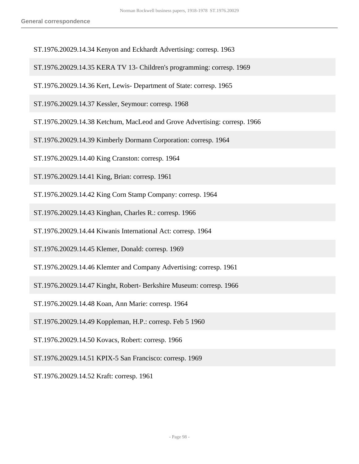- ST.1976.20029.14.34 Kenyon and Eckhardt Advertising: corresp. 1963
- ST.1976.20029.14.35 KERA TV 13- Children's programming: corresp. 1969
- ST.1976.20029.14.36 Kert, Lewis- Department of State: corresp. 1965

ST.1976.20029.14.37 Kessler, Seymour: corresp. 1968

- ST.1976.20029.14.38 Ketchum, MacLeod and Grove Advertising: corresp. 1966
- ST.1976.20029.14.39 Kimberly Dormann Corporation: corresp. 1964
- ST.1976.20029.14.40 King Cranston: corresp. 1964
- ST.1976.20029.14.41 King, Brian: corresp. 1961
- ST.1976.20029.14.42 King Corn Stamp Company: corresp. 1964
- ST.1976.20029.14.43 Kinghan, Charles R.: corresp. 1966
- ST.1976.20029.14.44 Kiwanis International Act: corresp. 1964
- ST.1976.20029.14.45 Klemer, Donald: corresp. 1969
- ST.1976.20029.14.46 Klemter and Company Advertising: corresp. 1961
- ST.1976.20029.14.47 Kinght, Robert- Berkshire Museum: corresp. 1966
- ST.1976.20029.14.48 Koan, Ann Marie: corresp. 1964
- ST.1976.20029.14.49 Koppleman, H.P.: corresp. Feb 5 1960
- ST.1976.20029.14.50 Kovacs, Robert: corresp. 1966
- ST.1976.20029.14.51 KPIX-5 San Francisco: corresp. 1969
- ST.1976.20029.14.52 Kraft: corresp. 1961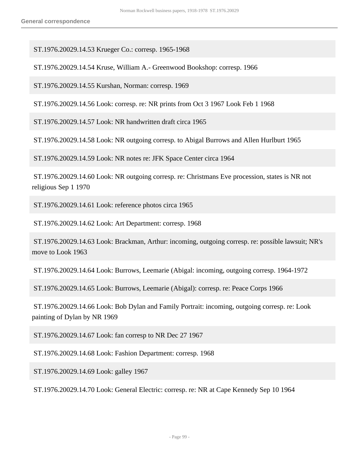ST.1976.20029.14.53 Krueger Co.: corresp. 1965-1968

ST.1976.20029.14.54 Kruse, William A.- Greenwood Bookshop: corresp. 1966

ST.1976.20029.14.55 Kurshan, Norman: corresp. 1969

ST.1976.20029.14.56 Look: corresp. re: NR prints from Oct 3 1967 Look Feb 1 1968

ST.1976.20029.14.57 Look: NR handwritten draft circa 1965

ST.1976.20029.14.58 Look: NR outgoing corresp. to Abigal Burrows and Allen Hurlburt 1965

ST.1976.20029.14.59 Look: NR notes re: JFK Space Center circa 1964

 ST.1976.20029.14.60 Look: NR outgoing corresp. re: Christmans Eve procession, states is NR not religious Sep 1 1970

ST.1976.20029.14.61 Look: reference photos circa 1965

ST.1976.20029.14.62 Look: Art Department: corresp. 1968

 ST.1976.20029.14.63 Look: Brackman, Arthur: incoming, outgoing corresp. re: possible lawsuit; NR's move to Look 1963

ST.1976.20029.14.64 Look: Burrows, Leemarie (Abigal: incoming, outgoing corresp. 1964-1972

ST.1976.20029.14.65 Look: Burrows, Leemarie (Abigal): corresp. re: Peace Corps 1966

 ST.1976.20029.14.66 Look: Bob Dylan and Family Portrait: incoming, outgoing corresp. re: Look painting of Dylan by NR 1969

ST.1976.20029.14.67 Look: fan corresp to NR Dec 27 1967

ST.1976.20029.14.68 Look: Fashion Department: corresp. 1968

ST.1976.20029.14.69 Look: galley 1967

ST.1976.20029.14.70 Look: General Electric: corresp. re: NR at Cape Kennedy Sep 10 1964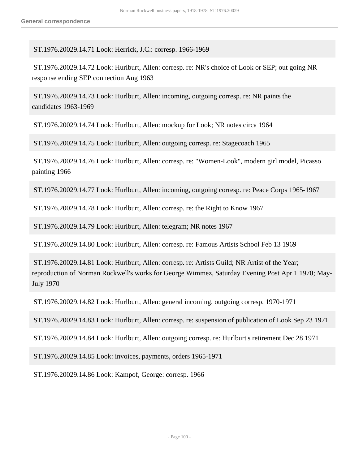ST.1976.20029.14.71 Look: Herrick, J.C.: corresp. 1966-1969

 ST.1976.20029.14.72 Look: Hurlburt, Allen: corresp. re: NR's choice of Look or SEP; out going NR response ending SEP connection Aug 1963

 ST.1976.20029.14.73 Look: Hurlburt, Allen: incoming, outgoing corresp. re: NR paints the candidates 1963-1969

ST.1976.20029.14.74 Look: Hurlburt, Allen: mockup for Look; NR notes circa 1964

ST.1976.20029.14.75 Look: Hurlburt, Allen: outgoing corresp. re: Stagecoach 1965

 ST.1976.20029.14.76 Look: Hurlburt, Allen: corresp. re: "Women-Look", modern girl model, Picasso painting 1966

ST.1976.20029.14.77 Look: Hurlburt, Allen: incoming, outgoing corresp. re: Peace Corps 1965-1967

ST.1976.20029.14.78 Look: Hurlburt, Allen: corresp. re: the Right to Know 1967

ST.1976.20029.14.79 Look: Hurlburt, Allen: telegram; NR notes 1967

ST.1976.20029.14.80 Look: Hurlburt, Allen: corresp. re: Famous Artists School Feb 13 1969

 ST.1976.20029.14.81 Look: Hurlburt, Allen: corresp. re: Artists Guild; NR Artist of the Year; reproduction of Norman Rockwell's works for George Wimmez, Saturday Evening Post Apr 1 1970; May-July 1970

ST.1976.20029.14.82 Look: Hurlburt, Allen: general incoming, outgoing corresp. 1970-1971

ST.1976.20029.14.83 Look: Hurlburt, Allen: corresp. re: suspension of publication of Look Sep 23 1971

ST.1976.20029.14.84 Look: Hurlburt, Allen: outgoing corresp. re: Hurlburt's retirement Dec 28 1971

ST.1976.20029.14.85 Look: invoices, payments, orders 1965-1971

ST.1976.20029.14.86 Look: Kampof, George: corresp. 1966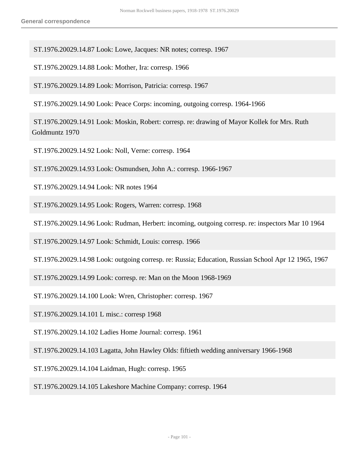ST.1976.20029.14.87 Look: Lowe, Jacques: NR notes; corresp. 1967

ST.1976.20029.14.88 Look: Mother, Ira: corresp. 1966

ST.1976.20029.14.89 Look: Morrison, Patricia: corresp. 1967

ST.1976.20029.14.90 Look: Peace Corps: incoming, outgoing corresp. 1964-1966

 ST.1976.20029.14.91 Look: Moskin, Robert: corresp. re: drawing of Mayor Kollek for Mrs. Ruth Goldmuntz 1970

ST.1976.20029.14.92 Look: Noll, Verne: corresp. 1964

ST.1976.20029.14.93 Look: Osmundsen, John A.: corresp. 1966-1967

ST.1976.20029.14.94 Look: NR notes 1964

ST.1976.20029.14.95 Look: Rogers, Warren: corresp. 1968

ST.1976.20029.14.96 Look: Rudman, Herbert: incoming, outgoing corresp. re: inspectors Mar 10 1964

ST.1976.20029.14.97 Look: Schmidt, Louis: corresp. 1966

ST.1976.20029.14.98 Look: outgoing corresp. re: Russia; Education, Russian School Apr 12 1965, 1967

ST.1976.20029.14.99 Look: corresp. re: Man on the Moon 1968-1969

ST.1976.20029.14.100 Look: Wren, Christopher: corresp. 1967

ST.1976.20029.14.101 L misc.: corresp 1968

ST.1976.20029.14.102 Ladies Home Journal: corresp. 1961

ST.1976.20029.14.103 Lagatta, John Hawley Olds: fiftieth wedding anniversary 1966-1968

ST.1976.20029.14.104 Laidman, Hugh: corresp. 1965

ST.1976.20029.14.105 Lakeshore Machine Company: corresp. 1964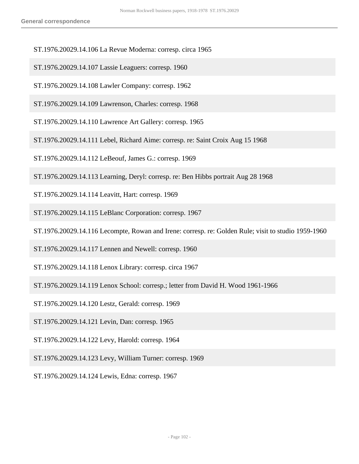- ST.1976.20029.14.106 La Revue Moderna: corresp. circa 1965
- ST.1976.20029.14.107 Lassie Leaguers: corresp. 1960
- ST.1976.20029.14.108 Lawler Company: corresp. 1962
- ST.1976.20029.14.109 Lawrenson, Charles: corresp. 1968
- ST.1976.20029.14.110 Lawrence Art Gallery: corresp. 1965
- ST.1976.20029.14.111 Lebel, Richard Aime: corresp. re: Saint Croix Aug 15 1968
- ST.1976.20029.14.112 LeBeouf, James G.: corresp. 1969
- ST.1976.20029.14.113 Learning, Deryl: corresp. re: Ben Hibbs portrait Aug 28 1968
- ST.1976.20029.14.114 Leavitt, Hart: corresp. 1969
- ST.1976.20029.14.115 LeBlanc Corporation: corresp. 1967
- ST.1976.20029.14.116 Lecompte, Rowan and Irene: corresp. re: Golden Rule; visit to studio 1959-1960
- ST.1976.20029.14.117 Lennen and Newell: corresp. 1960
- ST.1976.20029.14.118 Lenox Library: corresp. circa 1967
- ST.1976.20029.14.119 Lenox School: corresp.; letter from David H. Wood 1961-1966
- ST.1976.20029.14.120 Lestz, Gerald: corresp. 1969
- ST.1976.20029.14.121 Levin, Dan: corresp. 1965
- ST.1976.20029.14.122 Levy, Harold: corresp. 1964
- ST.1976.20029.14.123 Levy, William Turner: corresp. 1969
- ST.1976.20029.14.124 Lewis, Edna: corresp. 1967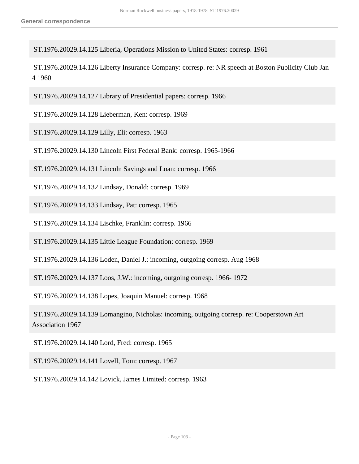ST.1976.20029.14.125 Liberia, Operations Mission to United States: corresp. 1961

 ST.1976.20029.14.126 Liberty Insurance Company: corresp. re: NR speech at Boston Publicity Club Jan 4 1960

ST.1976.20029.14.127 Library of Presidential papers: corresp. 1966

ST.1976.20029.14.128 Lieberman, Ken: corresp. 1969

ST.1976.20029.14.129 Lilly, Eli: corresp. 1963

ST.1976.20029.14.130 Lincoln First Federal Bank: corresp. 1965-1966

ST.1976.20029.14.131 Lincoln Savings and Loan: corresp. 1966

ST.1976.20029.14.132 Lindsay, Donald: corresp. 1969

ST.1976.20029.14.133 Lindsay, Pat: corresp. 1965

ST.1976.20029.14.134 Lischke, Franklin: corresp. 1966

ST.1976.20029.14.135 Little League Foundation: corresp. 1969

ST.1976.20029.14.136 Loden, Daniel J.: incoming, outgoing corresp. Aug 1968

ST.1976.20029.14.137 Loos, J.W.: incoming, outgoing corresp. 1966- 1972

ST.1976.20029.14.138 Lopes, Joaquin Manuel: corresp. 1968

 ST.1976.20029.14.139 Lomangino, Nicholas: incoming, outgoing corresp. re: Cooperstown Art Association 1967

ST.1976.20029.14.140 Lord, Fred: corresp. 1965

ST.1976.20029.14.141 Lovell, Tom: corresp. 1967

ST.1976.20029.14.142 Lovick, James Limited: corresp. 1963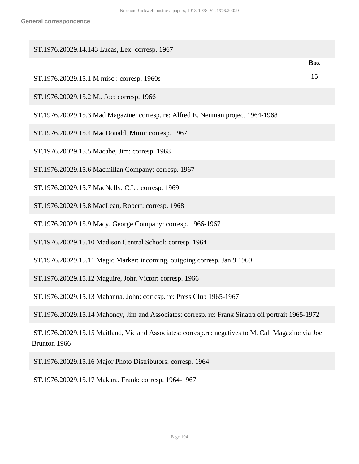| ST.1976.20029.14.143 Lucas, Lex: corresp. 1967                                                                     |            |
|--------------------------------------------------------------------------------------------------------------------|------------|
|                                                                                                                    | <b>Box</b> |
| ST.1976.20029.15.1 M misc.: corresp. 1960s                                                                         | 15         |
| ST.1976.20029.15.2 M., Joe: corresp. 1966                                                                          |            |
| ST.1976.20029.15.3 Mad Magazine: corresp. re: Alfred E. Neuman project 1964-1968                                   |            |
| ST.1976.20029.15.4 MacDonald, Mimi: corresp. 1967                                                                  |            |
| ST.1976.20029.15.5 Macabe, Jim: corresp. 1968                                                                      |            |
| ST.1976.20029.15.6 Macmillan Company: corresp. 1967                                                                |            |
| ST.1976.20029.15.7 MacNelly, C.L.: corresp. 1969                                                                   |            |
| ST.1976.20029.15.8 MacLean, Robert: corresp. 1968                                                                  |            |
| ST.1976.20029.15.9 Macy, George Company: corresp. 1966-1967                                                        |            |
| ST.1976.20029.15.10 Madison Central School: corresp. 1964                                                          |            |
| ST.1976.20029.15.11 Magic Marker: incoming, outgoing corresp. Jan 9 1969                                           |            |
| ST.1976.20029.15.12 Maguire, John Victor: corresp. 1966                                                            |            |
| ST.1976.20029.15.13 Mahanna, John: corresp. re: Press Club 1965-1967                                               |            |
| ST.1976.20029.15.14 Mahoney, Jim and Associates: corresp. re: Frank Sinatra oil portrait 1965-1972                 |            |
| ST.1976.20029.15.15 Maitland, Vic and Associates: corresp.re: negatives to McCall Magazine via Joe<br>Brunton 1966 |            |
| ST.1976.20029.15.16 Major Photo Distributors: corresp. 1964                                                        |            |

ST.1976.20029.15.17 Makara, Frank: corresp. 1964-1967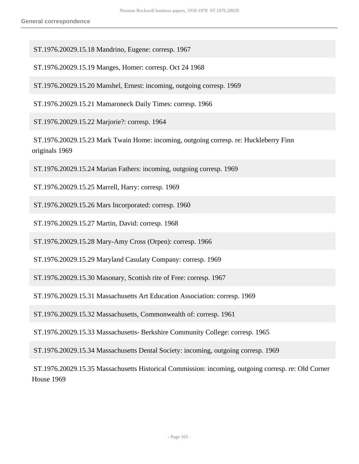ST.1976.20029.15.18 Mandrino, Eugene: corresp. 1967

ST.1976.20029.15.19 Manges, Homer: corresp. Oct 24 1968

ST.1976.20029.15.20 Manshel, Ernest: incoming, outgoing corresp. 1969

ST.1976.20029.15.21 Mamaroneck Daily Times: corresp. 1966

ST.1976.20029.15.22 Marjorie?: corresp. 1964

 ST.1976.20029.15.23 Mark Twain Home: incoming, outgoing corresp. re: Huckleberry Finn originals 1969

ST.1976.20029.15.24 Marian Fathers: incoming, outgoing corresp. 1969

ST.1976.20029.15.25 Marrell, Harry: corresp. 1969

ST.1976.20029.15.26 Mars Incorporated: corresp. 1960

ST.1976.20029.15.27 Martin, David: corresp. 1968

ST.1976.20029.15.28 Mary-Amy Cross (Orpen): corresp. 1966

ST.1976.20029.15.29 Maryland Casulaty Company: corresp. 1969

ST.1976.20029.15.30 Masonary, Scottish rite of Free: corresp. 1967

ST.1976.20029.15.31 Massachusetts Art Education Association: corresp. 1969

ST.1976.20029.15.32 Massachusetts, Commonwealth of: corresp. 1961

ST.1976.20029.15.33 Massachusetts- Berkshire Community College: corresp. 1965

ST.1976.20029.15.34 Massachusetts Dental Society: incoming, outgoing corresp. 1969

 ST.1976.20029.15.35 Massachusetts Historical Commission: incoming, outgoing corresp. re: Old Corner House 1969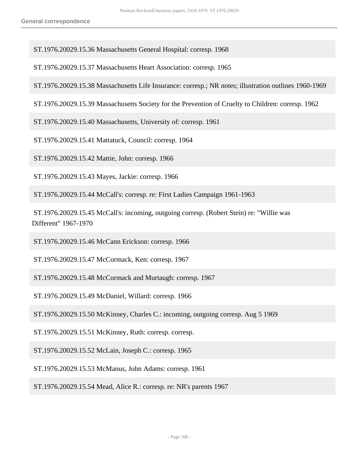ST.1976.20029.15.36 Massachusetts General Hospital: corresp. 1968

ST.1976.20029.15.37 Massachusetts Heart Association: corresp. 1965

ST.1976.20029.15.38 Massachusetts Life Insurance: corresp.; NR notes; illustration outlines 1960-1969

ST.1976.20029.15.39 Massachusetts Society for the Prevention of Cruelty to Children: corresp. 1962

ST.1976.20029.15.40 Massachusetts, University of: corresp. 1961

ST.1976.20029.15.41 Mattatuck, Council: corresp. 1964

ST.1976.20029.15.42 Mattie, John: corresp. 1966

ST.1976.20029.15.43 Mayes, Jackie: corresp. 1966

ST.1976.20029.15.44 McCall's: corresp. re: First Ladies Campaign 1961-1963

 ST.1976.20029.15.45 McCall's: incoming, outgoing corresp. (Robert Stein) re: "Willie was Different" 1967-1970

ST.1976.20029.15.46 McCann Erickson: corresp. 1966

ST.1976.20029.15.47 McCormack, Ken: corresp. 1967

ST.1976.20029.15.48 McCormack and Murtaugh: corresp. 1967

ST.1976.20029.15.49 McDaniel, Willard: corresp. 1966

ST.1976.20029.15.50 McKinney, Charles C.: incoming, outgoing corresp. Aug 5 1969

ST.1976.20029.15.51 McKinney, Ruth: corresp. corresp.

ST.1976.20029.15.52 McLain, Joseph C.: corresp. 1965

ST.1976.20029.15.53 McManus, John Adams: corresp. 1961

ST.1976.20029.15.54 Mead, Alice R.: corresp. re: NR's parents 1967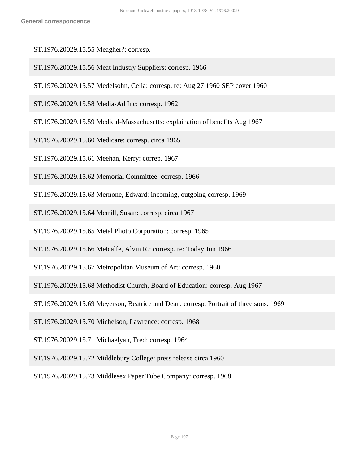- ST.1976.20029.15.55 Meagher?: corresp.
- ST.1976.20029.15.56 Meat Industry Suppliers: corresp. 1966
- ST.1976.20029.15.57 Medelsohn, Celia: corresp. re: Aug 27 1960 SEP cover 1960
- ST.1976.20029.15.58 Media-Ad Inc: corresp. 1962
- ST.1976.20029.15.59 Medical-Massachusetts: explaination of benefits Aug 1967
- ST.1976.20029.15.60 Medicare: corresp. circa 1965
- ST.1976.20029.15.61 Meehan, Kerry: correp. 1967
- ST.1976.20029.15.62 Memorial Committee: corresp. 1966
- ST.1976.20029.15.63 Mernone, Edward: incoming, outgoing corresp. 1969
- ST.1976.20029.15.64 Merrill, Susan: corresp. circa 1967
- ST.1976.20029.15.65 Metal Photo Corporation: corresp. 1965
- ST.1976.20029.15.66 Metcalfe, Alvin R.: corresp. re: Today Jun 1966
- ST.1976.20029.15.67 Metropolitan Museum of Art: corresp. 1960
- ST.1976.20029.15.68 Methodist Church, Board of Education: corresp. Aug 1967
- ST.1976.20029.15.69 Meyerson, Beatrice and Dean: corresp. Portrait of three sons. 1969
- ST.1976.20029.15.70 Michelson, Lawrence: corresp. 1968
- ST.1976.20029.15.71 Michaelyan, Fred: corresp. 1964
- ST.1976.20029.15.72 Middlebury College: press release circa 1960
- ST.1976.20029.15.73 Middlesex Paper Tube Company: corresp. 1968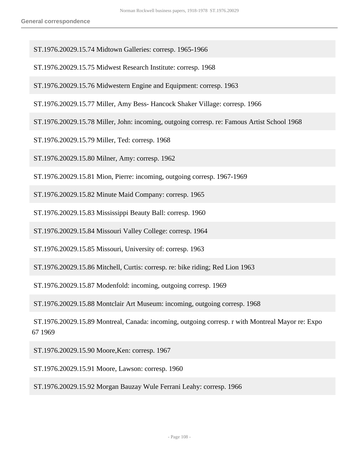- ST.1976.20029.15.74 Midtown Galleries: corresp. 1965-1966
- ST.1976.20029.15.75 Midwest Research Institute: corresp. 1968
- ST.1976.20029.15.76 Midwestern Engine and Equipment: corresp. 1963
- ST.1976.20029.15.77 Miller, Amy Bess- Hancock Shaker Village: corresp. 1966
- ST.1976.20029.15.78 Miller, John: incoming, outgoing corresp. re: Famous Artist School 1968
- ST.1976.20029.15.79 Miller, Ted: corresp. 1968
- ST.1976.20029.15.80 Milner, Amy: corresp. 1962
- ST.1976.20029.15.81 Mion, Pierre: incoming, outgoing corresp. 1967-1969
- ST.1976.20029.15.82 Minute Maid Company: corresp. 1965
- ST.1976.20029.15.83 Mississippi Beauty Ball: corresp. 1960
- ST.1976.20029.15.84 Missouri Valley College: corresp. 1964
- ST.1976.20029.15.85 Missouri, University of: corresp. 1963
- ST.1976.20029.15.86 Mitchell, Curtis: corresp. re: bike riding; Red Lion 1963
- ST.1976.20029.15.87 Modenfold: incoming, outgoing corresp. 1969
- ST.1976.20029.15.88 Montclair Art Museum: incoming, outgoing corresp. 1968
- ST.1976.20029.15.89 Montreal, Canada: incoming, outgoing corresp. r with Montreal Mayor re: Expo 67 1969
- ST.1976.20029.15.90 Moore,Ken: corresp. 1967
- ST.1976.20029.15.91 Moore, Lawson: corresp. 1960
- ST.1976.20029.15.92 Morgan Bauzay Wule Ferrani Leahy: corresp. 1966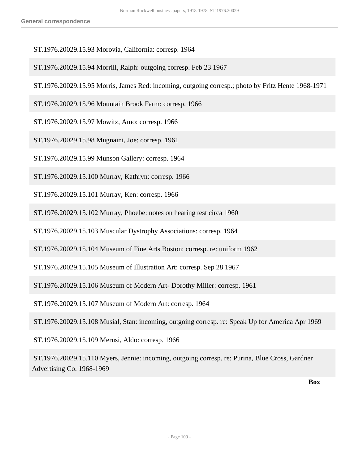- ST.1976.20029.15.93 Morovia, California: corresp. 1964
- ST.1976.20029.15.94 Morrill, Ralph: outgoing corresp. Feb 23 1967
- ST.1976.20029.15.95 Morris, James Red: incoming, outgoing corresp.; photo by Fritz Hente 1968-1971
- ST.1976.20029.15.96 Mountain Brook Farm: corresp. 1966
- ST.1976.20029.15.97 Mowitz, Amo: corresp. 1966
- ST.1976.20029.15.98 Mugnaini, Joe: corresp. 1961
- ST.1976.20029.15.99 Munson Gallery: corresp. 1964
- ST.1976.20029.15.100 Murray, Kathryn: corresp. 1966
- ST.1976.20029.15.101 Murray, Ken: corresp. 1966
- ST.1976.20029.15.102 Murray, Phoebe: notes on hearing test circa 1960
- ST.1976.20029.15.103 Muscular Dystrophy Associations: corresp. 1964
- ST.1976.20029.15.104 Museum of Fine Arts Boston: corresp. re: uniform 1962
- ST.1976.20029.15.105 Museum of Illustration Art: corresp. Sep 28 1967
- ST.1976.20029.15.106 Museum of Modern Art- Dorothy Miller: corresp. 1961
- ST.1976.20029.15.107 Museum of Modern Art: corresp. 1964
- ST.1976.20029.15.108 Musial, Stan: incoming, outgoing corresp. re: Speak Up for America Apr 1969
- ST.1976.20029.15.109 Merusi, Aldo: corresp. 1966
- ST.1976.20029.15.110 Myers, Jennie: incoming, outgoing corresp. re: Purina, Blue Cross, Gardner Advertising Co. 1968-1969

**Box**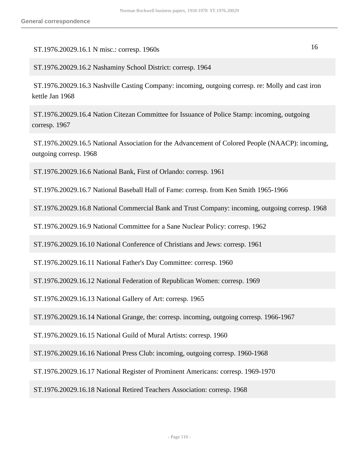## ST.1976.20029.16.1 N misc.: corresp. 1960s 16

## ST.1976.20029.16.2 Nashaminy School District: corresp. 1964

 ST.1976.20029.16.3 Nashville Casting Company: incoming, outgoing corresp. re: Molly and cast iron kettle Jan 1968

 ST.1976.20029.16.4 Nation Citezan Committee for Issuance of Police Stamp: incoming, outgoing corresp. 1967

 ST.1976.20029.16.5 National Association for the Advancement of Colored People (NAACP): incoming, outgoing corresp. 1968

ST.1976.20029.16.6 National Bank, First of Orlando: corresp. 1961

ST.1976.20029.16.7 National Baseball Hall of Fame: corresp. from Ken Smith 1965-1966

ST.1976.20029.16.8 National Commercial Bank and Trust Company: incoming, outgoing corresp. 1968

ST.1976.20029.16.9 National Committee for a Sane Nuclear Policy: corresp. 1962

ST.1976.20029.16.10 National Conference of Christians and Jews: corresp. 1961

ST.1976.20029.16.11 National Father's Day Committee: corresp. 1960

ST.1976.20029.16.12 National Federation of Republican Women: corresp. 1969

ST.1976.20029.16.13 National Gallery of Art: corresp. 1965

ST.1976.20029.16.14 National Grange, the: corresp. incoming, outgoing corresp. 1966-1967

ST.1976.20029.16.15 National Guild of Mural Artists: corresp. 1960

ST.1976.20029.16.16 National Press Club: incoming, outgoing corresp. 1960-1968

ST.1976.20029.16.17 National Register of Prominent Americans: corresp. 1969-1970

ST.1976.20029.16.18 National Retired Teachers Association: corresp. 1968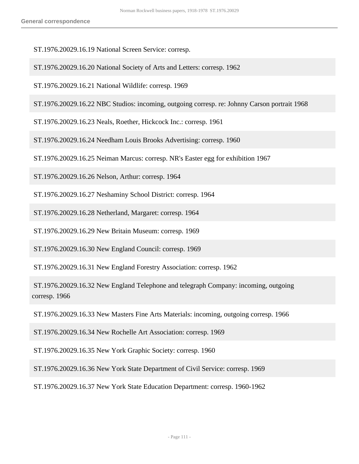ST.1976.20029.16.19 National Screen Service: corresp.

- ST.1976.20029.16.20 National Society of Arts and Letters: corresp. 1962
- ST.1976.20029.16.21 National Wildlife: corresp. 1969
- ST.1976.20029.16.22 NBC Studios: incoming, outgoing corresp. re: Johnny Carson portrait 1968

ST.1976.20029.16.23 Neals, Roether, Hickcock Inc.: corresp. 1961

ST.1976.20029.16.24 Needham Louis Brooks Advertising: corresp. 1960

ST.1976.20029.16.25 Neiman Marcus: corresp. NR's Easter egg for exhibition 1967

ST.1976.20029.16.26 Nelson, Arthur: corresp. 1964

ST.1976.20029.16.27 Neshaminy School District: corresp. 1964

ST.1976.20029.16.28 Netherland, Margaret: corresp. 1964

ST.1976.20029.16.29 New Britain Museum: corresp. 1969

ST.1976.20029.16.30 New England Council: corresp. 1969

ST.1976.20029.16.31 New England Forestry Association: corresp. 1962

 ST.1976.20029.16.32 New England Telephone and telegraph Company: incoming, outgoing corresp. 1966

ST.1976.20029.16.33 New Masters Fine Arts Materials: incoming, outgoing corresp. 1966

ST.1976.20029.16.34 New Rochelle Art Association: corresp. 1969

ST.1976.20029.16.35 New York Graphic Society: corresp. 1960

ST.1976.20029.16.36 New York State Department of Civil Service: corresp. 1969

ST.1976.20029.16.37 New York State Education Department: corresp. 1960-1962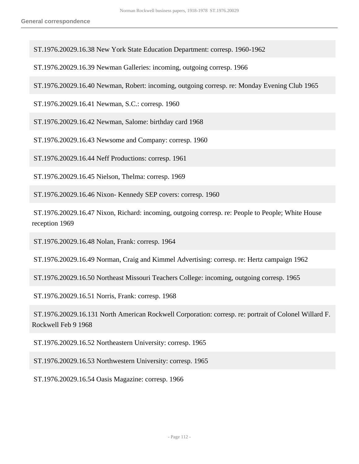ST.1976.20029.16.38 New York State Education Department: corresp. 1960-1962

ST.1976.20029.16.39 Newman Galleries: incoming, outgoing corresp. 1966

ST.1976.20029.16.40 Newman, Robert: incoming, outgoing corresp. re: Monday Evening Club 1965

ST.1976.20029.16.41 Newman, S.C.: corresp. 1960

ST.1976.20029.16.42 Newman, Salome: birthday card 1968

ST.1976.20029.16.43 Newsome and Company: corresp. 1960

ST.1976.20029.16.44 Neff Productions: corresp. 1961

ST.1976.20029.16.45 Nielson, Thelma: corresp. 1969

ST.1976.20029.16.46 Nixon- Kennedy SEP covers: corresp. 1960

 ST.1976.20029.16.47 Nixon, Richard: incoming, outgoing corresp. re: People to People; White House reception 1969

ST.1976.20029.16.48 Nolan, Frank: corresp. 1964

ST.1976.20029.16.49 Norman, Craig and Kimmel Advertising: corresp. re: Hertz campaign 1962

ST.1976.20029.16.50 Northeast Missouri Teachers College: incoming, outgoing corresp. 1965

ST.1976.20029.16.51 Norris, Frank: corresp. 1968

 ST.1976.20029.16.131 North American Rockwell Corporation: corresp. re: portrait of Colonel Willard F. Rockwell Feb 9 1968

ST.1976.20029.16.52 Northeastern University: corresp. 1965

ST.1976.20029.16.53 Northwestern University: corresp. 1965

ST.1976.20029.16.54 Oasis Magazine: corresp. 1966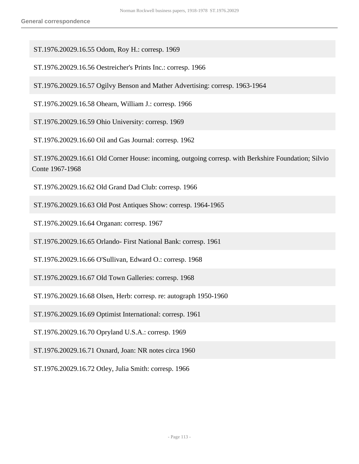ST.1976.20029.16.55 Odom, Roy H.: corresp. 1969

ST.1976.20029.16.56 Oestreicher's Prints Inc.: corresp. 1966

ST.1976.20029.16.57 Ogilvy Benson and Mather Advertising: corresp. 1963-1964

ST.1976.20029.16.58 Ohearn, William J.: corresp. 1966

ST.1976.20029.16.59 Ohio University: corresp. 1969

ST.1976.20029.16.60 Oil and Gas Journal: corresp. 1962

 ST.1976.20029.16.61 Old Corner House: incoming, outgoing corresp. with Berkshire Foundation; Silvio Conte 1967-1968

ST.1976.20029.16.62 Old Grand Dad Club: corresp. 1966

ST.1976.20029.16.63 Old Post Antiques Show: corresp. 1964-1965

ST.1976.20029.16.64 Organan: corresp. 1967

ST.1976.20029.16.65 Orlando- First National Bank: corresp. 1961

ST.1976.20029.16.66 O'Sullivan, Edward O.: corresp. 1968

ST.1976.20029.16.67 Old Town Galleries: corresp. 1968

ST.1976.20029.16.68 Olsen, Herb: corresp. re: autograph 1950-1960

ST.1976.20029.16.69 Optimist International: corresp. 1961

ST.1976.20029.16.70 Opryland U.S.A.: corresp. 1969

ST.1976.20029.16.71 Oxnard, Joan: NR notes circa 1960

ST.1976.20029.16.72 Otley, Julia Smith: corresp. 1966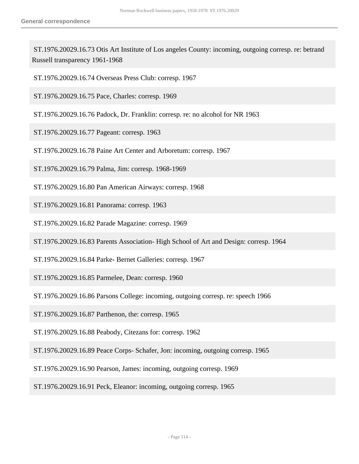ST.1976.20029.16.73 Otis Art Institute of Los angeles County: incoming, outgoing corresp. re: betrand Russell transparency 1961-1968

ST.1976.20029.16.74 Overseas Press Club: corresp. 1967

ST.1976.20029.16.75 Pace, Charles: corresp. 1969

ST.1976.20029.16.76 Padock, Dr. Franklin: corresp. re: no alcohol for NR 1963

ST.1976.20029.16.77 Pageant: corresp. 1963

ST.1976.20029.16.78 Paine Art Center and Arboretum: corresp. 1967

ST.1976.20029.16.79 Palma, Jim: corresp. 1968-1969

ST.1976.20029.16.80 Pan American Airways: corresp. 1968

ST.1976.20029.16.81 Panorama: corresp. 1963

ST.1976.20029.16.82 Parade Magazine: corresp. 1969

ST.1976.20029.16.83 Parents Association- High School of Art and Design: corresp. 1964

ST.1976.20029.16.84 Parke- Bernet Galleries: corresp. 1967

ST.1976.20029.16.85 Parmelee, Dean: corresp. 1960

ST.1976.20029.16.86 Parsons College: incoming, outgoing corresp. re: speech 1966

ST.1976.20029.16.87 Parthenon, the: corresp. 1965

ST.1976.20029.16.88 Peabody, Citezans for: corresp. 1962

ST.1976.20029.16.89 Peace Corps- Schafer, Jon: incoming, outgoing corresp. 1965

ST.1976.20029.16.90 Pearson, James: incoming, outgoing corresp. 1969

ST.1976.20029.16.91 Peck, Eleanor: incoming, outgoing corresp. 1965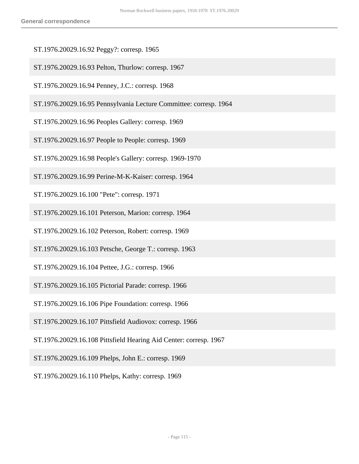- ST.1976.20029.16.92 Peggy?: corresp. 1965
- ST.1976.20029.16.93 Pelton, Thurlow: corresp. 1967
- ST.1976.20029.16.94 Penney, J.C.: corresp. 1968
- ST.1976.20029.16.95 Pennsylvania Lecture Committee: corresp. 1964
- ST.1976.20029.16.96 Peoples Gallery: corresp. 1969
- ST.1976.20029.16.97 People to People: corresp. 1969
- ST.1976.20029.16.98 People's Gallery: corresp. 1969-1970
- ST.1976.20029.16.99 Perine-M-K-Kaiser: corresp. 1964
- ST.1976.20029.16.100 "Pete": corresp. 1971
- ST.1976.20029.16.101 Peterson, Marion: corresp. 1964
- ST.1976.20029.16.102 Peterson, Robert: corresp. 1969
- ST.1976.20029.16.103 Petsche, George T.: corresp. 1963
- ST.1976.20029.16.104 Pettee, J.G.: corresp. 1966
- ST.1976.20029.16.105 Pictorial Parade: corresp. 1966
- ST.1976.20029.16.106 Pipe Foundation: corresp. 1966
- ST.1976.20029.16.107 Pittsfield Audiovox: corresp. 1966
- ST.1976.20029.16.108 Pittsfield Hearing Aid Center: corresp. 1967
- ST.1976.20029.16.109 Phelps, John E.: corresp. 1969
- ST.1976.20029.16.110 Phelps, Kathy: corresp. 1969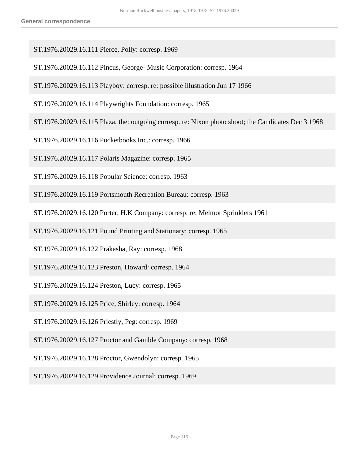- ST.1976.20029.16.111 Pierce, Polly: corresp. 1969
- ST.1976.20029.16.112 Pincus, George- Music Corporation: corresp. 1964
- ST.1976.20029.16.113 Playboy: corresp. re: possible illustration Jun 17 1966
- ST.1976.20029.16.114 Playwrights Foundation: corresp. 1965
- ST.1976.20029.16.115 Plaza, the: outgoing corresp. re: Nixon photo shoot; the Candidates Dec 3 1968
- ST.1976.20029.16.116 Pocketbooks Inc.: corresp. 1966
- ST.1976.20029.16.117 Polaris Magazine: corresp. 1965
- ST.1976.20029.16.118 Popular Science: corresp. 1963
- ST.1976.20029.16.119 Portsmouth Recreation Bureau: corresp. 1963
- ST.1976.20029.16.120 Porter, H.K Company: corresp. re: Melmor Sprinklers 1961
- ST.1976.20029.16.121 Pound Printing and Stationary: corresp. 1965
- ST.1976.20029.16.122 Prakasha, Ray: corresp. 1968
- ST.1976.20029.16.123 Preston, Howard: corresp. 1964
- ST.1976.20029.16.124 Preston, Lucy: corresp. 1965
- ST.1976.20029.16.125 Price, Shirley: corresp. 1964
- ST.1976.20029.16.126 Priestly, Peg: corresp. 1969
- ST.1976.20029.16.127 Proctor and Gamble Company: corresp. 1968
- ST.1976.20029.16.128 Proctor, Gwendolyn: corresp. 1965
- ST.1976.20029.16.129 Providence Journal: corresp. 1969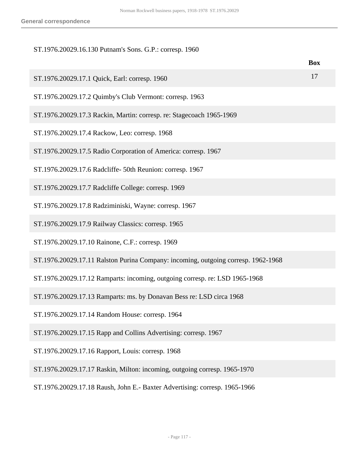## ST.1976.20029.16.130 Putnam's Sons. G.P.: corresp. 1960

|                                                                                   | <b>Box</b> |
|-----------------------------------------------------------------------------------|------------|
| ST.1976.20029.17.1 Quick, Earl: corresp. 1960                                     | 17         |
| ST.1976.20029.17.2 Quimby's Club Vermont: corresp. 1963                           |            |
| ST.1976.20029.17.3 Rackin, Martin: corresp. re: Stagecoach 1965-1969              |            |
| ST.1976.20029.17.4 Rackow, Leo: corresp. 1968                                     |            |
| ST.1976.20029.17.5 Radio Corporation of America: corresp. 1967                    |            |
| ST.1976.20029.17.6 Radcliffe- 50th Reunion: corresp. 1967                         |            |
| ST.1976.20029.17.7 Radcliffe College: corresp. 1969                               |            |
| ST.1976.20029.17.8 Radziminiski, Wayne: corresp. 1967                             |            |
| ST.1976.20029.17.9 Railway Classics: corresp. 1965                                |            |
| ST.1976.20029.17.10 Rainone, C.F.: corresp. 1969                                  |            |
| ST.1976.20029.17.11 Ralston Purina Company: incoming, outgoing corresp. 1962-1968 |            |
| ST.1976.20029.17.12 Ramparts: incoming, outgoing corresp. re: LSD 1965-1968       |            |
| ST.1976.20029.17.13 Ramparts: ms. by Donavan Bess re: LSD circa 1968              |            |
| ST.1976.20029.17.14 Random House: corresp. 1964                                   |            |
| ST.1976.20029.17.15 Rapp and Collins Advertising: corresp. 1967                   |            |
| ST.1976.20029.17.16 Rapport, Louis: corresp. 1968                                 |            |
| ST.1976.20029.17.17 Raskin, Milton: incoming, outgoing corresp. 1965-1970         |            |

ST.1976.20029.17.18 Raush, John E.- Baxter Advertising: corresp. 1965-1966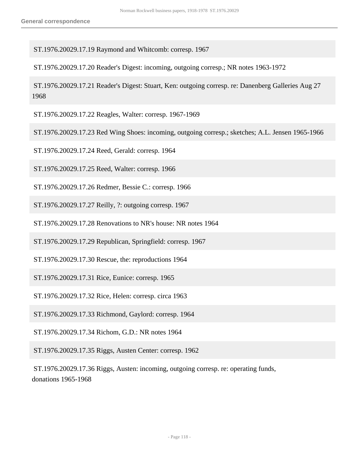ST.1976.20029.17.19 Raymond and Whitcomb: corresp. 1967

ST.1976.20029.17.20 Reader's Digest: incoming, outgoing corresp.; NR notes 1963-1972

 ST.1976.20029.17.21 Reader's Digest: Stuart, Ken: outgoing corresp. re: Danenberg Galleries Aug 27 1968

ST.1976.20029.17.22 Reagles, Walter: corresp. 1967-1969

ST.1976.20029.17.23 Red Wing Shoes: incoming, outgoing corresp.; sketches; A.L. Jensen 1965-1966

ST.1976.20029.17.24 Reed, Gerald: corresp. 1964

ST.1976.20029.17.25 Reed, Walter: corresp. 1966

ST.1976.20029.17.26 Redmer, Bessie C.: corresp. 1966

ST.1976.20029.17.27 Reilly, ?: outgoing corresp. 1967

ST.1976.20029.17.28 Renovations to NR's house: NR notes 1964

ST.1976.20029.17.29 Republican, Springfield: corresp. 1967

ST.1976.20029.17.30 Rescue, the: reproductions 1964

ST.1976.20029.17.31 Rice, Eunice: corresp. 1965

ST.1976.20029.17.32 Rice, Helen: corresp. circa 1963

ST.1976.20029.17.33 Richmond, Gaylord: corresp. 1964

ST.1976.20029.17.34 Richom, G.D.: NR notes 1964

ST.1976.20029.17.35 Riggs, Austen Center: corresp. 1962

 ST.1976.20029.17.36 Riggs, Austen: incoming, outgoing corresp. re: operating funds, donations 1965-1968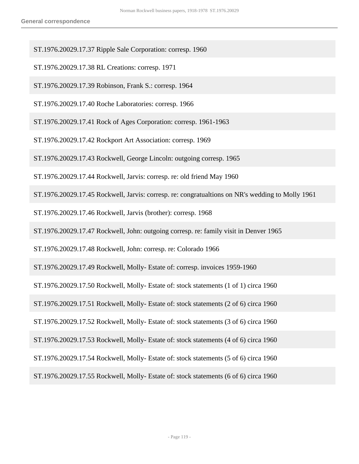- ST.1976.20029.17.37 Ripple Sale Corporation: corresp. 1960
- ST.1976.20029.17.38 RL Creations: corresp. 1971
- ST.1976.20029.17.39 Robinson, Frank S.: corresp. 1964
- ST.1976.20029.17.40 Roche Laboratories: corresp. 1966
- ST.1976.20029.17.41 Rock of Ages Corporation: corresp. 1961-1963
- ST.1976.20029.17.42 Rockport Art Association: corresp. 1969
- ST.1976.20029.17.43 Rockwell, George Lincoln: outgoing corresp. 1965
- ST.1976.20029.17.44 Rockwell, Jarvis: corresp. re: old friend May 1960
- ST.1976.20029.17.45 Rockwell, Jarvis: corresp. re: congratualtions on NR's wedding to Molly 1961
- ST.1976.20029.17.46 Rockwell, Jarvis (brother): corresp. 1968
- ST.1976.20029.17.47 Rockwell, John: outgoing corresp. re: family visit in Denver 1965
- ST.1976.20029.17.48 Rockwell, John: corresp. re: Colorado 1966
- ST.1976.20029.17.49 Rockwell, Molly- Estate of: corresp. invoices 1959-1960
- ST.1976.20029.17.50 Rockwell, Molly- Estate of: stock statements (1 of 1) circa 1960
- ST.1976.20029.17.51 Rockwell, Molly- Estate of: stock statements (2 of 6) circa 1960
- ST.1976.20029.17.52 Rockwell, Molly- Estate of: stock statements (3 of 6) circa 1960
- ST.1976.20029.17.53 Rockwell, Molly- Estate of: stock statements (4 of 6) circa 1960
- ST.1976.20029.17.54 Rockwell, Molly- Estate of: stock statements (5 of 6) circa 1960
- ST.1976.20029.17.55 Rockwell, Molly- Estate of: stock statements (6 of 6) circa 1960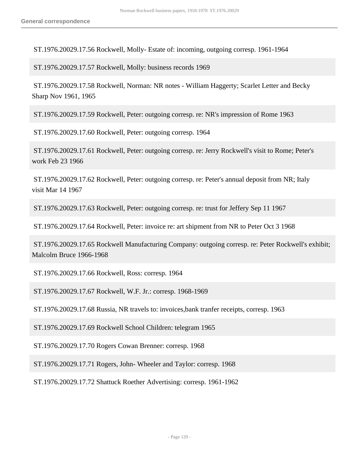ST.1976.20029.17.56 Rockwell, Molly- Estate of: incoming, outgoing corresp. 1961-1964

ST.1976.20029.17.57 Rockwell, Molly: business records 1969

 ST.1976.20029.17.58 Rockwell, Norman: NR notes - William Haggerty; Scarlet Letter and Becky Sharp Nov 1961, 1965

ST.1976.20029.17.59 Rockwell, Peter: outgoing corresp. re: NR's impression of Rome 1963

ST.1976.20029.17.60 Rockwell, Peter: outgoing corresp. 1964

 ST.1976.20029.17.61 Rockwell, Peter: outgoing corresp. re: Jerry Rockwell's visit to Rome; Peter's work Feb 23 1966

 ST.1976.20029.17.62 Rockwell, Peter: outgoing corresp. re: Peter's annual deposit from NR; Italy visit Mar 14 1967

ST.1976.20029.17.63 Rockwell, Peter: outgoing corresp. re: trust for Jeffery Sep 11 1967

ST.1976.20029.17.64 Rockwell, Peter: invoice re: art shipment from NR to Peter Oct 3 1968

 ST.1976.20029.17.65 Rockwell Manufacturing Company: outgoing corresp. re: Peter Rockwell's exhibit; Malcolm Bruce 1966-1968

ST.1976.20029.17.66 Rockwell, Ross: corresp. 1964

ST.1976.20029.17.67 Rockwell, W.F. Jr.: corresp. 1968-1969

ST.1976.20029.17.68 Russia, NR travels to: invoices,bank tranfer receipts, corresp. 1963

ST.1976.20029.17.69 Rockwell School Children: telegram 1965

ST.1976.20029.17.70 Rogers Cowan Brenner: corresp. 1968

ST.1976.20029.17.71 Rogers, John- Wheeler and Taylor: corresp. 1968

ST.1976.20029.17.72 Shattuck Roether Advertising: corresp. 1961-1962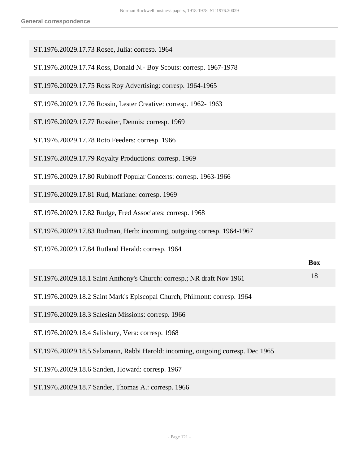| ST.1976.20029.17.73 Rosee, Julia: corresp. 1964                                 |            |
|---------------------------------------------------------------------------------|------------|
| ST.1976.20029.17.74 Ross, Donald N.- Boy Scouts: corresp. 1967-1978             |            |
| ST.1976.20029.17.75 Ross Roy Advertising: corresp. 1964-1965                    |            |
| ST.1976.20029.17.76 Rossin, Lester Creative: corresp. 1962-1963                 |            |
| ST.1976.20029.17.77 Rossiter, Dennis: corresp. 1969                             |            |
| ST.1976.20029.17.78 Roto Feeders: corresp. 1966                                 |            |
| ST.1976.20029.17.79 Royalty Productions: corresp. 1969                          |            |
| ST.1976.20029.17.80 Rubinoff Popular Concerts: corresp. 1963-1966               |            |
| ST.1976.20029.17.81 Rud, Mariane: corresp. 1969                                 |            |
| ST.1976.20029.17.82 Rudge, Fred Associates: corresp. 1968                       |            |
| ST.1976.20029.17.83 Rudman, Herb: incoming, outgoing corresp. 1964-1967         |            |
| ST.1976.20029.17.84 Rutland Herald: corresp. 1964                               |            |
|                                                                                 | <b>Box</b> |
| ST.1976.20029.18.1 Saint Anthony's Church: corresp.; NR draft Nov 1961          | 18         |
| ST.1976.20029.18.2 Saint Mark's Episcopal Church, Philmont: corresp. 1964       |            |
| ST.1976.20029.18.3 Salesian Missions: corresp. 1966                             |            |
| ST.1976.20029.18.4 Salisbury, Vera: corresp. 1968                               |            |
| ST.1976.20029.18.5 Salzmann, Rabbi Harold: incoming, outgoing corresp. Dec 1965 |            |
| ST.1976.20029.18.6 Sanden, Howard: corresp. 1967                                |            |
| ST.1976.20029.18.7 Sander, Thomas A.: corresp. 1966                             |            |
|                                                                                 |            |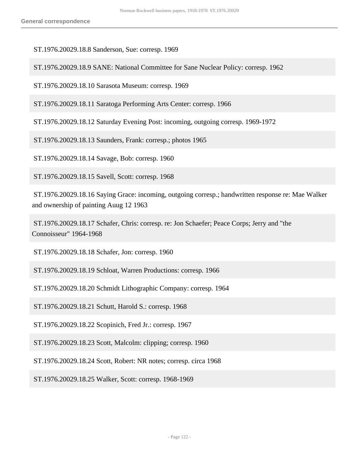ST.1976.20029.18.8 Sanderson, Sue: corresp. 1969

ST.1976.20029.18.9 SANE: National Committee for Sane Nuclear Policy: corresp. 1962

ST.1976.20029.18.10 Sarasota Museum: corresp. 1969

ST.1976.20029.18.11 Saratoga Performing Arts Center: corresp. 1966

ST.1976.20029.18.12 Saturday Evening Post: incoming, outgoing corresp. 1969-1972

ST.1976.20029.18.13 Saunders, Frank: corresp.; photos 1965

ST.1976.20029.18.14 Savage, Bob: corresp. 1960

ST.1976.20029.18.15 Savell, Scott: corresp. 1968

 ST.1976.20029.18.16 Saying Grace: incoming, outgoing corresp.; handwritten response re: Mae Walker and ownership of painting Auug 12 1963

 ST.1976.20029.18.17 Schafer, Chris: corresp. re: Jon Schaefer; Peace Corps; Jerry and "the Connoisseur" 1964-1968

ST.1976.20029.18.18 Schafer, Jon: corresp. 1960

ST.1976.20029.18.19 Schloat, Warren Productions: corresp. 1966

ST.1976.20029.18.20 Schmidt Lithographic Company: corresp. 1964

ST.1976.20029.18.21 Schutt, Harold S.: corresp. 1968

ST.1976.20029.18.22 Scopinich, Fred Jr.: corresp. 1967

ST.1976.20029.18.23 Scott, Malcolm: clipping; corresp. 1960

ST.1976.20029.18.24 Scott, Robert: NR notes; corresp. circa 1968

ST.1976.20029.18.25 Walker, Scott: corresp. 1968-1969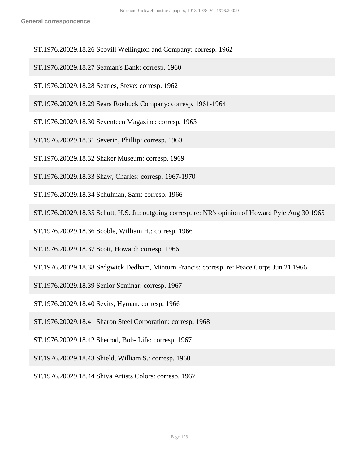- ST.1976.20029.18.26 Scovill Wellington and Company: corresp. 1962
- ST.1976.20029.18.27 Seaman's Bank: corresp. 1960
- ST.1976.20029.18.28 Searles, Steve: corresp. 1962
- ST.1976.20029.18.29 Sears Roebuck Company: corresp. 1961-1964
- ST.1976.20029.18.30 Seventeen Magazine: corresp. 1963
- ST.1976.20029.18.31 Severin, Phillip: corresp. 1960
- ST.1976.20029.18.32 Shaker Museum: corresp. 1969
- ST.1976.20029.18.33 Shaw, Charles: corresp. 1967-1970
- ST.1976.20029.18.34 Schulman, Sam: corresp. 1966
- ST.1976.20029.18.35 Schutt, H.S. Jr.: outgoing corresp. re: NR's opinion of Howard Pyle Aug 30 1965
- ST.1976.20029.18.36 Scoble, William H.: corresp. 1966
- ST.1976.20029.18.37 Scott, Howard: corresp. 1966
- ST.1976.20029.18.38 Sedgwick Dedham, Minturn Francis: corresp. re: Peace Corps Jun 21 1966
- ST.1976.20029.18.39 Senior Seminar: corresp. 1967
- ST.1976.20029.18.40 Sevits, Hyman: corresp. 1966
- ST.1976.20029.18.41 Sharon Steel Corporation: corresp. 1968
- ST.1976.20029.18.42 Sherrod, Bob- Life: corresp. 1967
- ST.1976.20029.18.43 Shield, William S.: corresp. 1960
- ST.1976.20029.18.44 Shiva Artists Colors: corresp. 1967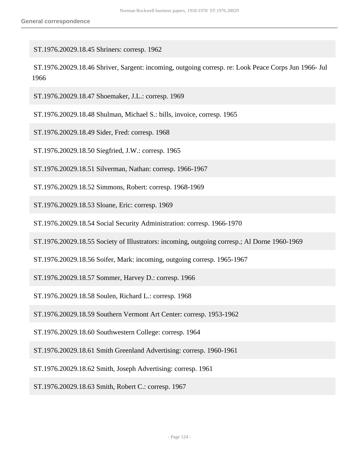ST.1976.20029.18.45 Shriners: corresp. 1962

 ST.1976.20029.18.46 Shriver, Sargent: incoming, outgoing corresp. re: Look Peace Corps Jun 1966- Jul 1966

ST.1976.20029.18.47 Shoemaker, J.L.: corresp. 1969

ST.1976.20029.18.48 Shulman, Michael S.: bills, invoice, corresp. 1965

ST.1976.20029.18.49 Sider, Fred: corresp. 1968

ST.1976.20029.18.50 Siegfried, J.W.: corresp. 1965

ST.1976.20029.18.51 Silverman, Nathan: corresp. 1966-1967

ST.1976.20029.18.52 Simmons, Robert: corresp. 1968-1969

ST.1976.20029.18.53 Sloane, Eric: corresp. 1969

ST.1976.20029.18.54 Social Security Administration: corresp. 1966-1970

ST.1976.20029.18.55 Society of Illustrators: incoming, outgoing corresp.; Al Dorne 1960-1969

ST.1976.20029.18.56 Soifer, Mark: incoming, outgoing corresp. 1965-1967

ST.1976.20029.18.57 Sommer, Harvey D.: corresp. 1966

ST.1976.20029.18.58 Soulen, Richard L.: corresp. 1968

ST.1976.20029.18.59 Southern Vermont Art Center: corresp. 1953-1962

ST.1976.20029.18.60 Southwestern College: corresp. 1964

ST.1976.20029.18.61 Smith Greenland Advertising: corresp. 1960-1961

ST.1976.20029.18.62 Smith, Joseph Advertising: corresp. 1961

ST.1976.20029.18.63 Smith, Robert C.: corresp. 1967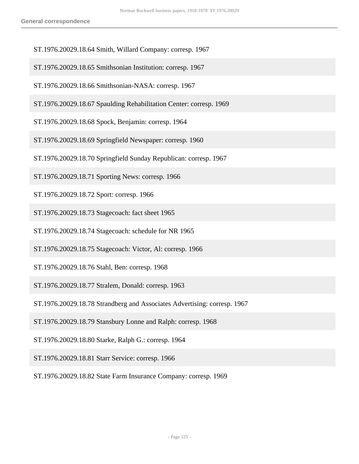- ST.1976.20029.18.64 Smith, Willard Company: corresp. 1967
- ST.1976.20029.18.65 Smithsonian Institution: corresp. 1967
- ST.1976.20029.18.66 Smithsonian-NASA: corresp. 1967
- ST.1976.20029.18.67 Spaulding Rehabilitation Center: corresp. 1969
- ST.1976.20029.18.68 Spock, Benjamin: corresp. 1964
- ST.1976.20029.18.69 Springfield Newspaper: corresp. 1960
- ST.1976.20029.18.70 Springfield Sunday Republican: corresp. 1967
- ST.1976.20029.18.71 Sporting News: corresp. 1966
- ST.1976.20029.18.72 Sport: corresp. 1966
- ST.1976.20029.18.73 Stagecoach: fact sheet 1965
- ST.1976.20029.18.74 Stagecoach: schedule for NR 1965
- ST.1976.20029.18.75 Stagecoach: Victor, Al: corresp. 1966
- ST.1976.20029.18.76 Stahl, Ben: corresp. 1968
- ST.1976.20029.18.77 Stralem, Donald: corresp. 1963
- ST.1976.20029.18.78 Strandberg and Associates Advertising: corresp. 1967
- ST.1976.20029.18.79 Stansbury Lonne and Ralph: corresp. 1968
- ST.1976.20029.18.80 Starke, Ralph G.: corresp. 1964
- ST.1976.20029.18.81 Starr Service: corresp. 1966
- ST.1976.20029.18.82 State Farm Insurance Company: corresp. 1969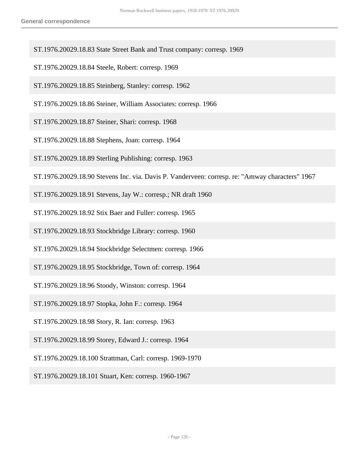- ST.1976.20029.18.83 State Street Bank and Trust company: corresp. 1969
- ST.1976.20029.18.84 Steele, Robert: corresp. 1969
- ST.1976.20029.18.85 Steinberg, Stanley: corresp. 1962
- ST.1976.20029.18.86 Steiner, William Associates: corresp. 1966
- ST.1976.20029.18.87 Steiner, Shari: corresp. 1968
- ST.1976.20029.18.88 Stephens, Joan: corresp. 1964
- ST.1976.20029.18.89 Sterling Publishing: corresp. 1963
- ST.1976.20029.18.90 Stevens Inc. via. Davis P. Vanderveen: corresp. re: "Amway characters" 1967
- ST.1976.20029.18.91 Stevens, Jay W.: corresp.; NR draft 1960
- ST.1976.20029.18.92 Stix Baer and Fuller: corresp. 1965
- ST.1976.20029.18.93 Stockbridge Library: corresp. 1960
- ST.1976.20029.18.94 Stockbridge Selectmen: corresp. 1966
- ST.1976.20029.18.95 Stockbridge, Town of: corresp. 1964
- ST.1976.20029.18.96 Stoody, Winston: corresp. 1964
- ST.1976.20029.18.97 Stopka, John F.: corresp. 1964
- ST.1976.20029.18.98 Story, R. Ian: corresp. 1963
- ST.1976.20029.18.99 Storey, Edward J.: corresp. 1964
- ST.1976.20029.18.100 Strattman, Carl: corresp. 1969-1970
- ST.1976.20029.18.101 Stuart, Ken: corresp. 1960-1967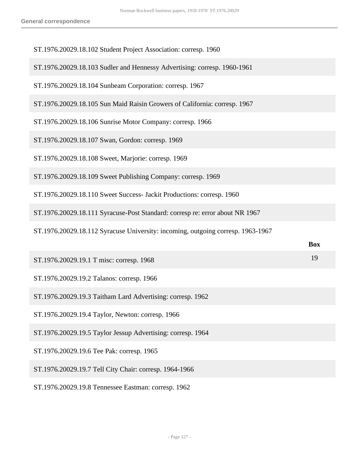| ST.1976.20029.18.102 Student Project Association: corresp. 1960                 |            |
|---------------------------------------------------------------------------------|------------|
| ST.1976.20029.18.103 Sudler and Hennessy Advertising: corresp. 1960-1961        |            |
| ST.1976.20029.18.104 Sunbeam Corporation: corresp. 1967                         |            |
| ST.1976.20029.18.105 Sun Maid Raisin Growers of California: corresp. 1967       |            |
| ST.1976.20029.18.106 Sunrise Motor Company: corresp. 1966                       |            |
| ST.1976.20029.18.107 Swan, Gordon: corresp. 1969                                |            |
| ST.1976.20029.18.108 Sweet, Marjorie: corresp. 1969                             |            |
| ST.1976.20029.18.109 Sweet Publishing Company: corresp. 1969                    |            |
| ST.1976.20029.18.110 Sweet Success- Jackit Productions: corresp. 1960           |            |
| ST.1976.20029.18.111 Syracuse-Post Standard: corresp re: error about NR 1967    |            |
| ST.1976.20029.18.112 Syracuse University: incoming, outgoing corresp. 1963-1967 |            |
|                                                                                 | <b>Box</b> |
| ST.1976.20029.19.1 T misc: corresp. 1968                                        | 19         |
| ST.1976.20029.19.2 Talanos: corresp. 1966                                       |            |
| ST.1976.20029.19.3 Taitham Lard Advertising: corresp. 1962                      |            |
| ST.1976.20029.19.4 Taylor, Newton: corresp. 1966                                |            |
| ST.1976.20029.19.5 Taylor Jessup Advertising: corresp. 1964                     |            |
| ST.1976.20029.19.6 Tee Pak: corresp. 1965                                       |            |
| ST.1976.20029.19.7 Tell City Chair: corresp. 1964-1966                          |            |
| ST.1976.20029.19.8 Tennessee Eastman: corresp. 1962                             |            |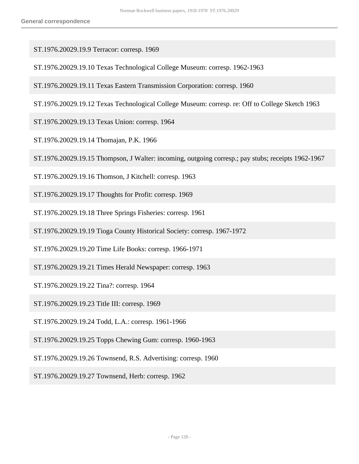- ST.1976.20029.19.9 Terracor: corresp. 1969
- ST.1976.20029.19.10 Texas Technological College Museum: corresp. 1962-1963
- ST.1976.20029.19.11 Texas Eastern Transmission Corporation: corresp. 1960
- ST.1976.20029.19.12 Texas Technological College Museum: corresp. re: Off to College Sketch 1963
- ST.1976.20029.19.13 Texas Union: corresp. 1964
- ST.1976.20029.19.14 Thomajan, P.K. 1966
- ST.1976.20029.19.15 Thompson, J Walter: incoming, outgoing corresp.; pay stubs; receipts 1962-1967
- ST.1976.20029.19.16 Thomson, J Kitchell: corresp. 1963
- ST.1976.20029.19.17 Thoughts for Profit: corresp. 1969
- ST.1976.20029.19.18 Three Springs Fisheries: corresp. 1961
- ST.1976.20029.19.19 Tioga County Historical Society: corresp. 1967-1972
- ST.1976.20029.19.20 Time Life Books: corresp. 1966-1971
- ST.1976.20029.19.21 Times Herald Newspaper: corresp. 1963
- ST.1976.20029.19.22 Tina?: corresp. 1964
- ST.1976.20029.19.23 Title III: corresp. 1969
- ST.1976.20029.19.24 Todd, L.A.: corresp. 1961-1966
- ST.1976.20029.19.25 Topps Chewing Gum: corresp. 1960-1963
- ST.1976.20029.19.26 Townsend, R.S. Advertising: corresp. 1960
- ST.1976.20029.19.27 Townsend, Herb: corresp. 1962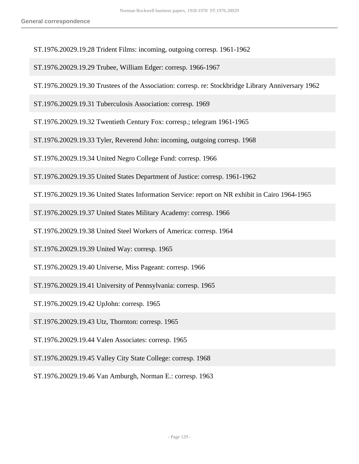- ST.1976.20029.19.28 Trident Films: incoming, outgoing corresp. 1961-1962
- ST.1976.20029.19.29 Trubee, William Edger: corresp. 1966-1967
- ST.1976.20029.19.30 Trustees of the Association: corresp. re: Stockbridge Library Anniversary 1962

ST.1976.20029.19.31 Tuberculosis Association: corresp. 1969

- ST.1976.20029.19.32 Twentieth Century Fox: corresp.; telegram 1961-1965
- ST.1976.20029.19.33 Tyler, Reverend John: incoming, outgoing corresp. 1968

ST.1976.20029.19.34 United Negro College Fund: corresp. 1966

ST.1976.20029.19.35 United States Department of Justice: corresp. 1961-1962

ST.1976.20029.19.36 United States Information Service: report on NR exhibit in Cairo 1964-1965

ST.1976.20029.19.37 United States Military Academy: corresp. 1966

ST.1976.20029.19.38 United Steel Workers of America: corresp. 1964

ST.1976.20029.19.39 United Way: corresp. 1965

ST.1976.20029.19.40 Universe, Miss Pageant: corresp. 1966

ST.1976.20029.19.41 University of Pennsylvania: corresp. 1965

ST.1976.20029.19.42 UpJohn: corresp. 1965

ST.1976.20029.19.43 Utz, Thornton: corresp. 1965

ST.1976.20029.19.44 Valen Associates: corresp. 1965

ST.1976.20029.19.45 Valley City State College: corresp. 1968

ST.1976.20029.19.46 Van Amburgh, Norman E.: corresp. 1963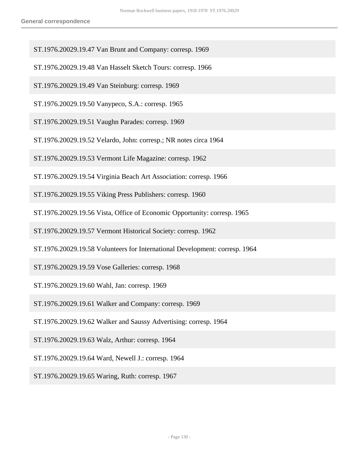- ST.1976.20029.19.47 Van Brunt and Company: corresp. 1969
- ST.1976.20029.19.48 Van Hasselt Sketch Tours: corresp. 1966
- ST.1976.20029.19.49 Van Steinburg: corresp. 1969
- ST.1976.20029.19.50 Vanypeco, S.A.: corresp. 1965
- ST.1976.20029.19.51 Vaughn Parades: corresp. 1969
- ST.1976.20029.19.52 Velardo, John: corresp.; NR notes circa 1964
- ST.1976.20029.19.53 Vermont Life Magazine: corresp. 1962
- ST.1976.20029.19.54 Virginia Beach Art Association: corresp. 1966
- ST.1976.20029.19.55 Viking Press Publishers: corresp. 1960
- ST.1976.20029.19.56 Vista, Office of Economic Opportunity: corresp. 1965
- ST.1976.20029.19.57 Vermont Historical Society: corresp. 1962
- ST.1976.20029.19.58 Volunteers for International Development: corresp. 1964
- ST.1976.20029.19.59 Vose Galleries: corresp. 1968
- ST.1976.20029.19.60 Wahl, Jan: corresp. 1969
- ST.1976.20029.19.61 Walker and Company: corresp. 1969
- ST.1976.20029.19.62 Walker and Saussy Advertising: corresp. 1964
- ST.1976.20029.19.63 Walz, Arthur: corresp. 1964
- ST.1976.20029.19.64 Ward, Newell J.: corresp. 1964
- ST.1976.20029.19.65 Waring, Ruth: corresp. 1967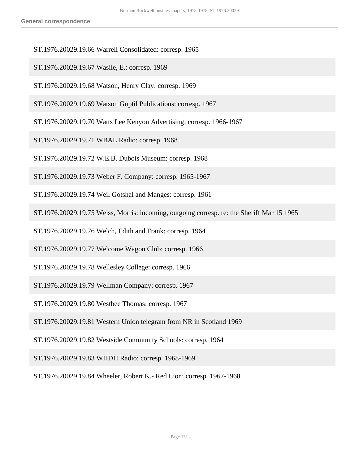- ST.1976.20029.19.66 Warrell Consolidated: corresp. 1965
- ST.1976.20029.19.67 Wasile, E.: corresp. 1969
- ST.1976.20029.19.68 Watson, Henry Clay: corresp. 1969
- ST.1976.20029.19.69 Watson Guptil Publications: corresp. 1967
- ST.1976.20029.19.70 Watts Lee Kenyon Advertising: corresp. 1966-1967
- ST.1976.20029.19.71 WBAL Radio: corresp. 1968
- ST.1976.20029.19.72 W.E.B. Dubois Museum: corresp. 1968
- ST.1976.20029.19.73 Weber F. Company: corresp. 1965-1967
- ST.1976.20029.19.74 Weil Gotshal and Manges: corresp. 1961
- ST.1976.20029.19.75 Weiss, Morris: incoming, outgoing corresp. re: the Sheriff Mar 15 1965
- ST.1976.20029.19.76 Welch, Edith and Frank: corresp. 1964
- ST.1976.20029.19.77 Welcome Wagon Club: corresp. 1966
- ST.1976.20029.19.78 Wellesley College: corresp. 1966
- ST.1976.20029.19.79 Wellman Company: corresp. 1967
- ST.1976.20029.19.80 Westbee Thomas: corresp. 1967
- ST.1976.20029.19.81 Western Union telegram from NR in Scotland 1969
- ST.1976.20029.19.82 Westside Community Schools: corresp. 1964
- ST.1976.20029.19.83 WHDH Radio: corresp. 1968-1969
- ST.1976.20029.19.84 Wheeler, Robert K.- Red Lion: corresp. 1967-1968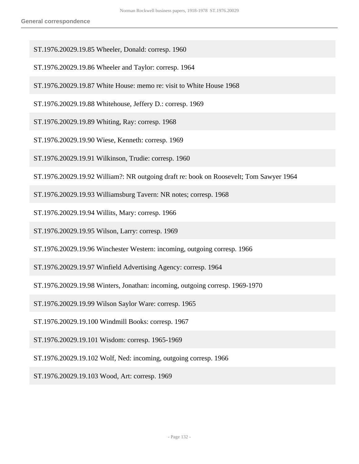- ST.1976.20029.19.85 Wheeler, Donald: corresp. 1960
- ST.1976.20029.19.86 Wheeler and Taylor: corresp. 1964
- ST.1976.20029.19.87 White House: memo re: visit to White House 1968
- ST.1976.20029.19.88 Whitehouse, Jeffery D.: corresp. 1969
- ST.1976.20029.19.89 Whiting, Ray: corresp. 1968
- ST.1976.20029.19.90 Wiese, Kenneth: corresp. 1969
- ST.1976.20029.19.91 Wilkinson, Trudie: corresp. 1960
- ST.1976.20029.19.92 William?: NR outgoing draft re: book on Roosevelt; Tom Sawyer 1964
- ST.1976.20029.19.93 Williamsburg Tavern: NR notes; corresp. 1968
- ST.1976.20029.19.94 Willits, Mary: corresp. 1966
- ST.1976.20029.19.95 Wilson, Larry: corresp. 1969
- ST.1976.20029.19.96 Winchester Western: incoming, outgoing corresp. 1966
- ST.1976.20029.19.97 Winfield Advertising Agency: corresp. 1964
- ST.1976.20029.19.98 Winters, Jonathan: incoming, outgoing corresp. 1969-1970
- ST.1976.20029.19.99 Wilson Saylor Ware: corresp. 1965
- ST.1976.20029.19.100 Windmill Books: corresp. 1967
- ST.1976.20029.19.101 Wisdom: corresp. 1965-1969
- ST.1976.20029.19.102 Wolf, Ned: incoming, outgoing corresp. 1966
- ST.1976.20029.19.103 Wood, Art: corresp. 1969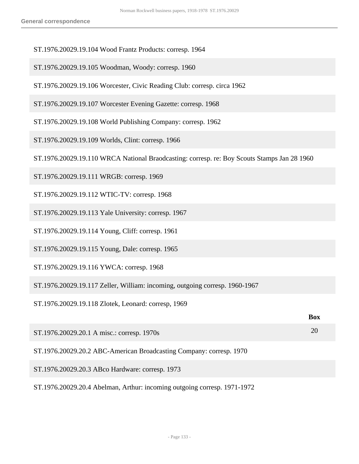- ST.1976.20029.19.104 Wood Frantz Products: corresp. 1964
- ST.1976.20029.19.105 Woodman, Woody: corresp. 1960
- ST.1976.20029.19.106 Worcester, Civic Reading Club: corresp. circa 1962
- ST.1976.20029.19.107 Worcester Evening Gazette: corresp. 1968
- ST.1976.20029.19.108 World Publishing Company: corresp. 1962
- ST.1976.20029.19.109 Worlds, Clint: corresp. 1966
- ST.1976.20029.19.110 WRCA National Braodcasting: corresp. re: Boy Scouts Stamps Jan 28 1960
- ST.1976.20029.19.111 WRGB: corresp. 1969
- ST.1976.20029.19.112 WTIC-TV: corresp. 1968
- ST.1976.20029.19.113 Yale University: corresp. 1967
- ST.1976.20029.19.114 Young, Cliff: corresp. 1961
- ST.1976.20029.19.115 Young, Dale: corresp. 1965
- ST.1976.20029.19.116 YWCA: corresp. 1968
- ST.1976.20029.19.117 Zeller, William: incoming, outgoing corresp. 1960-1967
- ST.1976.20029.19.118 Zlotek, Leonard: corresp, 1969

|                                                                          | <b>Box</b> |
|--------------------------------------------------------------------------|------------|
| ST.1976.20029.20.1 A misc.: corresp. 1970s                               | 20         |
| ST.1976.20029.20.2 ABC-American Broadcasting Company: corresp. 1970      |            |
| ST.1976.20029.20.3 ABco Hardware: corresp. 1973                          |            |
| ST.1976.20029.20.4 Abelman, Arthur: incoming outgoing corresp. 1971-1972 |            |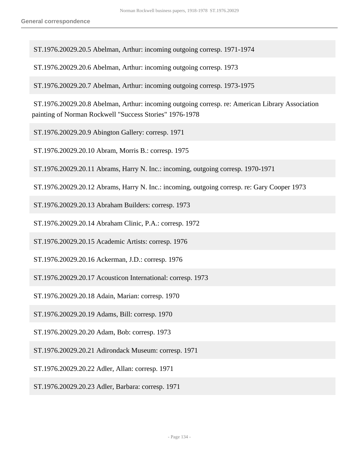ST.1976.20029.20.5 Abelman, Arthur: incoming outgoing corresp. 1971-1974

ST.1976.20029.20.6 Abelman, Arthur: incoming outgoing corresp. 1973

ST.1976.20029.20.7 Abelman, Arthur: incoming outgoing corresp. 1973-1975

 ST.1976.20029.20.8 Abelman, Arthur: incoming outgoing corresp. re: American Library Association painting of Norman Rockwell "Success Stories" 1976-1978

- ST.1976.20029.20.9 Abington Gallery: corresp. 1971
- ST.1976.20029.20.10 Abram, Morris B.: corresp. 1975
- ST.1976.20029.20.11 Abrams, Harry N. Inc.: incoming, outgoing corresp. 1970-1971
- ST.1976.20029.20.12 Abrams, Harry N. Inc.: incoming, outgoing corresp. re: Gary Cooper 1973
- ST.1976.20029.20.13 Abraham Builders: corresp. 1973
- ST.1976.20029.20.14 Abraham Clinic, P.A.: corresp. 1972
- ST.1976.20029.20.15 Academic Artists: corresp. 1976
- ST.1976.20029.20.16 Ackerman, J.D.: corresp. 1976
- ST.1976.20029.20.17 Acousticon International: corresp. 1973
- ST.1976.20029.20.18 Adain, Marian: corresp. 1970
- ST.1976.20029.20.19 Adams, Bill: corresp. 1970
- ST.1976.20029.20.20 Adam, Bob: corresp. 1973
- ST.1976.20029.20.21 Adirondack Museum: corresp. 1971
- ST.1976.20029.20.22 Adler, Allan: corresp. 1971
- ST.1976.20029.20.23 Adler, Barbara: corresp. 1971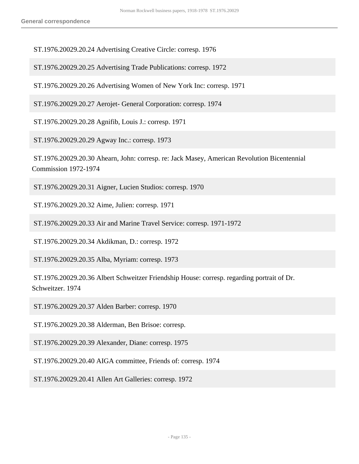ST.1976.20029.20.24 Advertising Creative Circle: corresp. 1976

ST.1976.20029.20.25 Advertising Trade Publications: corresp. 1972

ST.1976.20029.20.26 Advertising Women of New York Inc: corresp. 1971

ST.1976.20029.20.27 Aerojet- General Corporation: corresp. 1974

ST.1976.20029.20.28 Agnifib, Louis J.: corresp. 1971

ST.1976.20029.20.29 Agway Inc.: corresp. 1973

 ST.1976.20029.20.30 Ahearn, John: corresp. re: Jack Masey, American Revolution Bicentennial Commission 1972-1974

ST.1976.20029.20.31 Aigner, Lucien Studios: corresp. 1970

ST.1976.20029.20.32 Aime, Julien: corresp. 1971

ST.1976.20029.20.33 Air and Marine Travel Service: corresp. 1971-1972

ST.1976.20029.20.34 Akdikman, D.: corresp. 1972

ST.1976.20029.20.35 Alba, Myriam: corresp. 1973

 ST.1976.20029.20.36 Albert Schweitzer Friendship House: corresp. regarding portrait of Dr. Schweitzer. 1974

ST.1976.20029.20.37 Alden Barber: corresp. 1970

ST.1976.20029.20.38 Alderman, Ben Brisoe: corresp.

ST.1976.20029.20.39 Alexander, Diane: corresp. 1975

ST.1976.20029.20.40 AIGA committee, Friends of: corresp. 1974

ST.1976.20029.20.41 Allen Art Galleries: corresp. 1972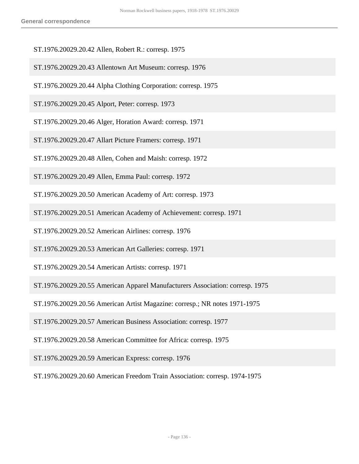- ST.1976.20029.20.42 Allen, Robert R.: corresp. 1975
- ST.1976.20029.20.43 Allentown Art Museum: corresp. 1976
- ST.1976.20029.20.44 Alpha Clothing Corporation: corresp. 1975
- ST.1976.20029.20.45 Alport, Peter: corresp. 1973
- ST.1976.20029.20.46 Alger, Horation Award: corresp. 1971
- ST.1976.20029.20.47 Allart Picture Framers: corresp. 1971
- ST.1976.20029.20.48 Allen, Cohen and Maish: corresp. 1972
- ST.1976.20029.20.49 Allen, Emma Paul: corresp. 1972
- ST.1976.20029.20.50 American Academy of Art: corresp. 1973
- ST.1976.20029.20.51 American Academy of Achievement: corresp. 1971
- ST.1976.20029.20.52 American Airlines: corresp. 1976
- ST.1976.20029.20.53 American Art Galleries: corresp. 1971
- ST.1976.20029.20.54 American Artists: corresp. 1971
- ST.1976.20029.20.55 American Apparel Manufacturers Association: corresp. 1975
- ST.1976.20029.20.56 American Artist Magazine: corresp.; NR notes 1971-1975
- ST.1976.20029.20.57 American Business Association: corresp. 1977
- ST.1976.20029.20.58 American Committee for Africa: corresp. 1975
- ST.1976.20029.20.59 American Express: corresp. 1976
- ST.1976.20029.20.60 American Freedom Train Association: corresp. 1974-1975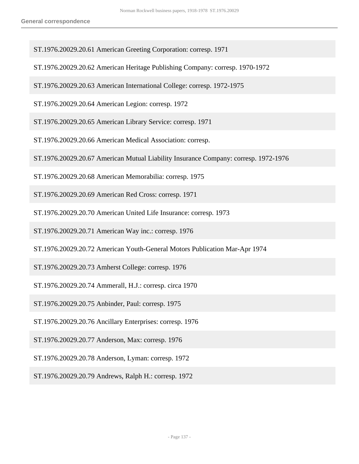- ST.1976.20029.20.61 American Greeting Corporation: corresp. 1971
- ST.1976.20029.20.62 American Heritage Publishing Company: corresp. 1970-1972
- ST.1976.20029.20.63 American International College: corresp. 1972-1975
- ST.1976.20029.20.64 American Legion: corresp. 1972
- ST.1976.20029.20.65 American Library Service: corresp. 1971
- ST.1976.20029.20.66 American Medical Association: corresp.
- ST.1976.20029.20.67 American Mutual Liability Insurance Company: corresp. 1972-1976
- ST.1976.20029.20.68 American Memorabilia: corresp. 1975
- ST.1976.20029.20.69 American Red Cross: corresp. 1971
- ST.1976.20029.20.70 American United Life Insurance: corresp. 1973
- ST.1976.20029.20.71 American Way inc.: corresp. 1976
- ST.1976.20029.20.72 American Youth-General Motors Publication Mar-Apr 1974
- ST.1976.20029.20.73 Amherst College: corresp. 1976
- ST.1976.20029.20.74 Ammerall, H.J.: corresp. circa 1970
- ST.1976.20029.20.75 Anbinder, Paul: corresp. 1975
- ST.1976.20029.20.76 Ancillary Enterprises: corresp. 1976
- ST.1976.20029.20.77 Anderson, Max: corresp. 1976
- ST.1976.20029.20.78 Anderson, Lyman: corresp. 1972
- ST.1976.20029.20.79 Andrews, Ralph H.: corresp. 1972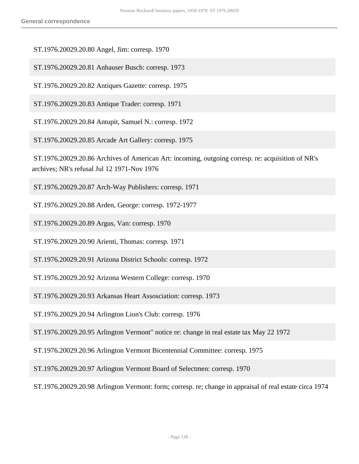ST.1976.20029.20.80 Angel, Jim: corresp. 1970

ST.1976.20029.20.81 Anhauser Busch: corresp. 1973

ST.1976.20029.20.82 Antiques Gazette: corresp. 1975

ST.1976.20029.20.83 Antique Trader: corresp. 1971

ST.1976.20029.20.84 Antupit, Samuel N.: corresp. 1972

ST.1976.20029.20.85 Arcade Art Gallery: corresp. 1975

 ST.1976.20029.20.86 Archives of American Art: incoming, outgoing corresp. re: acquisition of NR's archives; NR's refusal Jul 12 1971-Nov 1976

ST.1976.20029.20.87 Arch-Way Publishers: corresp. 1971

ST.1976.20029.20.88 Arden, George: corresp. 1972-1977

ST.1976.20029.20.89 Argus, Van: corresp. 1970

ST.1976.20029.20.90 Arienti, Thomas: corresp. 1971

ST.1976.20029.20.91 Arizona District Schools: corresp. 1972

ST.1976.20029.20.92 Arizona Western College: corresp. 1970

ST.1976.20029.20.93 Arkansas Heart Assosciation: corresp. 1973

ST.1976.20029.20.94 Arlington Lion's Club: corresp. 1976

ST.1976.20029.20.95 Arlington Vermont" notice re: change in real estate tax May 22 1972

ST.1976.20029.20.96 Arlington Vermont Bicentennial Committee: corresp. 1975

ST.1976.20029.20.97 Arlington Vermont Board of Selectmen: corresp. 1970

ST.1976.20029.20.98 Arlington Vermont: form; corresp. re; change in appraisal of real estate circa 1974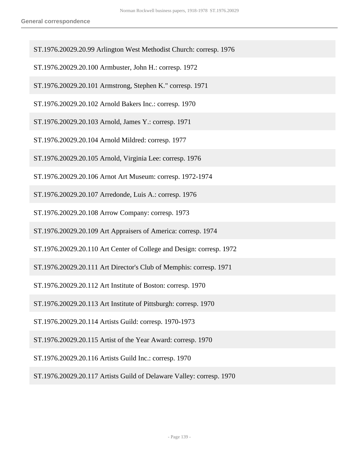- ST.1976.20029.20.99 Arlington West Methodist Church: corresp. 1976
- ST.1976.20029.20.100 Armbuster, John H.: corresp. 1972
- ST.1976.20029.20.101 Armstrong, Stephen K." corresp. 1971
- ST.1976.20029.20.102 Arnold Bakers Inc.: corresp. 1970
- ST.1976.20029.20.103 Arnold, James Y.: corresp. 1971
- ST.1976.20029.20.104 Arnold Mildred: corresp. 1977
- ST.1976.20029.20.105 Arnold, Virginia Lee: corresp. 1976
- ST.1976.20029.20.106 Arnot Art Museum: corresp. 1972-1974
- ST.1976.20029.20.107 Arredonde, Luis A.: corresp. 1976
- ST.1976.20029.20.108 Arrow Company: corresp. 1973
- ST.1976.20029.20.109 Art Appraisers of America: corresp. 1974
- ST.1976.20029.20.110 Art Center of College and Design: corresp. 1972
- ST.1976.20029.20.111 Art Director's Club of Memphis: corresp. 1971
- ST.1976.20029.20.112 Art Institute of Boston: corresp. 1970
- ST.1976.20029.20.113 Art Institute of Pittsburgh: corresp. 1970
- ST.1976.20029.20.114 Artists Guild: corresp. 1970-1973
- ST.1976.20029.20.115 Artist of the Year Award: corresp. 1970
- ST.1976.20029.20.116 Artists Guild Inc.: corresp. 1970
- ST.1976.20029.20.117 Artists Guild of Delaware Valley: corresp. 1970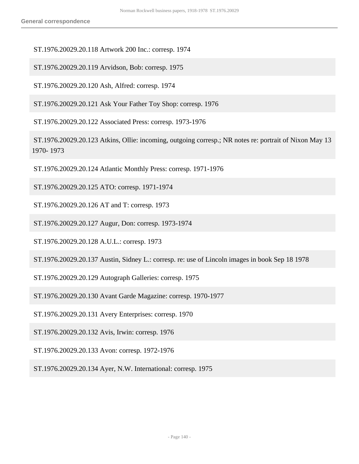ST.1976.20029.20.118 Artwork 200 Inc.: corresp. 1974

ST.1976.20029.20.119 Arvidson, Bob: corresp. 1975

ST.1976.20029.20.120 Ash, Alfred: corresp. 1974

ST.1976.20029.20.121 Ask Your Father Toy Shop: corresp. 1976

ST.1976.20029.20.122 Associated Press: corresp. 1973-1976

 ST.1976.20029.20.123 Atkins, Ollie: incoming, outgoing corresp.; NR notes re: portrait of Nixon May 13 1970- 1973

ST.1976.20029.20.124 Atlantic Monthly Press: corresp. 1971-1976

ST.1976.20029.20.125 ATO: corresp. 1971-1974

ST.1976.20029.20.126 AT and T: corresp. 1973

ST.1976.20029.20.127 Augur, Don: corresp. 1973-1974

ST.1976.20029.20.128 A.U.L.: corresp. 1973

ST.1976.20029.20.137 Austin, Sidney L.: corresp. re: use of Lincoln images in book Sep 18 1978

ST.1976.20029.20.129 Autograph Galleries: corresp. 1975

ST.1976.20029.20.130 Avant Garde Magazine: corresp. 1970-1977

ST.1976.20029.20.131 Avery Enterprises: corresp. 1970

ST.1976.20029.20.132 Avis, Irwin: corresp. 1976

ST.1976.20029.20.133 Avon: corresp. 1972-1976

ST.1976.20029.20.134 Ayer, N.W. International: corresp. 1975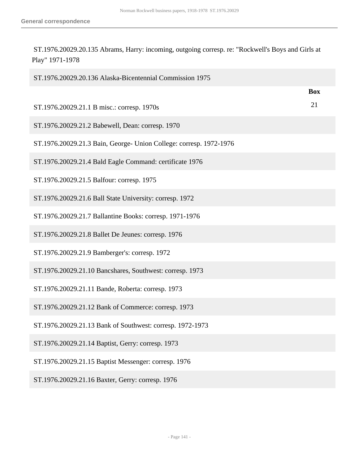ST.1976.20029.20.135 Abrams, Harry: incoming, outgoing corresp. re: "Rockwell's Boys and Girls at Play" 1971-1978

| ST.1976.20029.20.136 Alaska-Bicentennial Commission 1975           |            |
|--------------------------------------------------------------------|------------|
|                                                                    | <b>Box</b> |
| ST.1976.20029.21.1 B misc.: corresp. 1970s                         | 21         |
| ST.1976.20029.21.2 Babewell, Dean: corresp. 1970                   |            |
| ST.1976.20029.21.3 Bain, George- Union College: corresp. 1972-1976 |            |
| ST.1976.20029.21.4 Bald Eagle Command: certificate 1976            |            |
| ST.1976.20029.21.5 Balfour: corresp. 1975                          |            |
| ST.1976.20029.21.6 Ball State University: corresp. 1972            |            |
| ST.1976.20029.21.7 Ballantine Books: corresp. 1971-1976            |            |
| ST.1976.20029.21.8 Ballet De Jeunes: corresp. 1976                 |            |
| ST.1976.20029.21.9 Bamberger's: corresp. 1972                      |            |
| ST.1976.20029.21.10 Bancshares, Southwest: corresp. 1973           |            |
| ST.1976.20029.21.11 Bande, Roberta: corresp. 1973                  |            |
| ST.1976.20029.21.12 Bank of Commerce: corresp. 1973                |            |
| ST.1976.20029.21.13 Bank of Southwest: corresp. 1972-1973          |            |
| ST.1976.20029.21.14 Baptist, Gerry: corresp. 1973                  |            |
| ST.1976.20029.21.15 Baptist Messenger: corresp. 1976               |            |
| ST.1976.20029.21.16 Baxter, Gerry: corresp. 1976                   |            |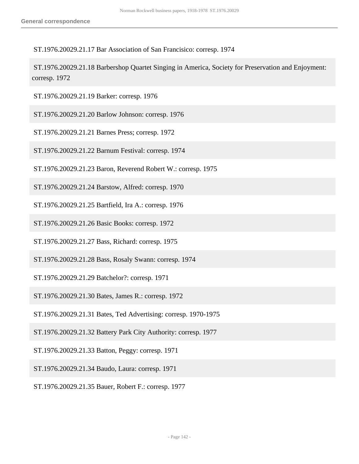ST.1976.20029.21.17 Bar Association of San Francisico: corresp. 1974

 ST.1976.20029.21.18 Barbershop Quartet Singing in America, Society for Preservation and Enjoyment: corresp. 1972

- ST.1976.20029.21.19 Barker: corresp. 1976
- ST.1976.20029.21.20 Barlow Johnson: corresp. 1976
- ST.1976.20029.21.21 Barnes Press; corresp. 1972
- ST.1976.20029.21.22 Barnum Festival: corresp. 1974
- ST.1976.20029.21.23 Baron, Reverend Robert W.: corresp. 1975
- ST.1976.20029.21.24 Barstow, Alfred: corresp. 1970
- ST.1976.20029.21.25 Bartfield, Ira A.: corresp. 1976
- ST.1976.20029.21.26 Basic Books: corresp. 1972
- ST.1976.20029.21.27 Bass, Richard: corresp. 1975
- ST.1976.20029.21.28 Bass, Rosaly Swann: corresp. 1974
- ST.1976.20029.21.29 Batchelor?: corresp. 1971
- ST.1976.20029.21.30 Bates, James R.: corresp. 1972
- ST.1976.20029.21.31 Bates, Ted Advertising: corresp. 1970-1975
- ST.1976.20029.21.32 Battery Park City Authority: corresp. 1977
- ST.1976.20029.21.33 Batton, Peggy: corresp. 1971
- ST.1976.20029.21.34 Baudo, Laura: corresp. 1971
- ST.1976.20029.21.35 Bauer, Robert F.: corresp. 1977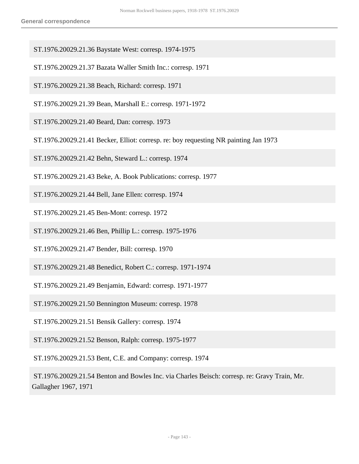- ST.1976.20029.21.36 Baystate West: corresp. 1974-1975
- ST.1976.20029.21.37 Bazata Waller Smith Inc.: corresp. 1971
- ST.1976.20029.21.38 Beach, Richard: corresp. 1971
- ST.1976.20029.21.39 Bean, Marshall E.: corresp. 1971-1972
- ST.1976.20029.21.40 Beard, Dan: corresp. 1973
- ST.1976.20029.21.41 Becker, Elliot: corresp. re: boy requesting NR painting Jan 1973
- ST.1976.20029.21.42 Behn, Steward L.: corresp. 1974
- ST.1976.20029.21.43 Beke, A. Book Publications: corresp. 1977
- ST.1976.20029.21.44 Bell, Jane Ellen: corresp. 1974
- ST.1976.20029.21.45 Ben-Mont: corresp. 1972
- ST.1976.20029.21.46 Ben, Phillip L.: corresp. 1975-1976
- ST.1976.20029.21.47 Bender, Bill: corresp. 1970
- ST.1976.20029.21.48 Benedict, Robert C.: corresp. 1971-1974
- ST.1976.20029.21.49 Benjamin, Edward: corresp. 1971-1977
- ST.1976.20029.21.50 Bennington Museum: corresp. 1978
- ST.1976.20029.21.51 Bensik Gallery: corresp. 1974
- ST.1976.20029.21.52 Benson, Ralph: corresp. 1975-1977
- ST.1976.20029.21.53 Bent, C.E. and Company: corresp. 1974

 ST.1976.20029.21.54 Benton and Bowles Inc. via Charles Beisch: corresp. re: Gravy Train, Mr. Gallagher 1967, 1971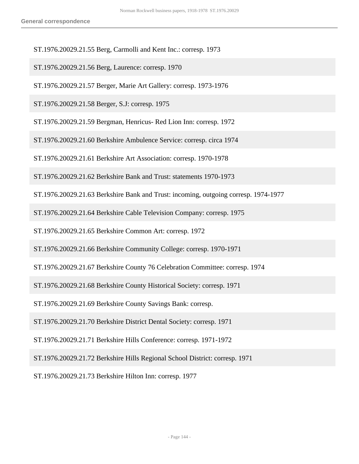ST.1976.20029.21.55 Berg, Carmolli and Kent Inc.: corresp. 1973

ST.1976.20029.21.56 Berg, Laurence: corresp. 1970

ST.1976.20029.21.57 Berger, Marie Art Gallery: corresp. 1973-1976

ST.1976.20029.21.58 Berger, S.J: corresp. 1975

ST.1976.20029.21.59 Bergman, Henricus- Red Lion Inn: corresp. 1972

ST.1976.20029.21.60 Berkshire Ambulence Service: corresp. circa 1974

ST.1976.20029.21.61 Berkshire Art Association: corresp. 1970-1978

ST.1976.20029.21.62 Berkshire Bank and Trust: statements 1970-1973

ST.1976.20029.21.63 Berkshire Bank and Trust: incoming, outgoing corresp. 1974-1977

ST.1976.20029.21.64 Berkshire Cable Television Company: corresp. 1975

ST.1976.20029.21.65 Berkshire Common Art: corresp. 1972

ST.1976.20029.21.66 Berkshire Community College: corresp. 1970-1971

ST.1976.20029.21.67 Berkshire County 76 Celebration Committee: corresp. 1974

ST.1976.20029.21.68 Berkshire County Historical Society: corresp. 1971

ST.1976.20029.21.69 Berkshire County Savings Bank: corresp.

ST.1976.20029.21.70 Berkshire District Dental Society: corresp. 1971

ST.1976.20029.21.71 Berkshire Hills Conference: corresp. 1971-1972

ST.1976.20029.21.72 Berkshire Hills Regional School District: corresp. 1971

ST.1976.20029.21.73 Berkshire Hilton Inn: corresp. 1977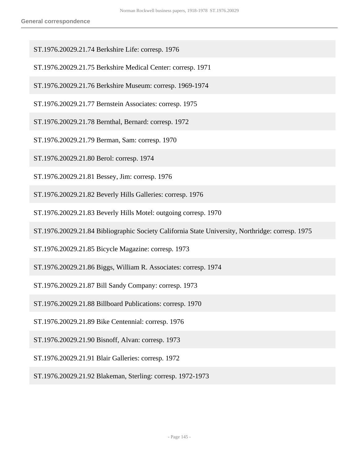- ST.1976.20029.21.74 Berkshire Life: corresp. 1976
- ST.1976.20029.21.75 Berkshire Medical Center: corresp. 1971
- ST.1976.20029.21.76 Berkshire Museum: corresp. 1969-1974
- ST.1976.20029.21.77 Bernstein Associates: corresp. 1975
- ST.1976.20029.21.78 Bernthal, Bernard: corresp. 1972
- ST.1976.20029.21.79 Berman, Sam: corresp. 1970
- ST.1976.20029.21.80 Berol: corresp. 1974
- ST.1976.20029.21.81 Bessey, Jim: corresp. 1976
- ST.1976.20029.21.82 Beverly Hills Galleries: corresp. 1976
- ST.1976.20029.21.83 Beverly Hills Motel: outgoing corresp. 1970
- ST.1976.20029.21.84 Bibliographic Society California State University, Northridge: corresp. 1975
- ST.1976.20029.21.85 Bicycle Magazine: corresp. 1973
- ST.1976.20029.21.86 Biggs, William R. Associates: corresp. 1974
- ST.1976.20029.21.87 Bill Sandy Company: corresp. 1973
- ST.1976.20029.21.88 Billboard Publications: corresp. 1970
- ST.1976.20029.21.89 Bike Centennial: corresp. 1976
- ST.1976.20029.21.90 Bisnoff, Alvan: corresp. 1973
- ST.1976.20029.21.91 Blair Galleries: corresp. 1972
- ST.1976.20029.21.92 Blakeman, Sterling: corresp. 1972-1973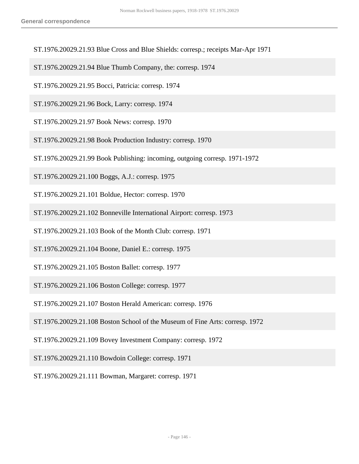- ST.1976.20029.21.93 Blue Cross and Blue Shields: corresp.; receipts Mar-Apr 1971
- ST.1976.20029.21.94 Blue Thumb Company, the: corresp. 1974
- ST.1976.20029.21.95 Bocci, Patricia: corresp. 1974
- ST.1976.20029.21.96 Bock, Larry: corresp. 1974
- ST.1976.20029.21.97 Book News: corresp. 1970
- ST.1976.20029.21.98 Book Production Industry: corresp. 1970
- ST.1976.20029.21.99 Book Publishing: incoming, outgoing corresp. 1971-1972
- ST.1976.20029.21.100 Boggs, A.J.: corresp. 1975
- ST.1976.20029.21.101 Boldue, Hector: corresp. 1970
- ST.1976.20029.21.102 Bonneville International Airport: corresp. 1973
- ST.1976.20029.21.103 Book of the Month Club: corresp. 1971
- ST.1976.20029.21.104 Boone, Daniel E.: corresp. 1975
- ST.1976.20029.21.105 Boston Ballet: corresp. 1977
- ST.1976.20029.21.106 Boston College: corresp. 1977
- ST.1976.20029.21.107 Boston Herald American: corresp. 1976
- ST.1976.20029.21.108 Boston School of the Museum of Fine Arts: corresp. 1972
- ST.1976.20029.21.109 Bovey Investment Company: corresp. 1972
- ST.1976.20029.21.110 Bowdoin College: corresp. 1971
- ST.1976.20029.21.111 Bowman, Margaret: corresp. 1971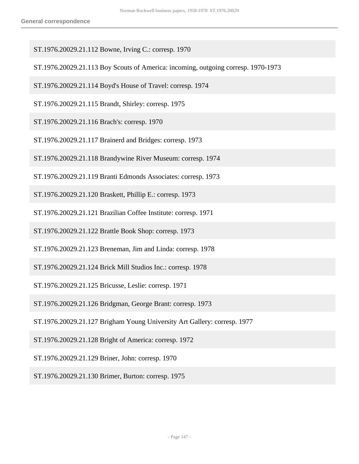- ST.1976.20029.21.112 Bowne, Irving C.: corresp. 1970
- ST.1976.20029.21.113 Boy Scouts of America: incoming, outgoing corresp. 1970-1973
- ST.1976.20029.21.114 Boyd's House of Travel: corresp. 1974
- ST.1976.20029.21.115 Brandt, Shirley: corresp. 1975
- ST.1976.20029.21.116 Brach's: corresp. 1970
- ST.1976.20029.21.117 Brainerd and Bridges: corresp. 1973
- ST.1976.20029.21.118 Brandywine River Museum: corresp. 1974
- ST.1976.20029.21.119 Branti Edmonds Associates: corresp. 1973
- ST.1976.20029.21.120 Braskett, Phillip E.: corresp. 1973
- ST.1976.20029.21.121 Brazilian Coffee Institute: corresp. 1971
- ST.1976.20029.21.122 Brattle Book Shop: corresp. 1973
- ST.1976.20029.21.123 Breneman, Jim and Linda: corresp. 1978
- ST.1976.20029.21.124 Brick Mill Studios Inc.: corresp. 1978
- ST.1976.20029.21.125 Bricusse, Leslie: corresp. 1971
- ST.1976.20029.21.126 Bridgman, George Brant: corresp. 1973
- ST.1976.20029.21.127 Brigham Young University Art Gallery: corresp. 1977
- ST.1976.20029.21.128 Bright of America: corresp. 1972
- ST.1976.20029.21.129 Briner, John: corresp. 1970
- ST.1976.20029.21.130 Brimer, Burton: corresp. 1975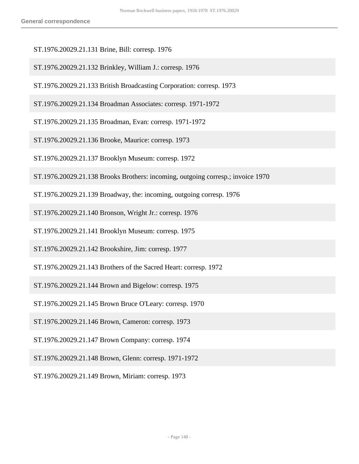- ST.1976.20029.21.131 Brine, Bill: corresp. 1976
- ST.1976.20029.21.132 Brinkley, William J.: corresp. 1976
- ST.1976.20029.21.133 British Broadcasting Corporation: corresp. 1973
- ST.1976.20029.21.134 Broadman Associates: corresp. 1971-1972
- ST.1976.20029.21.135 Broadman, Evan: corresp. 1971-1972
- ST.1976.20029.21.136 Brooke, Maurice: corresp. 1973
- ST.1976.20029.21.137 Brooklyn Museum: corresp. 1972
- ST.1976.20029.21.138 Brooks Brothers: incoming, outgoing corresp.; invoice 1970
- ST.1976.20029.21.139 Broadway, the: incoming, outgoing corresp. 1976
- ST.1976.20029.21.140 Bronson, Wright Jr.: corresp. 1976
- ST.1976.20029.21.141 Brooklyn Museum: corresp. 1975
- ST.1976.20029.21.142 Brookshire, Jim: corresp. 1977
- ST.1976.20029.21.143 Brothers of the Sacred Heart: corresp. 1972
- ST.1976.20029.21.144 Brown and Bigelow: corresp. 1975
- ST.1976.20029.21.145 Brown Bruce O'Leary: corresp. 1970
- ST.1976.20029.21.146 Brown, Cameron: corresp. 1973
- ST.1976.20029.21.147 Brown Company: corresp. 1974
- ST.1976.20029.21.148 Brown, Glenn: corresp. 1971-1972
- ST.1976.20029.21.149 Brown, Miriam: corresp. 1973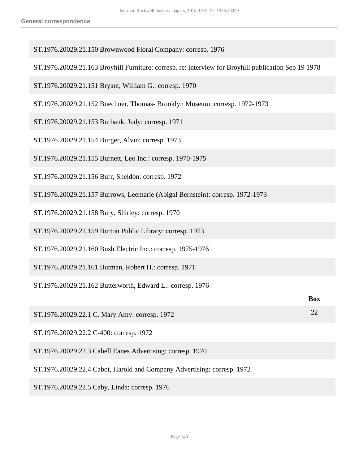- ST.1976.20029.21.150 Brownwood Floral Company: corresp. 1976
- ST.1976.20029.21.163 Broyhill Furniture: corresp. re: interview for Broyhill publication Sep 19 1978
- ST.1976.20029.21.151 Bryant, William G.: corresp. 1970
- ST.1976.20029.21.152 Buechner, Thomas- Brooklyn Museum: corresp. 1972-1973
- ST.1976.20029.21.153 Burbank, Judy: corresp. 1971
- ST.1976.20029.21.154 Burger, Alvin: corresp. 1973
- ST.1976.20029.21.155 Burnett, Leo Inc.: corresp. 1970-1975
- ST.1976.20029.21.156 Burr, Sheldon: corresp. 1972
- ST.1976.20029.21.157 Burrows, Leemarie (Abigal Bernstein): corresp. 1972-1973
- ST.1976.20029.21.158 Bury, Shirley: corresp. 1970
- ST.1976.20029.21.159 Burton Public Library: corresp. 1973
- ST.1976.20029.21.160 Bush Electric Inc.: corresp. 1975-1976
- ST.1976.20029.21.161 Butman, Robert H.: corresp. 1971
- ST.1976.20029.21.162 Butterworth, Edward L.: corresp. 1976

|                                               | <b>Box</b> |
|-----------------------------------------------|------------|
| ST.1976.20029.22.1 C. Mary Amy: corresp. 1972 |            |
| ---------------------<br>. . <u>. .</u>       |            |

- ST.1976.20029.22.2 C-400: corresp. 1972
- ST.1976.20029.22.3 Cabell Eanes Advertising: corresp. 1970
- ST.1976.20029.22.4 Cabot, Harold and Company Advertising: corresp. 1972
- ST.1976.20029.22.5 Caby, Linda: corresp. 1976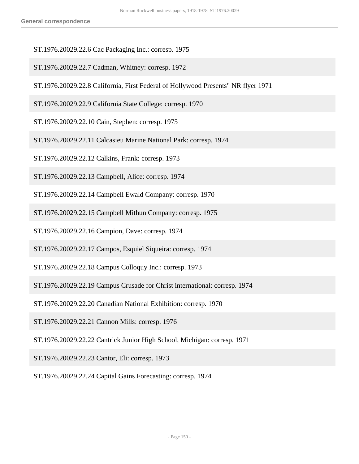- ST.1976.20029.22.6 Cac Packaging Inc.: corresp. 1975
- ST.1976.20029.22.7 Cadman, Whitney: corresp. 1972
- ST.1976.20029.22.8 California, First Federal of Hollywood Presents" NR flyer 1971
- ST.1976.20029.22.9 California State College: corresp. 1970
- ST.1976.20029.22.10 Cain, Stephen: corresp. 1975
- ST.1976.20029.22.11 Calcasieu Marine National Park: corresp. 1974
- ST.1976.20029.22.12 Calkins, Frank: corresp. 1973
- ST.1976.20029.22.13 Campbell, Alice: corresp. 1974
- ST.1976.20029.22.14 Campbell Ewald Company: corresp. 1970
- ST.1976.20029.22.15 Campbell Mithun Company: corresp. 1975
- ST.1976.20029.22.16 Campion, Dave: corresp. 1974
- ST.1976.20029.22.17 Campos, Esquiel Siqueira: corresp. 1974
- ST.1976.20029.22.18 Campus Colloquy Inc.: corresp. 1973
- ST.1976.20029.22.19 Campus Crusade for Christ international: corresp. 1974
- ST.1976.20029.22.20 Canadian National Exhibition: corresp. 1970
- ST.1976.20029.22.21 Cannon Mills: corresp. 1976
- ST.1976.20029.22.22 Cantrick Junior High School, Michigan: corresp. 1971
- ST.1976.20029.22.23 Cantor, Eli: corresp. 1973
- ST.1976.20029.22.24 Capital Gains Forecasting: corresp. 1974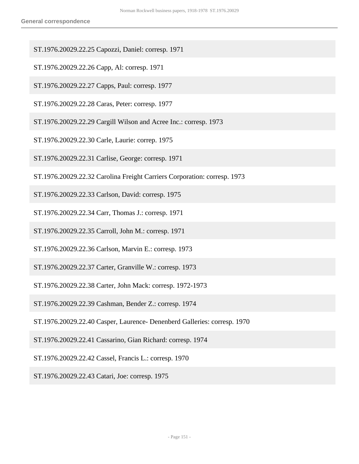- ST.1976.20029.22.25 Capozzi, Daniel: corresp. 1971
- ST.1976.20029.22.26 Capp, Al: corresp. 1971
- ST.1976.20029.22.27 Capps, Paul: corresp. 1977
- ST.1976.20029.22.28 Caras, Peter: corresp. 1977
- ST.1976.20029.22.29 Cargill Wilson and Acree Inc.: corresp. 1973
- ST.1976.20029.22.30 Carle, Laurie: correp. 1975
- ST.1976.20029.22.31 Carlise, George: corresp. 1971
- ST.1976.20029.22.32 Carolina Freight Carriers Corporation: corresp. 1973
- ST.1976.20029.22.33 Carlson, David: corresp. 1975
- ST.1976.20029.22.34 Carr, Thomas J.: corresp. 1971
- ST.1976.20029.22.35 Carroll, John M.: corresp. 1971
- ST.1976.20029.22.36 Carlson, Marvin E.: corresp. 1973
- ST.1976.20029.22.37 Carter, Granville W.: corresp. 1973
- ST.1976.20029.22.38 Carter, John Mack: corresp. 1972-1973
- ST.1976.20029.22.39 Cashman, Bender Z.: corresp. 1974
- ST.1976.20029.22.40 Casper, Laurence- Denenberd Galleries: corresp. 1970
- ST.1976.20029.22.41 Cassarino, Gian Richard: corresp. 1974
- ST.1976.20029.22.42 Cassel, Francis L.: corresp. 1970
- ST.1976.20029.22.43 Catari, Joe: corresp. 1975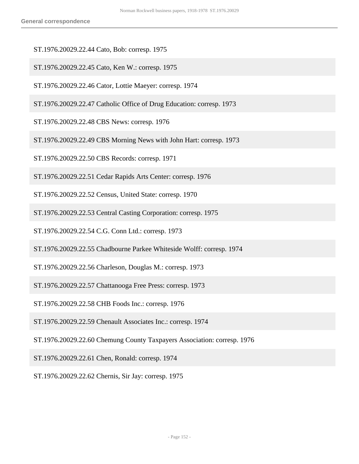- ST.1976.20029.22.44 Cato, Bob: corresp. 1975
- ST.1976.20029.22.45 Cato, Ken W.: corresp. 1975
- ST.1976.20029.22.46 Cator, Lottie Maeyer: corresp. 1974
- ST.1976.20029.22.47 Catholic Office of Drug Education: corresp. 1973
- ST.1976.20029.22.48 CBS News: corresp. 1976
- ST.1976.20029.22.49 CBS Morning News with John Hart: corresp. 1973
- ST.1976.20029.22.50 CBS Records: corresp. 1971
- ST.1976.20029.22.51 Cedar Rapids Arts Center: corresp. 1976
- ST.1976.20029.22.52 Census, United State: corresp. 1970
- ST.1976.20029.22.53 Central Casting Corporation: corresp. 1975
- ST.1976.20029.22.54 C.G. Conn Ltd.: corresp. 1973
- ST.1976.20029.22.55 Chadbourne Parkee Whiteside Wolff: corresp. 1974
- ST.1976.20029.22.56 Charleson, Douglas M.: corresp. 1973
- ST.1976.20029.22.57 Chattanooga Free Press: corresp. 1973
- ST.1976.20029.22.58 CHB Foods Inc.: corresp. 1976
- ST.1976.20029.22.59 Chenault Associates Inc.: corresp. 1974
- ST.1976.20029.22.60 Chemung County Taxpayers Association: corresp. 1976
- ST.1976.20029.22.61 Chen, Ronald: corresp. 1974
- ST.1976.20029.22.62 Chernis, Sir Jay: corresp. 1975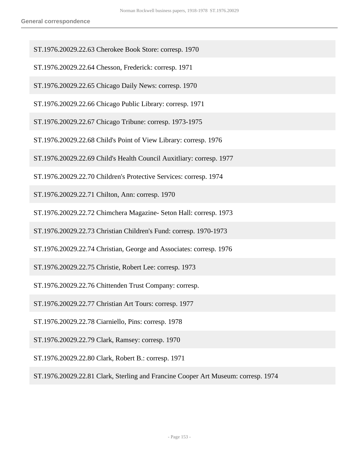- ST.1976.20029.22.63 Cherokee Book Store: corresp. 1970
- ST.1976.20029.22.64 Chesson, Frederick: corresp. 1971
- ST.1976.20029.22.65 Chicago Daily News: corresp. 1970
- ST.1976.20029.22.66 Chicago Public Library: corresp. 1971
- ST.1976.20029.22.67 Chicago Tribune: corresp. 1973-1975
- ST.1976.20029.22.68 Child's Point of View Library: corresp. 1976
- ST.1976.20029.22.69 Child's Health Council Auxitliary: corresp. 1977
- ST.1976.20029.22.70 Children's Protective Services: corresp. 1974
- ST.1976.20029.22.71 Chilton, Ann: corresp. 1970
- ST.1976.20029.22.72 Chimchera Magazine- Seton Hall: corresp. 1973
- ST.1976.20029.22.73 Christian Children's Fund: corresp. 1970-1973
- ST.1976.20029.22.74 Christian, George and Associates: corresp. 1976
- ST.1976.20029.22.75 Christie, Robert Lee: corresp. 1973
- ST.1976.20029.22.76 Chittenden Trust Company: corresp.
- ST.1976.20029.22.77 Christian Art Tours: corresp. 1977
- ST.1976.20029.22.78 Ciarniello, Pins: corresp. 1978
- ST.1976.20029.22.79 Clark, Ramsey: corresp. 1970
- ST.1976.20029.22.80 Clark, Robert B.: corresp. 1971
- ST.1976.20029.22.81 Clark, Sterling and Francine Cooper Art Museum: corresp. 1974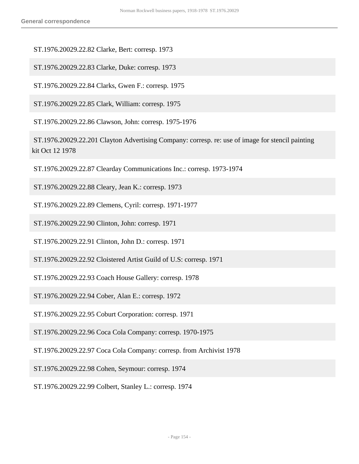ST.1976.20029.22.82 Clarke, Bert: corresp. 1973

ST.1976.20029.22.83 Clarke, Duke: corresp. 1973

ST.1976.20029.22.84 Clarks, Gwen F.: corresp. 1975

ST.1976.20029.22.85 Clark, William: corresp. 1975

ST.1976.20029.22.86 Clawson, John: corresp. 1975-1976

 ST.1976.20029.22.201 Clayton Advertising Company: corresp. re: use of image for stencil painting kit Oct 12 1978

ST.1976.20029.22.87 Clearday Communications Inc.: corresp. 1973-1974

ST.1976.20029.22.88 Cleary, Jean K.: corresp. 1973

ST.1976.20029.22.89 Clemens, Cyril: corresp. 1971-1977

ST.1976.20029.22.90 Clinton, John: corresp. 1971

ST.1976.20029.22.91 Clinton, John D.: corresp. 1971

ST.1976.20029.22.92 Cloistered Artist Guild of U.S: corresp. 1971

ST.1976.20029.22.93 Coach House Gallery: corresp. 1978

ST.1976.20029.22.94 Cober, Alan E.: corresp. 1972

ST.1976.20029.22.95 Coburt Corporation: corresp. 1971

ST.1976.20029.22.96 Coca Cola Company: corresp. 1970-1975

ST.1976.20029.22.97 Coca Cola Company: corresp. from Archivist 1978

ST.1976.20029.22.98 Cohen, Seymour: corresp. 1974

ST.1976.20029.22.99 Colbert, Stanley L.: corresp. 1974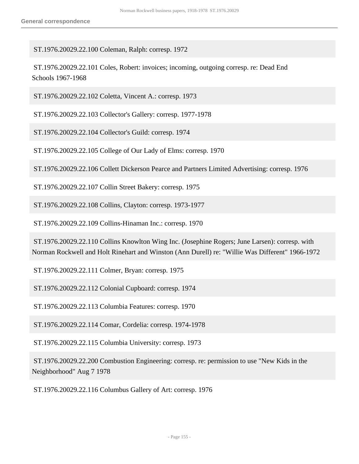ST.1976.20029.22.100 Coleman, Ralph: corresp. 1972

 ST.1976.20029.22.101 Coles, Robert: invoices; incoming, outgoing corresp. re: Dead End Schools 1967-1968

ST.1976.20029.22.102 Coletta, Vincent A.: corresp. 1973

ST.1976.20029.22.103 Collector's Gallery: corresp. 1977-1978

ST.1976.20029.22.104 Collector's Guild: corresp. 1974

ST.1976.20029.22.105 College of Our Lady of Elms: corresp. 1970

ST.1976.20029.22.106 Collett Dickerson Pearce and Partners Limited Advertising: corresp. 1976

ST.1976.20029.22.107 Collin Street Bakery: corresp. 1975

ST.1976.20029.22.108 Collins, Clayton: corresp. 1973-1977

ST.1976.20029.22.109 Collins-Hinaman Inc.: corresp. 1970

 ST.1976.20029.22.110 Collins Knowlton Wing Inc. (Josephine Rogers; June Larsen): corresp. with Norman Rockwell and Holt Rinehart and Winston (Ann Durell) re: "Willie Was Different" 1966-1972

ST.1976.20029.22.111 Colmer, Bryan: corresp. 1975

ST.1976.20029.22.112 Colonial Cupboard: corresp. 1974

ST.1976.20029.22.113 Columbia Features: corresp. 1970

ST.1976.20029.22.114 Comar, Cordelia: corresp. 1974-1978

ST.1976.20029.22.115 Columbia University: corresp. 1973

 ST.1976.20029.22.200 Combustion Engineering: corresp. re: permission to use "New Kids in the Neighborhood" Aug 7 1978

ST.1976.20029.22.116 Columbus Gallery of Art: corresp. 1976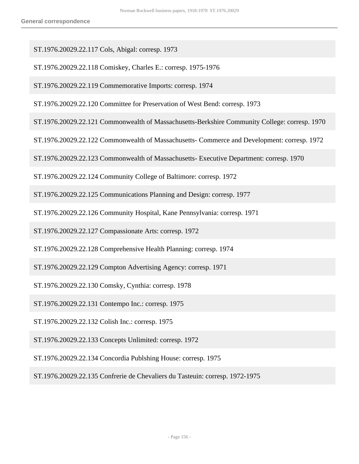ST.1976.20029.22.117 Cols, Abigal: corresp. 1973

ST.1976.20029.22.118 Comiskey, Charles E.: corresp. 1975-1976

ST.1976.20029.22.119 Commemorative Imports: corresp. 1974

ST.1976.20029.22.120 Committee for Preservation of West Bend: corresp. 1973

- ST.1976.20029.22.121 Commonwealth of Massachusetts-Berkshire Community College: corresp. 1970
- ST.1976.20029.22.122 Commonwealth of Massachusetts- Commerce and Development: corresp. 1972
- ST.1976.20029.22.123 Commonwealth of Massachusetts- Executive Department: corresp. 1970
- ST.1976.20029.22.124 Community College of Baltimore: corresp. 1972
- ST.1976.20029.22.125 Communications Planning and Design: corresp. 1977
- ST.1976.20029.22.126 Community Hospital, Kane Pennsylvania: corresp. 1971
- ST.1976.20029.22.127 Compassionate Arts: corresp. 1972
- ST.1976.20029.22.128 Comprehensive Health Planning: corresp. 1974
- ST.1976.20029.22.129 Compton Advertising Agency: corresp. 1971
- ST.1976.20029.22.130 Comsky, Cynthia: corresp. 1978
- ST.1976.20029.22.131 Contempo Inc.: corresp. 1975
- ST.1976.20029.22.132 Colish Inc.: corresp. 1975
- ST.1976.20029.22.133 Concepts Unlimited: corresp. 1972
- ST.1976.20029.22.134 Concordia Publshing House: corresp. 1975
- ST.1976.20029.22.135 Confrerie de Chevaliers du Tasteuin: corresp. 1972-1975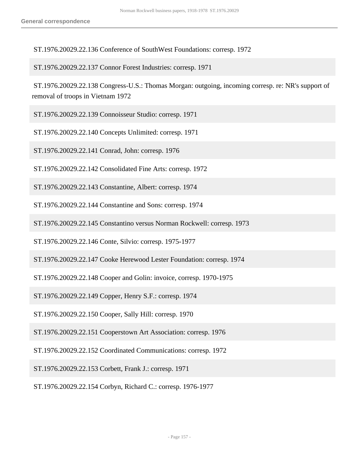ST.1976.20029.22.136 Conference of SouthWest Foundations: corresp. 1972

ST.1976.20029.22.137 Connor Forest Industries: corresp. 1971

 ST.1976.20029.22.138 Congress-U.S.: Thomas Morgan: outgoing, incoming corresp. re: NR's support of removal of troops in Vietnam 1972

ST.1976.20029.22.139 Connoisseur Studio: corresp. 1971

ST.1976.20029.22.140 Concepts Unlimited: corresp. 1971

ST.1976.20029.22.141 Conrad, John: corresp. 1976

ST.1976.20029.22.142 Consolidated Fine Arts: corresp. 1972

ST.1976.20029.22.143 Constantine, Albert: corresp. 1974

ST.1976.20029.22.144 Constantine and Sons: corresp. 1974

ST.1976.20029.22.145 Constantino versus Norman Rockwell: corresp. 1973

ST.1976.20029.22.146 Conte, Silvio: corresp. 1975-1977

ST.1976.20029.22.147 Cooke Herewood Lester Foundation: corresp. 1974

ST.1976.20029.22.148 Cooper and Golin: invoice, corresp. 1970-1975

ST.1976.20029.22.149 Copper, Henry S.F.: corresp. 1974

ST.1976.20029.22.150 Cooper, Sally Hill: corresp. 1970

ST.1976.20029.22.151 Cooperstown Art Association: corresp. 1976

ST.1976.20029.22.152 Coordinated Communications: corresp. 1972

ST.1976.20029.22.153 Corbett, Frank J.: corresp. 1971

ST.1976.20029.22.154 Corbyn, Richard C.: corresp. 1976-1977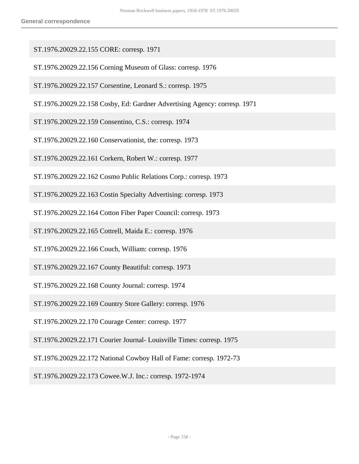- ST.1976.20029.22.155 CORE: corresp. 1971
- ST.1976.20029.22.156 Corning Museum of Glass: corresp. 1976
- ST.1976.20029.22.157 Corsentine, Leonard S.: corresp. 1975
- ST.1976.20029.22.158 Cosby, Ed: Gardner Advertising Agency: corresp. 1971
- ST.1976.20029.22.159 Consentino, C.S.: corresp. 1974
- ST.1976.20029.22.160 Conservationist, the: corresp. 1973
- ST.1976.20029.22.161 Corkern, Robert W.: corresp. 1977
- ST.1976.20029.22.162 Cosmo Public Relations Corp.: corresp. 1973
- ST.1976.20029.22.163 Costin Specialty Advertising: corresp. 1973
- ST.1976.20029.22.164 Cotton Fiber Paper Council: corresp. 1973
- ST.1976.20029.22.165 Cottrell, Maida E.: corresp. 1976
- ST.1976.20029.22.166 Couch, William: corresp. 1976
- ST.1976.20029.22.167 County Beautiful: corresp. 1973
- ST.1976.20029.22.168 County Journal: corresp. 1974
- ST.1976.20029.22.169 Country Store Gallery: corresp. 1976
- ST.1976.20029.22.170 Courage Center: corresp. 1977
- ST.1976.20029.22.171 Courier Journal- Louisville Times: corresp. 1975
- ST.1976.20029.22.172 National Cowboy Hall of Fame: corresp. 1972-73
- ST.1976.20029.22.173 Cowee.W.J. Inc.: corresp. 1972-1974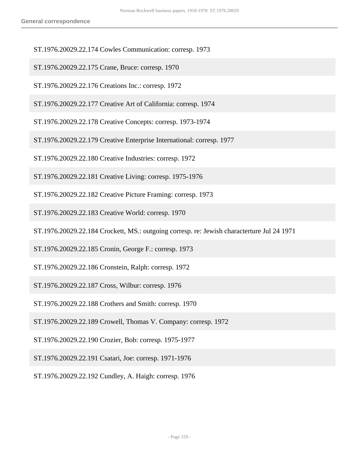- ST.1976.20029.22.174 Cowles Communication: corresp. 1973
- ST.1976.20029.22.175 Crane, Bruce: corresp. 1970
- ST.1976.20029.22.176 Creations Inc.: corresp. 1972
- ST.1976.20029.22.177 Creative Art of California: corresp. 1974
- ST.1976.20029.22.178 Creative Concepts: corresp. 1973-1974
- ST.1976.20029.22.179 Creative Enterprise International: corresp. 1977
- ST.1976.20029.22.180 Creative Industries: corresp. 1972
- ST.1976.20029.22.181 Creative Living: corresp. 1975-1976
- ST.1976.20029.22.182 Creative Picture Framing: corresp. 1973
- ST.1976.20029.22.183 Creative World: corresp. 1970
- ST.1976.20029.22.184 Crockett, MS.: outgoing corresp. re: Jewish characterture Jul 24 1971
- ST.1976.20029.22.185 Cronin, George F.: corresp. 1973
- ST.1976.20029.22.186 Cronstein, Ralph: corresp. 1972
- ST.1976.20029.22.187 Cross, Wilbur: corresp. 1976
- ST.1976.20029.22.188 Crothers and Smith: corresp. 1970
- ST.1976.20029.22.189 Crowell, Thomas V. Company: corresp. 1972
- ST.1976.20029.22.190 Crozier, Bob: corresp. 1975-1977
- ST.1976.20029.22.191 Csatari, Joe: corresp. 1971-1976
- ST.1976.20029.22.192 Cundley, A. Haigh: corresp. 1976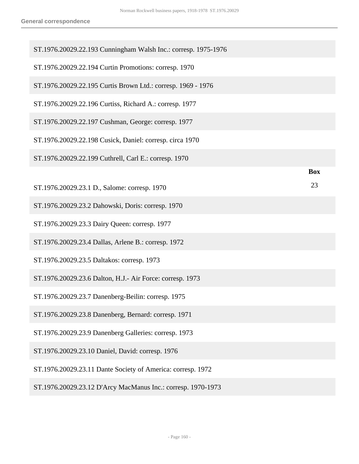| ST.1976.20029.22.193 Cunningham Walsh Inc.: corresp. 1975-1976 |            |
|----------------------------------------------------------------|------------|
| ST.1976.20029.22.194 Curtin Promotions: corresp. 1970          |            |
| ST.1976.20029.22.195 Curtis Brown Ltd.: corresp. 1969 - 1976   |            |
| ST.1976.20029.22.196 Curtiss, Richard A.: corresp. 1977        |            |
| ST.1976.20029.22.197 Cushman, George: corresp. 1977            |            |
| ST.1976.20029.22.198 Cusick, Daniel: corresp. circa 1970       |            |
| ST.1976.20029.22.199 Cuthrell, Carl E.: corresp. 1970          |            |
|                                                                | <b>Box</b> |
| ST.1976.20029.23.1 D., Salome: corresp. 1970                   | 23         |
| ST.1976.20029.23.2 Dahowski, Doris: corresp. 1970              |            |
| ST.1976.20029.23.3 Dairy Queen: corresp. 1977                  |            |
| ST.1976.20029.23.4 Dallas, Arlene B.: corresp. 1972            |            |
| ST.1976.20029.23.5 Daltakos: corresp. 1973                     |            |
| ST.1976.20029.23.6 Dalton, H.J.- Air Force: corresp. 1973      |            |
| ST.1976.20029.23.7 Danenberg-Beilin: corresp. 1975             |            |
| ST.1976.20029.23.8 Danenberg, Bernard: corresp. 1971           |            |
| ST.1976.20029.23.9 Danenberg Galleries: corresp. 1973          |            |
| ST.1976.20029.23.10 Daniel, David: corresp. 1976               |            |
| ST.1976.20029.23.11 Dante Society of America: corresp. 1972    |            |
| ST.1976.20029.23.12 D'Arcy MacManus Inc.: corresp. 1970-1973   |            |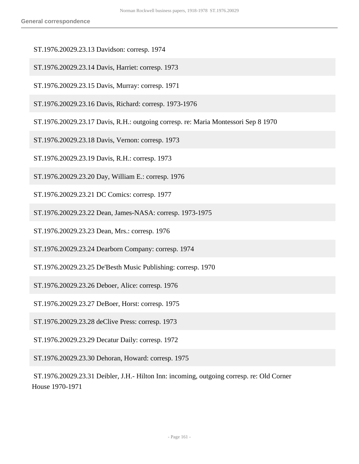- ST.1976.20029.23.13 Davidson: corresp. 1974
- ST.1976.20029.23.14 Davis, Harriet: corresp. 1973
- ST.1976.20029.23.15 Davis, Murray: corresp. 1971
- ST.1976.20029.23.16 Davis, Richard: corresp. 1973-1976
- ST.1976.20029.23.17 Davis, R.H.: outgoing corresp. re: Maria Montessori Sep 8 1970
- ST.1976.20029.23.18 Davis, Vernon: corresp. 1973
- ST.1976.20029.23.19 Davis, R.H.: corresp. 1973
- ST.1976.20029.23.20 Day, William E.: corresp. 1976
- ST.1976.20029.23.21 DC Comics: corresp. 1977
- ST.1976.20029.23.22 Dean, James-NASA: corresp. 1973-1975
- ST.1976.20029.23.23 Dean, Mrs.: corresp. 1976
- ST.1976.20029.23.24 Dearborn Company: corresp. 1974
- ST.1976.20029.23.25 De'Besth Music Publishing: corresp. 1970
- ST.1976.20029.23.26 Deboer, Alice: corresp. 1976
- ST.1976.20029.23.27 DeBoer, Horst: corresp. 1975
- ST.1976.20029.23.28 deClive Press: corresp. 1973
- ST.1976.20029.23.29 Decatur Daily: corresp. 1972
- ST.1976.20029.23.30 Dehoran, Howard: corresp. 1975
- ST.1976.20029.23.31 Deibler, J.H.- Hilton Inn: incoming, outgoing corresp. re: Old Corner House 1970-1971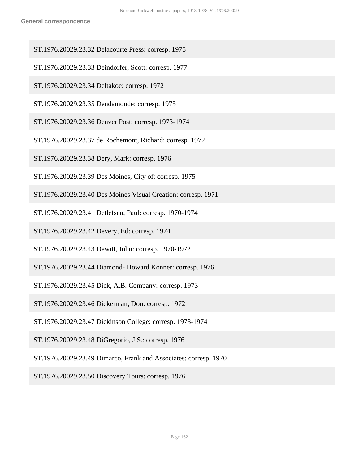- ST.1976.20029.23.32 Delacourte Press: corresp. 1975
- ST.1976.20029.23.33 Deindorfer, Scott: corresp. 1977
- ST.1976.20029.23.34 Deltakoe: corresp. 1972
- ST.1976.20029.23.35 Dendamonde: corresp. 1975
- ST.1976.20029.23.36 Denver Post: corresp. 1973-1974
- ST.1976.20029.23.37 de Rochemont, Richard: corresp. 1972
- ST.1976.20029.23.38 Dery, Mark: corresp. 1976
- ST.1976.20029.23.39 Des Moines, City of: corresp. 1975
- ST.1976.20029.23.40 Des Moines Visual Creation: corresp. 1971
- ST.1976.20029.23.41 Detlefsen, Paul: corresp. 1970-1974
- ST.1976.20029.23.42 Devery, Ed: corresp. 1974
- ST.1976.20029.23.43 Dewitt, John: corresp. 1970-1972
- ST.1976.20029.23.44 Diamond- Howard Konner: corresp. 1976
- ST.1976.20029.23.45 Dick, A.B. Company: corresp. 1973
- ST.1976.20029.23.46 Dickerman, Don: corresp. 1972
- ST.1976.20029.23.47 Dickinson College: corresp. 1973-1974
- ST.1976.20029.23.48 DiGregorio, J.S.: corresp. 1976
- ST.1976.20029.23.49 Dimarco, Frank and Associates: corresp. 1970
- ST.1976.20029.23.50 Discovery Tours: corresp. 1976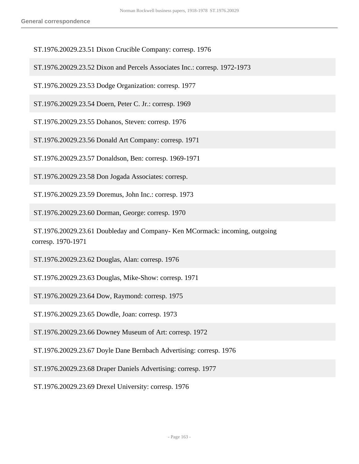ST.1976.20029.23.51 Dixon Crucible Company: corresp. 1976

ST.1976.20029.23.52 Dixon and Percels Associates Inc.: corresp. 1972-1973

ST.1976.20029.23.53 Dodge Organization: corresp. 1977

ST.1976.20029.23.54 Doern, Peter C. Jr.: corresp. 1969

ST.1976.20029.23.55 Dohanos, Steven: corresp. 1976

ST.1976.20029.23.56 Donald Art Company: corresp. 1971

ST.1976.20029.23.57 Donaldson, Ben: corresp. 1969-1971

ST.1976.20029.23.58 Don Jogada Associates: corresp.

ST.1976.20029.23.59 Doremus, John Inc.: corresp. 1973

ST.1976.20029.23.60 Dorman, George: corresp. 1970

 ST.1976.20029.23.61 Doubleday and Company- Ken MCormack: incoming, outgoing corresp. 1970-1971

ST.1976.20029.23.62 Douglas, Alan: corresp. 1976

ST.1976.20029.23.63 Douglas, Mike-Show: corresp. 1971

ST.1976.20029.23.64 Dow, Raymond: corresp. 1975

ST.1976.20029.23.65 Dowdle, Joan: corresp. 1973

ST.1976.20029.23.66 Downey Museum of Art: corresp. 1972

ST.1976.20029.23.67 Doyle Dane Bernbach Advertising: corresp. 1976

ST.1976.20029.23.68 Draper Daniels Advertising: corresp. 1977

ST.1976.20029.23.69 Drexel University: corresp. 1976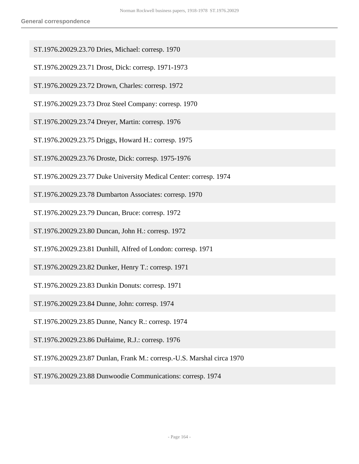- ST.1976.20029.23.70 Dries, Michael: corresp. 1970
- ST.1976.20029.23.71 Drost, Dick: corresp. 1971-1973
- ST.1976.20029.23.72 Drown, Charles: corresp. 1972
- ST.1976.20029.23.73 Droz Steel Company: corresp. 1970
- ST.1976.20029.23.74 Dreyer, Martin: corresp. 1976
- ST.1976.20029.23.75 Driggs, Howard H.: corresp. 1975
- ST.1976.20029.23.76 Droste, Dick: corresp. 1975-1976
- ST.1976.20029.23.77 Duke University Medical Center: corresp. 1974
- ST.1976.20029.23.78 Dumbarton Associates: corresp. 1970
- ST.1976.20029.23.79 Duncan, Bruce: corresp. 1972
- ST.1976.20029.23.80 Duncan, John H.: corresp. 1972
- ST.1976.20029.23.81 Dunhill, Alfred of London: corresp. 1971
- ST.1976.20029.23.82 Dunker, Henry T.: corresp. 1971
- ST.1976.20029.23.83 Dunkin Donuts: corresp. 1971
- ST.1976.20029.23.84 Dunne, John: corresp. 1974
- ST.1976.20029.23.85 Dunne, Nancy R.: corresp. 1974
- ST.1976.20029.23.86 DuHaime, R.J.: corresp. 1976
- ST.1976.20029.23.87 Dunlan, Frank M.: corresp.-U.S. Marshal circa 1970
- ST.1976.20029.23.88 Dunwoodie Communications: corresp. 1974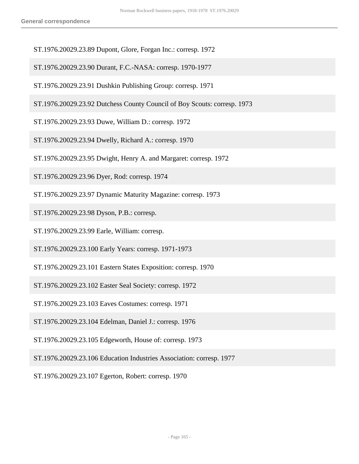- ST.1976.20029.23.89 Dupont, Glore, Forgan Inc.: corresp. 1972
- ST.1976.20029.23.90 Durant, F.C.-NASA: corresp. 1970-1977
- ST.1976.20029.23.91 Dushkin Publishing Group: corresp. 1971
- ST.1976.20029.23.92 Dutchess County Council of Boy Scouts: corresp. 1973
- ST.1976.20029.23.93 Duwe, William D.: corresp. 1972
- ST.1976.20029.23.94 Dwelly, Richard A.: corresp. 1970
- ST.1976.20029.23.95 Dwight, Henry A. and Margaret: corresp. 1972
- ST.1976.20029.23.96 Dyer, Rod: corresp. 1974
- ST.1976.20029.23.97 Dynamic Maturity Magazine: corresp. 1973

ST.1976.20029.23.98 Dyson, P.B.: corresp.

ST.1976.20029.23.99 Earle, William: corresp.

ST.1976.20029.23.100 Early Years: corresp. 1971-1973

- ST.1976.20029.23.101 Eastern States Exposition: corresp. 1970
- ST.1976.20029.23.102 Easter Seal Society: corresp. 1972
- ST.1976.20029.23.103 Eaves Costumes: corresp. 1971
- ST.1976.20029.23.104 Edelman, Daniel J.: corresp. 1976
- ST.1976.20029.23.105 Edgeworth, House of: corresp. 1973
- ST.1976.20029.23.106 Education Industries Association: corresp. 1977
- ST.1976.20029.23.107 Egerton, Robert: corresp. 1970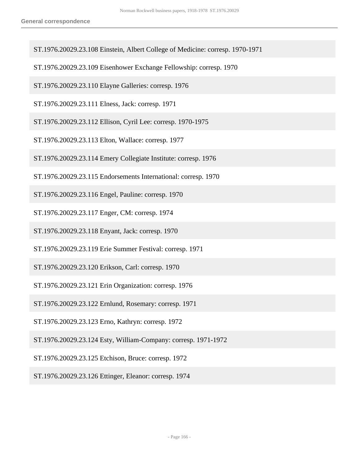- ST.1976.20029.23.108 Einstein, Albert College of Medicine: corresp. 1970-1971
- ST.1976.20029.23.109 Eisenhower Exchange Fellowship: corresp. 1970
- ST.1976.20029.23.110 Elayne Galleries: corresp. 1976
- ST.1976.20029.23.111 Elness, Jack: corresp. 1971
- ST.1976.20029.23.112 Ellison, Cyril Lee: corresp. 1970-1975
- ST.1976.20029.23.113 Elton, Wallace: corresp. 1977
- ST.1976.20029.23.114 Emery Collegiate Institute: corresp. 1976
- ST.1976.20029.23.115 Endorsements International: corresp. 1970
- ST.1976.20029.23.116 Engel, Pauline: corresp. 1970
- ST.1976.20029.23.117 Enger, CM: corresp. 1974
- ST.1976.20029.23.118 Enyant, Jack: corresp. 1970
- ST.1976.20029.23.119 Erie Summer Festival: corresp. 1971
- ST.1976.20029.23.120 Erikson, Carl: corresp. 1970
- ST.1976.20029.23.121 Erin Organization: corresp. 1976
- ST.1976.20029.23.122 Ernlund, Rosemary: corresp. 1971
- ST.1976.20029.23.123 Erno, Kathryn: corresp. 1972
- ST.1976.20029.23.124 Esty, William-Company: corresp. 1971-1972
- ST.1976.20029.23.125 Etchison, Bruce: corresp. 1972
- ST.1976.20029.23.126 Ettinger, Eleanor: corresp. 1974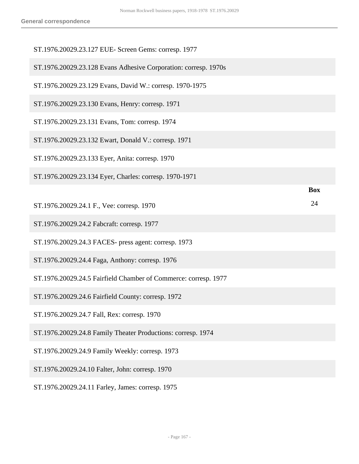| ST.1976.20029.23.127 EUE- Screen Gems: corresp. 1977            |            |
|-----------------------------------------------------------------|------------|
| ST.1976.20029.23.128 Evans Adhesive Corporation: corresp. 1970s |            |
| ST.1976.20029.23.129 Evans, David W.: corresp. 1970-1975        |            |
| ST.1976.20029.23.130 Evans, Henry: corresp. 1971                |            |
| ST.1976.20029.23.131 Evans, Tom: corresp. 1974                  |            |
| ST.1976.20029.23.132 Ewart, Donald V.: corresp. 1971            |            |
| ST.1976.20029.23.133 Eyer, Anita: corresp. 1970                 |            |
| ST.1976.20029.23.134 Eyer, Charles: corresp. 1970-1971          |            |
|                                                                 | <b>Box</b> |
| ST.1976.20029.24.1 F., Vee: corresp. 1970                       | 24         |
| ST.1976.20029.24.2 Fabcraft: corresp. 1977                      |            |
| ST.1976.20029.24.3 FACES- press agent: corresp. 1973            |            |
| ST.1976.20029.24.4 Faga, Anthony: corresp. 1976                 |            |
| ST.1976.20029.24.5 Fairfield Chamber of Commerce: corresp. 1977 |            |
| ST.1976.20029.24.6 Fairfield County: corresp. 1972              |            |
| ST.1976.20029.24.7 Fall, Rex: corresp. 1970                     |            |
| ST.1976.20029.24.8 Family Theater Productions: corresp. 1974    |            |
| ST.1976.20029.24.9 Family Weekly: corresp. 1973                 |            |
| ST.1976.20029.24.10 Falter, John: corresp. 1970                 |            |
|                                                                 |            |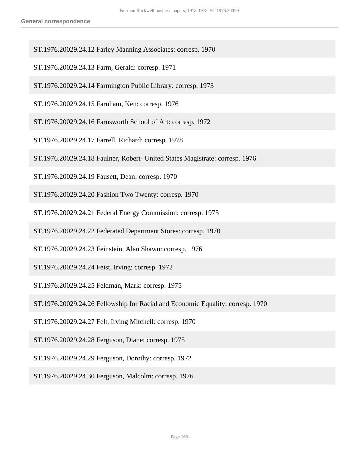- ST.1976.20029.24.12 Farley Manning Associates: corresp. 1970
- ST.1976.20029.24.13 Farm, Gerald: corresp. 1971
- ST.1976.20029.24.14 Farmington Public Library: corresp. 1973
- ST.1976.20029.24.15 Farnham, Ken: corresp. 1976
- ST.1976.20029.24.16 Farnsworth School of Art: corresp. 1972
- ST.1976.20029.24.17 Farrell, Richard: corresp. 1978
- ST.1976.20029.24.18 Faulner, Robert- United States Magistrate: corresp. 1976
- ST.1976.20029.24.19 Fausett, Dean: corresp. 1970
- ST.1976.20029.24.20 Fashion Two Twenty: corresp. 1970
- ST.1976.20029.24.21 Federal Energy Commission: corresp. 1975
- ST.1976.20029.24.22 Federated Department Stores: corresp. 1970
- ST.1976.20029.24.23 Feinstein, Alan Shawn: corresp. 1976
- ST.1976.20029.24.24 Feist, Irving: corresp. 1972
- ST.1976.20029.24.25 Feldman, Mark: corresp. 1975
- ST.1976.20029.24.26 Fellowship for Racial and Economic Equality: corresp. 1970
- ST.1976.20029.24.27 Felt, Irving Mitchell: corresp. 1970
- ST.1976.20029.24.28 Ferguson, Diane: corresp. 1975
- ST.1976.20029.24.29 Ferguson, Dorothy: corresp. 1972
- ST.1976.20029.24.30 Ferguson, Malcolm: corresp. 1976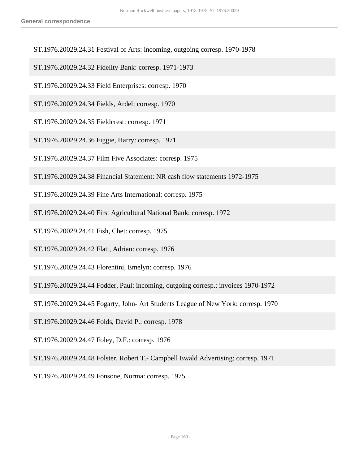- ST.1976.20029.24.31 Festival of Arts: incoming, outgoing corresp. 1970-1978
- ST.1976.20029.24.32 Fidelity Bank: corresp. 1971-1973
- ST.1976.20029.24.33 Field Enterprises: corresp. 1970
- ST.1976.20029.24.34 Fields, Ardel: corresp. 1970
- ST.1976.20029.24.35 Fieldcrest: corresp. 1971
- ST.1976.20029.24.36 Figgie, Harry: corresp. 1971
- ST.1976.20029.24.37 Film Five Associates: corresp. 1975
- ST.1976.20029.24.38 Financial Statement: NR cash flow statements 1972-1975
- ST.1976.20029.24.39 Fine Arts International: corresp. 1975
- ST.1976.20029.24.40 First Agricultural National Bank: corresp. 1972
- ST.1976.20029.24.41 Fish, Chet: corresp. 1975
- ST.1976.20029.24.42 Flatt, Adrian: corresp. 1976
- ST.1976.20029.24.43 Florentini, Emelyn: corresp. 1976
- ST.1976.20029.24.44 Fodder, Paul: incoming, outgoing corresp.; invoices 1970-1972
- ST.1976.20029.24.45 Fogarty, John- Art Students League of New York: corresp. 1970
- ST.1976.20029.24.46 Folds, David P.: corresp. 1978
- ST.1976.20029.24.47 Foley, D.F.: corresp. 1976
- ST.1976.20029.24.48 Folster, Robert T.- Campbell Ewald Advertising: corresp. 1971
- ST.1976.20029.24.49 Fonsone, Norma: corresp. 1975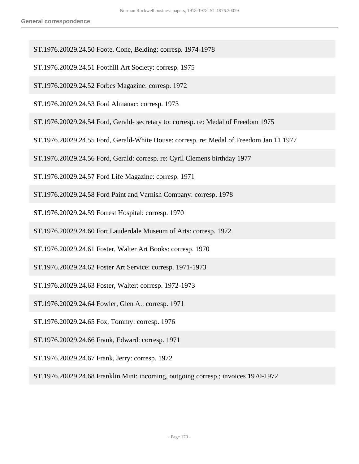ST.1976.20029.24.50 Foote, Cone, Belding: corresp. 1974-1978

ST.1976.20029.24.51 Foothill Art Society: corresp. 1975

ST.1976.20029.24.52 Forbes Magazine: corresp. 1972

ST.1976.20029.24.53 Ford Almanac: corresp. 1973

ST.1976.20029.24.54 Ford, Gerald- secretary to: corresp. re: Medal of Freedom 1975

ST.1976.20029.24.55 Ford, Gerald-White House: corresp. re: Medal of Freedom Jan 11 1977

ST.1976.20029.24.56 Ford, Gerald: corresp. re: Cyril Clemens birthday 1977

ST.1976.20029.24.57 Ford Life Magazine: corresp. 1971

ST.1976.20029.24.58 Ford Paint and Varnish Company: corresp. 1978

ST.1976.20029.24.59 Forrest Hospital: corresp. 1970

ST.1976.20029.24.60 Fort Lauderdale Museum of Arts: corresp. 1972

ST.1976.20029.24.61 Foster, Walter Art Books: corresp. 1970

ST.1976.20029.24.62 Foster Art Service: corresp. 1971-1973

ST.1976.20029.24.63 Foster, Walter: corresp. 1972-1973

ST.1976.20029.24.64 Fowler, Glen A.: corresp. 1971

ST.1976.20029.24.65 Fox, Tommy: corresp. 1976

ST.1976.20029.24.66 Frank, Edward: corresp. 1971

ST.1976.20029.24.67 Frank, Jerry: corresp. 1972

ST.1976.20029.24.68 Franklin Mint: incoming, outgoing corresp.; invoices 1970-1972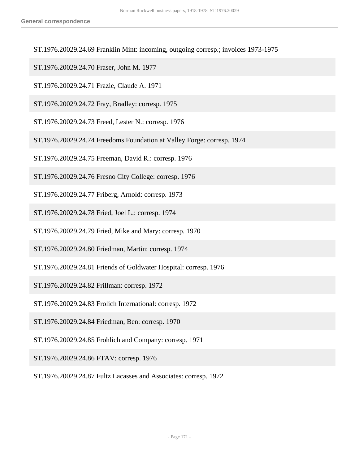- ST.1976.20029.24.69 Franklin Mint: incoming, outgoing corresp.; invoices 1973-1975
- ST.1976.20029.24.70 Fraser, John M. 1977
- ST.1976.20029.24.71 Frazie, Claude A. 1971
- ST.1976.20029.24.72 Fray, Bradley: corresp. 1975
- ST.1976.20029.24.73 Freed, Lester N.: corresp. 1976
- ST.1976.20029.24.74 Freedoms Foundation at Valley Forge: corresp. 1974
- ST.1976.20029.24.75 Freeman, David R.: corresp. 1976
- ST.1976.20029.24.76 Fresno City College: corresp. 1976
- ST.1976.20029.24.77 Friberg, Arnold: corresp. 1973
- ST.1976.20029.24.78 Fried, Joel L.: corresp. 1974
- ST.1976.20029.24.79 Fried, Mike and Mary: corresp. 1970
- ST.1976.20029.24.80 Friedman, Martin: corresp. 1974
- ST.1976.20029.24.81 Friends of Goldwater Hospital: corresp. 1976
- ST.1976.20029.24.82 Frillman: corresp. 1972
- ST.1976.20029.24.83 Frolich International: corresp. 1972
- ST.1976.20029.24.84 Friedman, Ben: corresp. 1970
- ST.1976.20029.24.85 Frohlich and Company: corresp. 1971
- ST.1976.20029.24.86 FTAV: corresp. 1976
- ST.1976.20029.24.87 Fultz Lacasses and Associates: corresp. 1972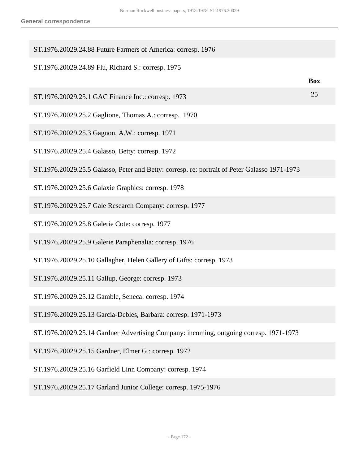| ST.1976.20029.24.88 Future Farmers of America: corresp. 1976                                  |            |
|-----------------------------------------------------------------------------------------------|------------|
| ST.1976.20029.24.89 Flu, Richard S.: corresp. 1975                                            | <b>Box</b> |
| ST.1976.20029.25.1 GAC Finance Inc.: corresp. 1973                                            | 25         |
| ST.1976.20029.25.2 Gaglione, Thomas A.: corresp. 1970                                         |            |
| ST.1976.20029.25.3 Gagnon, A.W.: corresp. 1971                                                |            |
| ST.1976.20029.25.4 Galasso, Betty: corresp. 1972                                              |            |
| ST.1976.20029.25.5 Galasso, Peter and Betty: corresp. re: portrait of Peter Galasso 1971-1973 |            |
| ST.1976.20029.25.6 Galaxie Graphics: corresp. 1978                                            |            |
| ST.1976.20029.25.7 Gale Research Company: corresp. 1977                                       |            |
| ST.1976.20029.25.8 Galerie Cote: corresp. 1977                                                |            |
| ST.1976.20029.25.9 Galerie Paraphenalia: corresp. 1976                                        |            |
| ST.1976.20029.25.10 Gallagher, Helen Gallery of Gifts: corresp. 1973                          |            |
| ST.1976.20029.25.11 Gallup, George: corresp. 1973                                             |            |
| ST.1976.20029.25.12 Gamble, Seneca: corresp. 1974                                             |            |
| ST.1976.20029.25.13 Garcia-Debles, Barbara: corresp. 1971-1973                                |            |
| ST.1976.20029.25.14 Gardner Advertising Company: incoming, outgoing corresp. 1971-1973        |            |
| ST.1976.20029.25.15 Gardner, Elmer G.: corresp. 1972                                          |            |
| ST.1976.20029.25.16 Garfield Linn Company: corresp. 1974                                      |            |
| ST.1976.20029.25.17 Garland Junior College: corresp. 1975-1976                                |            |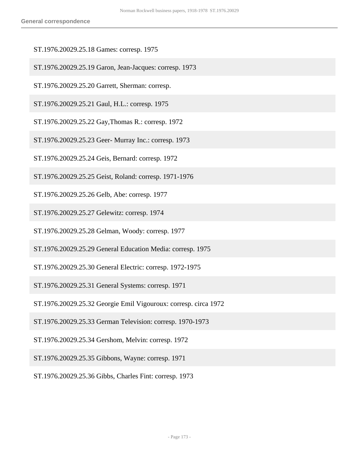- ST.1976.20029.25.18 Games: corresp. 1975
- ST.1976.20029.25.19 Garon, Jean-Jacques: corresp. 1973
- ST.1976.20029.25.20 Garrett, Sherman: corresp.
- ST.1976.20029.25.21 Gaul, H.L.: corresp. 1975
- ST.1976.20029.25.22 Gay,Thomas R.: corresp. 1972
- ST.1976.20029.25.23 Geer- Murray Inc.: corresp. 1973
- ST.1976.20029.25.24 Geis, Bernard: corresp. 1972
- ST.1976.20029.25.25 Geist, Roland: corresp. 1971-1976
- ST.1976.20029.25.26 Gelb, Abe: corresp. 1977
- ST.1976.20029.25.27 Gelewitz: corresp. 1974
- ST.1976.20029.25.28 Gelman, Woody: corresp. 1977
- ST.1976.20029.25.29 General Education Media: corresp. 1975
- ST.1976.20029.25.30 General Electric: corresp. 1972-1975
- ST.1976.20029.25.31 General Systems: corresp. 1971
- ST.1976.20029.25.32 Georgie Emil Vigouroux: corresp. circa 1972
- ST.1976.20029.25.33 German Television: corresp. 1970-1973
- ST.1976.20029.25.34 Gershom, Melvin: corresp. 1972
- ST.1976.20029.25.35 Gibbons, Wayne: corresp. 1971
- ST.1976.20029.25.36 Gibbs, Charles Fint: corresp. 1973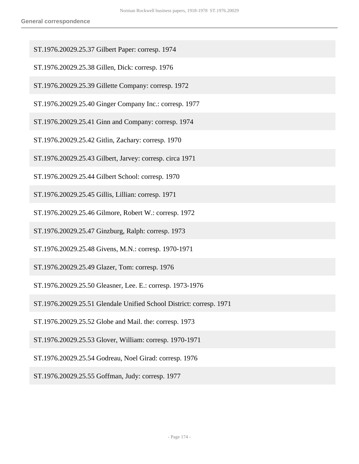- ST.1976.20029.25.37 Gilbert Paper: corresp. 1974
- ST.1976.20029.25.38 Gillen, Dick: corresp. 1976
- ST.1976.20029.25.39 Gillette Company: corresp. 1972
- ST.1976.20029.25.40 Ginger Company Inc.: corresp. 1977
- ST.1976.20029.25.41 Ginn and Company: corresp. 1974
- ST.1976.20029.25.42 Gitlin, Zachary: corresp. 1970
- ST.1976.20029.25.43 Gilbert, Jarvey: corresp. circa 1971
- ST.1976.20029.25.44 Gilbert School: corresp. 1970
- ST.1976.20029.25.45 Gillis, Lillian: corresp. 1971
- ST.1976.20029.25.46 Gilmore, Robert W.: corresp. 1972
- ST.1976.20029.25.47 Ginzburg, Ralph: corresp. 1973
- ST.1976.20029.25.48 Givens, M.N.: corresp. 1970-1971
- ST.1976.20029.25.49 Glazer, Tom: corresp. 1976
- ST.1976.20029.25.50 Gleasner, Lee. E.: corresp. 1973-1976
- ST.1976.20029.25.51 Glendale Unified School District: corresp. 1971
- ST.1976.20029.25.52 Globe and Mail. the: corresp. 1973
- ST.1976.20029.25.53 Glover, William: corresp. 1970-1971
- ST.1976.20029.25.54 Godreau, Noel Girad: corresp. 1976
- ST.1976.20029.25.55 Goffman, Judy: corresp. 1977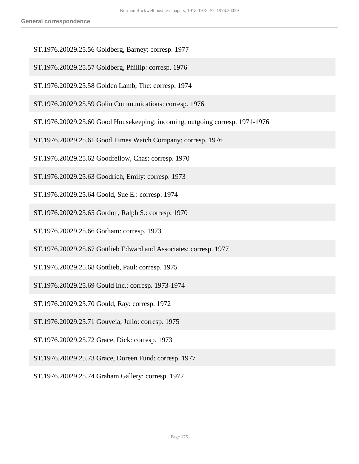- ST.1976.20029.25.56 Goldberg, Barney: corresp. 1977
- ST.1976.20029.25.57 Goldberg, Phillip: corresp. 1976
- ST.1976.20029.25.58 Golden Lamb, The: corresp. 1974
- ST.1976.20029.25.59 Golin Communications: corresp. 1976
- ST.1976.20029.25.60 Good Housekeeping: incoming, outgoing corresp. 1971-1976
- ST.1976.20029.25.61 Good Times Watch Company: corresp. 1976
- ST.1976.20029.25.62 Goodfellow, Chas: corresp. 1970
- ST.1976.20029.25.63 Goodrich, Emily: corresp. 1973
- ST.1976.20029.25.64 Goold, Sue E.: corresp. 1974
- ST.1976.20029.25.65 Gordon, Ralph S.: corresp. 1970
- ST.1976.20029.25.66 Gorham: corresp. 1973
- ST.1976.20029.25.67 Gottlieb Edward and Associates: corresp. 1977
- ST.1976.20029.25.68 Gottlieb, Paul: corresp. 1975
- ST.1976.20029.25.69 Gould Inc.: corresp. 1973-1974
- ST.1976.20029.25.70 Gould, Ray: corresp. 1972
- ST.1976.20029.25.71 Gouveia, Julio: corresp. 1975
- ST.1976.20029.25.72 Grace, Dick: corresp. 1973
- ST.1976.20029.25.73 Grace, Doreen Fund: corresp. 1977
- ST.1976.20029.25.74 Graham Gallery: corresp. 1972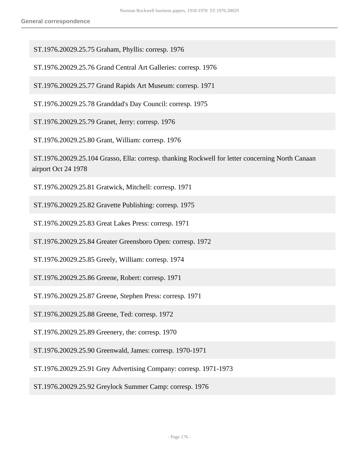ST.1976.20029.25.75 Graham, Phyllis: corresp. 1976

ST.1976.20029.25.76 Grand Central Art Galleries: corresp. 1976

ST.1976.20029.25.77 Grand Rapids Art Museum: corresp. 1971

ST.1976.20029.25.78 Granddad's Day Council: corresp. 1975

ST.1976.20029.25.79 Granet, Jerry: corresp. 1976

ST.1976.20029.25.80 Grant, William: corresp. 1976

 ST.1976.20029.25.104 Grasso, Ella: corresp. thanking Rockwell for letter concerning North Canaan airport Oct 24 1978

ST.1976.20029.25.81 Gratwick, Mitchell: corresp. 1971

ST.1976.20029.25.82 Gravette Publishing: corresp. 1975

ST.1976.20029.25.83 Great Lakes Press: corresp. 1971

ST.1976.20029.25.84 Greater Greensboro Open: corresp. 1972

ST.1976.20029.25.85 Greely, William: corresp. 1974

ST.1976.20029.25.86 Greene, Robert: corresp. 1971

ST.1976.20029.25.87 Greene, Stephen Press: corresp. 1971

ST.1976.20029.25.88 Greene, Ted: corresp. 1972

ST.1976.20029.25.89 Greenery, the: corresp. 1970

ST.1976.20029.25.90 Greenwald, James: corresp. 1970-1971

ST.1976.20029.25.91 Grey Advertising Company: corresp. 1971-1973

ST.1976.20029.25.92 Greylock Summer Camp: corresp. 1976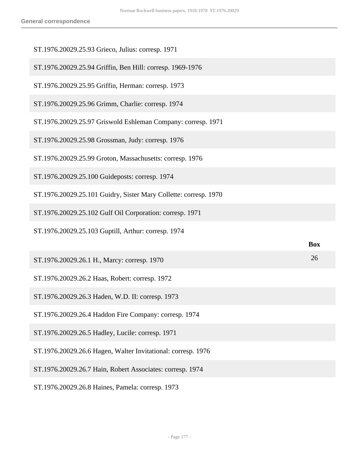| ST.1976.20029.25.93 Grieco, Julius: corresp. 1971                |            |
|------------------------------------------------------------------|------------|
| ST.1976.20029.25.94 Griffin, Ben Hill: corresp. 1969-1976        |            |
| ST.1976.20029.25.95 Griffin, Herman: corresp. 1973               |            |
| ST.1976.20029.25.96 Grimm, Charlie: corresp. 1974                |            |
| ST.1976.20029.25.97 Griswold Eshleman Company: corresp. 1971     |            |
| ST.1976.20029.25.98 Grossman, Judy: corresp. 1976                |            |
| ST.1976.20029.25.99 Groton, Massachusetts: corresp. 1976         |            |
| ST.1976.20029.25.100 Guideposts: corresp. 1974                   |            |
| ST.1976.20029.25.101 Guidry, Sister Mary Collette: corresp. 1970 |            |
| ST.1976.20029.25.102 Gulf Oil Corporation: corresp. 1971         |            |
|                                                                  |            |
| ST.1976.20029.25.103 Guptill, Arthur: corresp. 1974              |            |
|                                                                  | <b>Box</b> |
| ST.1976.20029.26.1 H., Marcy: corresp. 1970                      | 26         |
| ST.1976.20029.26.2 Haas, Robert: corresp. 1972                   |            |
| ST.1976.20029.26.3 Haden, W.D. II: corresp. 1973                 |            |
| ST.1976.20029.26.4 Haddon Fire Company: corresp. 1974            |            |
| ST.1976.20029.26.5 Hadley, Lucile: corresp. 1971                 |            |
| ST.1976.20029.26.6 Hagen, Walter Invitational: corresp. 1976     |            |
| ST.1976.20029.26.7 Hain, Robert Associates: corresp. 1974        |            |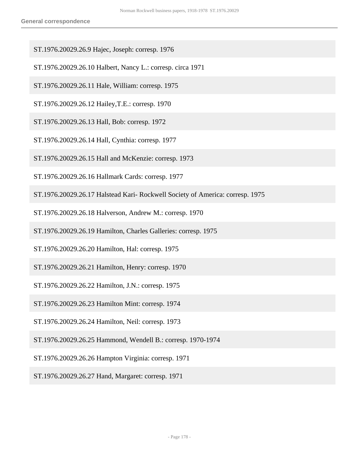- ST.1976.20029.26.9 Hajec, Joseph: corresp. 1976
- ST.1976.20029.26.10 Halbert, Nancy L.: corresp. circa 1971
- ST.1976.20029.26.11 Hale, William: corresp. 1975
- ST.1976.20029.26.12 Hailey,T.E.: corresp. 1970
- ST.1976.20029.26.13 Hall, Bob: corresp. 1972
- ST.1976.20029.26.14 Hall, Cynthia: corresp. 1977
- ST.1976.20029.26.15 Hall and McKenzie: corresp. 1973
- ST.1976.20029.26.16 Hallmark Cards: corresp. 1977
- ST.1976.20029.26.17 Halstead Kari- Rockwell Society of America: corresp. 1975
- ST.1976.20029.26.18 Halverson, Andrew M.: corresp. 1970
- ST.1976.20029.26.19 Hamilton, Charles Galleries: corresp. 1975
- ST.1976.20029.26.20 Hamilton, Hal: corresp. 1975
- ST.1976.20029.26.21 Hamilton, Henry: corresp. 1970
- ST.1976.20029.26.22 Hamilton, J.N.: corresp. 1975
- ST.1976.20029.26.23 Hamilton Mint: corresp. 1974
- ST.1976.20029.26.24 Hamilton, Neil: corresp. 1973
- ST.1976.20029.26.25 Hammond, Wendell B.: corresp. 1970-1974
- ST.1976.20029.26.26 Hampton Virginia: corresp. 1971
- ST.1976.20029.26.27 Hand, Margaret: corresp. 1971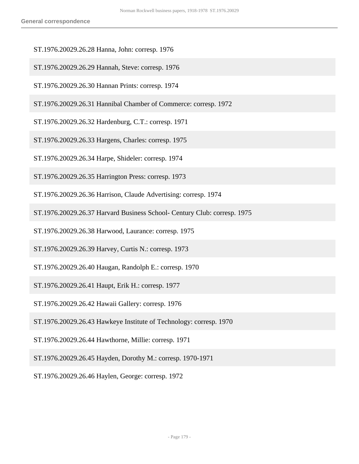- ST.1976.20029.26.28 Hanna, John: corresp. 1976
- ST.1976.20029.26.29 Hannah, Steve: corresp. 1976
- ST.1976.20029.26.30 Hannan Prints: corresp. 1974
- ST.1976.20029.26.31 Hannibal Chamber of Commerce: corresp. 1972
- ST.1976.20029.26.32 Hardenburg, C.T.: corresp. 1971
- ST.1976.20029.26.33 Hargens, Charles: corresp. 1975
- ST.1976.20029.26.34 Harpe, Shideler: corresp. 1974
- ST.1976.20029.26.35 Harrington Press: corresp. 1973
- ST.1976.20029.26.36 Harrison, Claude Advertising: corresp. 1974
- ST.1976.20029.26.37 Harvard Business School- Century Club: corresp. 1975
- ST.1976.20029.26.38 Harwood, Laurance: corresp. 1975
- ST.1976.20029.26.39 Harvey, Curtis N.: corresp. 1973
- ST.1976.20029.26.40 Haugan, Randolph E.: corresp. 1970
- ST.1976.20029.26.41 Haupt, Erik H.: corresp. 1977
- ST.1976.20029.26.42 Hawaii Gallery: corresp. 1976
- ST.1976.20029.26.43 Hawkeye Institute of Technology: corresp. 1970
- ST.1976.20029.26.44 Hawthorne, Millie: corresp. 1971
- ST.1976.20029.26.45 Hayden, Dorothy M.: corresp. 1970-1971
- ST.1976.20029.26.46 Haylen, George: corresp. 1972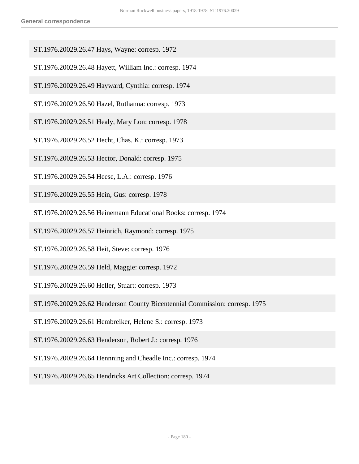- ST.1976.20029.26.47 Hays, Wayne: corresp. 1972
- ST.1976.20029.26.48 Hayett, William Inc.: corresp. 1974
- ST.1976.20029.26.49 Hayward, Cynthia: corresp. 1974
- ST.1976.20029.26.50 Hazel, Ruthanna: corresp. 1973
- ST.1976.20029.26.51 Healy, Mary Lon: corresp. 1978
- ST.1976.20029.26.52 Hecht, Chas. K.: corresp. 1973
- ST.1976.20029.26.53 Hector, Donald: corresp. 1975
- ST.1976.20029.26.54 Heese, L.A.: corresp. 1976
- ST.1976.20029.26.55 Hein, Gus: corresp. 1978
- ST.1976.20029.26.56 Heinemann Educational Books: corresp. 1974
- ST.1976.20029.26.57 Heinrich, Raymond: corresp. 1975
- ST.1976.20029.26.58 Heit, Steve: corresp. 1976
- ST.1976.20029.26.59 Held, Maggie: corresp. 1972
- ST.1976.20029.26.60 Heller, Stuart: corresp. 1973
- ST.1976.20029.26.62 Henderson County Bicentennial Commission: corresp. 1975
- ST.1976.20029.26.61 Hembreiker, Helene S.: corresp. 1973
- ST.1976.20029.26.63 Henderson, Robert J.: corresp. 1976
- ST.1976.20029.26.64 Hennning and Cheadle Inc.: corresp. 1974
- ST.1976.20029.26.65 Hendricks Art Collection: corresp. 1974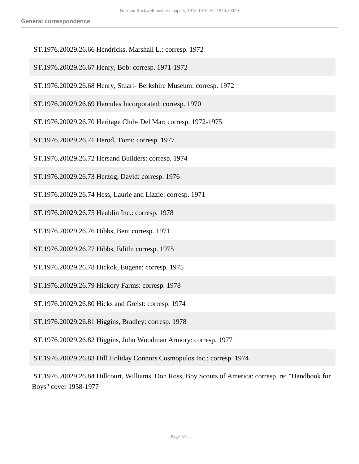- ST.1976.20029.26.66 Hendricks, Marshall L.: corresp. 1972
- ST.1976.20029.26.67 Henry, Bob: corresp. 1971-1972
- ST.1976.20029.26.68 Henry, Stuart- Berkshire Museum: corresp. 1972
- ST.1976.20029.26.69 Hercules Incorporated: corresp. 1970
- ST.1976.20029.26.70 Heritage Club- Del Mar: corresp. 1972-1975
- ST.1976.20029.26.71 Herod, Tomi: corresp. 1977
- ST.1976.20029.26.72 Hersand Builders: corresp. 1974
- ST.1976.20029.26.73 Herzog, David: corresp. 1976
- ST.1976.20029.26.74 Hess, Laurie and Lizzie: corresp. 1971
- ST.1976.20029.26.75 Heublin Inc.: corresp. 1978
- ST.1976.20029.26.76 Hibbs, Ben: corresp. 1971
- ST.1976.20029.26.77 Hibbs, Edith: corresp. 1975
- ST.1976.20029.26.78 Hickok, Eugene: corresp. 1975
- ST.1976.20029.26.79 Hickory Farms: corresp. 1978
- ST.1976.20029.26.80 Hicks and Greist: corresp. 1974
- ST.1976.20029.26.81 Higgins, Bradley: corresp. 1978
- ST.1976.20029.26.82 Higgins, John Woodman Armory: corresp. 1977
- ST.1976.20029.26.83 Hill Holiday Connors Cosmopulos Inc.: corresp. 1974
- ST.1976.20029.26.84 Hillcourt, Williams, Don Ross, Boy Scouts of America: corresp. re: "Handbook for Boys" cover 1958-1977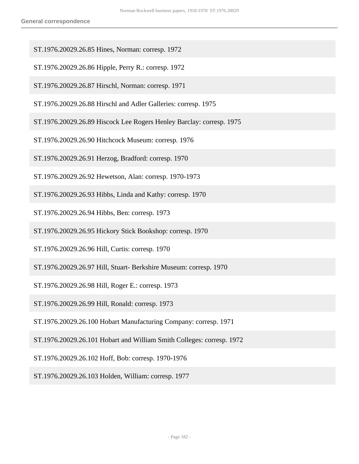- ST.1976.20029.26.85 Hines, Norman: corresp. 1972
- ST.1976.20029.26.86 Hipple, Perry R.: corresp. 1972
- ST.1976.20029.26.87 Hirschl, Norman: corresp. 1971
- ST.1976.20029.26.88 Hirschl and Adler Galleries: corresp. 1975
- ST.1976.20029.26.89 Hiscock Lee Rogers Henley Barclay: corresp. 1975
- ST.1976.20029.26.90 Hitchcock Museum: corresp. 1976
- ST.1976.20029.26.91 Herzog, Bradford: corresp. 1970
- ST.1976.20029.26.92 Hewetson, Alan: corresp. 1970-1973
- ST.1976.20029.26.93 Hibbs, Linda and Kathy: corresp. 1970
- ST.1976.20029.26.94 Hibbs, Ben: corresp. 1973
- ST.1976.20029.26.95 Hickory Stick Bookshop: corresp. 1970
- ST.1976.20029.26.96 Hill, Curtis: corresp. 1970
- ST.1976.20029.26.97 Hill, Stuart- Berkshire Museum: corresp. 1970
- ST.1976.20029.26.98 Hill, Roger E.: corresp. 1973
- ST.1976.20029.26.99 Hill, Ronald: corresp. 1973
- ST.1976.20029.26.100 Hobart Manufacturing Company: corresp. 1971
- ST.1976.20029.26.101 Hobart and William Smith Colleges: corresp. 1972
- ST.1976.20029.26.102 Hoff, Bob: corresp. 1970-1976
- ST.1976.20029.26.103 Holden, William: corresp. 1977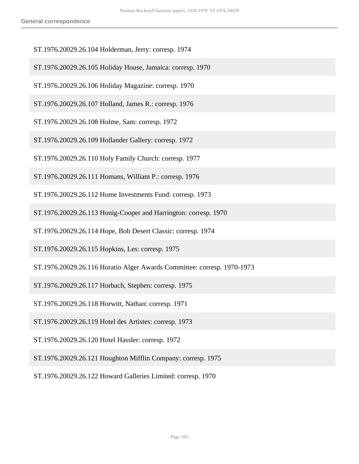- ST.1976.20029.26.104 Holderman, Jerry: corresp. 1974
- ST.1976.20029.26.105 Holiday House, Jamaica: corresp. 1970
- ST.1976.20029.26.106 Holiday Magazine: corresp. 1970
- ST.1976.20029.26.107 Holland, James R.: corresp. 1976
- ST.1976.20029.26.108 Holme, Sam: corresp. 1972
- ST.1976.20029.26.109 Hollander Gallery: corresp. 1972
- ST.1976.20029.26.110 Holy Family Church: corresp. 1977
- ST.1976.20029.26.111 Homans, William P.: corresp. 1976
- ST.1976.20029.26.112 Home Investments Fund: corresp. 1973
- ST.1976.20029.26.113 Honig-Cooper and Harrington: corresp. 1970
- ST.1976.20029.26.114 Hope, Bob Desert Classic: corresp. 1974
- ST.1976.20029.26.115 Hopkins, Les: corresp. 1975
- ST.1976.20029.26.116 Horatio Alger Awards Committee: corresp. 1970-1973
- ST.1976.20029.26.117 Horbach, Stephen: corresp. 1975
- ST.1976.20029.26.118 Horwitt, Nathan: corresp. 1971
- ST.1976.20029.26.119 Hotel des Artistes: corresp. 1973
- ST.1976.20029.26.120 Hotel Hassler: corresp. 1972
- ST.1976.20029.26.121 Houghton Mifflin Company: corresp. 1975
- ST.1976.20029.26.122 Howard Galleries Limited: corresp. 1970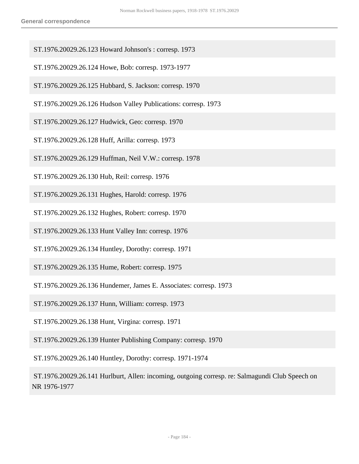- ST.1976.20029.26.123 Howard Johnson's : corresp. 1973
- ST.1976.20029.26.124 Howe, Bob: corresp. 1973-1977
- ST.1976.20029.26.125 Hubbard, S. Jackson: corresp. 1970
- ST.1976.20029.26.126 Hudson Valley Publications: corresp. 1973
- ST.1976.20029.26.127 Hudwick, Geo: corresp. 1970
- ST.1976.20029.26.128 Huff, Arilla: corresp. 1973
- ST.1976.20029.26.129 Huffman, Neil V.W.: corresp. 1978
- ST.1976.20029.26.130 Hub, Reil: corresp. 1976
- ST.1976.20029.26.131 Hughes, Harold: corresp. 1976
- ST.1976.20029.26.132 Hughes, Robert: corresp. 1970
- ST.1976.20029.26.133 Hunt Valley Inn: corresp. 1976
- ST.1976.20029.26.134 Huntley, Dorothy: corresp. 1971
- ST.1976.20029.26.135 Hume, Robert: corresp. 1975
- ST.1976.20029.26.136 Hundemer, James E. Associates: corresp. 1973
- ST.1976.20029.26.137 Hunn, William: corresp. 1973
- ST.1976.20029.26.138 Hunt, Virgina: corresp. 1971
- ST.1976.20029.26.139 Hunter Publishing Company: corresp. 1970

ST.1976.20029.26.140 Huntley, Dorothy: corresp. 1971-1974

 ST.1976.20029.26.141 Hurlburt, Allen: incoming, outgoing corresp. re: Salmagundi Club Speech on NR 1976-1977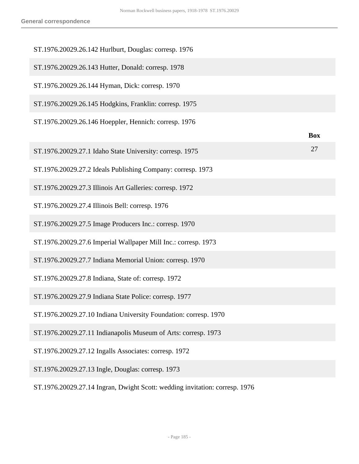| ST.1976.20029.26.142 Hurlburt, Douglas: corresp. 1976                       |            |
|-----------------------------------------------------------------------------|------------|
| ST.1976.20029.26.143 Hutter, Donald: corresp. 1978                          |            |
| ST.1976.20029.26.144 Hyman, Dick: corresp. 1970                             |            |
| ST.1976.20029.26.145 Hodgkins, Franklin: corresp. 1975                      |            |
| ST.1976.20029.26.146 Hoeppler, Hennich: corresp. 1976                       | <b>Box</b> |
| ST.1976.20029.27.1 Idaho State University: corresp. 1975                    | 27         |
| ST.1976.20029.27.2 Ideals Publishing Company: corresp. 1973                 |            |
| ST.1976.20029.27.3 Illinois Art Galleries: corresp. 1972                    |            |
| ST.1976.20029.27.4 Illinois Bell: corresp. 1976                             |            |
| ST.1976.20029.27.5 Image Producers Inc.: corresp. 1970                      |            |
| ST.1976.20029.27.6 Imperial Wallpaper Mill Inc.: corresp. 1973              |            |
| ST.1976.20029.27.7 Indiana Memorial Union: corresp. 1970                    |            |
| ST.1976.20029.27.8 Indiana, State of: corresp. 1972                         |            |
| ST.1976.20029.27.9 Indiana State Police: corresp. 1977                      |            |
| ST.1976.20029.27.10 Indiana University Foundation: corresp. 1970            |            |
| ST.1976.20029.27.11 Indianapolis Museum of Arts: corresp. 1973              |            |
| ST.1976.20029.27.12 Ingalls Associates: corresp. 1972                       |            |
| ST.1976.20029.27.13 Ingle, Douglas: corresp. 1973                           |            |
| ST.1976.20029.27.14 Ingran, Dwight Scott: wedding invitation: corresp. 1976 |            |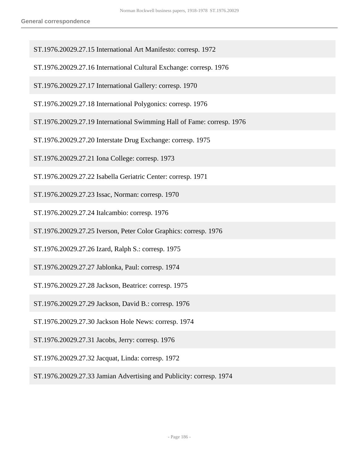- ST.1976.20029.27.15 International Art Manifesto: corresp. 1972
- ST.1976.20029.27.16 International Cultural Exchange: corresp. 1976
- ST.1976.20029.27.17 International Gallery: corresp. 1970
- ST.1976.20029.27.18 International Polygonics: corresp. 1976
- ST.1976.20029.27.19 International Swimming Hall of Fame: corresp. 1976
- ST.1976.20029.27.20 Interstate Drug Exchange: corresp. 1975
- ST.1976.20029.27.21 Iona College: corresp. 1973
- ST.1976.20029.27.22 Isabella Geriatric Center: corresp. 1971
- ST.1976.20029.27.23 Issac, Norman: corresp. 1970
- ST.1976.20029.27.24 Italcambio: corresp. 1976
- ST.1976.20029.27.25 Iverson, Peter Color Graphics: corresp. 1976
- ST.1976.20029.27.26 Izard, Ralph S.: corresp. 1975
- ST.1976.20029.27.27 Jablonka, Paul: corresp. 1974
- ST.1976.20029.27.28 Jackson, Beatrice: corresp. 1975
- ST.1976.20029.27.29 Jackson, David B.: corresp. 1976
- ST.1976.20029.27.30 Jackson Hole News: corresp. 1974
- ST.1976.20029.27.31 Jacobs, Jerry: corresp. 1976
- ST.1976.20029.27.32 Jacquat, Linda: corresp. 1972
- ST.1976.20029.27.33 Jamian Advertising and Publicity: corresp. 1974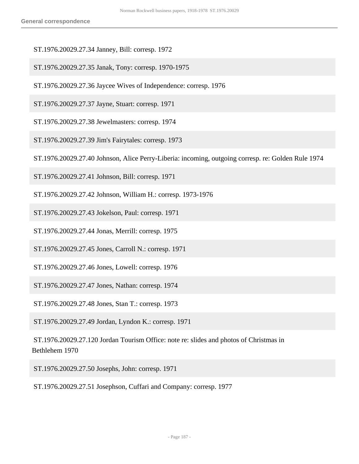- ST.1976.20029.27.34 Janney, Bill: corresp. 1972
- ST.1976.20029.27.35 Janak, Tony: corresp. 1970-1975
- ST.1976.20029.27.36 Jaycee Wives of Independence: corresp. 1976
- ST.1976.20029.27.37 Jayne, Stuart: corresp. 1971
- ST.1976.20029.27.38 Jewelmasters: corresp. 1974
- ST.1976.20029.27.39 Jim's Fairytales: corresp. 1973
- ST.1976.20029.27.40 Johnson, Alice Perry-Liberia: incoming, outgoing corresp. re: Golden Rule 1974
- ST.1976.20029.27.41 Johnson, Bill: corresp. 1971
- ST.1976.20029.27.42 Johnson, William H.: corresp. 1973-1976
- ST.1976.20029.27.43 Jokelson, Paul: corresp. 1971
- ST.1976.20029.27.44 Jonas, Merrill: corresp. 1975
- ST.1976.20029.27.45 Jones, Carroll N.: corresp. 1971
- ST.1976.20029.27.46 Jones, Lowell: corresp. 1976
- ST.1976.20029.27.47 Jones, Nathan: corresp. 1974
- ST.1976.20029.27.48 Jones, Stan T.: corresp. 1973
- ST.1976.20029.27.49 Jordan, Lyndon K.: corresp. 1971
- ST.1976.20029.27.120 Jordan Tourism Office: note re: slides and photos of Christmas in Bethlehem 1970
- ST.1976.20029.27.50 Josephs, John: corresp. 1971

ST.1976.20029.27.51 Josephson, Cuffari and Company: corresp. 1977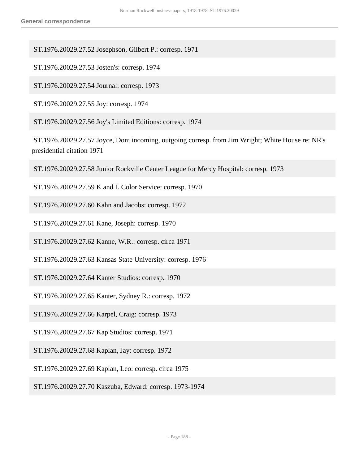ST.1976.20029.27.52 Josephson, Gilbert P.: corresp. 1971

ST.1976.20029.27.53 Josten's: corresp. 1974

ST.1976.20029.27.54 Journal: corresp. 1973

ST.1976.20029.27.55 Joy: corresp. 1974

ST.1976.20029.27.56 Joy's Limited Editions: corresp. 1974

 ST.1976.20029.27.57 Joyce, Don: incoming, outgoing corresp. from Jim Wright; White House re: NR's presidential citation 1971

ST.1976.20029.27.58 Junior Rockville Center League for Mercy Hospital: corresp. 1973

ST.1976.20029.27.59 K and L Color Service: corresp. 1970

ST.1976.20029.27.60 Kahn and Jacobs: corresp. 1972

ST.1976.20029.27.61 Kane, Joseph: corresp. 1970

ST.1976.20029.27.62 Kanne, W.R.: corresp. circa 1971

ST.1976.20029.27.63 Kansas State University: corresp. 1976

ST.1976.20029.27.64 Kanter Studios: corresp. 1970

ST.1976.20029.27.65 Kanter, Sydney R.: corresp. 1972

ST.1976.20029.27.66 Karpel, Craig: corresp. 1973

ST.1976.20029.27.67 Kap Studios: corresp. 1971

ST.1976.20029.27.68 Kaplan, Jay: corresp. 1972

ST.1976.20029.27.69 Kaplan, Leo: corresp. circa 1975

ST.1976.20029.27.70 Kaszuba, Edward: corresp. 1973-1974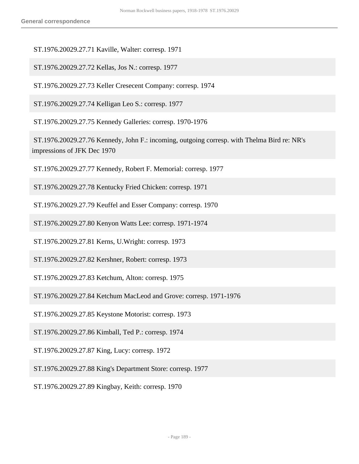ST.1976.20029.27.71 Kaville, Walter: corresp. 1971

ST.1976.20029.27.72 Kellas, Jos N.: corresp. 1977

ST.1976.20029.27.73 Keller Cresecent Company: corresp. 1974

ST.1976.20029.27.74 Kelligan Leo S.: corresp. 1977

ST.1976.20029.27.75 Kennedy Galleries: corresp. 1970-1976

 ST.1976.20029.27.76 Kennedy, John F.: incoming, outgoing corresp. with Thelma Bird re: NR's impressions of JFK Dec 1970

ST.1976.20029.27.77 Kennedy, Robert F. Memorial: corresp. 1977

ST.1976.20029.27.78 Kentucky Fried Chicken: corresp. 1971

ST.1976.20029.27.79 Keuffel and Esser Company: corresp. 1970

ST.1976.20029.27.80 Kenyon Watts Lee: corresp. 1971-1974

ST.1976.20029.27.81 Kerns, U.Wright: corresp. 1973

ST.1976.20029.27.82 Kershner, Robert: corresp. 1973

ST.1976.20029.27.83 Ketchum, Alton: corresp. 1975

ST.1976.20029.27.84 Ketchum MacLeod and Grove: corresp. 1971-1976

ST.1976.20029.27.85 Keystone Motorist: corresp. 1973

ST.1976.20029.27.86 Kimball, Ted P.: corresp. 1974

ST.1976.20029.27.87 King, Lucy: corresp. 1972

ST.1976.20029.27.88 King's Department Store: corresp. 1977

ST.1976.20029.27.89 Kingbay, Keith: corresp. 1970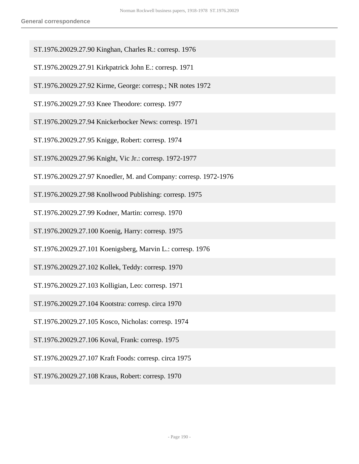- ST.1976.20029.27.90 Kinghan, Charles R.: corresp. 1976
- ST.1976.20029.27.91 Kirkpatrick John E.: corresp. 1971
- ST.1976.20029.27.92 Kirme, George: corresp.; NR notes 1972
- ST.1976.20029.27.93 Knee Theodore: corresp. 1977
- ST.1976.20029.27.94 Knickerbocker News: corresp. 1971
- ST.1976.20029.27.95 Knigge, Robert: corresp. 1974
- ST.1976.20029.27.96 Knight, Vic Jr.: corresp. 1972-1977
- ST.1976.20029.27.97 Knoedler, M. and Company: corresp. 1972-1976
- ST.1976.20029.27.98 Knollwood Publishing: corresp. 1975
- ST.1976.20029.27.99 Kodner, Martin: corresp. 1970
- ST.1976.20029.27.100 Koenig, Harry: corresp. 1975
- ST.1976.20029.27.101 Koenigsberg, Marvin L.: corresp. 1976
- ST.1976.20029.27.102 Kollek, Teddy: corresp. 1970
- ST.1976.20029.27.103 Kolligian, Leo: corresp. 1971
- ST.1976.20029.27.104 Kootstra: corresp. circa 1970
- ST.1976.20029.27.105 Kosco, Nicholas: corresp. 1974
- ST.1976.20029.27.106 Koval, Frank: corresp. 1975
- ST.1976.20029.27.107 Kraft Foods: corresp. circa 1975
- ST.1976.20029.27.108 Kraus, Robert: corresp. 1970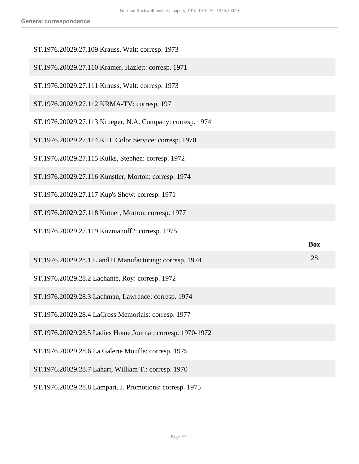| ST.1976.20029.27.109 Krauss, Walt: corresp. 1973           |            |
|------------------------------------------------------------|------------|
| ST.1976.20029.27.110 Kramer, Hazlett: corresp. 1971        |            |
| ST.1976.20029.27.111 Krauss, Walt: corresp. 1973           |            |
| ST.1976.20029.27.112 KRMA-TV: corresp. 1971                |            |
| ST.1976.20029.27.113 Krueger, N.A. Company: corresp. 1974  |            |
| ST.1976.20029.27.114 KTL Color Service: corresp. 1970      |            |
| ST.1976.20029.27.115 Kulks, Stephen: corresp. 1972         |            |
| ST.1976.20029.27.116 Kunstler, Morton: corresp. 1974       |            |
| ST.1976.20029.27.117 Kup's Show: corresp. 1971             |            |
|                                                            |            |
| ST.1976.20029.27.118 Kutner, Morton: corresp. 1977         |            |
| ST.1976.20029.27.119 Kuzmanoff?: corresp. 1975             |            |
|                                                            | <b>Box</b> |
| ST.1976.20029.28.1 L and H Manufacturing: corresp. 1974    | 28         |
| ST.1976.20029.28.2 Lachante, Roy: corresp. 1972            |            |
| ST.1976.20029.28.3 Lachman, Lawrence: corresp. 1974        |            |
| ST.1976.20029.28.4 LaCross Memorials: corresp. 1977        |            |
| ST.1976.20029.28.5 Ladies Home Journal: corresp. 1970-1972 |            |
| ST.1976.20029.28.6 La Galerie Mouffe: corresp. 1975        |            |
| ST.1976.20029.28.7 Lahart, William T.: corresp. 1970       |            |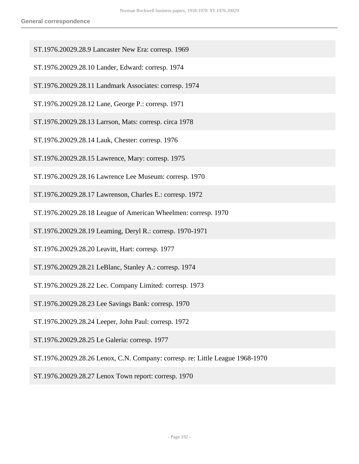- ST.1976.20029.28.9 Lancaster New Era: corresp. 1969
- ST.1976.20029.28.10 Lander, Edward: corresp. 1974
- ST.1976.20029.28.11 Landmark Associates: corresp. 1974
- ST.1976.20029.28.12 Lane, George P.: corresp. 1971
- ST.1976.20029.28.13 Larrson, Mats: corresp. circa 1978
- ST.1976.20029.28.14 Lauk, Chester: corresp. 1976
- ST.1976.20029.28.15 Lawrence, Mary: corresp. 1975
- ST.1976.20029.28.16 Lawrence Lee Museum: corresp. 1970
- ST.1976.20029.28.17 Lawrenson, Charles E.: corresp. 1972
- ST.1976.20029.28.18 League of American Wheelmen: corresp. 1970
- ST.1976.20029.28.19 Leaming, Deryl R.: corresp. 1970-1971
- ST.1976.20029.28.20 Leavitt, Hart: corresp. 1977
- ST.1976.20029.28.21 LeBlanc, Stanley A.: corresp. 1974
- ST.1976.20029.28.22 Lec. Company Limited: corresp. 1973
- ST.1976.20029.28.23 Lee Savings Bank: corresp. 1970
- ST.1976.20029.28.24 Leeper, John Paul: corresp. 1972
- ST.1976.20029.28.25 Le Galeria: corresp. 1977
- ST.1976.20029.28.26 Lenox, C.N. Company: corresp. re: Little League 1968-1970
- ST.1976.20029.28.27 Lenox Town report: corresp. 1970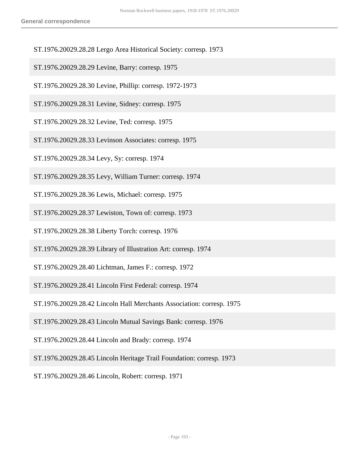- ST.1976.20029.28.28 Lergo Area Historical Society: corresp. 1973
- ST.1976.20029.28.29 Levine, Barry: corresp. 1975
- ST.1976.20029.28.30 Levine, Phillip: corresp. 1972-1973
- ST.1976.20029.28.31 Levine, Sidney: corresp. 1975
- ST.1976.20029.28.32 Levine, Ted: corresp. 1975
- ST.1976.20029.28.33 Levinson Associates: corresp. 1975
- ST.1976.20029.28.34 Levy, Sy: corresp. 1974
- ST.1976.20029.28.35 Levy, William Turner: corresp. 1974
- ST.1976.20029.28.36 Lewis, Michael: corresp. 1975
- ST.1976.20029.28.37 Lewiston, Town of: corresp. 1973
- ST.1976.20029.28.38 Liberty Torch: corresp. 1976
- ST.1976.20029.28.39 Library of Illustration Art: corresp. 1974
- ST.1976.20029.28.40 Lichtman, James F.: corresp. 1972
- ST.1976.20029.28.41 Lincoln First Federal: corresp. 1974
- ST.1976.20029.28.42 Lincoln Hall Merchants Association: corresp. 1975
- ST.1976.20029.28.43 Lincoln Mutual Savings Bank: corresp. 1976
- ST.1976.20029.28.44 Lincoln and Brady: corresp. 1974
- ST.1976.20029.28.45 Lincoln Heritage Trail Foundation: corresp. 1973
- ST.1976.20029.28.46 Lincoln, Robert: corresp. 1971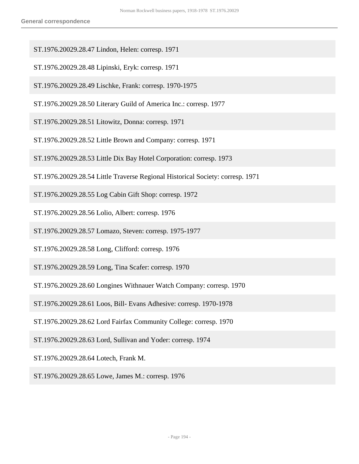- ST.1976.20029.28.47 Lindon, Helen: corresp. 1971
- ST.1976.20029.28.48 Lipinski, Eryk: corresp. 1971
- ST.1976.20029.28.49 Lischke, Frank: corresp. 1970-1975
- ST.1976.20029.28.50 Literary Guild of America Inc.: corresp. 1977
- ST.1976.20029.28.51 Litowitz, Donna: corresp. 1971
- ST.1976.20029.28.52 Little Brown and Company: corresp. 1971
- ST.1976.20029.28.53 Little Dix Bay Hotel Corporation: corresp. 1973
- ST.1976.20029.28.54 Little Traverse Regional Historical Society: corresp. 1971
- ST.1976.20029.28.55 Log Cabin Gift Shop: corresp. 1972
- ST.1976.20029.28.56 Lolio, Albert: corresp. 1976
- ST.1976.20029.28.57 Lomazo, Steven: corresp. 1975-1977
- ST.1976.20029.28.58 Long, Clifford: corresp. 1976
- ST.1976.20029.28.59 Long, Tina Scafer: corresp. 1970
- ST.1976.20029.28.60 Longines Withnauer Watch Company: corresp. 1970
- ST.1976.20029.28.61 Loos, Bill- Evans Adhesive: corresp. 1970-1978
- ST.1976.20029.28.62 Lord Fairfax Community College: corresp. 1970
- ST.1976.20029.28.63 Lord, Sullivan and Yoder: corresp. 1974
- ST.1976.20029.28.64 Lotech, Frank M.
- ST.1976.20029.28.65 Lowe, James M.: corresp. 1976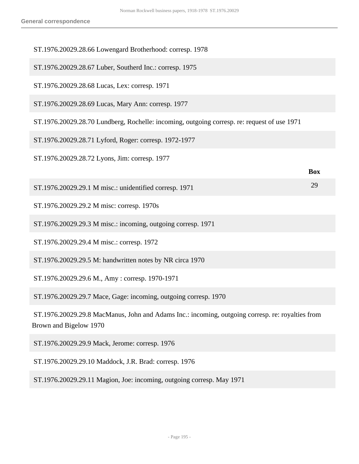| ST.1976.20029.28.66 Lowengard Brotherhood: corresp. 1978                                                                   |            |
|----------------------------------------------------------------------------------------------------------------------------|------------|
| ST.1976.20029.28.67 Luber, Southerd Inc.: corresp. 1975                                                                    |            |
| ST.1976.20029.28.68 Lucas, Lex: corresp. 1971                                                                              |            |
| ST.1976.20029.28.69 Lucas, Mary Ann: corresp. 1977                                                                         |            |
| ST.1976.20029.28.70 Lundberg, Rochelle: incoming, outgoing corresp. re: request of use 1971                                |            |
| ST.1976.20029.28.71 Lyford, Roger: corresp. 1972-1977                                                                      |            |
| ST.1976.20029.28.72 Lyons, Jim: corresp. 1977                                                                              |            |
|                                                                                                                            | <b>Box</b> |
| ST.1976.20029.29.1 M misc.: unidentified corresp. 1971                                                                     | 29         |
| ST.1976.20029.29.2 M misc: corresp. 1970s                                                                                  |            |
| ST.1976.20029.29.3 M misc.: incoming, outgoing corresp. 1971                                                               |            |
| ST.1976.20029.29.4 M misc.: corresp. 1972                                                                                  |            |
| ST.1976.20029.29.5 M: handwritten notes by NR circa 1970                                                                   |            |
| ST.1976.20029.29.6 M., Amy: corresp. 1970-1971                                                                             |            |
| ST.1976.20029.29.7 Mace, Gage: incoming, outgoing corresp. 1970                                                            |            |
| ST.1976.20029.29.8 MacManus, John and Adams Inc.: incoming, outgoing corresp. re: royalties from<br>Brown and Bigelow 1970 |            |
| ST.1976.20029.29.9 Mack, Jerome: corresp. 1976                                                                             |            |
| ST.1976.20029.29.10 Maddock, J.R. Brad: corresp. 1976                                                                      |            |

ST.1976.20029.29.11 Magion, Joe: incoming, outgoing corresp. May 1971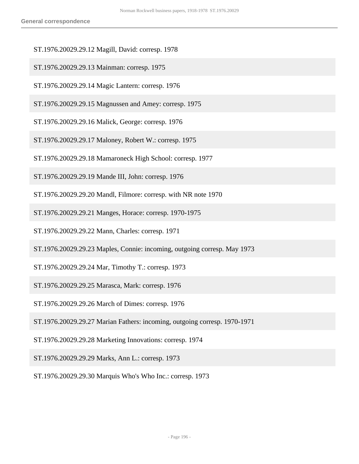- ST.1976.20029.29.12 Magill, David: corresp. 1978
- ST.1976.20029.29.13 Mainman: corresp. 1975
- ST.1976.20029.29.14 Magic Lantern: corresp. 1976
- ST.1976.20029.29.15 Magnussen and Amey: corresp. 1975
- ST.1976.20029.29.16 Malick, George: corresp. 1976
- ST.1976.20029.29.17 Maloney, Robert W.: corresp. 1975
- ST.1976.20029.29.18 Mamaroneck High School: corresp. 1977
- ST.1976.20029.29.19 Mande III, John: corresp. 1976
- ST.1976.20029.29.20 Mandl, Filmore: corresp. with NR note 1970
- ST.1976.20029.29.21 Manges, Horace: corresp. 1970-1975
- ST.1976.20029.29.22 Mann, Charles: corresp. 1971
- ST.1976.20029.29.23 Maples, Connie: incoming, outgoing corresp. May 1973
- ST.1976.20029.29.24 Mar, Timothy T.: corresp. 1973
- ST.1976.20029.29.25 Marasca, Mark: corresp. 1976
- ST.1976.20029.29.26 March of Dimes: corresp. 1976
- ST.1976.20029.29.27 Marian Fathers: incoming, outgoing corresp. 1970-1971
- ST.1976.20029.29.28 Marketing Innovations: corresp. 1974
- ST.1976.20029.29.29 Marks, Ann L.: corresp. 1973
- ST.1976.20029.29.30 Marquis Who's Who Inc.: corresp. 1973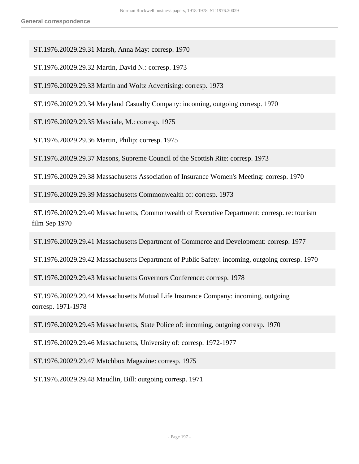ST.1976.20029.29.31 Marsh, Anna May: corresp. 1970

ST.1976.20029.29.32 Martin, David N.: corresp. 1973

ST.1976.20029.29.33 Martin and Woltz Advertising: corresp. 1973

ST.1976.20029.29.34 Maryland Casualty Company: incoming, outgoing corresp. 1970

ST.1976.20029.29.35 Masciale, M.: corresp. 1975

ST.1976.20029.29.36 Martin, Philip: corresp. 1975

ST.1976.20029.29.37 Masons, Supreme Council of the Scottish Rite: corresp. 1973

ST.1976.20029.29.38 Massachusetts Association of Insurance Women's Meeting: corresp. 1970

ST.1976.20029.29.39 Massachusetts Commonwealth of: corresp. 1973

 ST.1976.20029.29.40 Massachusetts, Commonwealth of Executive Department: corresp. re: tourism film Sep 1970

ST.1976.20029.29.41 Massachusetts Department of Commerce and Development: corresp. 1977

ST.1976.20029.29.42 Massachusetts Department of Public Safety: incoming, outgoing corresp. 1970

ST.1976.20029.29.43 Massachusetts Governors Conference: corresp. 1978

 ST.1976.20029.29.44 Massachusetts Mutual Life Insurance Company: incoming, outgoing corresp. 1971-1978

ST.1976.20029.29.45 Massachusetts, State Police of: incoming, outgoing corresp. 1970

ST.1976.20029.29.46 Massachusetts, University of: corresp. 1972-1977

ST.1976.20029.29.47 Matchbox Magazine: corresp. 1975

ST.1976.20029.29.48 Maudlin, Bill: outgoing corresp. 1971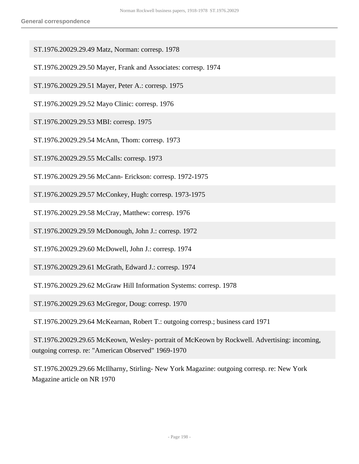- ST.1976.20029.29.49 Matz, Norman: corresp. 1978
- ST.1976.20029.29.50 Mayer, Frank and Associates: corresp. 1974
- ST.1976.20029.29.51 Mayer, Peter A.: corresp. 1975
- ST.1976.20029.29.52 Mayo Clinic: corresp. 1976
- ST.1976.20029.29.53 MBI: corresp. 1975
- ST.1976.20029.29.54 McAnn, Thom: corresp. 1973
- ST.1976.20029.29.55 McCalls: corresp. 1973
- ST.1976.20029.29.56 McCann- Erickson: corresp. 1972-1975
- ST.1976.20029.29.57 McConkey, Hugh: corresp. 1973-1975
- ST.1976.20029.29.58 McCray, Matthew: corresp. 1976
- ST.1976.20029.29.59 McDonough, John J.: corresp. 1972
- ST.1976.20029.29.60 McDowell, John J.: corresp. 1974
- ST.1976.20029.29.61 McGrath, Edward J.: corresp. 1974
- ST.1976.20029.29.62 McGraw Hill Information Systems: corresp. 1978
- ST.1976.20029.29.63 McGregor, Doug: corresp. 1970
- ST.1976.20029.29.64 McKearnan, Robert T.: outgoing corresp.; business card 1971
- ST.1976.20029.29.65 McKeown, Wesley- portrait of McKeown by Rockwell. Advertising: incoming, outgoing corresp. re: "American Observed" 1969-1970
- ST.1976.20029.29.66 McIlharny, Stirling- New York Magazine: outgoing corresp. re: New York Magazine article on NR 1970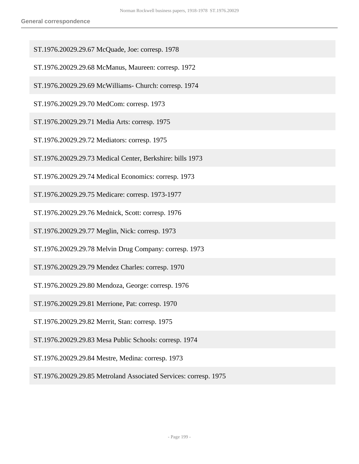- ST.1976.20029.29.67 McQuade, Joe: corresp. 1978
- ST.1976.20029.29.68 McManus, Maureen: corresp. 1972
- ST.1976.20029.29.69 McWilliams- Church: corresp. 1974
- ST.1976.20029.29.70 MedCom: corresp. 1973
- ST.1976.20029.29.71 Media Arts: corresp. 1975
- ST.1976.20029.29.72 Mediators: corresp. 1975
- ST.1976.20029.29.73 Medical Center, Berkshire: bills 1973
- ST.1976.20029.29.74 Medical Economics: corresp. 1973
- ST.1976.20029.29.75 Medicare: corresp. 1973-1977
- ST.1976.20029.29.76 Mednick, Scott: corresp. 1976
- ST.1976.20029.29.77 Meglin, Nick: corresp. 1973
- ST.1976.20029.29.78 Melvin Drug Company: corresp. 1973
- ST.1976.20029.29.79 Mendez Charles: corresp. 1970
- ST.1976.20029.29.80 Mendoza, George: corresp. 1976
- ST.1976.20029.29.81 Merrione, Pat: corresp. 1970
- ST.1976.20029.29.82 Merrit, Stan: corresp. 1975
- ST.1976.20029.29.83 Mesa Public Schools: corresp. 1974
- ST.1976.20029.29.84 Mestre, Medina: corresp. 1973
- ST.1976.20029.29.85 Metroland Associated Services: corresp. 1975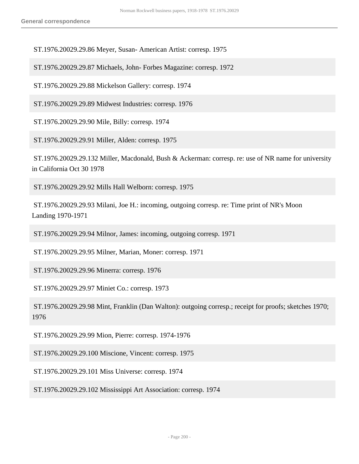ST.1976.20029.29.86 Meyer, Susan- American Artist: corresp. 1975

ST.1976.20029.29.87 Michaels, John- Forbes Magazine: corresp. 1972

ST.1976.20029.29.88 Mickelson Gallery: corresp. 1974

ST.1976.20029.29.89 Midwest Industries: corresp. 1976

ST.1976.20029.29.90 Mile, Billy: corresp. 1974

ST.1976.20029.29.91 Miller, Alden: corresp. 1975

 ST.1976.20029.29.132 Miller, Macdonald, Bush & Ackerman: corresp. re: use of NR name for university in California Oct 30 1978

ST.1976.20029.29.92 Mills Hall Welborn: corresp. 1975

 ST.1976.20029.29.93 Milani, Joe H.: incoming, outgoing corresp. re: Time print of NR's Moon Landing 1970-1971

ST.1976.20029.29.94 Milnor, James: incoming, outgoing corresp. 1971

ST.1976.20029.29.95 Milner, Marian, Moner: corresp. 1971

ST.1976.20029.29.96 Minerra: corresp. 1976

ST.1976.20029.29.97 Miniet Co.: corresp. 1973

 ST.1976.20029.29.98 Mint, Franklin (Dan Walton): outgoing corresp.; receipt for proofs; sketches 1970; 1976

ST.1976.20029.29.99 Mion, Pierre: corresp. 1974-1976

ST.1976.20029.29.100 Miscione, Vincent: corresp. 1975

ST.1976.20029.29.101 Miss Universe: corresp. 1974

ST.1976.20029.29.102 Mississippi Art Association: corresp. 1974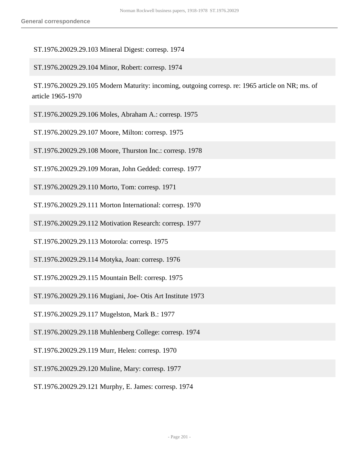## ST.1976.20029.29.103 Mineral Digest: corresp. 1974

ST.1976.20029.29.104 Minor, Robert: corresp. 1974

 ST.1976.20029.29.105 Modern Maturity: incoming, outgoing corresp. re: 1965 article on NR; ms. of article 1965-1970

ST.1976.20029.29.106 Moles, Abraham A.: corresp. 1975

ST.1976.20029.29.107 Moore, Milton: corresp. 1975

ST.1976.20029.29.108 Moore, Thurston Inc.: corresp. 1978

ST.1976.20029.29.109 Moran, John Gedded: corresp. 1977

ST.1976.20029.29.110 Morto, Tom: corresp. 1971

ST.1976.20029.29.111 Morton International: corresp. 1970

ST.1976.20029.29.112 Motivation Research: corresp. 1977

ST.1976.20029.29.113 Motorola: corresp. 1975

ST.1976.20029.29.114 Motyka, Joan: corresp. 1976

ST.1976.20029.29.115 Mountain Bell: corresp. 1975

ST.1976.20029.29.116 Mugiani, Joe- Otis Art Institute 1973

ST.1976.20029.29.117 Mugelston, Mark B.: 1977

ST.1976.20029.29.118 Muhlenberg College: corresp. 1974

ST.1976.20029.29.119 Murr, Helen: corresp. 1970

ST.1976.20029.29.120 Muline, Mary: corresp. 1977

ST.1976.20029.29.121 Murphy, E. James: corresp. 1974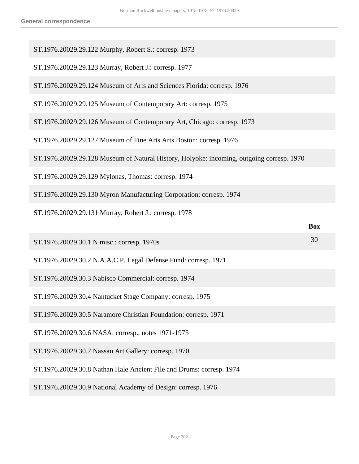| ST.1976.20029.29.122 Murphy, Robert S.: corresp. 1973                                     |            |
|-------------------------------------------------------------------------------------------|------------|
| ST.1976.20029.29.123 Murray, Robert J.: corresp. 1977                                     |            |
| ST.1976.20029.29.124 Museum of Arts and Sciences Florida: corresp. 1976                   |            |
| ST.1976.20029.29.125 Museum of Contemporary Art: corresp. 1975                            |            |
| ST.1976.20029.29.126 Museum of Contemporary Art, Chicago: corresp. 1973                   |            |
| ST.1976.20029.29.127 Museum of Fine Arts Arts Boston: corresp. 1976                       |            |
| ST.1976.20029.29.128 Museum of Natural History, Holyoke: incoming, outgoing corresp. 1970 |            |
| ST.1976.20029.29.129 Mylonas, Thomas: corresp. 1974                                       |            |
| ST.1976.20029.29.130 Myron Manufacturing Corporation: corresp. 1974                       |            |
| ST.1976.20029.29.131 Murray, Robert J.: corresp. 1978                                     |            |
|                                                                                           |            |
|                                                                                           | <b>Box</b> |
| ST.1976.20029.30.1 N misc.: corresp. 1970s                                                | 30         |
| ST.1976.20029.30.2 N.A.A.C.P. Legal Defense Fund: corresp. 1971                           |            |
| ST.1976.20029.30.3 Nabisco Commercial: corresp. 1974                                      |            |
| ST.1976.20029.30.4 Nantucket Stage Company: corresp. 1975                                 |            |
| ST.1976.20029.30.5 Naramore Christian Foundation: corresp. 1971                           |            |
| ST.1976.20029.30.6 NASA: corresp., notes 1971-1975                                        |            |
| ST.1976.20029.30.7 Nassau Art Gallery: corresp. 1970                                      |            |
| ST.1976.20029.30.8 Nathan Hale Ancient File and Drums: corresp. 1974                      |            |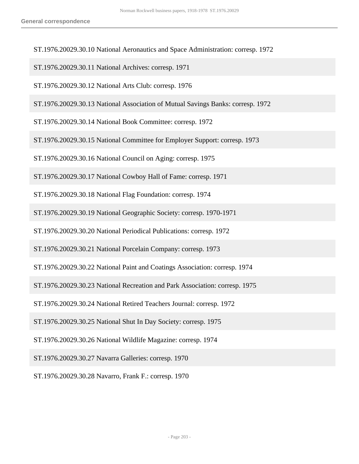ST.1976.20029.30.10 National Aeronautics and Space Administration: corresp. 1972

ST.1976.20029.30.11 National Archives: corresp. 1971

ST.1976.20029.30.12 National Arts Club: corresp. 1976

ST.1976.20029.30.13 National Association of Mutual Savings Banks: corresp. 1972

ST.1976.20029.30.14 National Book Committee: corresp. 1972

ST.1976.20029.30.15 National Committee for Employer Support: corresp. 1973

ST.1976.20029.30.16 National Council on Aging: corresp. 1975

ST.1976.20029.30.17 National Cowboy Hall of Fame: corresp. 1971

ST.1976.20029.30.18 National Flag Foundation: corresp. 1974

ST.1976.20029.30.19 National Geographic Society: corresp. 1970-1971

ST.1976.20029.30.20 National Periodical Publications: corresp. 1972

ST.1976.20029.30.21 National Porcelain Company: corresp. 1973

ST.1976.20029.30.22 National Paint and Coatings Association: corresp. 1974

ST.1976.20029.30.23 National Recreation and Park Association: corresp. 1975

ST.1976.20029.30.24 National Retired Teachers Journal: corresp. 1972

ST.1976.20029.30.25 National Shut In Day Society: corresp. 1975

ST.1976.20029.30.26 National Wildlife Magazine: corresp. 1974

ST.1976.20029.30.27 Navarra Galleries: corresp. 1970

ST.1976.20029.30.28 Navarro, Frank F.: corresp. 1970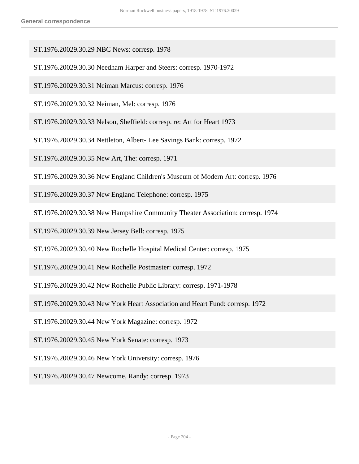- ST.1976.20029.30.29 NBC News: corresp. 1978
- ST.1976.20029.30.30 Needham Harper and Steers: corresp. 1970-1972
- ST.1976.20029.30.31 Neiman Marcus: corresp. 1976
- ST.1976.20029.30.32 Neiman, Mel: corresp. 1976
- ST.1976.20029.30.33 Nelson, Sheffield: corresp. re: Art for Heart 1973
- ST.1976.20029.30.34 Nettleton, Albert- Lee Savings Bank: corresp. 1972
- ST.1976.20029.30.35 New Art, The: corresp. 1971
- ST.1976.20029.30.36 New England Children's Museum of Modern Art: corresp. 1976
- ST.1976.20029.30.37 New England Telephone: corresp. 1975
- ST.1976.20029.30.38 New Hampshire Community Theater Association: corresp. 1974
- ST.1976.20029.30.39 New Jersey Bell: corresp. 1975
- ST.1976.20029.30.40 New Rochelle Hospital Medical Center: corresp. 1975
- ST.1976.20029.30.41 New Rochelle Postmaster: corresp. 1972
- ST.1976.20029.30.42 New Rochelle Public Library: corresp. 1971-1978
- ST.1976.20029.30.43 New York Heart Association and Heart Fund: corresp. 1972
- ST.1976.20029.30.44 New York Magazine: corresp. 1972
- ST.1976.20029.30.45 New York Senate: corresp. 1973
- ST.1976.20029.30.46 New York University: corresp. 1976
- ST.1976.20029.30.47 Newcome, Randy: corresp. 1973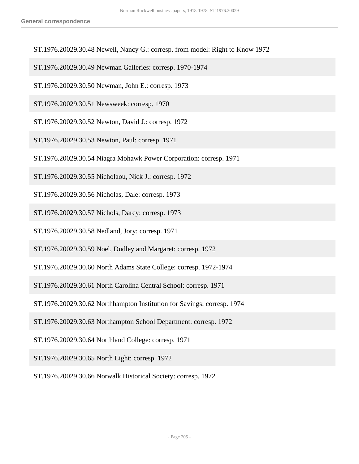- ST.1976.20029.30.48 Newell, Nancy G.: corresp. from model: Right to Know 1972
- ST.1976.20029.30.49 Newman Galleries: corresp. 1970-1974
- ST.1976.20029.30.50 Newman, John E.: corresp. 1973
- ST.1976.20029.30.51 Newsweek: corresp. 1970
- ST.1976.20029.30.52 Newton, David J.: corresp. 1972
- ST.1976.20029.30.53 Newton, Paul: corresp. 1971
- ST.1976.20029.30.54 Niagra Mohawk Power Corporation: corresp. 1971
- ST.1976.20029.30.55 Nicholaou, Nick J.: corresp. 1972
- ST.1976.20029.30.56 Nicholas, Dale: corresp. 1973
- ST.1976.20029.30.57 Nichols, Darcy: corresp. 1973
- ST.1976.20029.30.58 Nedland, Jory: corresp. 1971
- ST.1976.20029.30.59 Noel, Dudley and Margaret: corresp. 1972
- ST.1976.20029.30.60 North Adams State College: corresp. 1972-1974
- ST.1976.20029.30.61 North Carolina Central School: corresp. 1971
- ST.1976.20029.30.62 Northhampton Institution for Savings: corresp. 1974
- ST.1976.20029.30.63 Northampton School Department: corresp. 1972
- ST.1976.20029.30.64 Northland College: corresp. 1971
- ST.1976.20029.30.65 North Light: corresp. 1972
- ST.1976.20029.30.66 Norwalk Historical Society: corresp. 1972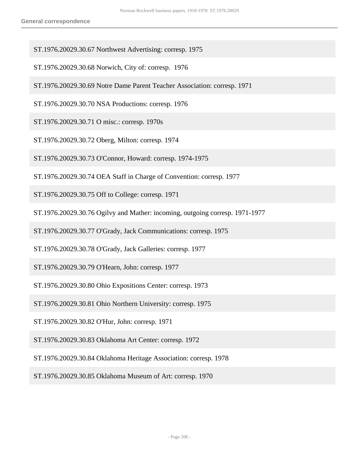- ST.1976.20029.30.67 Northwest Advertising: corresp. 1975
- ST.1976.20029.30.68 Norwich, City of: corresp. 1976
- ST.1976.20029.30.69 Notre Dame Parent Teacher Association: corresp. 1971
- ST.1976.20029.30.70 NSA Productions: corresp. 1976
- ST.1976.20029.30.71 O misc.: corresp. 1970s
- ST.1976.20029.30.72 Oberg, Milton: corresp. 1974
- ST.1976.20029.30.73 O'Connor, Howard: corresp. 1974-1975
- ST.1976.20029.30.74 OEA Staff in Charge of Convention: corresp. 1977
- ST.1976.20029.30.75 Off to College: corresp. 1971
- ST.1976.20029.30.76 Ogilvy and Mather: incoming, outgoing corresp. 1971-1977
- ST.1976.20029.30.77 O'Grady, Jack Communications: corresp. 1975
- ST.1976.20029.30.78 O'Grady, Jack Galleries: corresp. 1977
- ST.1976.20029.30.79 O'Hearn, John: corresp. 1977
- ST.1976.20029.30.80 Ohio Expositions Center: corresp. 1973
- ST.1976.20029.30.81 Ohio Northern University: corresp. 1975
- ST.1976.20029.30.82 O'Hur, John: corresp. 1971
- ST.1976.20029.30.83 Oklahoma Art Center: corresp. 1972
- ST.1976.20029.30.84 Oklahoma Heritage Association: corresp. 1978
- ST.1976.20029.30.85 Oklahoma Museum of Art: corresp. 1970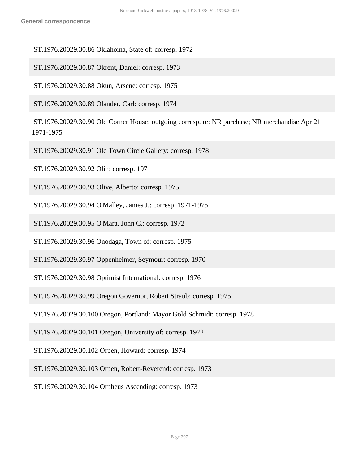ST.1976.20029.30.86 Oklahoma, State of: corresp. 1972

ST.1976.20029.30.87 Okrent, Daniel: corresp. 1973

ST.1976.20029.30.88 Okun, Arsene: corresp. 1975

ST.1976.20029.30.89 Olander, Carl: corresp. 1974

 ST.1976.20029.30.90 Old Corner House: outgoing corresp. re: NR purchase; NR merchandise Apr 21 1971-1975

ST.1976.20029.30.91 Old Town Circle Gallery: corresp. 1978

ST.1976.20029.30.92 Olin: corresp. 1971

ST.1976.20029.30.93 Olive, Alberto: corresp. 1975

ST.1976.20029.30.94 O'Malley, James J.: corresp. 1971-1975

ST.1976.20029.30.95 O'Mara, John C.: corresp. 1972

ST.1976.20029.30.96 Onodaga, Town of: corresp. 1975

ST.1976.20029.30.97 Oppenheimer, Seymour: corresp. 1970

ST.1976.20029.30.98 Optimist International: corresp. 1976

ST.1976.20029.30.99 Oregon Governor, Robert Straub: corresp. 1975

ST.1976.20029.30.100 Oregon, Portland: Mayor Gold Schmidt: corresp. 1978

ST.1976.20029.30.101 Oregon, University of: corresp. 1972

ST.1976.20029.30.102 Orpen, Howard: corresp. 1974

ST.1976.20029.30.103 Orpen, Robert-Reverend: corresp. 1973

ST.1976.20029.30.104 Orpheus Ascending: corresp. 1973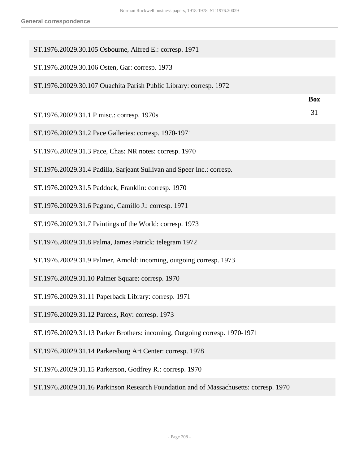| ST.1976.20029.30.105 Osbourne, Alfred E.: corresp. 1971                               |            |
|---------------------------------------------------------------------------------------|------------|
| ST.1976.20029.30.106 Osten, Gar: corresp. 1973                                        |            |
| ST.1976.20029.30.107 Ouachita Parish Public Library: corresp. 1972                    |            |
|                                                                                       | <b>Box</b> |
| ST.1976.20029.31.1 P misc.: corresp. 1970s                                            | 31         |
| ST.1976.20029.31.2 Pace Galleries: corresp. 1970-1971                                 |            |
| ST.1976.20029.31.3 Pace, Chas: NR notes: corresp. 1970                                |            |
| ST.1976.20029.31.4 Padilla, Sarjeant Sullivan and Speer Inc.: corresp.                |            |
| ST.1976.20029.31.5 Paddock, Franklin: corresp. 1970                                   |            |
| ST.1976.20029.31.6 Pagano, Camillo J.: corresp. 1971                                  |            |
| ST.1976.20029.31.7 Paintings of the World: corresp. 1973                              |            |
| ST.1976.20029.31.8 Palma, James Patrick: telegram 1972                                |            |
| ST.1976.20029.31.9 Palmer, Arnold: incoming, outgoing corresp. 1973                   |            |
| ST.1976.20029.31.10 Palmer Square: corresp. 1970                                      |            |
| ST.1976.20029.31.11 Paperback Library: corresp. 1971                                  |            |
| ST.1976.20029.31.12 Parcels, Roy: corresp. 1973                                       |            |
| ST.1976.20029.31.13 Parker Brothers: incoming, Outgoing corresp. 1970-1971            |            |
| ST.1976.20029.31.14 Parkersburg Art Center: corresp. 1978                             |            |
| ST.1976.20029.31.15 Parkerson, Godfrey R.: corresp. 1970                              |            |
| ST.1976.20029.31.16 Parkinson Research Foundation and of Massachusetts: corresp. 1970 |            |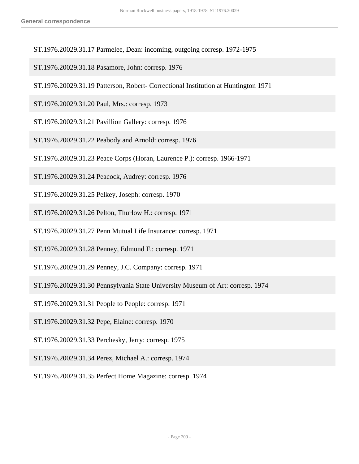- ST.1976.20029.31.17 Parmelee, Dean: incoming, outgoing corresp. 1972-1975
- ST.1976.20029.31.18 Pasamore, John: corresp. 1976
- ST.1976.20029.31.19 Patterson, Robert- Correctional Institution at Huntington 1971
- ST.1976.20029.31.20 Paul, Mrs.: corresp. 1973
- ST.1976.20029.31.21 Pavillion Gallery: corresp. 1976
- ST.1976.20029.31.22 Peabody and Arnold: corresp. 1976
- ST.1976.20029.31.23 Peace Corps (Horan, Laurence P.): corresp. 1966-1971
- ST.1976.20029.31.24 Peacock, Audrey: corresp. 1976
- ST.1976.20029.31.25 Pelkey, Joseph: corresp. 1970
- ST.1976.20029.31.26 Pelton, Thurlow H.: corresp. 1971
- ST.1976.20029.31.27 Penn Mutual Life Insurance: corresp. 1971
- ST.1976.20029.31.28 Penney, Edmund F.: corresp. 1971
- ST.1976.20029.31.29 Penney, J.C. Company: corresp. 1971
- ST.1976.20029.31.30 Pennsylvania State University Museum of Art: corresp. 1974
- ST.1976.20029.31.31 People to People: corresp. 1971
- ST.1976.20029.31.32 Pepe, Elaine: corresp. 1970
- ST.1976.20029.31.33 Perchesky, Jerry: corresp. 1975
- ST.1976.20029.31.34 Perez, Michael A.: corresp. 1974
- ST.1976.20029.31.35 Perfect Home Magazine: corresp. 1974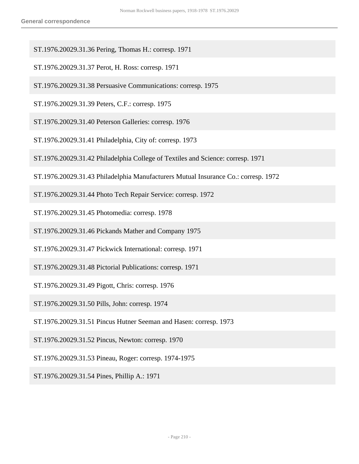- ST.1976.20029.31.36 Pering, Thomas H.: corresp. 1971
- ST.1976.20029.31.37 Perot, H. Ross: corresp. 1971
- ST.1976.20029.31.38 Persuasive Communications: corresp. 1975
- ST.1976.20029.31.39 Peters, C.F.: corresp. 1975
- ST.1976.20029.31.40 Peterson Galleries: corresp. 1976
- ST.1976.20029.31.41 Philadelphia, City of: corresp. 1973
- ST.1976.20029.31.42 Philadelphia College of Textiles and Science: corresp. 1971
- ST.1976.20029.31.43 Philadelphia Manufacturers Mutual Insurance Co.: corresp. 1972
- ST.1976.20029.31.44 Photo Tech Repair Service: corresp. 1972
- ST.1976.20029.31.45 Photomedia: corresp. 1978
- ST.1976.20029.31.46 Pickands Mather and Company 1975
- ST.1976.20029.31.47 Pickwick International: corresp. 1971
- ST.1976.20029.31.48 Pictorial Publications: corresp. 1971
- ST.1976.20029.31.49 Pigott, Chris: corresp. 1976
- ST.1976.20029.31.50 Pills, John: corresp. 1974
- ST.1976.20029.31.51 Pincus Hutner Seeman and Hasen: corresp. 1973
- ST.1976.20029.31.52 Pincus, Newton: corresp. 1970
- ST.1976.20029.31.53 Pineau, Roger: corresp. 1974-1975
- ST.1976.20029.31.54 Pines, Phillip A.: 1971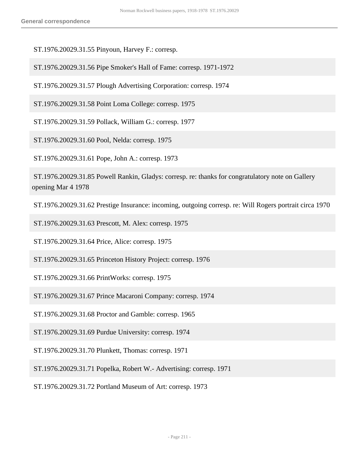ST.1976.20029.31.55 Pinyoun, Harvey F.: corresp.

ST.1976.20029.31.56 Pipe Smoker's Hall of Fame: corresp. 1971-1972

ST.1976.20029.31.57 Plough Advertising Corporation: corresp. 1974

ST.1976.20029.31.58 Point Loma College: corresp. 1975

ST.1976.20029.31.59 Pollack, William G.: corresp. 1977

ST.1976.20029.31.60 Pool, Nelda: corresp. 1975

ST.1976.20029.31.61 Pope, John A.: corresp. 1973

 ST.1976.20029.31.85 Powell Rankin, Gladys: corresp. re: thanks for congratulatory note on Gallery opening Mar 4 1978

ST.1976.20029.31.62 Prestige Insurance: incoming, outgoing corresp. re: Will Rogers portrait circa 1970

ST.1976.20029.31.63 Prescott, M. Alex: corresp. 1975

ST.1976.20029.31.64 Price, Alice: corresp. 1975

ST.1976.20029.31.65 Princeton History Project: corresp. 1976

ST.1976.20029.31.66 PrintWorks: corresp. 1975

ST.1976.20029.31.67 Prince Macaroni Company: corresp. 1974

ST.1976.20029.31.68 Proctor and Gamble: corresp. 1965

ST.1976.20029.31.69 Purdue University: corresp. 1974

ST.1976.20029.31.70 Plunkett, Thomas: corresp. 1971

ST.1976.20029.31.71 Popelka, Robert W.- Advertising: corresp. 1971

ST.1976.20029.31.72 Portland Museum of Art: corresp. 1973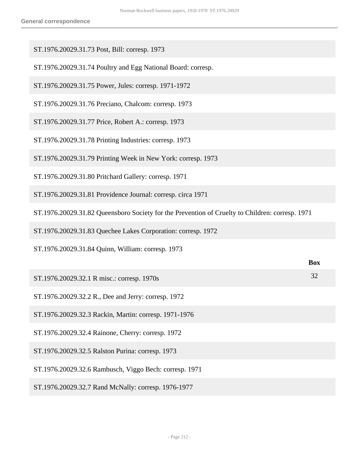ST.1976.20029.31.73 Post, Bill: corresp. 1973

| ST.1976.20029.31.74 Poultry and Egg National Board: corresp.                                    |            |
|-------------------------------------------------------------------------------------------------|------------|
| ST.1976.20029.31.75 Power, Jules: corresp. 1971-1972                                            |            |
| ST.1976.20029.31.76 Preciano, Chalcom: corresp. 1973                                            |            |
| ST.1976.20029.31.77 Price, Robert A.: corresp. 1973                                             |            |
| ST.1976.20029.31.78 Printing Industries: corresp. 1973                                          |            |
| ST.1976.20029.31.79 Printing Week in New York: corresp. 1973                                    |            |
| ST.1976.20029.31.80 Pritchard Gallery: corresp. 1971                                            |            |
| ST.1976.20029.31.81 Providence Journal: corresp. circa 1971                                     |            |
| ST.1976.20029.31.82 Queensboro Society for the Prevention of Cruelty to Children: corresp. 1971 |            |
| ST.1976.20029.31.83 Quechee Lakes Corporation: corresp. 1972                                    |            |
| ST.1976.20029.31.84 Quinn, William: corresp. 1973                                               |            |
|                                                                                                 | <b>Box</b> |
| ST.1976.20029.32.1 R misc.: corresp. 1970s                                                      | 32         |
| ST.1976.20029.32.2 R., Dee and Jerry: corresp. 1972                                             |            |
| ST.1976.20029.32.3 Rackin, Martin: corresp. 1971-1976                                           |            |
| ST.1976.20029.32.4 Rainone, Cherry: corresp. 1972                                               |            |
| ST.1976.20029.32.5 Ralston Purina: corresp. 1973                                                |            |
| ST.1976.20029.32.6 Rambusch, Viggo Bech: corresp. 1971                                          |            |
| ST.1976.20029.32.7 Rand McNally: corresp. 1976-1977                                             |            |
|                                                                                                 |            |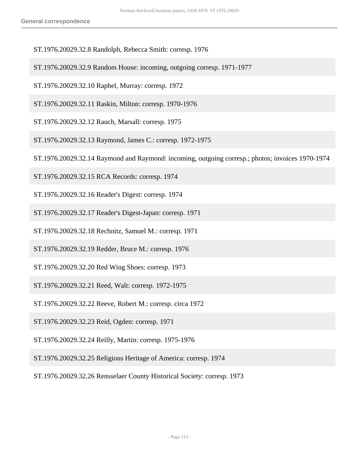- ST.1976.20029.32.8 Randolph, Rebecca Smith: corresp. 1976
- ST.1976.20029.32.9 Random House: incoming, outgoing corresp. 1971-1977
- ST.1976.20029.32.10 Raphel, Murray: corresp. 1972
- ST.1976.20029.32.11 Raskin, Milton: corresp. 1970-1976
- ST.1976.20029.32.12 Rauch, Marsall: corresp. 1975
- ST.1976.20029.32.13 Raymond, James C.: corresp. 1972-1975
- ST.1976.20029.32.14 Raymond and Raymond: incoming, outgoing corresp.; photos; invoices 1970-1974
- ST.1976.20029.32.15 RCA Records: corresp. 1974
- ST.1976.20029.32.16 Reader's Digest: corresp. 1974
- ST.1976.20029.32.17 Reader's Digest-Japan: corresp. 1971
- ST.1976.20029.32.18 Rechnitz, Samuel M.: corresp. 1971
- ST.1976.20029.32.19 Redder, Bruce M.: corresp. 1976
- ST.1976.20029.32.20 Red Wing Shoes: corresp. 1973
- ST.1976.20029.32.21 Reed, Walt: corresp. 1972-1975
- ST.1976.20029.32.22 Reeve, Robert M.: corresp. circa 1972
- ST.1976.20029.32.23 Reid, Ogden: corresp. 1971
- ST.1976.20029.32.24 Reilly, Martin: corresp. 1975-1976
- ST.1976.20029.32.25 Religious Heritage of America: corresp. 1974
- ST.1976.20029.32.26 Rensselaer County Historical Society: corresp. 1973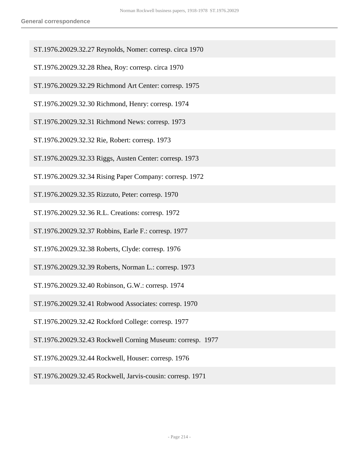- ST.1976.20029.32.27 Reynolds, Nomer: corresp. circa 1970
- ST.1976.20029.32.28 Rhea, Roy: corresp. circa 1970
- ST.1976.20029.32.29 Richmond Art Center: corresp. 1975
- ST.1976.20029.32.30 Richmond, Henry: corresp. 1974
- ST.1976.20029.32.31 Richmond News: corresp. 1973
- ST.1976.20029.32.32 Rie, Robert: corresp. 1973
- ST.1976.20029.32.33 Riggs, Austen Center: corresp. 1973
- ST.1976.20029.32.34 Rising Paper Company: corresp. 1972
- ST.1976.20029.32.35 Rizzuto, Peter: corresp. 1970
- ST.1976.20029.32.36 R.L. Creations: corresp. 1972
- ST.1976.20029.32.37 Robbins, Earle F.: corresp. 1977
- ST.1976.20029.32.38 Roberts, Clyde: corresp. 1976
- ST.1976.20029.32.39 Roberts, Norman L.: corresp. 1973
- ST.1976.20029.32.40 Robinson, G.W.: corresp. 1974
- ST.1976.20029.32.41 Robwood Associates: corresp. 1970
- ST.1976.20029.32.42 Rockford College: corresp. 1977
- ST.1976.20029.32.43 Rockwell Corning Museum: corresp. 1977
- ST.1976.20029.32.44 Rockwell, Houser: corresp. 1976
- ST.1976.20029.32.45 Rockwell, Jarvis-cousin: corresp. 1971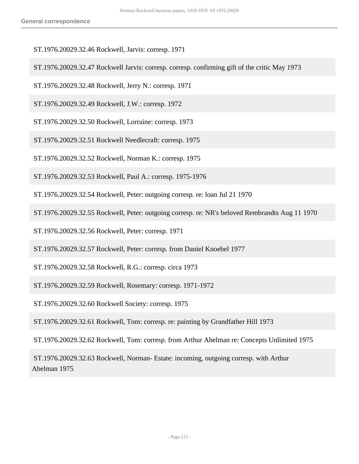- ST.1976.20029.32.46 Rockwell, Jarvis: corresp. 1971
- ST.1976.20029.32.47 Rockwell Jarvis: corresp. corresp. confirming gift of the critic May 1973
- ST.1976.20029.32.48 Rockwell, Jerry N.: corresp. 1971
- ST.1976.20029.32.49 Rockwell, J.W.: corresp. 1972
- ST.1976.20029.32.50 Rockwell, Lorraine: corresp. 1973
- ST.1976.20029.32.51 Rockwell Needlecraft: corresp. 1975
- ST.1976.20029.32.52 Rockwell, Norman K.: corresp. 1975
- ST.1976.20029.32.53 Rockwell, Paul A.: corresp. 1975-1976
- ST.1976.20029.32.54 Rockwell, Peter: outgoing corresp. re: loan Jul 21 1970
- ST.1976.20029.32.55 Rockwell, Peter: outgoing corresp. re: NR's beloved Rembrandts Aug 11 1970
- ST.1976.20029.32.56 Rockwell, Peter: corresp. 1971
- ST.1976.20029.32.57 Rockwell, Peter: corresp. from Daniel Knoebel 1977
- ST.1976.20029.32.58 Rockwell, R.G.: corresp. circa 1973
- ST.1976.20029.32.59 Rockwell, Rosemary: corresp. 1971-1972
- ST.1976.20029.32.60 Rockwell Society: corresp. 1975
- ST.1976.20029.32.61 Rockwell, Tom: corresp. re: painting by Grandfather Hill 1973
- ST.1976.20029.32.62 Rockwell, Tom: corresp. from Arthur Abelman re: Concepts Unlimited 1975
- ST.1976.20029.32.63 Rockwell, Norman- Estate: incoming, outgoing corresp. with Arthur Abelman 1975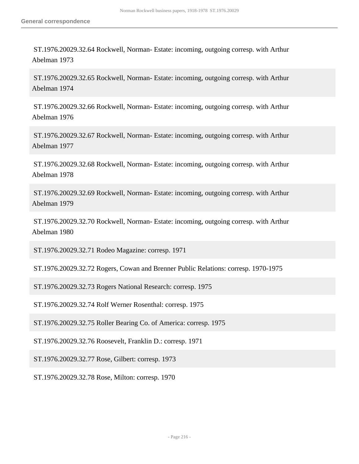ST.1976.20029.32.64 Rockwell, Norman- Estate: incoming, outgoing corresp. with Arthur Abelman 1973

 ST.1976.20029.32.65 Rockwell, Norman- Estate: incoming, outgoing corresp. with Arthur Abelman 1974

 ST.1976.20029.32.66 Rockwell, Norman- Estate: incoming, outgoing corresp. with Arthur Abelman 1976

 ST.1976.20029.32.67 Rockwell, Norman- Estate: incoming, outgoing corresp. with Arthur Abelman 1977

 ST.1976.20029.32.68 Rockwell, Norman- Estate: incoming, outgoing corresp. with Arthur Abelman 1978

 ST.1976.20029.32.69 Rockwell, Norman- Estate: incoming, outgoing corresp. with Arthur Abelman 1979

 ST.1976.20029.32.70 Rockwell, Norman- Estate: incoming, outgoing corresp. with Arthur Abelman 1980

ST.1976.20029.32.71 Rodeo Magazine: corresp. 1971

ST.1976.20029.32.72 Rogers, Cowan and Brenner Public Relations: corresp. 1970-1975

ST.1976.20029.32.73 Rogers National Research: corresp. 1975

ST.1976.20029.32.74 Rolf Werner Rosenthal: corresp. 1975

ST.1976.20029.32.75 Roller Bearing Co. of America: corresp. 1975

ST.1976.20029.32.76 Roosevelt, Franklin D.: corresp. 1971

ST.1976.20029.32.77 Rose, Gilbert: corresp. 1973

ST.1976.20029.32.78 Rose, Milton: corresp. 1970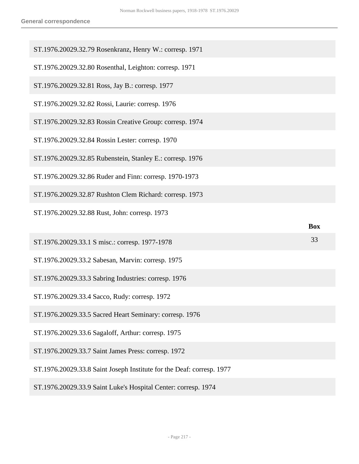| ST.1976.20029.32.79 Rosenkranz, Henry W.: corresp. 1971               |            |
|-----------------------------------------------------------------------|------------|
|                                                                       |            |
| ST.1976.20029.32.80 Rosenthal, Leighton: corresp. 1971                |            |
| ST.1976.20029.32.81 Ross, Jay B.: corresp. 1977                       |            |
| ST.1976.20029.32.82 Rossi, Laurie: corresp. 1976                      |            |
| ST.1976.20029.32.83 Rossin Creative Group: corresp. 1974              |            |
| ST.1976.20029.32.84 Rossin Lester: corresp. 1970                      |            |
| ST.1976.20029.32.85 Rubenstein, Stanley E.: corresp. 1976             |            |
| ST.1976.20029.32.86 Ruder and Finn: corresp. 1970-1973                |            |
| ST.1976.20029.32.87 Rushton Clem Richard: corresp. 1973               |            |
| ST.1976.20029.32.88 Rust, John: corresp. 1973                         |            |
|                                                                       | <b>Box</b> |
|                                                                       |            |
| ST.1976.20029.33.1 S misc.: corresp. 1977-1978                        | 33         |
| ST.1976.20029.33.2 Sabesan, Marvin: corresp. 1975                     |            |
| ST.1976.20029.33.3 Sabring Industries: corresp. 1976                  |            |
| ST.1976.20029.33.4 Sacco, Rudy: corresp. 1972                         |            |
| ST.1976.20029.33.5 Sacred Heart Seminary: corresp. 1976               |            |
| ST.1976.20029.33.6 Sagaloff, Arthur: corresp. 1975                    |            |
| ST.1976.20029.33.7 Saint James Press: corresp. 1972                   |            |
| ST.1976.20029.33.8 Saint Joseph Institute for the Deaf: corresp. 1977 |            |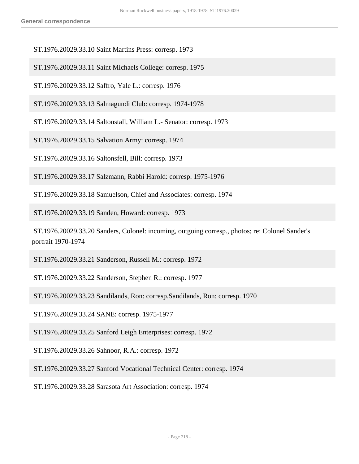ST.1976.20029.33.10 Saint Martins Press: corresp. 1973

ST.1976.20029.33.11 Saint Michaels College: corresp. 1975

ST.1976.20029.33.12 Saffro, Yale L.: corresp. 1976

ST.1976.20029.33.13 Salmagundi Club: corresp. 1974-1978

ST.1976.20029.33.14 Saltonstall, William L.- Senator: corresp. 1973

ST.1976.20029.33.15 Salvation Army: corresp. 1974

ST.1976.20029.33.16 Saltonsfell, Bill: corresp. 1973

ST.1976.20029.33.17 Salzmann, Rabbi Harold: corresp. 1975-1976

ST.1976.20029.33.18 Samuelson, Chief and Associates: corresp. 1974

ST.1976.20029.33.19 Sanden, Howard: corresp. 1973

 ST.1976.20029.33.20 Sanders, Colonel: incoming, outgoing corresp., photos; re: Colonel Sander's portrait 1970-1974

ST.1976.20029.33.21 Sanderson, Russell M.: corresp. 1972

ST.1976.20029.33.22 Sanderson, Stephen R.: corresp. 1977

ST.1976.20029.33.23 Sandilands, Ron: corresp.Sandilands, Ron: corresp. 1970

ST.1976.20029.33.24 SANE: corresp. 1975-1977

ST.1976.20029.33.25 Sanford Leigh Enterprises: corresp. 1972

ST.1976.20029.33.26 Sahnoor, R.A.: corresp. 1972

ST.1976.20029.33.27 Sanford Vocational Technical Center: corresp. 1974

ST.1976.20029.33.28 Sarasota Art Association: corresp. 1974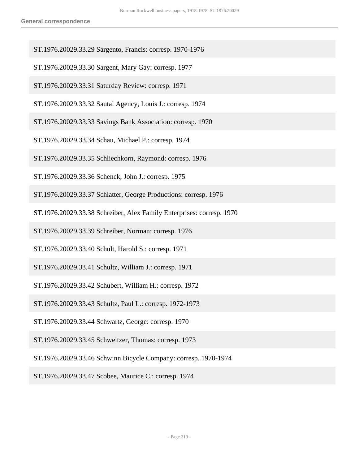- ST.1976.20029.33.29 Sargento, Francis: corresp. 1970-1976
- ST.1976.20029.33.30 Sargent, Mary Gay: corresp. 1977
- ST.1976.20029.33.31 Saturday Review: corresp. 1971
- ST.1976.20029.33.32 Sautal Agency, Louis J.: corresp. 1974
- ST.1976.20029.33.33 Savings Bank Association: corresp. 1970
- ST.1976.20029.33.34 Schau, Michael P.: corresp. 1974
- ST.1976.20029.33.35 Schliechkorn, Raymond: corresp. 1976
- ST.1976.20029.33.36 Schenck, John J.: corresp. 1975
- ST.1976.20029.33.37 Schlatter, George Productions: corresp. 1976
- ST.1976.20029.33.38 Schreiber, Alex Family Enterprises: corresp. 1970
- ST.1976.20029.33.39 Schreiber, Norman: corresp. 1976
- ST.1976.20029.33.40 Schult, Harold S.: corresp. 1971
- ST.1976.20029.33.41 Schultz, William J.: corresp. 1971
- ST.1976.20029.33.42 Schubert, William H.: corresp. 1972
- ST.1976.20029.33.43 Schultz, Paul L.: corresp. 1972-1973
- ST.1976.20029.33.44 Schwartz, George: corresp. 1970
- ST.1976.20029.33.45 Schweitzer, Thomas: corresp. 1973
- ST.1976.20029.33.46 Schwinn Bicycle Company: corresp. 1970-1974
- ST.1976.20029.33.47 Scobee, Maurice C.: corresp. 1974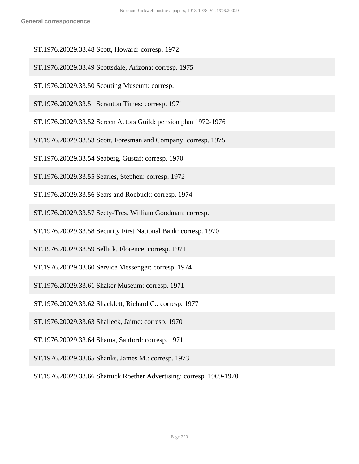- ST.1976.20029.33.48 Scott, Howard: corresp. 1972
- ST.1976.20029.33.49 Scottsdale, Arizona: corresp. 1975
- ST.1976.20029.33.50 Scouting Museum: corresp.
- ST.1976.20029.33.51 Scranton Times: corresp. 1971
- ST.1976.20029.33.52 Screen Actors Guild: pension plan 1972-1976
- ST.1976.20029.33.53 Scott, Foresman and Company: corresp. 1975
- ST.1976.20029.33.54 Seaberg, Gustaf: corresp. 1970
- ST.1976.20029.33.55 Searles, Stephen: corresp. 1972
- ST.1976.20029.33.56 Sears and Roebuck: corresp. 1974
- ST.1976.20029.33.57 Seety-Tres, William Goodman: corresp.
- ST.1976.20029.33.58 Security First National Bank: corresp. 1970
- ST.1976.20029.33.59 Sellick, Florence: corresp. 1971
- ST.1976.20029.33.60 Service Messenger: corresp. 1974
- ST.1976.20029.33.61 Shaker Museum: corresp. 1971
- ST.1976.20029.33.62 Shacklett, Richard C.: corresp. 1977
- ST.1976.20029.33.63 Shalleck, Jaime: corresp. 1970
- ST.1976.20029.33.64 Shama, Sanford: corresp. 1971
- ST.1976.20029.33.65 Shanks, James M.: corresp. 1973
- ST.1976.20029.33.66 Shattuck Roether Advertising: corresp. 1969-1970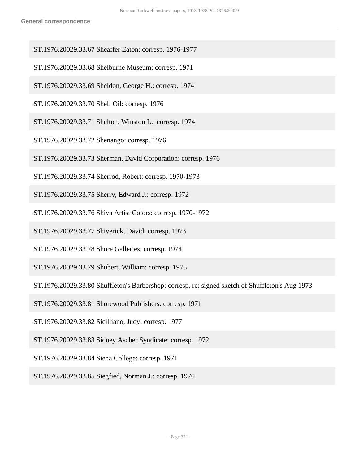- ST.1976.20029.33.67 Sheaffer Eaton: corresp. 1976-1977
- ST.1976.20029.33.68 Shelburne Museum: corresp. 1971
- ST.1976.20029.33.69 Sheldon, George H.: corresp. 1974
- ST.1976.20029.33.70 Shell Oil: corresp. 1976
- ST.1976.20029.33.71 Shelton, Winston L.: corresp. 1974
- ST.1976.20029.33.72 Shenango: corresp. 1976
- ST.1976.20029.33.73 Sherman, David Corporation: corresp. 1976
- ST.1976.20029.33.74 Sherrod, Robert: corresp. 1970-1973
- ST.1976.20029.33.75 Sherry, Edward J.: corresp. 1972
- ST.1976.20029.33.76 Shiva Artist Colors: corresp. 1970-1972
- ST.1976.20029.33.77 Shiverick, David: corresp. 1973
- ST.1976.20029.33.78 Shore Galleries: corresp. 1974
- ST.1976.20029.33.79 Shubert, William: corresp. 1975
- ST.1976.20029.33.80 Shuffleton's Barbershop: corresp. re: signed sketch of Shuffleton's Aug 1973
- ST.1976.20029.33.81 Shorewood Publishers: corresp. 1971
- ST.1976.20029.33.82 Sicilliano, Judy: corresp. 1977
- ST.1976.20029.33.83 Sidney Ascher Syndicate: corresp. 1972
- ST.1976.20029.33.84 Siena College: corresp. 1971
- ST.1976.20029.33.85 Siegfied, Norman J.: corresp. 1976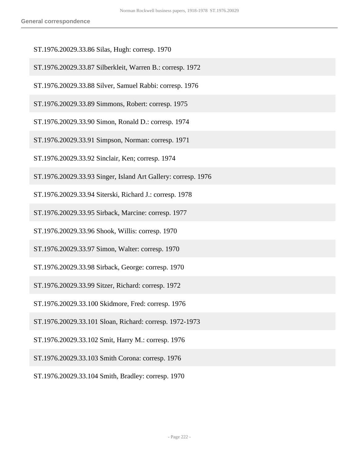- ST.1976.20029.33.86 Silas, Hugh: corresp. 1970
- ST.1976.20029.33.87 Silberkleit, Warren B.: corresp. 1972
- ST.1976.20029.33.88 Silver, Samuel Rabbi: corresp. 1976
- ST.1976.20029.33.89 Simmons, Robert: corresp. 1975
- ST.1976.20029.33.90 Simon, Ronald D.: corresp. 1974
- ST.1976.20029.33.91 Simpson, Norman: corresp. 1971
- ST.1976.20029.33.92 Sinclair, Ken; corresp. 1974
- ST.1976.20029.33.93 Singer, Island Art Gallery: corresp. 1976
- ST.1976.20029.33.94 Siterski, Richard J.: corresp. 1978
- ST.1976.20029.33.95 Sirback, Marcine: corresp. 1977
- ST.1976.20029.33.96 Shook, Willis: corresp. 1970
- ST.1976.20029.33.97 Simon, Walter: corresp. 1970
- ST.1976.20029.33.98 Sirback, George: corresp. 1970
- ST.1976.20029.33.99 Sitzer, Richard: corresp. 1972
- ST.1976.20029.33.100 Skidmore, Fred: corresp. 1976
- ST.1976.20029.33.101 Sloan, Richard: corresp. 1972-1973
- ST.1976.20029.33.102 Smit, Harry M.: corresp. 1976
- ST.1976.20029.33.103 Smith Corona: corresp. 1976
- ST.1976.20029.33.104 Smith, Bradley: corresp. 1970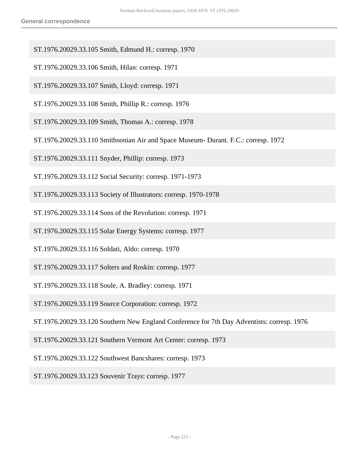- ST.1976.20029.33.105 Smith, Edmund H.: corresp. 1970
- ST.1976.20029.33.106 Smith, Hilan: corresp. 1971
- ST.1976.20029.33.107 Smith, Lloyd: corresp. 1971
- ST.1976.20029.33.108 Smith, Phillip R.: corresp. 1976
- ST.1976.20029.33.109 Smith, Thomas A.: corresp. 1978
- ST.1976.20029.33.110 Smithsonian Air and Space Museum- Durant. F.C.: corresp. 1972
- ST.1976.20029.33.111 Snyder, Phillip: corresp. 1973
- ST.1976.20029.33.112 Social Security: corresp. 1971-1973
- ST.1976.20029.33.113 Society of Illustrators: corresp. 1970-1978
- ST.1976.20029.33.114 Sons of the Revolution: corresp. 1971
- ST.1976.20029.33.115 Solar Energy Systems: corresp. 1977
- ST.1976.20029.33.116 Soldati, Aldo: corresp. 1970
- ST.1976.20029.33.117 Solters and Roskin: corresp. 1977
- ST.1976.20029.33.118 Soule, A. Bradley: corresp. 1971
- ST.1976.20029.33.119 Source Corporation: corresp. 1972
- ST.1976.20029.33.120 Southern New England Conference for 7th Day Adventists: corresp. 1976
- ST.1976.20029.33.121 Southern Vermont Art Center: corresp. 1973
- ST.1976.20029.33.122 Southwest Bancshares: corresp. 1973
- ST.1976.20029.33.123 Souvenir Trays: corresp. 1977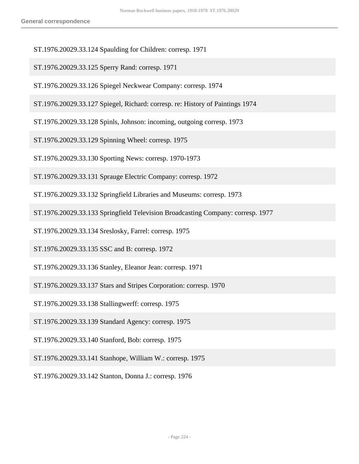- ST.1976.20029.33.124 Spaulding for Children: corresp. 1971
- ST.1976.20029.33.125 Sperry Rand: corresp. 1971
- ST.1976.20029.33.126 Spiegel Neckwear Company: corresp. 1974
- ST.1976.20029.33.127 Spiegel, Richard: corresp. re: History of Paintings 1974
- ST.1976.20029.33.128 Spinls, Johnson: incoming, outgoing corresp. 1973
- ST.1976.20029.33.129 Spinning Wheel: corresp. 1975
- ST.1976.20029.33.130 Sporting News: corresp. 1970-1973
- ST.1976.20029.33.131 Sprauge Electric Company: corresp. 1972
- ST.1976.20029.33.132 Springfield Libraries and Museums: corresp. 1973
- ST.1976.20029.33.133 Springfield Television Broadcasting Company: corresp. 1977
- ST.1976.20029.33.134 Sreslosky, Farrel: corresp. 1975
- ST.1976.20029.33.135 SSC and B: corresp. 1972
- ST.1976.20029.33.136 Stanley, Eleanor Jean: corresp. 1971
- ST.1976.20029.33.137 Stars and Stripes Corporation: corresp. 1970
- ST.1976.20029.33.138 Stallingwerff: corresp. 1975
- ST.1976.20029.33.139 Standard Agency: corresp. 1975
- ST.1976.20029.33.140 Stanford, Bob: corresp. 1975
- ST.1976.20029.33.141 Stanhope, William W.: corresp. 1975
- ST.1976.20029.33.142 Stanton, Donna J.: corresp. 1976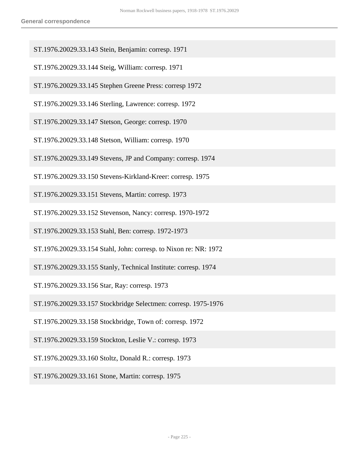- ST.1976.20029.33.143 Stein, Benjamin: corresp. 1971
- ST.1976.20029.33.144 Steig, William: corresp. 1971
- ST.1976.20029.33.145 Stephen Greene Press: corresp 1972
- ST.1976.20029.33.146 Sterling, Lawrence: corresp. 1972
- ST.1976.20029.33.147 Stetson, George: corresp. 1970
- ST.1976.20029.33.148 Stetson, William: corresp. 1970
- ST.1976.20029.33.149 Stevens, JP and Company: corresp. 1974
- ST.1976.20029.33.150 Stevens-Kirkland-Kreer: corresp. 1975
- ST.1976.20029.33.151 Stevens, Martin: corresp. 1973
- ST.1976.20029.33.152 Stevenson, Nancy: corresp. 1970-1972
- ST.1976.20029.33.153 Stahl, Ben: corresp. 1972-1973
- ST.1976.20029.33.154 Stahl, John: corresp. to Nixon re: NR: 1972
- ST.1976.20029.33.155 Stanly, Technical Institute: corresp. 1974
- ST.1976.20029.33.156 Star, Ray: corresp. 1973
- ST.1976.20029.33.157 Stockbridge Selectmen: corresp. 1975-1976
- ST.1976.20029.33.158 Stockbridge, Town of: corresp. 1972
- ST.1976.20029.33.159 Stockton, Leslie V.: corresp. 1973
- ST.1976.20029.33.160 Stoltz, Donald R.: corresp. 1973
- ST.1976.20029.33.161 Stone, Martin: corresp. 1975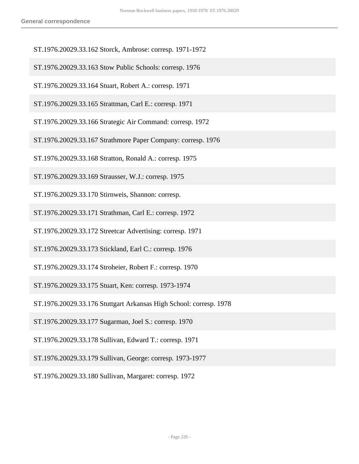- ST.1976.20029.33.162 Storck, Ambrose: corresp. 1971-1972
- ST.1976.20029.33.163 Stow Public Schools: corresp. 1976
- ST.1976.20029.33.164 Stuart, Robert A.: corresp. 1971
- ST.1976.20029.33.165 Strattman, Carl E.: corresp. 1971
- ST.1976.20029.33.166 Strategic Air Command: corresp. 1972
- ST.1976.20029.33.167 Strathmore Paper Company: corresp. 1976
- ST.1976.20029.33.168 Stratton, Ronald A.: corresp. 1975
- ST.1976.20029.33.169 Strausser, W.J.: corresp. 1975
- ST.1976.20029.33.170 Stirnweis, Shannon: corresp.
- ST.1976.20029.33.171 Strathman, Carl E.: corresp. 1972
- ST.1976.20029.33.172 Streetcar Advertising: corresp. 1971
- ST.1976.20029.33.173 Stickland, Earl C.: corresp. 1976
- ST.1976.20029.33.174 Stroheier, Robert F.: corresp. 1970
- ST.1976.20029.33.175 Stuart, Ken: corresp. 1973-1974
- ST.1976.20029.33.176 Stuttgart Arkansas High School: corresp. 1978
- ST.1976.20029.33.177 Sugarman, Joel S.: corresp. 1970
- ST.1976.20029.33.178 Sullivan, Edward T.: corresp. 1971
- ST.1976.20029.33.179 Sullivan, George: corresp. 1973-1977
- ST.1976.20029.33.180 Sullivan, Margaret: corresp. 1972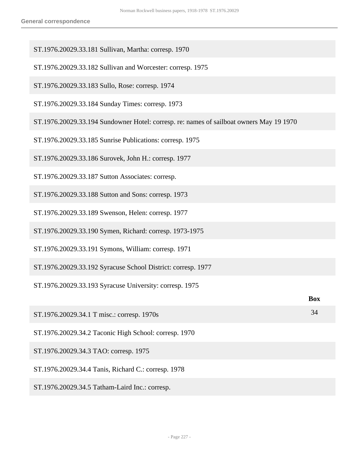- ST.1976.20029.33.181 Sullivan, Martha: corresp. 1970
- ST.1976.20029.33.182 Sullivan and Worcester: corresp. 1975
- ST.1976.20029.33.183 Sullo, Rose: corresp. 1974
- ST.1976.20029.33.184 Sunday Times: corresp. 1973
- ST.1976.20029.33.194 Sundowner Hotel: corresp. re: names of sailboat owners May 19 1970
- ST.1976.20029.33.185 Sunrise Publications: corresp. 1975
- ST.1976.20029.33.186 Surovek, John H.: corresp. 1977
- ST.1976.20029.33.187 Sutton Associates: corresp.
- ST.1976.20029.33.188 Sutton and Sons: corresp. 1973
- ST.1976.20029.33.189 Swenson, Helen: corresp. 1977
- ST.1976.20029.33.190 Symen, Richard: corresp. 1973-1975
- ST.1976.20029.33.191 Symons, William: corresp. 1971
- ST.1976.20029.33.192 Syracuse School District: corresp. 1977
- ST.1976.20029.33.193 Syracuse University: corresp. 1975

|                                                       | <b>Box</b> |
|-------------------------------------------------------|------------|
| ST.1976.20029.34.1 T misc.: corresp. 1970s            | 34         |
| ST.1976.20029.34.2 Taconic High School: corresp. 1970 |            |
| ST.1976.20029.34.3 TAO: corresp. 1975                 |            |
| ST.1976.20029.34.4 Tanis, Richard C.: corresp. 1978   |            |
| ST.1976.20029.34.5 Tatham-Laird Inc.: corresp.        |            |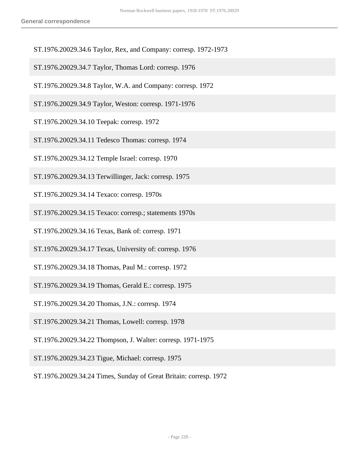- ST.1976.20029.34.6 Taylor, Rex, and Company: corresp. 1972-1973
- ST.1976.20029.34.7 Taylor, Thomas Lord: corresp. 1976
- ST.1976.20029.34.8 Taylor, W.A. and Company: corresp. 1972
- ST.1976.20029.34.9 Taylor, Weston: corresp. 1971-1976
- ST.1976.20029.34.10 Teepak: corresp. 1972
- ST.1976.20029.34.11 Tedesco Thomas: corresp. 1974
- ST.1976.20029.34.12 Temple Israel: corresp. 1970
- ST.1976.20029.34.13 Terwillinger, Jack: corresp. 1975
- ST.1976.20029.34.14 Texaco: corresp. 1970s
- ST.1976.20029.34.15 Texaco: corresp.; statements 1970s
- ST.1976.20029.34.16 Texas, Bank of: corresp. 1971
- ST.1976.20029.34.17 Texas, University of: corresp. 1976
- ST.1976.20029.34.18 Thomas, Paul M.: corresp. 1972
- ST.1976.20029.34.19 Thomas, Gerald E.: corresp. 1975
- ST.1976.20029.34.20 Thomas, J.N.: corresp. 1974
- ST.1976.20029.34.21 Thomas, Lowell: corresp. 1978
- ST.1976.20029.34.22 Thompson, J. Walter: corresp. 1971-1975
- ST.1976.20029.34.23 Tigue, Michael: corresp. 1975
- ST.1976.20029.34.24 Times, Sunday of Great Britain: corresp. 1972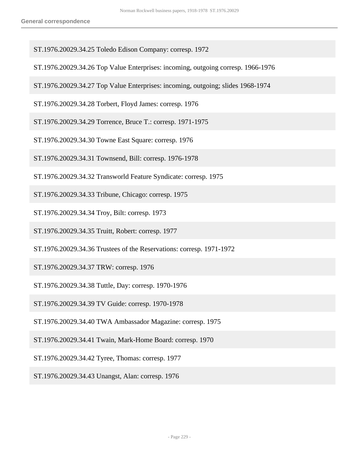- ST.1976.20029.34.25 Toledo Edison Company: corresp. 1972
- ST.1976.20029.34.26 Top Value Enterprises: incoming, outgoing corresp. 1966-1976
- ST.1976.20029.34.27 Top Value Enterprises: incoming, outgoing; slides 1968-1974
- ST.1976.20029.34.28 Torbert, Floyd James: corresp. 1976
- ST.1976.20029.34.29 Torrence, Bruce T.: corresp. 1971-1975
- ST.1976.20029.34.30 Towne East Square: corresp. 1976
- ST.1976.20029.34.31 Townsend, Bill: corresp. 1976-1978
- ST.1976.20029.34.32 Transworld Feature Syndicate: corresp. 1975
- ST.1976.20029.34.33 Tribune, Chicago: corresp. 1975
- ST.1976.20029.34.34 Troy, Bilt: corresp. 1973
- ST.1976.20029.34.35 Truitt, Robert: corresp. 1977
- ST.1976.20029.34.36 Trustees of the Reservations: corresp. 1971-1972
- ST.1976.20029.34.37 TRW: corresp. 1976
- ST.1976.20029.34.38 Tuttle, Day: corresp. 1970-1976
- ST.1976.20029.34.39 TV Guide: corresp. 1970-1978
- ST.1976.20029.34.40 TWA Ambassador Magazine: corresp. 1975
- ST.1976.20029.34.41 Twain, Mark-Home Board: corresp. 1970
- ST.1976.20029.34.42 Tyree, Thomas: corresp. 1977
- ST.1976.20029.34.43 Unangst, Alan: corresp. 1976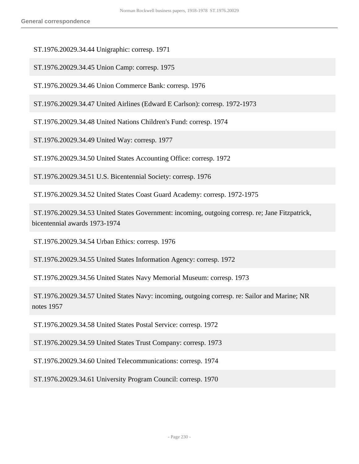ST.1976.20029.34.44 Unigraphic: corresp. 1971

ST.1976.20029.34.45 Union Camp: corresp. 1975

ST.1976.20029.34.46 Union Commerce Bank: corresp. 1976

ST.1976.20029.34.47 United Airlines (Edward E Carlson): corresp. 1972-1973

ST.1976.20029.34.48 United Nations Children's Fund: corresp. 1974

ST.1976.20029.34.49 United Way: corresp. 1977

ST.1976.20029.34.50 United States Accounting Office: corresp. 1972

ST.1976.20029.34.51 U.S. Bicentennial Society: corresp. 1976

ST.1976.20029.34.52 United States Coast Guard Academy: corresp. 1972-1975

 ST.1976.20029.34.53 United States Government: incoming, outgoing corresp. re; Jane Fitzpatrick, bicentennial awards 1973-1974

ST.1976.20029.34.54 Urban Ethics: corresp. 1976

ST.1976.20029.34.55 United States Information Agency: corresp. 1972

ST.1976.20029.34.56 United States Navy Memorial Museum: corresp. 1973

 ST.1976.20029.34.57 United States Navy: incoming, outgoing corresp. re: Sailor and Marine; NR notes 1957

ST.1976.20029.34.58 United States Postal Service: corresp. 1972

ST.1976.20029.34.59 United States Trust Company: corresp. 1973

ST.1976.20029.34.60 United Telecommunications: corresp. 1974

ST.1976.20029.34.61 University Program Council: corresp. 1970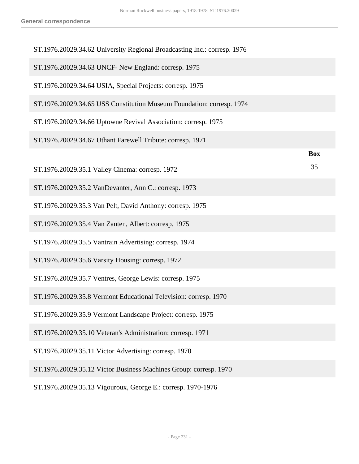| ST.1976.20029.34.62 University Regional Broadcasting Inc.: corresp. 1976 |            |
|--------------------------------------------------------------------------|------------|
| ST.1976.20029.34.63 UNCF- New England: corresp. 1975                     |            |
| ST.1976.20029.34.64 USIA, Special Projects: corresp. 1975                |            |
| ST.1976.20029.34.65 USS Constitution Museum Foundation: corresp. 1974    |            |
| ST.1976.20029.34.66 Uptowne Revival Association: corresp. 1975           |            |
| ST.1976.20029.34.67 Uthant Farewell Tribute: corresp. 1971               |            |
|                                                                          | <b>Box</b> |
| ST.1976.20029.35.1 Valley Cinema: corresp. 1972                          | 35         |
| ST.1976.20029.35.2 VanDevanter, Ann C.: corresp. 1973                    |            |
| ST.1976.20029.35.3 Van Pelt, David Anthony: corresp. 1975                |            |
| ST.1976.20029.35.4 Van Zanten, Albert: corresp. 1975                     |            |
| ST.1976.20029.35.5 Vantrain Advertising: corresp. 1974                   |            |
| ST.1976.20029.35.6 Varsity Housing: corresp. 1972                        |            |
| ST.1976.20029.35.7 Ventres, George Lewis: corresp. 1975                  |            |
| ST.1976.20029.35.8 Vermont Educational Television: corresp. 1970         |            |
| ST.1976.20029.35.9 Vermont Landscape Project: corresp. 1975              |            |
| ST.1976.20029.35.10 Veteran's Administration: corresp. 1971              |            |
| ST.1976.20029.35.11 Victor Advertising: corresp. 1970                    |            |
| ST.1976.20029.35.12 Victor Business Machines Group: corresp. 1970        |            |
| ST.1976.20029.35.13 Vigouroux, George E.: corresp. 1970-1976             |            |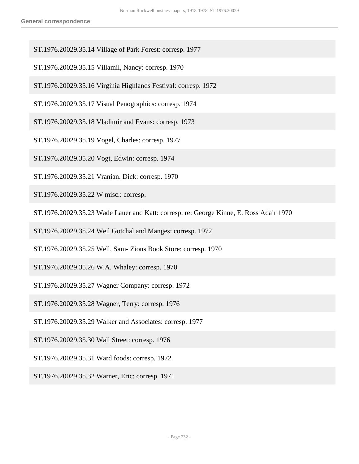- ST.1976.20029.35.14 Village of Park Forest: corresp. 1977
- ST.1976.20029.35.15 Villamil, Nancy: corresp. 1970
- ST.1976.20029.35.16 Virginia Highlands Festival: corresp. 1972
- ST.1976.20029.35.17 Visual Penographics: corresp. 1974
- ST.1976.20029.35.18 Vladimir and Evans: corresp. 1973
- ST.1976.20029.35.19 Vogel, Charles: corresp. 1977
- ST.1976.20029.35.20 Vogt, Edwin: corresp. 1974
- ST.1976.20029.35.21 Vranian. Dick: corresp. 1970
- ST.1976.20029.35.22 W misc.: corresp.
- ST.1976.20029.35.23 Wade Lauer and Katt: corresp. re: George Kinne, E. Ross Adair 1970
- ST.1976.20029.35.24 Weil Gotchal and Manges: corresp. 1972
- ST.1976.20029.35.25 Well, Sam- Zions Book Store: corresp. 1970
- ST.1976.20029.35.26 W.A. Whaley: corresp. 1970
- ST.1976.20029.35.27 Wagner Company: corresp. 1972
- ST.1976.20029.35.28 Wagner, Terry: corresp. 1976
- ST.1976.20029.35.29 Walker and Associates: corresp. 1977
- ST.1976.20029.35.30 Wall Street: corresp. 1976
- ST.1976.20029.35.31 Ward foods: corresp. 1972
- ST.1976.20029.35.32 Warner, Eric: corresp. 1971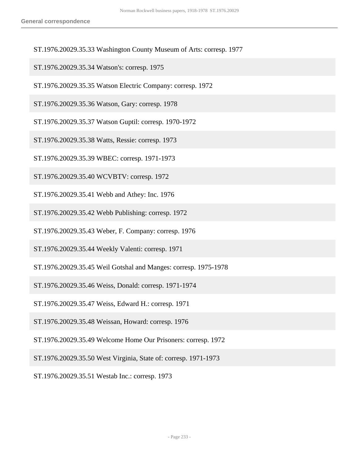- ST.1976.20029.35.33 Washington County Museum of Arts: corresp. 1977
- ST.1976.20029.35.34 Watson's: corresp. 1975
- ST.1976.20029.35.35 Watson Electric Company: corresp. 1972
- ST.1976.20029.35.36 Watson, Gary: corresp. 1978
- ST.1976.20029.35.37 Watson Guptil: corresp. 1970-1972
- ST.1976.20029.35.38 Watts, Ressie: corresp. 1973
- ST.1976.20029.35.39 WBEC: corresp. 1971-1973
- ST.1976.20029.35.40 WCVBTV: corresp. 1972
- ST.1976.20029.35.41 Webb and Athey: Inc. 1976
- ST.1976.20029.35.42 Webb Publishing: corresp. 1972
- ST.1976.20029.35.43 Weber, F. Company: corresp. 1976
- ST.1976.20029.35.44 Weekly Valenti: corresp. 1971
- ST.1976.20029.35.45 Weil Gotshal and Manges: corresp. 1975-1978
- ST.1976.20029.35.46 Weiss, Donald: corresp. 1971-1974
- ST.1976.20029.35.47 Weiss, Edward H.: corresp. 1971
- ST.1976.20029.35.48 Weissan, Howard: corresp. 1976
- ST.1976.20029.35.49 Welcome Home Our Prisoners: corresp. 1972
- ST.1976.20029.35.50 West Virginia, State of: corresp. 1971-1973
- ST.1976.20029.35.51 Westab Inc.: corresp. 1973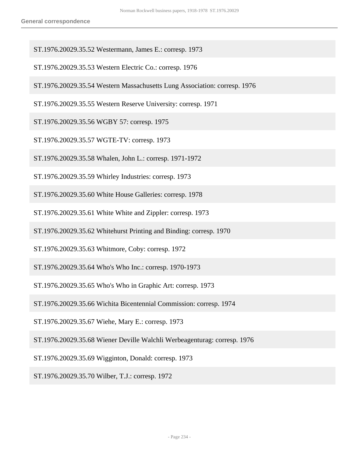- ST.1976.20029.35.52 Westermann, James E.: corresp. 1973
- ST.1976.20029.35.53 Western Electric Co.: corresp. 1976
- ST.1976.20029.35.54 Western Massachusetts Lung Association: corresp. 1976
- ST.1976.20029.35.55 Western Reserve University: corresp. 1971
- ST.1976.20029.35.56 WGBY 57: corresp. 1975
- ST.1976.20029.35.57 WGTE-TV: corresp. 1973
- ST.1976.20029.35.58 Whalen, John L.: corresp. 1971-1972
- ST.1976.20029.35.59 Whirley Industries: corresp. 1973
- ST.1976.20029.35.60 White House Galleries: corresp. 1978
- ST.1976.20029.35.61 White White and Zippler: corresp. 1973
- ST.1976.20029.35.62 Whitehurst Printing and Binding: corresp. 1970
- ST.1976.20029.35.63 Whitmore, Coby: corresp. 1972
- ST.1976.20029.35.64 Who's Who Inc.: corresp. 1970-1973
- ST.1976.20029.35.65 Who's Who in Graphic Art: corresp. 1973
- ST.1976.20029.35.66 Wichita Bicentennial Commission: corresp. 1974
- ST.1976.20029.35.67 Wiehe, Mary E.: corresp. 1973
- ST.1976.20029.35.68 Wiener Deville Walchli Werbeagenturag: corresp. 1976
- ST.1976.20029.35.69 Wigginton, Donald: corresp. 1973
- ST.1976.20029.35.70 Wilber, T.J.: corresp. 1972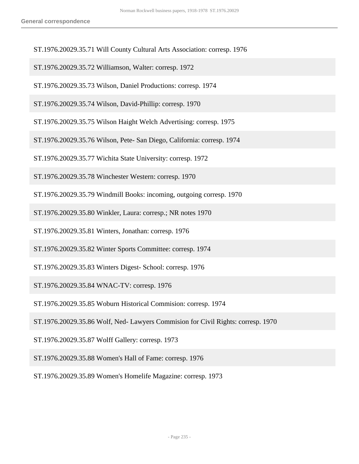- ST.1976.20029.35.71 Will County Cultural Arts Association: corresp. 1976
- ST.1976.20029.35.72 Williamson, Walter: corresp. 1972
- ST.1976.20029.35.73 Wilson, Daniel Productions: corresp. 1974
- ST.1976.20029.35.74 Wilson, David-Phillip: corresp. 1970
- ST.1976.20029.35.75 Wilson Haight Welch Advertising: corresp. 1975
- ST.1976.20029.35.76 Wilson, Pete- San Diego, California: corresp. 1974
- ST.1976.20029.35.77 Wichita State University: corresp. 1972
- ST.1976.20029.35.78 Winchester Western: corresp. 1970
- ST.1976.20029.35.79 Windmill Books: incoming, outgoing corresp. 1970
- ST.1976.20029.35.80 Winkler, Laura: corresp.; NR notes 1970
- ST.1976.20029.35.81 Winters, Jonathan: corresp. 1976
- ST.1976.20029.35.82 Winter Sports Committee: corresp. 1974
- ST.1976.20029.35.83 Winters Digest- School: corresp. 1976
- ST.1976.20029.35.84 WNAC-TV: corresp. 1976
- ST.1976.20029.35.85 Woburn Historical Commision: corresp. 1974
- ST.1976.20029.35.86 Wolf, Ned- Lawyers Commision for Civil Rights: corresp. 1970
- ST.1976.20029.35.87 Wolff Gallery: corresp. 1973
- ST.1976.20029.35.88 Women's Hall of Fame: corresp. 1976
- ST.1976.20029.35.89 Women's Homelife Magazine: corresp. 1973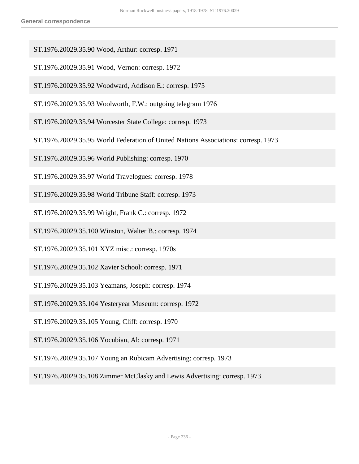- ST.1976.20029.35.90 Wood, Arthur: corresp. 1971
- ST.1976.20029.35.91 Wood, Vernon: corresp. 1972
- ST.1976.20029.35.92 Woodward, Addison E.: corresp. 1975
- ST.1976.20029.35.93 Woolworth, F.W.: outgoing telegram 1976
- ST.1976.20029.35.94 Worcester State College: corresp. 1973
- ST.1976.20029.35.95 World Federation of United Nations Associations: corresp. 1973
- ST.1976.20029.35.96 World Publishing: corresp. 1970
- ST.1976.20029.35.97 World Travelogues: corresp. 1978
- ST.1976.20029.35.98 World Tribune Staff: corresp. 1973
- ST.1976.20029.35.99 Wright, Frank C.: corresp. 1972
- ST.1976.20029.35.100 Winston, Walter B.: corresp. 1974
- ST.1976.20029.35.101 XYZ misc.: corresp. 1970s
- ST.1976.20029.35.102 Xavier School: corresp. 1971
- ST.1976.20029.35.103 Yeamans, Joseph: corresp. 1974
- ST.1976.20029.35.104 Yesteryear Museum: corresp. 1972
- ST.1976.20029.35.105 Young, Cliff: corresp. 1970
- ST.1976.20029.35.106 Yocubian, Al: corresp. 1971
- ST.1976.20029.35.107 Young an Rubicam Advertising: corresp. 1973

ST.1976.20029.35.108 Zimmer McClasky and Lewis Advertising: corresp. 1973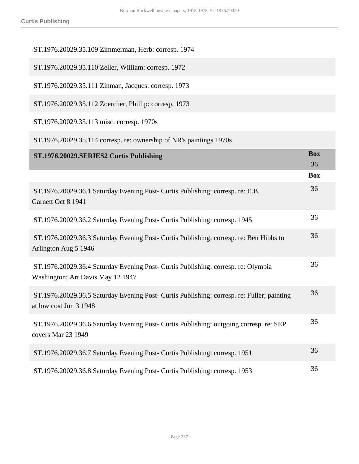| ST.1976.20029.35.109 Zimmerman, Herb: corresp. 1974                                                                    |                  |
|------------------------------------------------------------------------------------------------------------------------|------------------|
| ST.1976.20029.35.110 Zeller, William: corresp. 1972                                                                    |                  |
| ST.1976.20029.35.111 Zinman, Jacques: corresp. 1973                                                                    |                  |
| ST.1976.20029.35.112 Zoercher, Phillip: corresp. 1973                                                                  |                  |
| ST.1976.20029.35.113 misc. corresp. 1970s                                                                              |                  |
| ST.1976.20029.35.114 corresp. re: ownership of NR's paintings 1970s                                                    |                  |
| ST.1976.20029.SERIES2 Curtis Publishing                                                                                | <b>Box</b><br>36 |
|                                                                                                                        | <b>Box</b>       |
| ST.1976.20029.36.1 Saturday Evening Post- Curtis Publishing: corresp. re: E.B.<br>Garnett Oct 8 1941                   | 36               |
| ST.1976.20029.36.2 Saturday Evening Post- Curtis Publishing: corresp. 1945                                             | 36               |
| ST.1976.20029.36.3 Saturday Evening Post- Curtis Publishing: corresp. re: Ben Hibbs to<br>Arlington Aug 5 1946         | 36               |
| ST.1976.20029.36.4 Saturday Evening Post- Curtis Publishing: corresp. re: Olympia<br>Washington; Art Davis May 12 1947 | 36               |
| ST.1976.20029.36.5 Saturday Evening Post- Curtis Publishing: corresp. re: Fuller; painting<br>at low cost Jun 3 1948   | 36               |
| ST.1976.20029.36.6 Saturday Evening Post- Curtis Publishing: outgoing corresp. re: SEP<br>covers Mar 23 1949           | 36               |
| ST.1976.20029.36.7 Saturday Evening Post- Curtis Publishing: corresp. 1951                                             | 36               |
| ST.1976.20029.36.8 Saturday Evening Post- Curtis Publishing: corresp. 1953                                             | 36               |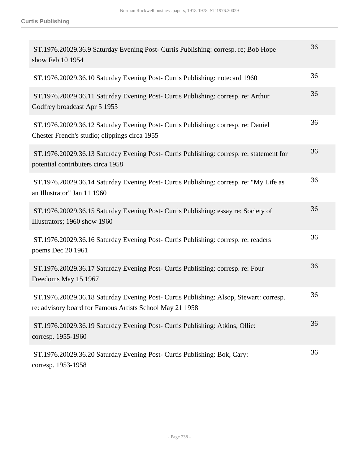| ST.1976.20029.36.9 Saturday Evening Post- Curtis Publishing: corresp. re; Bob Hope<br>show Feb 10 1954                                             | 36 |
|----------------------------------------------------------------------------------------------------------------------------------------------------|----|
| ST.1976.20029.36.10 Saturday Evening Post- Curtis Publishing: notecard 1960                                                                        | 36 |
| ST.1976.20029.36.11 Saturday Evening Post- Curtis Publishing: corresp. re: Arthur<br>Godfrey broadcast Apr 5 1955                                  | 36 |
| ST.1976.20029.36.12 Saturday Evening Post- Curtis Publishing: corresp. re: Daniel<br>Chester French's studio; clippings circa 1955                 | 36 |
| ST.1976.20029.36.13 Saturday Evening Post- Curtis Publishing: corresp. re: statement for<br>potential contributers circa 1958                      | 36 |
| ST.1976.20029.36.14 Saturday Evening Post- Curtis Publishing: corresp. re: "My Life as<br>an Illustrator" Jan 11 1960                              | 36 |
| ST.1976.20029.36.15 Saturday Evening Post- Curtis Publishing: essay re: Society of<br>Illustrators; 1960 show 1960                                 | 36 |
| ST.1976.20029.36.16 Saturday Evening Post- Curtis Publishing: corresp. re: readers<br>poems Dec 20 1961                                            | 36 |
| ST.1976.20029.36.17 Saturday Evening Post- Curtis Publishing: corresp. re: Four<br>Freedoms May 15 1967                                            | 36 |
| ST.1976.20029.36.18 Saturday Evening Post- Curtis Publishing: Alsop, Stewart: corresp.<br>re: advisory board for Famous Artists School May 21 1958 | 36 |
| ST.1976.20029.36.19 Saturday Evening Post- Curtis Publishing: Atkins, Ollie:<br>corresp. 1955-1960                                                 | 36 |
| ST.1976.20029.36.20 Saturday Evening Post- Curtis Publishing: Bok, Cary:<br>corresp. 1953-1958                                                     | 36 |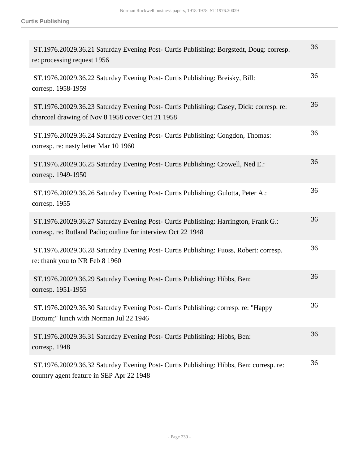| ST.1976.20029.36.21 Saturday Evening Post- Curtis Publishing: Borgstedt, Doug: corresp.<br>re: processing request 1956                               | 36 |
|------------------------------------------------------------------------------------------------------------------------------------------------------|----|
| ST.1976.20029.36.22 Saturday Evening Post- Curtis Publishing: Breisky, Bill:<br>corresp. 1958-1959                                                   | 36 |
| ST.1976.20029.36.23 Saturday Evening Post- Curtis Publishing: Casey, Dick: corresp. re:<br>charcoal drawing of Nov 8 1958 cover Oct 21 1958          | 36 |
| ST.1976.20029.36.24 Saturday Evening Post- Curtis Publishing: Congdon, Thomas:<br>corresp. re: nasty letter Mar 10 1960                              | 36 |
| ST.1976.20029.36.25 Saturday Evening Post- Curtis Publishing: Crowell, Ned E.:<br>corresp. 1949-1950                                                 | 36 |
| ST.1976.20029.36.26 Saturday Evening Post- Curtis Publishing: Gulotta, Peter A.:<br>corresp. 1955                                                    | 36 |
| ST.1976.20029.36.27 Saturday Evening Post- Curtis Publishing: Harrington, Frank G.:<br>corresp. re: Rutland Padio; outline for interview Oct 22 1948 | 36 |
| ST.1976.20029.36.28 Saturday Evening Post- Curtis Publishing: Fuoss, Robert: corresp.<br>re: thank you to NR Feb 8 1960                              | 36 |
| ST.1976.20029.36.29 Saturday Evening Post- Curtis Publishing: Hibbs, Ben:<br>corresp. 1951-1955                                                      | 36 |
| ST.1976.20029.36.30 Saturday Evening Post- Curtis Publishing: corresp. re: "Happy<br>Bottum;" lunch with Norman Jul 22 1946                          | 36 |
| ST.1976.20029.36.31 Saturday Evening Post- Curtis Publishing: Hibbs, Ben:<br>corresp. 1948                                                           | 36 |
| ST.1976.20029.36.32 Saturday Evening Post- Curtis Publishing: Hibbs, Ben: corresp. re:<br>country agent feature in SEP Apr 22 1948                   | 36 |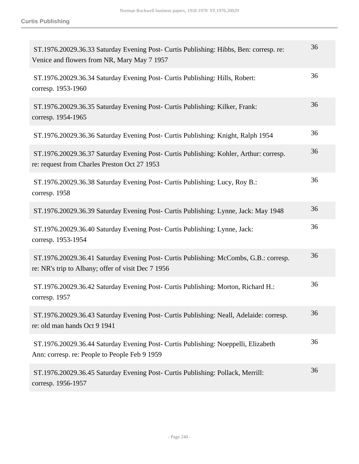| ST.1976.20029.36.33 Saturday Evening Post- Curtis Publishing: Hibbs, Ben: corresp. re:<br>Venice and flowers from NR, Mary May 7 1957       | 36 |
|---------------------------------------------------------------------------------------------------------------------------------------------|----|
| ST.1976.20029.36.34 Saturday Evening Post- Curtis Publishing: Hills, Robert:<br>corresp. 1953-1960                                          | 36 |
| ST.1976.20029.36.35 Saturday Evening Post- Curtis Publishing: Kilker, Frank:<br>corresp. 1954-1965                                          | 36 |
| ST.1976.20029.36.36 Saturday Evening Post- Curtis Publishing: Knight, Ralph 1954                                                            | 36 |
| ST.1976.20029.36.37 Saturday Evening Post- Curtis Publishing: Kohler, Arthur: corresp.<br>re: request from Charles Preston Oct 27 1953      | 36 |
| ST.1976.20029.36.38 Saturday Evening Post- Curtis Publishing: Lucy, Roy B.:<br>corresp. 1958                                                | 36 |
| ST.1976.20029.36.39 Saturday Evening Post- Curtis Publishing: Lynne, Jack: May 1948                                                         | 36 |
| ST.1976.20029.36.40 Saturday Evening Post- Curtis Publishing: Lynne, Jack:<br>corresp. 1953-1954                                            | 36 |
| ST.1976.20029.36.41 Saturday Evening Post- Curtis Publishing: McCombs, G.B.: corresp.<br>re: NR's trip to Albany; offer of visit Dec 7 1956 | 36 |
| ST.1976.20029.36.42 Saturday Evening Post- Curtis Publishing: Morton, Richard H.:<br>corresp. 1957                                          | 36 |
| ST.1976.20029.36.43 Saturday Evening Post- Curtis Publishing: Neall, Adelaide: corresp.<br>re: old man hands Oct 9 1941                     | 36 |
| ST.1976.20029.36.44 Saturday Evening Post- Curtis Publishing: Noeppelli, Elizabeth<br>Ann: corresp. re: People to People Feb 9 1959         | 36 |
| ST.1976.20029.36.45 Saturday Evening Post- Curtis Publishing: Pollack, Merrill:<br>corresp. 1956-1957                                       | 36 |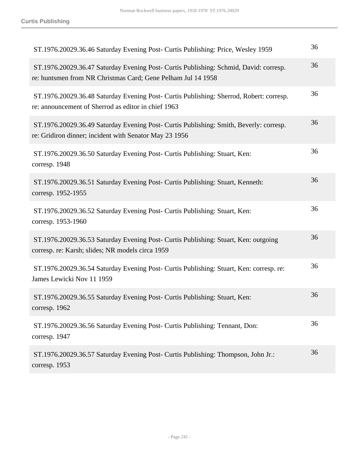| ST.1976.20029.36.46 Saturday Evening Post- Curtis Publishing: Price, Wesley 1959                                                                      | 36 |
|-------------------------------------------------------------------------------------------------------------------------------------------------------|----|
| ST.1976.20029.36.47 Saturday Evening Post- Curtis Publishing: Schmid, David: corresp.<br>re: huntsmen from NR Christmas Card; Gene Pelham Jul 14 1958 | 36 |
| ST.1976.20029.36.48 Saturday Evening Post- Curtis Publishing: Sherrod, Robert: corresp.<br>re: announcement of Sherrod as editor in chief 1963        | 36 |
| ST.1976.20029.36.49 Saturday Evening Post- Curtis Publishing: Smith, Beverly: corresp.<br>re: Gridiron dinner; incident with Senator May 23 1956      | 36 |
| ST.1976.20029.36.50 Saturday Evening Post- Curtis Publishing: Stuart, Ken:<br>corresp. 1948                                                           | 36 |
| ST.1976.20029.36.51 Saturday Evening Post- Curtis Publishing: Stuart, Kenneth:<br>corresp. 1952-1955                                                  | 36 |
| ST.1976.20029.36.52 Saturday Evening Post- Curtis Publishing: Stuart, Ken:<br>corresp. 1953-1960                                                      | 36 |
| ST.1976.20029.36.53 Saturday Evening Post- Curtis Publishing: Stuart, Ken: outgoing<br>corresp. re: Karsh; slides; NR models circa 1959               | 36 |
| ST.1976.20029.36.54 Saturday Evening Post- Curtis Publishing: Stuart, Ken: corresp. re:<br>James Lewicki Nov 11 1959                                  | 36 |
| ST.1976.20029.36.55 Saturday Evening Post- Curtis Publishing: Stuart, Ken:<br>corresp. 1962                                                           | 36 |
| ST.1976.20029.36.56 Saturday Evening Post- Curtis Publishing: Tennant, Don:<br>corresp. 1947                                                          | 36 |
| ST.1976.20029.36.57 Saturday Evening Post- Curtis Publishing: Thompson, John Jr.:<br>corresp. 1953                                                    | 36 |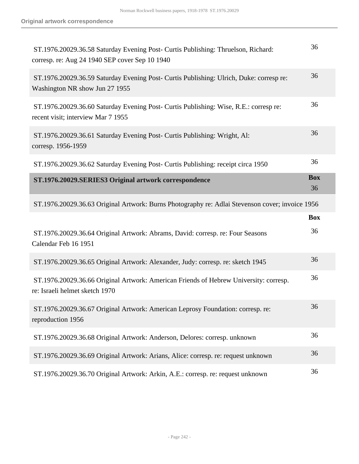| ST.1976.20029.36.58 Saturday Evening Post- Curtis Publishing: Thruelson, Richard:<br>corresp. re: Aug 24 1940 SEP cover Sep 10 1940 | 36               |
|-------------------------------------------------------------------------------------------------------------------------------------|------------------|
| ST.1976.20029.36.59 Saturday Evening Post- Curtis Publishing: Ulrich, Duke: corresp re:<br>Washington NR show Jun 27 1955           | 36               |
| ST.1976.20029.36.60 Saturday Evening Post- Curtis Publishing: Wise, R.E.: corresp re:<br>recent visit; interview Mar 7 1955         | 36               |
| ST.1976.20029.36.61 Saturday Evening Post- Curtis Publishing: Wright, Al:<br>corresp. 1956-1959                                     | 36               |
| ST.1976.20029.36.62 Saturday Evening Post- Curtis Publishing: receipt circa 1950                                                    | 36               |
| ST.1976.20029.SERIES3 Original artwork correspondence                                                                               | <b>Box</b><br>36 |
| ST.1976.20029.36.63 Original Artwork: Burns Photography re: Adlai Stevenson cover; invoice 1956                                     |                  |
|                                                                                                                                     | <b>Box</b>       |
| ST.1976.20029.36.64 Original Artwork: Abrams, David: corresp. re: Four Seasons<br>Calendar Feb 16 1951                              | 36               |
| ST.1976.20029.36.65 Original Artwork: Alexander, Judy: corresp. re: sketch 1945                                                     | 36               |
| ST.1976.20029.36.66 Original Artwork: American Friends of Hebrew University: corresp.<br>re: Israeli helmet sketch 1970             | 36               |
| ST.1976.20029.36.67 Original Artwork: American Leprosy Foundation: corresp. re:<br>reproduction 1956                                | 36               |
| ST.1976.20029.36.68 Original Artwork: Anderson, Delores: corresp. unknown                                                           | 36               |
| ST.1976.20029.36.69 Original Artwork: Arians, Alice: corresp. re: request unknown                                                   | 36               |
|                                                                                                                                     |                  |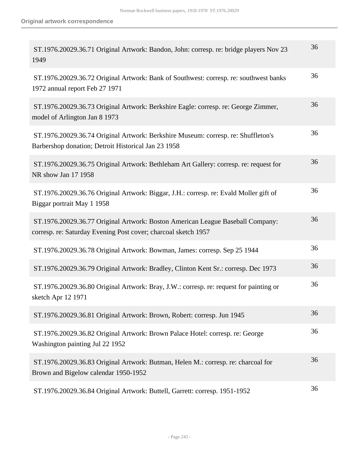| ST.1976.20029.36.71 Original Artwork: Bandon, John: corresp. re: bridge players Nov 23<br>1949                                                   | 36 |
|--------------------------------------------------------------------------------------------------------------------------------------------------|----|
| ST.1976.20029.36.72 Original Artwork: Bank of Southwest: corresp. re: southwest banks<br>1972 annual report Feb 27 1971                          | 36 |
| ST.1976.20029.36.73 Original Artwork: Berkshire Eagle: corresp. re: George Zimmer,<br>model of Arlington Jan 8 1973                              | 36 |
| ST.1976.20029.36.74 Original Artwork: Berkshire Museum: corresp. re: Shuffleton's<br>Barbershop donation; Detroit Historical Jan 23 1958         | 36 |
| ST.1976.20029.36.75 Original Artwork: Bethleham Art Gallery: corresp. re: request for<br>NR show Jan 17 1958                                     | 36 |
| ST.1976.20029.36.76 Original Artwork: Biggar, J.H.: corresp. re: Evald Moller gift of<br>Biggar portrait May 1 1958                              | 36 |
| ST.1976.20029.36.77 Original Artwork: Boston American League Baseball Company:<br>corresp. re: Saturday Evening Post cover; charcoal sketch 1957 | 36 |
| ST.1976.20029.36.78 Original Artwork: Bowman, James: corresp. Sep 25 1944                                                                        | 36 |
| ST.1976.20029.36.79 Original Artwork: Bradley, Clinton Kent Sr.: corresp. Dec 1973                                                               | 36 |
| ST.1976.20029.36.80 Original Artwork: Bray, J.W.: corresp. re: request for painting or<br>sketch Apr 12 1971                                     | 36 |
| ST.1976.20029.36.81 Original Artwork: Brown, Robert: corresp. Jun 1945                                                                           | 36 |
| ST.1976.20029.36.82 Original Artwork: Brown Palace Hotel: corresp. re: George<br>Washington painting Jul 22 1952                                 | 36 |
| ST.1976.20029.36.83 Original Artwork: Butman, Helen M.: corresp. re: charcoal for<br>Brown and Bigelow calendar 1950-1952                        | 36 |
| ST.1976.20029.36.84 Original Artwork: Buttell, Garrett: corresp. 1951-1952                                                                       | 36 |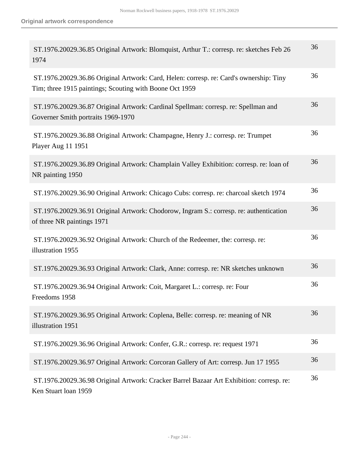| ST.1976.20029.36.85 Original Artwork: Blomquist, Arthur T.: corresp. re: sketches Feb 26<br>1974                                                  | 36 |
|---------------------------------------------------------------------------------------------------------------------------------------------------|----|
| ST.1976.20029.36.86 Original Artwork: Card, Helen: corresp. re: Card's ownership: Tiny<br>Tim; three 1915 paintings; Scouting with Boone Oct 1959 | 36 |
| ST.1976.20029.36.87 Original Artwork: Cardinal Spellman: corresp. re: Spellman and<br>Governer Smith portraits 1969-1970                          | 36 |
| ST.1976.20029.36.88 Original Artwork: Champagne, Henry J.: corresp. re: Trumpet<br>Player Aug 11 1951                                             | 36 |
| ST.1976.20029.36.89 Original Artwork: Champlain Valley Exhibition: corresp. re: loan of<br>NR painting 1950                                       | 36 |
| ST.1976.20029.36.90 Original Artwork: Chicago Cubs: corresp. re: charcoal sketch 1974                                                             | 36 |
| ST.1976.20029.36.91 Original Artwork: Chodorow, Ingram S.: corresp. re: authentication<br>of three NR paintings 1971                              | 36 |
| ST.1976.20029.36.92 Original Artwork: Church of the Redeemer, the: corresp. re:<br>illustration 1955                                              | 36 |
| ST.1976.20029.36.93 Original Artwork: Clark, Anne: corresp. re: NR sketches unknown                                                               | 36 |
| ST.1976.20029.36.94 Original Artwork: Coit, Margaret L.: corresp. re: Four<br>Freedoms 1958                                                       | 36 |
| ST.1976.20029.36.95 Original Artwork: Coplena, Belle: corresp. re: meaning of NR<br>illustration 1951                                             | 36 |
| ST.1976.20029.36.96 Original Artwork: Confer, G.R.: corresp. re: request 1971                                                                     | 36 |
| ST.1976.20029.36.97 Original Artwork: Corcoran Gallery of Art: corresp. Jun 17 1955                                                               | 36 |
| ST.1976.20029.36.98 Original Artwork: Cracker Barrel Bazaar Art Exhibition: corresp. re:<br>Ken Stuart loan 1959                                  | 36 |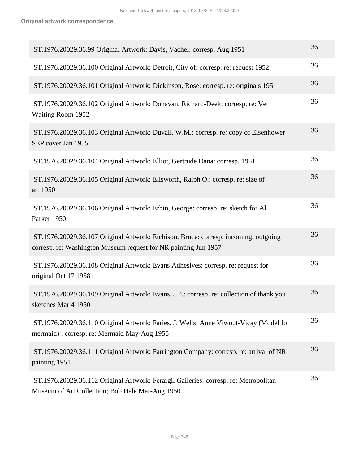| ST.1976.20029.36.99 Original Artwork: Davis, Vachel: corresp. Aug 1951                                                                                 | 36 |
|--------------------------------------------------------------------------------------------------------------------------------------------------------|----|
| ST.1976.20029.36.100 Original Artwork: Detroit, City of: corresp. re: request 1952                                                                     | 36 |
| ST.1976.20029.36.101 Original Artwork: Dickinson, Rose: corresp. re: originals 1951                                                                    | 36 |
| ST.1976.20029.36.102 Original Artwork: Donavan, Richard-Deek: corresp. re: Vet<br>Waiting Room 1952                                                    | 36 |
| ST.1976.20029.36.103 Original Artwork: Duvall, W.M.: corresp. re: copy of Eisenhower<br>SEP cover Jan 1955                                             | 36 |
| ST.1976.20029.36.104 Original Artwork: Elliot, Gertrude Dana: corresp. 1951                                                                            | 36 |
| ST.1976.20029.36.105 Original Artwork: Ellsworth, Ralph O.: corresp. re: size of<br>art 1950                                                           | 36 |
| ST.1976.20029.36.106 Original Artwork: Erbin, George: corresp. re: sketch for Al<br>Parker 1950                                                        | 36 |
| ST.1976.20029.36.107 Original Artwork: Etchison, Bruce: corresp. incoming, outgoing<br>corresp. re: Washington Museum request for NR painting Jun 1957 | 36 |
| ST.1976.20029.36.108 Original Artwork: Evans Adhesives: corresp. re: request for<br>original Oct 17 1958                                               | 36 |
| ST.1976.20029.36.109 Original Artwork: Evans, J.P.: corresp. re: collection of thank you<br>sketches Mar 4 1950                                        | 36 |
| ST.1976.20029.36.110 Original Artwork: Faries, J. Wells; Anne Viwout-Vicay (Model for<br>mermaid) : corresp. re: Mermaid May-Aug 1955                  | 36 |
| ST.1976.20029.36.111 Original Artwork: Farrington Company: corresp. re: arrival of NR<br>painting 1951                                                 | 36 |
| ST.1976.20029.36.112 Original Artwork: Ferargil Galleries: corresp. re: Metropolitan<br>Museum of Art Collection; Bob Hale Mar-Aug 1950                | 36 |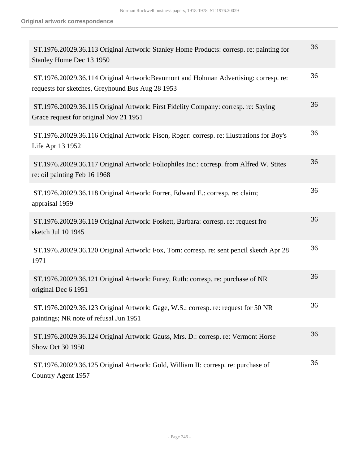| ST.1976.20029.36.113 Original Artwork: Stanley Home Products: corresp. re: painting for<br>Stanley Home Dec 13 1950                      | 36 |
|------------------------------------------------------------------------------------------------------------------------------------------|----|
| ST.1976.20029.36.114 Original Artwork: Beaumont and Hohman Advertising: corresp. re:<br>requests for sketches, Greyhound Bus Aug 28 1953 | 36 |
| ST.1976.20029.36.115 Original Artwork: First Fidelity Company: corresp. re: Saying<br>Grace request for original Nov 21 1951             | 36 |
| ST.1976.20029.36.116 Original Artwork: Fison, Roger: corresp. re: illustrations for Boy's<br>Life Apr 13 1952                            | 36 |
| ST.1976.20029.36.117 Original Artwork: Foliophiles Inc.: corresp. from Alfred W. Stites<br>re: oil painting Feb 16 1968                  | 36 |
| ST.1976.20029.36.118 Original Artwork: Forrer, Edward E.: corresp. re: claim;<br>appraisal 1959                                          | 36 |
| ST.1976.20029.36.119 Original Artwork: Foskett, Barbara: corresp. re: request fro<br>sketch Jul 10 1945                                  | 36 |
| ST.1976.20029.36.120 Original Artwork: Fox, Tom: corresp. re: sent pencil sketch Apr 28<br>1971                                          | 36 |
| ST.1976.20029.36.121 Original Artwork: Furey, Ruth: corresp. re: purchase of NR<br>original Dec 6 1951                                   | 36 |
| ST.1976.20029.36.123 Original Artwork: Gage, W.S.: corresp. re: request for 50 NR<br>paintings; NR note of refusal Jun 1951              | 36 |
| ST.1976.20029.36.124 Original Artwork: Gauss, Mrs. D.: corresp. re: Vermont Horse<br>Show Oct 30 1950                                    | 36 |
| ST.1976.20029.36.125 Original Artwork: Gold, William II: corresp. re: purchase of<br>Country Agent 1957                                  | 36 |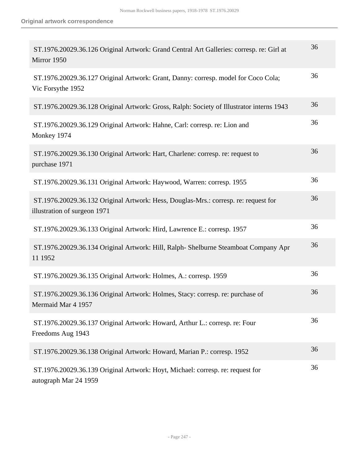| ST.1976.20029.36.126 Original Artwork: Grand Central Art Galleries: corresp. re: Girl at<br>Mirror 1950             | 36 |
|---------------------------------------------------------------------------------------------------------------------|----|
| ST.1976.20029.36.127 Original Artwork: Grant, Danny: corresp. model for Coco Cola;<br>Vic Forsythe 1952             | 36 |
| ST.1976.20029.36.128 Original Artwork: Gross, Ralph: Society of Illustrator interns 1943                            | 36 |
| ST.1976.20029.36.129 Original Artwork: Hahne, Carl: corresp. re: Lion and<br>Monkey 1974                            | 36 |
| ST.1976.20029.36.130 Original Artwork: Hart, Charlene: corresp. re: request to<br>purchase 1971                     | 36 |
| ST.1976.20029.36.131 Original Artwork: Haywood, Warren: corresp. 1955                                               | 36 |
| ST.1976.20029.36.132 Original Artwork: Hess, Douglas-Mrs.: corresp. re: request for<br>illustration of surgeon 1971 | 36 |
| ST.1976.20029.36.133 Original Artwork: Hird, Lawrence E.: corresp. 1957                                             | 36 |
| ST.1976.20029.36.134 Original Artwork: Hill, Ralph- Shelburne Steamboat Company Apr<br>11 1952                      | 36 |
| ST.1976.20029.36.135 Original Artwork: Holmes, A.: corresp. 1959                                                    | 36 |
| ST.1976.20029.36.136 Original Artwork: Holmes, Stacy: corresp. re: purchase of<br>Mermaid Mar 4 1957                | 36 |
| ST.1976.20029.36.137 Original Artwork: Howard, Arthur L.: corresp. re: Four<br>Freedoms Aug 1943                    | 36 |
| ST.1976.20029.36.138 Original Artwork: Howard, Marian P.: corresp. 1952                                             | 36 |
| ST.1976.20029.36.139 Original Artwork: Hoyt, Michael: corresp. re: request for<br>autograph Mar 24 1959             | 36 |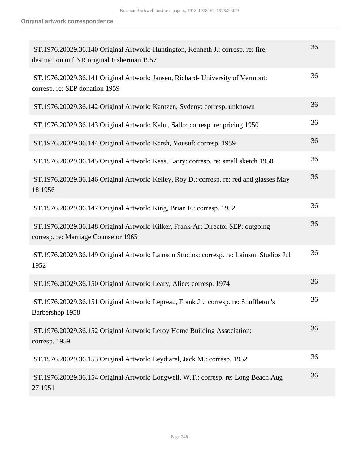| ST.1976.20029.36.140 Original Artwork: Huntington, Kenneth J.: corresp. re: fire;<br>destruction onf NR original Fisherman 1957 | 36 |
|---------------------------------------------------------------------------------------------------------------------------------|----|
| ST.1976.20029.36.141 Original Artwork: Jansen, Richard- University of Vermont:<br>corresp. re: SEP donation 1959                | 36 |
| ST.1976.20029.36.142 Original Artwork: Kantzen, Sydeny: corresp. unknown                                                        | 36 |
| ST.1976.20029.36.143 Original Artwork: Kahn, Sallo: corresp. re: pricing 1950                                                   | 36 |
| ST.1976.20029.36.144 Original Artwork: Karsh, Yousuf: corresp. 1959                                                             | 36 |
| ST.1976.20029.36.145 Original Artwork: Kass, Larry: corresp. re: small sketch 1950                                              | 36 |
| ST.1976.20029.36.146 Original Artwork: Kelley, Roy D.: corresp. re: red and glasses May<br>18 1956                              | 36 |
| ST.1976.20029.36.147 Original Artwork: King, Brian F.: corresp. 1952                                                            | 36 |
| ST.1976.20029.36.148 Original Artwork: Kilker, Frank-Art Director SEP: outgoing<br>corresp. re: Marriage Counselor 1965         | 36 |
| ST.1976.20029.36.149 Original Artwork: Lainson Studios: corresp. re: Lainson Studios Jul<br>1952                                | 36 |
| ST.1976.20029.36.150 Original Artwork: Leary, Alice: corresp. 1974                                                              | 36 |
| ST.1976.20029.36.151 Original Artwork: Lepreau, Frank Jr.: corresp. re: Shuffleton's<br>Barbershop 1958                         | 36 |
| ST.1976.20029.36.152 Original Artwork: Leroy Home Building Association:<br>corresp. 1959                                        | 36 |
| ST.1976.20029.36.153 Original Artwork: Leydiarel, Jack M.: corresp. 1952                                                        | 36 |
| ST.1976.20029.36.154 Original Artwork: Longwell, W.T.: corresp. re: Long Beach Aug<br>27 1951                                   | 36 |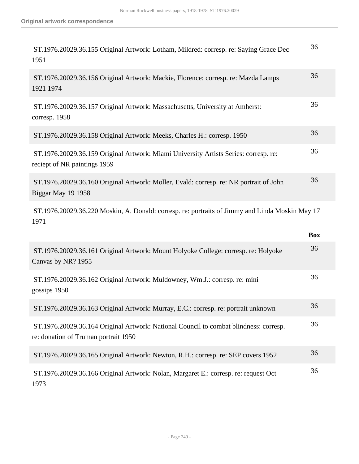| ST.1976.20029.36.155 Original Artwork: Lotham, Mildred: corresp. re: Saying Grace Dec<br>1951                        | 36 |
|----------------------------------------------------------------------------------------------------------------------|----|
| ST.1976.20029.36.156 Original Artwork: Mackie, Florence: corresp. re: Mazda Lamps<br>1921 1974                       | 36 |
| ST.1976.20029.36.157 Original Artwork: Massachusetts, University at Amherst:<br>corresp. 1958                        | 36 |
| ST.1976.20029.36.158 Original Artwork: Meeks, Charles H.: corresp. 1950                                              | 36 |
| ST.1976.20029.36.159 Original Artwork: Miami University Artists Series: corresp. re:<br>reciept of NR paintings 1959 | 36 |
| ST.1976.20029.36.160 Original Artwork: Moller, Evald: corresp. re: NR portrait of John<br>Biggar May 19 1958         | 36 |
|                                                                                                                      |    |

 ST.1976.20029.36.220 Moskin, A. Donald: corresp. re: portraits of Jimmy and Linda Moskin May 17 1971

|                                                                                                                               | <b>Box</b> |
|-------------------------------------------------------------------------------------------------------------------------------|------------|
| ST.1976.20029.36.161 Original Artwork: Mount Holyoke College: corresp. re: Holyoke<br>Canvas by NR? 1955                      | 36         |
| ST.1976.20029.36.162 Original Artwork: Muldowney, Wm.J.: corresp. re: mini<br>gossips 1950                                    | 36         |
| ST.1976.20029.36.163 Original Artwork: Murray, E.C.: corresp. re: portrait unknown                                            | 36         |
| ST.1976.20029.36.164 Original Artwork: National Council to combat blindness: corresp.<br>re: donation of Truman portrait 1950 | 36         |
| ST.1976.20029.36.165 Original Artwork: Newton, R.H.: corresp. re: SEP covers 1952                                             | 36         |
| ST.1976.20029.36.166 Original Artwork: Nolan, Margaret E.: corresp. re: request Oct<br>1973                                   | 36         |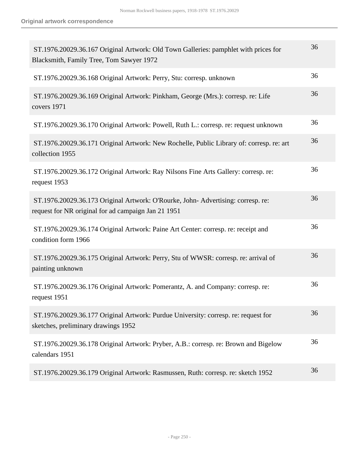| ST.1976.20029.36.167 Original Artwork: Old Town Galleries: pamphlet with prices for<br>Blacksmith, Family Tree, Tom Sawyer 1972        | 36 |
|----------------------------------------------------------------------------------------------------------------------------------------|----|
| ST.1976.20029.36.168 Original Artwork: Perry, Stu: corresp. unknown                                                                    | 36 |
| ST.1976.20029.36.169 Original Artwork: Pinkham, George (Mrs.): corresp. re: Life<br>covers 1971                                        | 36 |
| ST.1976.20029.36.170 Original Artwork: Powell, Ruth L.: corresp. re: request unknown                                                   | 36 |
| ST.1976.20029.36.171 Original Artwork: New Rochelle, Public Library of: corresp. re: art<br>collection 1955                            | 36 |
| ST.1976.20029.36.172 Original Artwork: Ray Nilsons Fine Arts Gallery: corresp. re:<br>request 1953                                     | 36 |
| ST.1976.20029.36.173 Original Artwork: O'Rourke, John-Advertising: corresp. re:<br>request for NR original for ad campaign Jan 21 1951 | 36 |
| ST.1976.20029.36.174 Original Artwork: Paine Art Center: corresp. re: receipt and<br>condition form 1966                               | 36 |
| ST.1976.20029.36.175 Original Artwork: Perry, Stu of WWSR: corresp. re: arrival of<br>painting unknown                                 | 36 |
| ST.1976.20029.36.176 Original Artwork: Pomerantz, A. and Company: corresp. re:<br>request 1951                                         | 36 |
| ST.1976.20029.36.177 Original Artwork: Purdue University: corresp. re: request for<br>sketches, preliminary drawings 1952              | 36 |
| ST.1976.20029.36.178 Original Artwork: Pryber, A.B.: corresp. re: Brown and Bigelow<br>calendars 1951                                  | 36 |
| ST.1976.20029.36.179 Original Artwork: Rasmussen, Ruth: corresp. re: sketch 1952                                                       | 36 |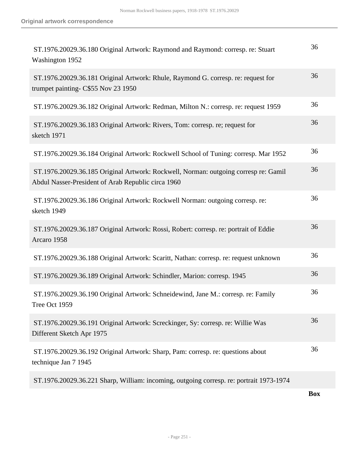| 36<br>ST.1976.20029.36.181 Original Artwork: Rhule, Raymond G. corresp. re: request for<br>trumpet painting- C\$55 Nov 23 1950<br>36<br>ST.1976.20029.36.182 Original Artwork: Redman, Milton N.: corresp. re: request 1959<br>36<br>ST.1976.20029.36.183 Original Artwork: Rivers, Tom: corresp. re; request for<br>sketch 1971<br>36<br>ST.1976.20029.36.184 Original Artwork: Rockwell School of Tuning: corresp. Mar 1952<br>36<br>ST.1976.20029.36.185 Original Artwork: Rockwell, Norman: outgoing corresp re: Gamil<br>Abdul Nasser-President of Arab Republic circa 1960<br>36<br>ST.1976.20029.36.186 Original Artwork: Rockwell Norman: outgoing corresp. re:<br>sketch 1949<br>36<br>ST.1976.20029.36.187 Original Artwork: Rossi, Robert: corresp. re: portrait of Eddie<br>Arcaro 1958<br>36<br>ST.1976.20029.36.188 Original Artwork: Scaritt, Nathan: corresp. re: request unknown<br>36<br>ST.1976.20029.36.189 Original Artwork: Schindler, Marion: corresp. 1945<br>36<br>ST.1976.20029.36.190 Original Artwork: Schneidewind, Jane M.: corresp. re: Family<br>Tree Oct 1959<br>36<br>ST.1976.20029.36.191 Original Artwork: Screckinger, Sy: corresp. re: Willie Was<br>Different Sketch Apr 1975<br>36<br>ST.1976.20029.36.192 Original Artwork: Sharp, Pam: corresp. re: questions about<br>technique Jan 7 1945<br>ST.1976.20029.36.221 Sharp, William: incoming, outgoing corresp. re: portrait 1973-1974 | ST.1976.20029.36.180 Original Artwork: Raymond and Raymond: corresp. re: Stuart<br>Washington 1952 | 36 |
|----------------------------------------------------------------------------------------------------------------------------------------------------------------------------------------------------------------------------------------------------------------------------------------------------------------------------------------------------------------------------------------------------------------------------------------------------------------------------------------------------------------------------------------------------------------------------------------------------------------------------------------------------------------------------------------------------------------------------------------------------------------------------------------------------------------------------------------------------------------------------------------------------------------------------------------------------------------------------------------------------------------------------------------------------------------------------------------------------------------------------------------------------------------------------------------------------------------------------------------------------------------------------------------------------------------------------------------------------------------------------------------------------------------------------------|----------------------------------------------------------------------------------------------------|----|
|                                                                                                                                                                                                                                                                                                                                                                                                                                                                                                                                                                                                                                                                                                                                                                                                                                                                                                                                                                                                                                                                                                                                                                                                                                                                                                                                                                                                                                  |                                                                                                    |    |
|                                                                                                                                                                                                                                                                                                                                                                                                                                                                                                                                                                                                                                                                                                                                                                                                                                                                                                                                                                                                                                                                                                                                                                                                                                                                                                                                                                                                                                  |                                                                                                    |    |
|                                                                                                                                                                                                                                                                                                                                                                                                                                                                                                                                                                                                                                                                                                                                                                                                                                                                                                                                                                                                                                                                                                                                                                                                                                                                                                                                                                                                                                  |                                                                                                    |    |
|                                                                                                                                                                                                                                                                                                                                                                                                                                                                                                                                                                                                                                                                                                                                                                                                                                                                                                                                                                                                                                                                                                                                                                                                                                                                                                                                                                                                                                  |                                                                                                    |    |
|                                                                                                                                                                                                                                                                                                                                                                                                                                                                                                                                                                                                                                                                                                                                                                                                                                                                                                                                                                                                                                                                                                                                                                                                                                                                                                                                                                                                                                  |                                                                                                    |    |
|                                                                                                                                                                                                                                                                                                                                                                                                                                                                                                                                                                                                                                                                                                                                                                                                                                                                                                                                                                                                                                                                                                                                                                                                                                                                                                                                                                                                                                  |                                                                                                    |    |
|                                                                                                                                                                                                                                                                                                                                                                                                                                                                                                                                                                                                                                                                                                                                                                                                                                                                                                                                                                                                                                                                                                                                                                                                                                                                                                                                                                                                                                  |                                                                                                    |    |
|                                                                                                                                                                                                                                                                                                                                                                                                                                                                                                                                                                                                                                                                                                                                                                                                                                                                                                                                                                                                                                                                                                                                                                                                                                                                                                                                                                                                                                  |                                                                                                    |    |
|                                                                                                                                                                                                                                                                                                                                                                                                                                                                                                                                                                                                                                                                                                                                                                                                                                                                                                                                                                                                                                                                                                                                                                                                                                                                                                                                                                                                                                  |                                                                                                    |    |
|                                                                                                                                                                                                                                                                                                                                                                                                                                                                                                                                                                                                                                                                                                                                                                                                                                                                                                                                                                                                                                                                                                                                                                                                                                                                                                                                                                                                                                  |                                                                                                    |    |
|                                                                                                                                                                                                                                                                                                                                                                                                                                                                                                                                                                                                                                                                                                                                                                                                                                                                                                                                                                                                                                                                                                                                                                                                                                                                                                                                                                                                                                  |                                                                                                    |    |
|                                                                                                                                                                                                                                                                                                                                                                                                                                                                                                                                                                                                                                                                                                                                                                                                                                                                                                                                                                                                                                                                                                                                                                                                                                                                                                                                                                                                                                  |                                                                                                    |    |
|                                                                                                                                                                                                                                                                                                                                                                                                                                                                                                                                                                                                                                                                                                                                                                                                                                                                                                                                                                                                                                                                                                                                                                                                                                                                                                                                                                                                                                  |                                                                                                    |    |

**Box**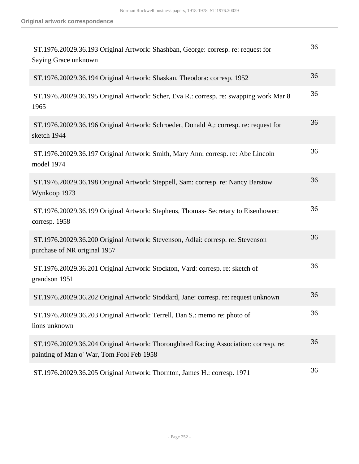| ST.1976.20029.36.193 Original Artwork: Shashban, George: corresp. re: request for<br>Saying Grace unknown                         | 36 |
|-----------------------------------------------------------------------------------------------------------------------------------|----|
| ST.1976.20029.36.194 Original Artwork: Shaskan, Theodora: corresp. 1952                                                           | 36 |
| ST.1976.20029.36.195 Original Artwork: Scher, Eva R.: corresp. re: swapping work Mar 8<br>1965                                    | 36 |
| ST.1976.20029.36.196 Original Artwork: Schroeder, Donald A,: corresp. re: request for<br>sketch 1944                              | 36 |
| ST.1976.20029.36.197 Original Artwork: Smith, Mary Ann: corresp. re: Abe Lincoln<br>model 1974                                    | 36 |
| ST.1976.20029.36.198 Original Artwork: Steppell, Sam: corresp. re: Nancy Barstow<br>Wynkoop 1973                                  | 36 |
| ST.1976.20029.36.199 Original Artwork: Stephens, Thomas- Secretary to Eisenhower:<br>corresp. 1958                                | 36 |
| ST.1976.20029.36.200 Original Artwork: Stevenson, Adlai: corresp. re: Stevenson<br>purchase of NR original 1957                   | 36 |
| ST.1976.20029.36.201 Original Artwork: Stockton, Vard: corresp. re: sketch of<br>grandson 1951                                    | 36 |
| ST.1976.20029.36.202 Original Artwork: Stoddard, Jane: corresp. re: request unknown                                               | 36 |
| ST.1976.20029.36.203 Original Artwork: Terrell, Dan S.: memo re: photo of<br>lions unknown                                        | 36 |
| ST.1976.20029.36.204 Original Artwork: Thoroughbred Racing Association: corresp. re:<br>painting of Man o' War, Tom Fool Feb 1958 | 36 |
| ST.1976.20029.36.205 Original Artwork: Thornton, James H.: corresp. 1971                                                          | 36 |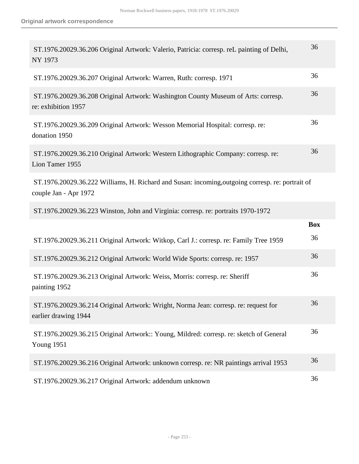| ST.1976.20029.36.206 Original Artwork: Valerio, Patricia: corresp. reL painting of Delhi,<br>NY 1973                      | 36         |
|---------------------------------------------------------------------------------------------------------------------------|------------|
| ST.1976.20029.36.207 Original Artwork: Warren, Ruth: corresp. 1971                                                        | 36         |
| ST.1976.20029.36.208 Original Artwork: Washington County Museum of Arts: corresp.<br>re: exhibition 1957                  | 36         |
| ST.1976.20029.36.209 Original Artwork: Wesson Memorial Hospital: corresp. re:<br>donation 1950                            | 36         |
| ST.1976.20029.36.210 Original Artwork: Western Lithographic Company: corresp. re:<br>Lion Tamer 1955                      | 36         |
| ST.1976.20029.36.222 Williams, H. Richard and Susan: incoming, outgoing corresp. re: portrait of<br>couple Jan - Apr 1972 |            |
| ST.1976.20029.36.223 Winston, John and Virginia: corresp. re: portraits 1970-1972                                         |            |
|                                                                                                                           | <b>Box</b> |
| ST.1976.20029.36.211 Original Artwork: Witkop, Carl J.: corresp. re: Family Tree 1959                                     | 36         |
| ST.1976.20029.36.212 Original Artwork: World Wide Sports: corresp. re: 1957                                               | 36         |
| ST.1976.20029.36.213 Original Artwork: Weiss, Morris: corresp. re: Sheriff<br>painting 1952                               | 36         |
| ST.1976.20029.36.214 Original Artwork: Wright, Norma Jean: corresp. re: request for<br>earlier drawing 1944               | 36         |
| ST.1976.20029.36.215 Original Artwork:: Young, Mildred: corresp. re: sketch of General<br><b>Young 1951</b>               | 36         |
| ST.1976.20029.36.216 Original Artwork: unknown corresp. re: NR paintings arrival 1953                                     | 36         |
| ST.1976.20029.36.217 Original Artwork: addendum unknown                                                                   | 36         |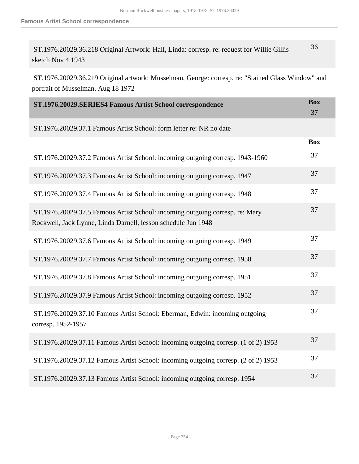| ST.1976.20029.36.218 Original Artwork: Hall, Linda: corresp. re: request for Willie Gillis | 36 |  |
|--------------------------------------------------------------------------------------------|----|--|
| sketch Nov 4 1943                                                                          |    |  |

 ST.1976.20029.36.219 Original artwork: Musselman, George: corresp. re: "Stained Glass Window" and portrait of Musselman. Aug 18 1972

| ST.1976.20029.SERIES4 Famous Artist School correspondence                                                                                     | <b>Box</b><br>37 |
|-----------------------------------------------------------------------------------------------------------------------------------------------|------------------|
| ST.1976.20029.37.1 Famous Artist School: form letter re: NR no date                                                                           |                  |
|                                                                                                                                               | <b>Box</b>       |
| ST.1976.20029.37.2 Famous Artist School: incoming outgoing corresp. 1943-1960                                                                 | 37               |
| ST.1976.20029.37.3 Famous Artist School: incoming outgoing corresp. 1947                                                                      | 37               |
| ST.1976.20029.37.4 Famous Artist School: incoming outgoing corresp. 1948                                                                      | 37               |
| ST.1976.20029.37.5 Famous Artist School: incoming outgoing corresp. re: Mary<br>Rockwell, Jack Lynne, Linda Darnell, lesson schedule Jun 1948 | 37               |
| ST.1976.20029.37.6 Famous Artist School: incoming outgoing corresp. 1949                                                                      | 37               |
| ST.1976.20029.37.7 Famous Artist School: incoming outgoing corresp. 1950                                                                      | 37               |
| ST.1976.20029.37.8 Famous Artist School: incoming outgoing corresp. 1951                                                                      | 37               |
| ST.1976.20029.37.9 Famous Artist School: incoming outgoing corresp. 1952                                                                      | 37               |
| ST.1976.20029.37.10 Famous Artist School: Eberman, Edwin: incoming outgoing<br>corresp. 1952-1957                                             | 37               |
| ST.1976.20029.37.11 Famous Artist School: incoming outgoing corresp. (1 of 2) 1953                                                            | 37               |
| ST.1976.20029.37.12 Famous Artist School: incoming outgoing corresp. (2 of 2) 1953                                                            | 37               |
| ST.1976.20029.37.13 Famous Artist School: incoming outgoing corresp. 1954                                                                     | 37               |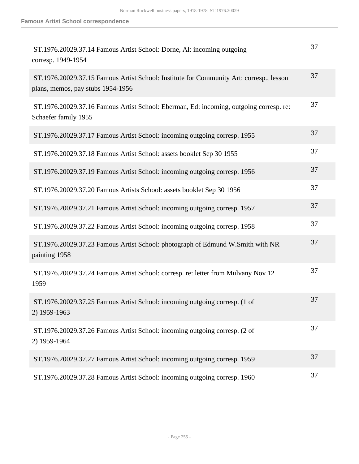| ST.1976.20029.37.14 Famous Artist School: Dorne, Al: incoming outgoing<br>corresp. 1949-1954                                 | 37 |
|------------------------------------------------------------------------------------------------------------------------------|----|
| ST.1976.20029.37.15 Famous Artist School: Institute for Community Art: corresp., lesson<br>plans, memos, pay stubs 1954-1956 | 37 |
| ST.1976.20029.37.16 Famous Artist School: Eberman, Ed: incoming, outgoing corresp. re:<br>Schaefer family 1955               | 37 |
| ST.1976.20029.37.17 Famous Artist School: incoming outgoing corresp. 1955                                                    | 37 |
| ST.1976.20029.37.18 Famous Artist School: assets booklet Sep 30 1955                                                         | 37 |
| ST.1976.20029.37.19 Famous Artist School: incoming outgoing corresp. 1956                                                    | 37 |
| ST.1976.20029.37.20 Famous Artists School: assets booklet Sep 30 1956                                                        | 37 |
| ST.1976.20029.37.21 Famous Artist School: incoming outgoing corresp. 1957                                                    | 37 |
| ST.1976.20029.37.22 Famous Artist School: incoming outgoing corresp. 1958                                                    | 37 |
| ST.1976.20029.37.23 Famous Artist School: photograph of Edmund W.Smith with NR<br>painting 1958                              | 37 |
| ST.1976.20029.37.24 Famous Artist School: corresp. re: letter from Mulvany Nov 12<br>1959                                    | 37 |
| ST.1976.20029.37.25 Famous Artist School: incoming outgoing corresp. (1 of<br>2) 1959-1963                                   | 37 |
| ST.1976.20029.37.26 Famous Artist School: incoming outgoing corresp. (2 of<br>2) 1959-1964                                   | 37 |
| ST.1976.20029.37.27 Famous Artist School: incoming outgoing corresp. 1959                                                    | 37 |
| ST.1976.20029.37.28 Famous Artist School: incoming outgoing corresp. 1960                                                    | 37 |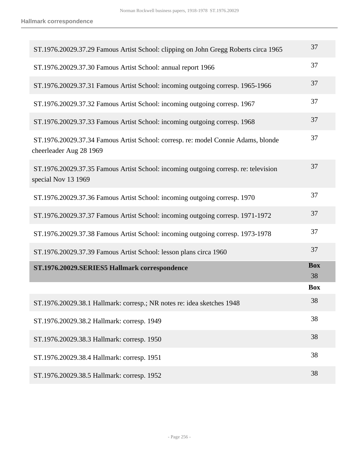| ST.1976.20029.37.29 Famous Artist School: clipping on John Gregg Roberts circa 1965                          | 37               |
|--------------------------------------------------------------------------------------------------------------|------------------|
| ST.1976.20029.37.30 Famous Artist School: annual report 1966                                                 | 37               |
| ST.1976.20029.37.31 Famous Artist School: incoming outgoing corresp. 1965-1966                               | 37               |
| ST.1976.20029.37.32 Famous Artist School: incoming outgoing corresp. 1967                                    | 37               |
| ST.1976.20029.37.33 Famous Artist School: incoming outgoing corresp. 1968                                    | 37               |
| ST.1976.20029.37.34 Famous Artist School: corresp. re: model Connie Adams, blonde<br>cheerleader Aug 28 1969 | 37               |
| ST.1976.20029.37.35 Famous Artist School: incoming outgoing corresp. re: television<br>special Nov 13 1969   | 37               |
| ST.1976.20029.37.36 Famous Artist School: incoming outgoing corresp. 1970                                    | 37               |
| ST.1976.20029.37.37 Famous Artist School: incoming outgoing corresp. 1971-1972                               | 37               |
| ST.1976.20029.37.38 Famous Artist School: incoming outgoing corresp. 1973-1978                               | 37               |
| ST.1976.20029.37.39 Famous Artist School: lesson plans circa 1960                                            | 37               |
| ST.1976.20029.SERIES5 Hallmark correspondence                                                                | <b>Box</b><br>38 |
|                                                                                                              | <b>Box</b>       |
| ST.1976.20029.38.1 Hallmark: corresp.; NR notes re: idea sketches 1948                                       | 38               |
| ST.1976.20029.38.2 Hallmark: corresp. 1949                                                                   | 38               |
| ST.1976.20029.38.3 Hallmark: corresp. 1950                                                                   | 38               |
| ST.1976.20029.38.4 Hallmark: corresp. 1951                                                                   | 38               |
| ST.1976.20029.38.5 Hallmark: corresp. 1952                                                                   | 38               |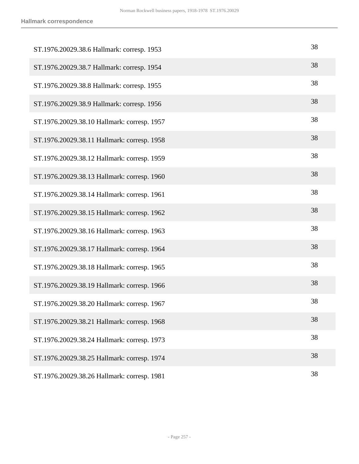| ST.1976.20029.38.6 Hallmark: corresp. 1953  | 38 |
|---------------------------------------------|----|
| ST.1976.20029.38.7 Hallmark: corresp. 1954  | 38 |
| ST.1976.20029.38.8 Hallmark: corresp. 1955  | 38 |
| ST.1976.20029.38.9 Hallmark: corresp. 1956  | 38 |
| ST.1976.20029.38.10 Hallmark: corresp. 1957 | 38 |
| ST.1976.20029.38.11 Hallmark: corresp. 1958 | 38 |
| ST.1976.20029.38.12 Hallmark: corresp. 1959 | 38 |
| ST.1976.20029.38.13 Hallmark: corresp. 1960 | 38 |
| ST.1976.20029.38.14 Hallmark: corresp. 1961 | 38 |
| ST.1976.20029.38.15 Hallmark: corresp. 1962 | 38 |
| ST.1976.20029.38.16 Hallmark: corresp. 1963 | 38 |
| ST.1976.20029.38.17 Hallmark: corresp. 1964 | 38 |
| ST.1976.20029.38.18 Hallmark: corresp. 1965 | 38 |
| ST.1976.20029.38.19 Hallmark: corresp. 1966 | 38 |
| ST.1976.20029.38.20 Hallmark: corresp. 1967 | 38 |
| ST.1976.20029.38.21 Hallmark: corresp. 1968 | 38 |
| ST.1976.20029.38.24 Hallmark: corresp. 1973 | 38 |
| ST.1976.20029.38.25 Hallmark: corresp. 1974 | 38 |
| ST.1976.20029.38.26 Hallmark: corresp. 1981 | 38 |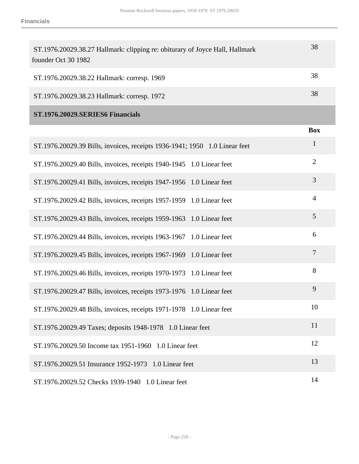| ST.1976.20029.38.27 Hallmark: clipping re: obiturary of Joyce Hall, Hallmark<br>founder Oct 30 1982 | 38  |
|-----------------------------------------------------------------------------------------------------|-----|
| ST.1976.20029.38.22 Hallmark: corresp. 1969                                                         | 38  |
| ST.1976.20029.38.23 Hallmark: corresp. 1972                                                         | 38  |
| ST.1976.20029.SERIES6 Financials                                                                    |     |
|                                                                                                     | Roy |

| ST.1976.20029.39 Bills, invoices, receipts 1936-1941; 1950 1.0 Linear feet | $\mathbf{1}$   |
|----------------------------------------------------------------------------|----------------|
| ST.1976.20029.40 Bills, invoices, receipts 1940-1945 1.0 Linear feet       | $\overline{2}$ |
| ST.1976.20029.41 Bills, invoices, receipts 1947-1956 1.0 Linear feet       | 3              |
| ST.1976.20029.42 Bills, invoices, receipts 1957-1959 1.0 Linear feet       | $\overline{4}$ |
| ST.1976.20029.43 Bills, invoices, receipts 1959-1963 1.0 Linear feet       | 5              |
| ST.1976.20029.44 Bills, invoices, receipts 1963-1967 1.0 Linear feet       | 6              |
| ST.1976.20029.45 Bills, invoices, receipts 1967-1969 1.0 Linear feet       | $\overline{7}$ |
| ST.1976.20029.46 Bills, invoices, receipts 1970-1973 1.0 Linear feet       | 8              |
| ST.1976.20029.47 Bills, invoices, receipts 1973-1976 1.0 Linear feet       | 9              |
| ST.1976.20029.48 Bills, invoices, receipts 1971-1978 1.0 Linear feet       | 10             |
| ST.1976.20029.49 Taxes; deposits 1948-1978 1.0 Linear feet                 | 11             |
| ST.1976.20029.50 Income tax 1951-1960 1.0 Linear feet                      | 12             |
| ST.1976.20029.51 Insurance 1952-1973 1.0 Linear feet                       | 13             |
| ST.1976.20029.52 Checks 1939-1940 1.0 Linear feet                          | 14             |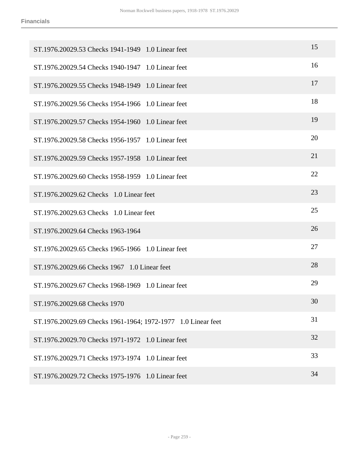| ST.1976.20029.53 Checks 1941-1949 1.0 Linear feet            | 15 |
|--------------------------------------------------------------|----|
| ST.1976.20029.54 Checks 1940-1947 1.0 Linear feet            | 16 |
| ST.1976.20029.55 Checks 1948-1949 1.0 Linear feet            | 17 |
| ST.1976.20029.56 Checks 1954-1966 1.0 Linear feet            | 18 |
| ST.1976.20029.57 Checks 1954-1960 1.0 Linear feet            | 19 |
| ST.1976.20029.58 Checks 1956-1957 1.0 Linear feet            | 20 |
| ST.1976.20029.59 Checks 1957-1958 1.0 Linear feet            | 21 |
| ST.1976.20029.60 Checks 1958-1959 1.0 Linear feet            | 22 |
| ST.1976.20029.62 Checks 1.0 Linear feet                      | 23 |
| ST.1976.20029.63 Checks 1.0 Linear feet                      | 25 |
| ST.1976.20029.64 Checks 1963-1964                            | 26 |
| ST.1976.20029.65 Checks 1965-1966 1.0 Linear feet            | 27 |
| ST.1976.20029.66 Checks 1967 1.0 Linear feet                 | 28 |
| ST.1976.20029.67 Checks 1968-1969 1.0 Linear feet            | 29 |
| ST.1976.20029.68 Checks 1970                                 | 30 |
| ST.1976.20029.69 Checks 1961-1964; 1972-1977 1.0 Linear feet | 31 |
| ST.1976.20029.70 Checks 1971-1972 1.0 Linear feet            | 32 |
| ST.1976.20029.71 Checks 1973-1974 1.0 Linear feet            | 33 |
| ST.1976.20029.72 Checks 1975-1976 1.0 Linear feet            | 34 |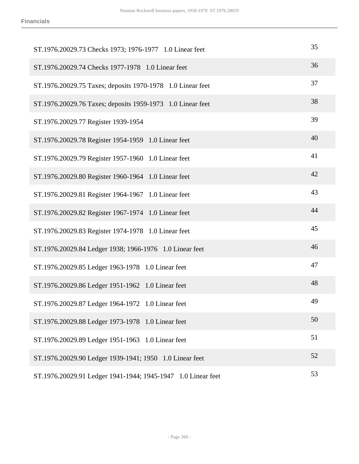| ST.1976.20029.73 Checks 1973; 1976-1977 1.0 Linear feet      | 35 |
|--------------------------------------------------------------|----|
| ST.1976.20029.74 Checks 1977-1978 1.0 Linear feet            | 36 |
| ST.1976.20029.75 Taxes; deposits 1970-1978 1.0 Linear feet   | 37 |
| ST.1976.20029.76 Taxes; deposits 1959-1973 1.0 Linear feet   | 38 |
| ST.1976.20029.77 Register 1939-1954                          | 39 |
| ST.1976.20029.78 Register 1954-1959 1.0 Linear feet          | 40 |
| ST.1976.20029.79 Register 1957-1960 1.0 Linear feet          | 41 |
| ST.1976.20029.80 Register 1960-1964 1.0 Linear feet          | 42 |
| ST.1976.20029.81 Register 1964-1967 1.0 Linear feet          | 43 |
| ST.1976.20029.82 Register 1967-1974 1.0 Linear feet          | 44 |
| ST.1976.20029.83 Register 1974-1978 1.0 Linear feet          | 45 |
| ST.1976.20029.84 Ledger 1938; 1966-1976 1.0 Linear feet      | 46 |
| ST.1976.20029.85 Ledger 1963-1978 1.0 Linear feet            | 47 |
| ST.1976.20029.86 Ledger 1951-1962 1.0 Linear feet            | 48 |
| ST.1976.20029.87 Ledger 1964-1972 1.0 Linear feet            | 49 |
| ST.1976.20029.88 Ledger 1973-1978 1.0 Linear feet            | 50 |
| ST.1976.20029.89 Ledger 1951-1963 1.0 Linear feet            | 51 |
| ST.1976.20029.90 Ledger 1939-1941; 1950 1.0 Linear feet      | 52 |
| ST.1976.20029.91 Ledger 1941-1944; 1945-1947 1.0 Linear feet | 53 |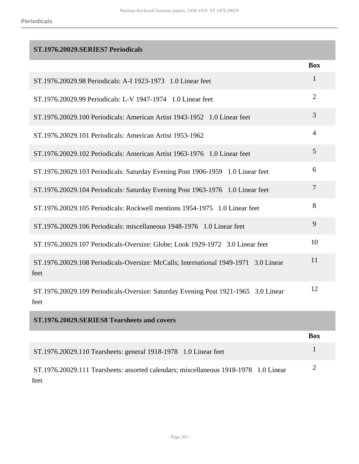## **ST.1976.20029.SERIES7 Periodicals**

|                                                                                             | <b>Box</b>     |
|---------------------------------------------------------------------------------------------|----------------|
| ST.1976.20029.98 Periodicals: A-I 1923-1973 1.0 Linear feet                                 | 1              |
| ST.1976.20029.99 Periodicals: L-V 1947-1974 1.0 Linear feet                                 | $\overline{2}$ |
| ST.1976.20029.100 Periodicals: American Artist 1943-1952 1.0 Linear feet                    | 3              |
| ST.1976.20029.101 Periodicals: American Artist 1953-1962                                    | $\overline{4}$ |
| ST.1976.20029.102 Periodicals: American Artist 1963-1976 1.0 Linear feet                    | 5              |
| ST.1976.20029.103 Periodicals: Saturday Evening Post 1906-1959 1.0 Linear feet              | 6              |
| ST.1976.20029.104 Periodicals: Saturday Evening Post 1963-1976 1.0 Linear feet              | $\overline{7}$ |
| ST.1976.20029.105 Periodicals: Rockwell mentions 1954-1975 1.0 Linear feet                  | 8              |
| ST.1976.20029.106 Periodicals: miscellaneous 1948-1976 1.0 Linear feet                      | 9              |
| ST.1976.20029.107 Periodicals-Oversize: Globe; Look 1929-1972 3.0 Linear feet               | 10             |
| ST.1976.20029.108 Periodicals-Oversize: McCalls; International 1949-1971 3.0 Linear<br>feet | 11             |
| ST.1976.20029.109 Periodicals-Oversize: Saturday Evening Post 1921-1965 3.0 Linear<br>feet  | 12             |
| ST.1976.20029.SERIES8 Tearsheets and covers                                                 |                |
|                                                                                             | <b>Box</b>     |

| ST.1976.20029.110 Tearsheets: general 1918-1978 1.0 Linear feet                      |  |
|--------------------------------------------------------------------------------------|--|
| ST.1976.20029.111 Tearsheets: assorted calendars; miscellaneous 1918-1978 1.0 Linear |  |
| feet                                                                                 |  |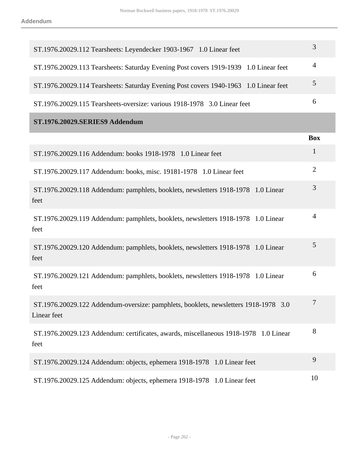| ST.1976.20029.112 Tearsheets: Leyendecker 1903-1967 1.0 Linear feet                                | 3              |
|----------------------------------------------------------------------------------------------------|----------------|
| ST.1976.20029.113 Tearsheets: Saturday Evening Post covers 1919-1939 1.0 Linear feet               | $\overline{4}$ |
| ST.1976.20029.114 Tearsheets: Saturday Evening Post covers 1940-1963 1.0 Linear feet               | $\mathfrak{S}$ |
| ST.1976.20029.115 Tearsheets-oversize: various 1918-1978 3.0 Linear feet                           | 6              |
| ST.1976.20029.SERIES9 Addendum                                                                     |                |
|                                                                                                    | <b>Box</b>     |
| ST.1976.20029.116 Addendum: books 1918-1978 1.0 Linear feet                                        | $\mathbf{1}$   |
| ST.1976.20029.117 Addendum: books, misc. 19181-1978  1.0 Linear feet                               | $\overline{2}$ |
| ST.1976.20029.118 Addendum: pamphlets, booklets, newsletters 1918-1978 1.0 Linear<br>feet          | $\mathfrak{Z}$ |
| ST.1976.20029.119 Addendum: pamphlets, booklets, newsletters 1918-1978 1.0 Linear<br>feet          | $\overline{4}$ |
| ST.1976.20029.120 Addendum: pamphlets, booklets, newsletters 1918-1978 1.0 Linear<br>feet          | 5              |
| ST.1976.20029.121 Addendum: pamphlets, booklets, newsletters 1918-1978 1.0 Linear<br>feet          | 6              |
| ST.1976.20029.122 Addendum-oversize: pamphlets, booklets, newsletters 1918-1978 3.0<br>Linear feet | 7              |
| ST.1976.20029.123 Addendum: certificates, awards, miscellaneous 1918-1978 1.0 Linear<br>feet       | 8              |
| ST.1976.20029.124 Addendum: objects, ephemera 1918-1978 1.0 Linear feet                            | 9              |
| ST.1976.20029.125 Addendum: objects, ephemera 1918-1978 1.0 Linear feet                            | 10             |